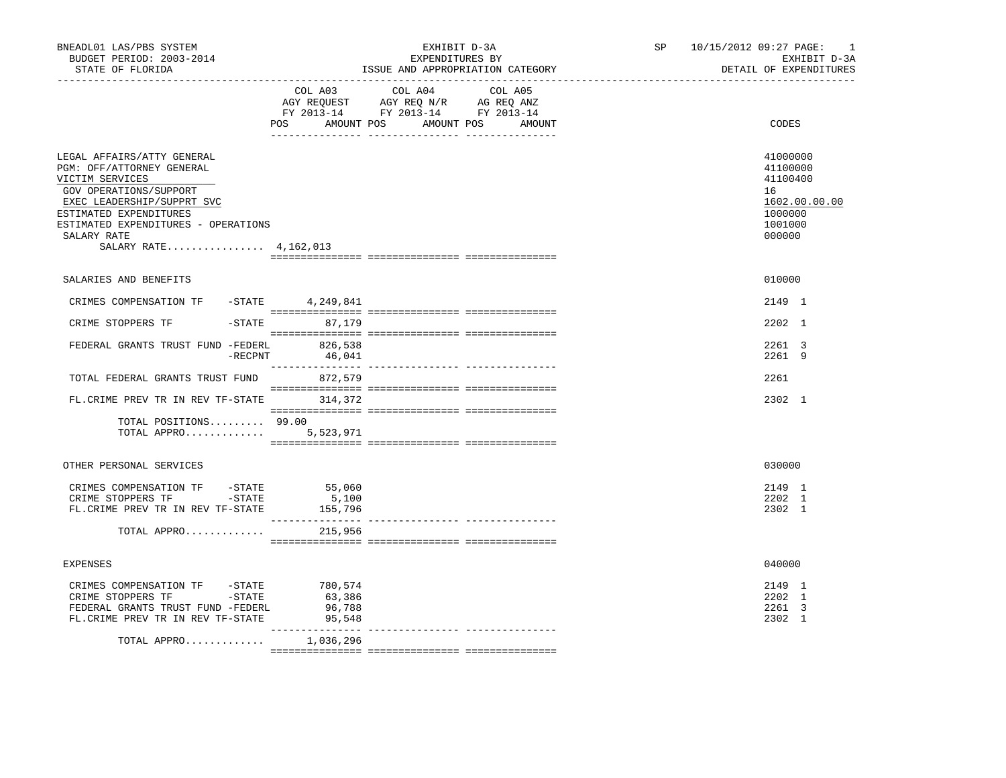| BNEADL01 LAS/PBS SYSTEM<br>BUDGET PERIOD: 2003-2014<br>STATE OF FLORIDA                                                                                                                                                                     |                            | EXHIBIT D-3A<br>EXPENDITURES BY<br>ISSUE AND APPROPRIATION CATEGORY                                | SP 10/15/2012 09:27 PAGE:<br>$\sim$ 1<br>EXHIBIT D-3A<br>DETAIL OF EXPENDITURES         |
|---------------------------------------------------------------------------------------------------------------------------------------------------------------------------------------------------------------------------------------------|----------------------------|----------------------------------------------------------------------------------------------------|-----------------------------------------------------------------------------------------|
|                                                                                                                                                                                                                                             |                            | COL A03 COL A04<br>COL A05<br>FY 2013-14 FY 2013-14 FY 2013-14<br>POS AMOUNT POS AMOUNT POS AMOUNT | CODES                                                                                   |
|                                                                                                                                                                                                                                             |                            |                                                                                                    |                                                                                         |
| LEGAL AFFAIRS/ATTY GENERAL<br>PGM: OFF/ATTORNEY GENERAL<br>VICTIM SERVICES<br>GOV OPERATIONS/SUPPORT<br>EXEC LEADERSHIP/SUPPRT SVC<br>ESTIMATED EXPENDITURES<br>ESTIMATED EXPENDITURES - OPERATIONS<br>SALARY RATE<br>SALARY RATE 4,162,013 |                            |                                                                                                    | 41000000<br>41100000<br>41100400<br>16<br>1602.00.00.00<br>1000000<br>1001000<br>000000 |
| SALARIES AND BENEFITS                                                                                                                                                                                                                       |                            |                                                                                                    | 010000                                                                                  |
| CRIMES COMPENSATION TF - STATE 4, 249, 841                                                                                                                                                                                                  |                            |                                                                                                    | 2149 1                                                                                  |
| CRIME STOPPERS TF                                                                                                                                                                                                                           | -STATE 87,179              |                                                                                                    | 2202 1                                                                                  |
| FEDERAL GRANTS TRUST FUND -FEDERL<br>$-$ RECPNT                                                                                                                                                                                             | 826,538<br>46,041          |                                                                                                    | 2261 3<br>2261 9                                                                        |
| TOTAL FEDERAL GRANTS TRUST FUND                                                                                                                                                                                                             | 872,579                    |                                                                                                    | 2261                                                                                    |
| FL. CRIME PREV TR IN REV TF-STATE 314,372                                                                                                                                                                                                   |                            |                                                                                                    | 2302 1                                                                                  |
| TOTAL POSITIONS 99.00<br>TOTAL APPRO $5,523,971$                                                                                                                                                                                            |                            |                                                                                                    |                                                                                         |
| OTHER PERSONAL SERVICES                                                                                                                                                                                                                     |                            |                                                                                                    | 030000                                                                                  |
| CRIMES COMPENSATION TF -STATE<br>CRIME STOPPERS TF -STATE<br>FL. CRIME PREV TR IN REV TF-STATE                                                                                                                                              | 55,060<br>5,100<br>155,796 |                                                                                                    | 2149 1<br>2202 1<br>2302 1                                                              |
| TOTAL APPRO                                                                                                                                                                                                                                 | 215,956                    |                                                                                                    |                                                                                         |
| <b>EXPENSES</b>                                                                                                                                                                                                                             |                            |                                                                                                    | 040000                                                                                  |
| CRIMES COMPENSATION TF -STATE 780,574<br>CRIME STOPPERS TF -STATE<br>FEDERAL GRANTS TRUST FUND -FEDERL<br>FL. CRIME PREV TR IN REV TF-STATE                                                                                                 | 63,386<br>96,788<br>95,548 |                                                                                                    | 2149 1<br>2202 1<br>2261 3<br>2302 1                                                    |
| TOTAL APPRO                                                                                                                                                                                                                                 | 1,036,296                  |                                                                                                    |                                                                                         |
|                                                                                                                                                                                                                                             |                            |                                                                                                    |                                                                                         |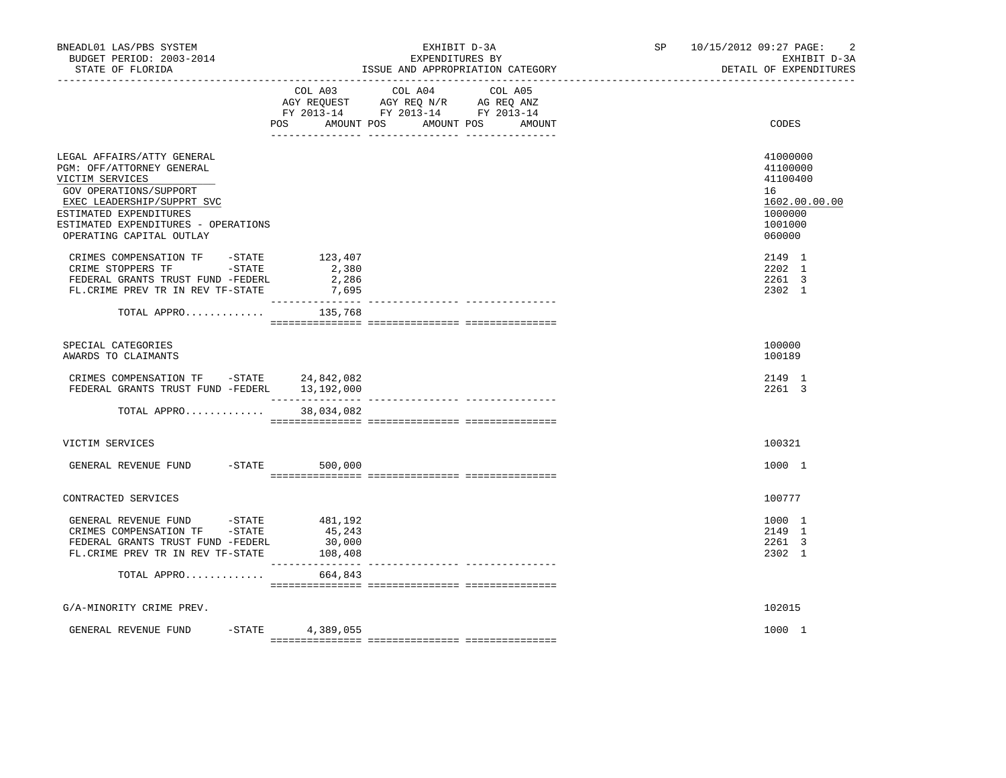| BNEADL01 LAS/PBS SYSTEM<br>BUDGET PERIOD: 2003-2014<br>STATE OF FLORIDA                                                                                                                                                         |                             | EXHIBIT D-3A<br>EXPENDITURES BY<br>ISSUE AND APPROPRIATION CATEGORY                                                               | SP 10/15/2012 09:27 PAGE: | $\overline{2}$<br>EXHIBIT D-3A<br>DETAIL OF EXPENDITURES                                |
|---------------------------------------------------------------------------------------------------------------------------------------------------------------------------------------------------------------------------------|-----------------------------|-----------------------------------------------------------------------------------------------------------------------------------|---------------------------|-----------------------------------------------------------------------------------------|
|                                                                                                                                                                                                                                 | POS                         | COL A03 COL A04 COL A05<br>AGY REQUEST AGY REQ N/R AG REQ ANZ<br>FY 2013-14 FY 2013-14 FY 2013-14<br>AMOUNT POS AMOUNT POS AMOUNT |                           | CODES                                                                                   |
| LEGAL AFFAIRS/ATTY GENERAL<br>PGM: OFF/ATTORNEY GENERAL<br>VICTIM SERVICES<br>GOV OPERATIONS/SUPPORT<br>EXEC LEADERSHIP/SUPPRT SVC<br>ESTIMATED EXPENDITURES<br>ESTIMATED EXPENDITURES - OPERATIONS<br>OPERATING CAPITAL OUTLAY |                             |                                                                                                                                   |                           | 41000000<br>41100000<br>41100400<br>16<br>1602.00.00.00<br>1000000<br>1001000<br>060000 |
| CRIMES COMPENSATION TF - STATE 123,407<br>CRIME STOPPERS TF -STATE<br>FEDERAL GRANTS TRUST FUND -FEDERL<br>FL. CRIME PREV TR IN REV TF-STATE                                                                                    | 2,380<br>2,286<br>7,695     |                                                                                                                                   |                           | 2149 1<br>2202 1<br>2261 3<br>2302 1                                                    |
| TOTAL APPRO $135,768$                                                                                                                                                                                                           |                             |                                                                                                                                   |                           |                                                                                         |
| SPECIAL CATEGORIES<br>AWARDS TO CLAIMANTS                                                                                                                                                                                       |                             |                                                                                                                                   |                           | 100000<br>100189                                                                        |
| CRIMES COMPENSATION TF -STATE 24,842,082<br>FEDERAL GRANTS TRUST FUND -FEDERL 13,192,000                                                                                                                                        |                             |                                                                                                                                   |                           | 2149 1<br>2261 3                                                                        |
| TOTAL APPRO 38,034,082                                                                                                                                                                                                          |                             |                                                                                                                                   |                           |                                                                                         |
| VICTIM SERVICES                                                                                                                                                                                                                 |                             |                                                                                                                                   |                           | 100321                                                                                  |
| GENERAL REVENUE FUND -STATE 500,000                                                                                                                                                                                             |                             |                                                                                                                                   |                           | 1000 1                                                                                  |
| CONTRACTED SERVICES                                                                                                                                                                                                             |                             |                                                                                                                                   |                           | 100777                                                                                  |
| GENERAL REVENUE FUND -STATE 481,192<br>CRIMES COMPENSATION TF -STATE<br>FEDERAL GRANTS TRUST FUND -FEDERL<br>FL.CRIME PREV TR IN REV TF-STATE                                                                                   | 45,243<br>30,000<br>108,408 |                                                                                                                                   |                           | 1000 1<br>2149 1<br>2261 3<br>2302 1                                                    |
| TOTAL APPRO                                                                                                                                                                                                                     | 664,843                     |                                                                                                                                   |                           |                                                                                         |
| G/A-MINORITY CRIME PREV.                                                                                                                                                                                                        |                             |                                                                                                                                   |                           | 102015                                                                                  |
| GENERAL REVENUE FUND                                                                                                                                                                                                            | $-$ STATE 4, 389, 055       |                                                                                                                                   |                           | 1000 1                                                                                  |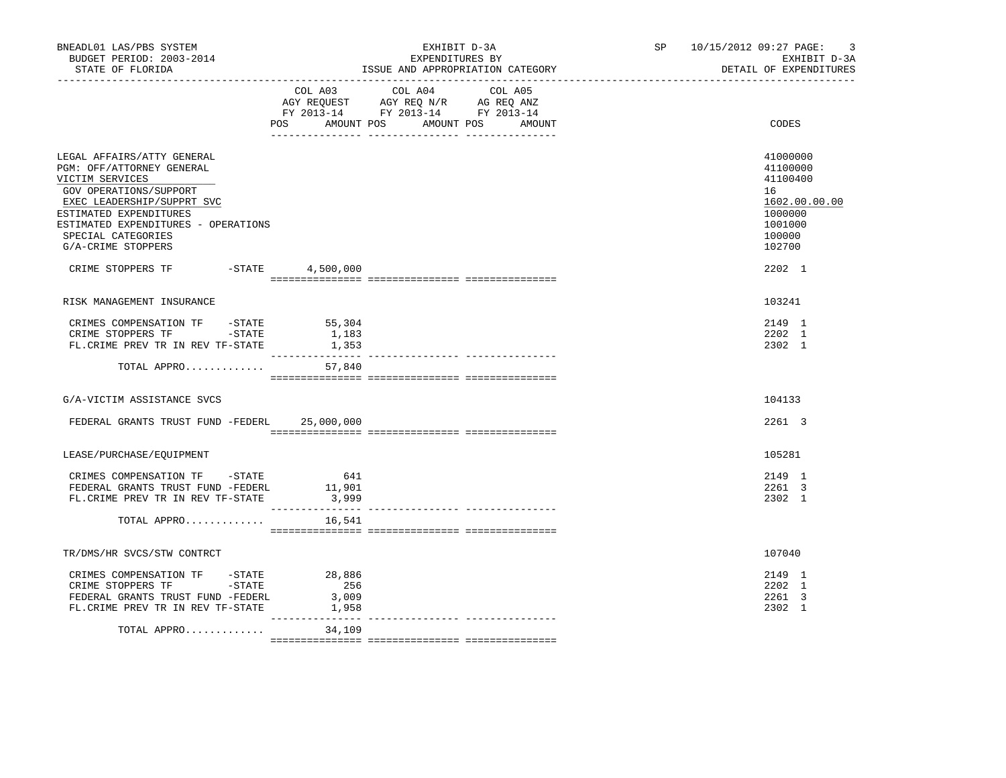| BNEADL01 LAS/PBS SYSTEM<br>BUDGET PERIOD: 2003-2014<br>STATE OF FLORIDA                                                                                                                                                                         |                                                     | EXHIBIT D-3A<br>EXPENDITURES BY<br>ISSUE AND APPROPRIATION CATEGORY                                                                      | SP 10/15/2012 09:27 PAGE:<br>$\overline{\mathbf{3}}$<br>EXHIBIT D-3A<br>DETAIL OF EXPENDITURES    |
|-------------------------------------------------------------------------------------------------------------------------------------------------------------------------------------------------------------------------------------------------|-----------------------------------------------------|------------------------------------------------------------------------------------------------------------------------------------------|---------------------------------------------------------------------------------------------------|
|                                                                                                                                                                                                                                                 |                                                     | COL A03 COL A04 COL A05<br>AGY REQUEST AGY REQ N/R AG REQ ANZ<br>FY 2013-14 FY 2013-14 FY 2013-14<br>POS AMOUNT POS AMOUNT POS<br>AMOUNT | CODES                                                                                             |
| LEGAL AFFAIRS/ATTY GENERAL<br>PGM: OFF/ATTORNEY GENERAL<br>VICTIM SERVICES<br>GOV OPERATIONS/SUPPORT<br>EXEC LEADERSHIP/SUPPRT SVC<br>ESTIMATED EXPENDITURES<br>ESTIMATED EXPENDITURES - OPERATIONS<br>SPECIAL CATEGORIES<br>G/A-CRIME STOPPERS |                                                     |                                                                                                                                          | 41000000<br>41100000<br>41100400<br>16<br>1602.00.00.00<br>1000000<br>1001000<br>100000<br>102700 |
| CRIME STOPPERS TF                                                                                                                                                                                                                               | -STATE 4,500,000                                    |                                                                                                                                          | 2202 1                                                                                            |
| RISK MANAGEMENT INSURANCE                                                                                                                                                                                                                       |                                                     |                                                                                                                                          | 103241                                                                                            |
| CRIMES COMPENSATION TF -STATE 55,304<br>CRIME STOPPERS TF -STATE<br>FL.CRIME PREV TR IN REV TF-STATE                                                                                                                                            | 1,183<br>1,353                                      |                                                                                                                                          | 2149 1<br>2202 1<br>2302 1                                                                        |
| TOTAL APPRO                                                                                                                                                                                                                                     | 57,840                                              |                                                                                                                                          |                                                                                                   |
| G/A-VICTIM ASSISTANCE SVCS                                                                                                                                                                                                                      |                                                     |                                                                                                                                          | 104133                                                                                            |
| FEDERAL GRANTS TRUST FUND -FEDERL 25,000,000                                                                                                                                                                                                    |                                                     |                                                                                                                                          | 2261 3                                                                                            |
| LEASE/PURCHASE/EOUIPMENT                                                                                                                                                                                                                        |                                                     |                                                                                                                                          | 105281                                                                                            |
| CRIMES COMPENSATION TF -STATE<br>FEDERAL GRANTS TRUST FUND -FEDERL<br>FL. CRIME PREV TR IN REV TF-STATE                                                                                                                                         | 641<br>11,901<br>3,999                              |                                                                                                                                          | 2149 1<br>2261 3<br>2302 1                                                                        |
| TOTAL APPRO                                                                                                                                                                                                                                     | 16,541                                              |                                                                                                                                          |                                                                                                   |
| TR/DMS/HR SVCS/STW CONTRCT                                                                                                                                                                                                                      |                                                     |                                                                                                                                          | 107040                                                                                            |
| CRIMES COMPENSATION TF - STATE<br>$-STATE$<br>CRIME STOPPERS TF<br>FEDERAL GRANTS TRUST FUND -FEDERL<br>FL. CRIME PREV TR IN REV TF-STATE                                                                                                       | 28,886<br>256<br>3,009<br>1,958<br>________________ |                                                                                                                                          | 2149 1<br>2202 1<br>2261 3<br>2302 1                                                              |
| TOTAL APPRO                                                                                                                                                                                                                                     | 34,109                                              |                                                                                                                                          |                                                                                                   |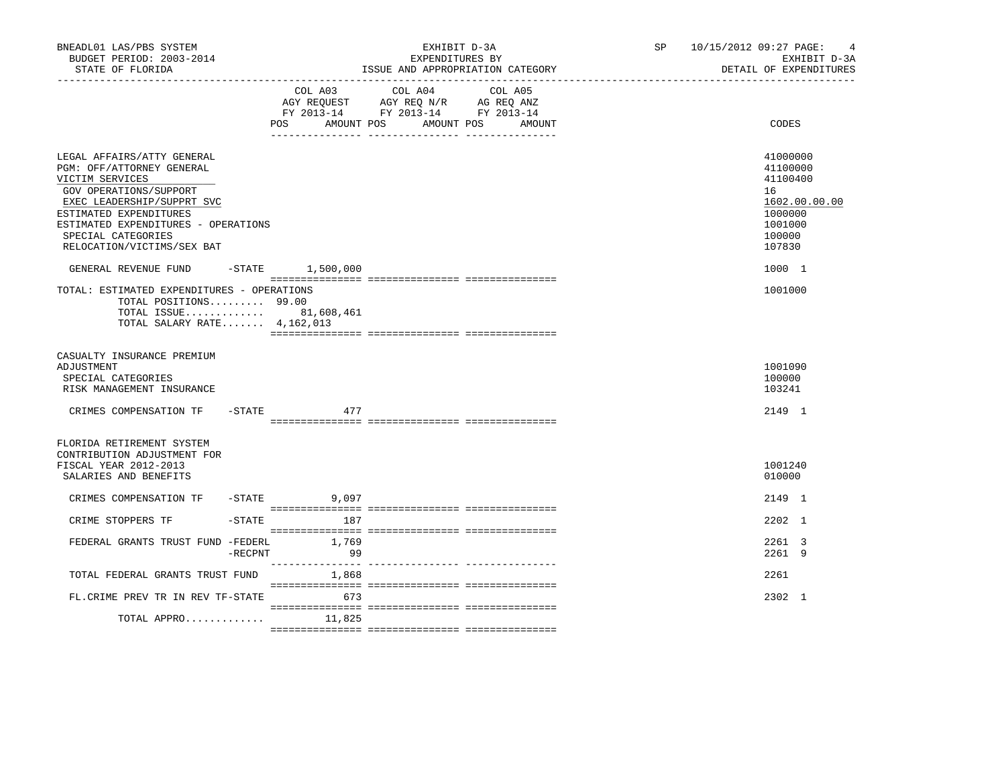| BNEADL01 LAS/PBS SYSTEM<br>BUDGET PERIOD: 2003-2014<br>STATE OF FLORIDA                                                                                                                                                                                                         | EXHIBIT D-3A<br>EXPENDITURES BY<br>ISSUE AND APPROPRIATION CATEGORY                                                                                  | 10/15/2012 09:27 PAGE:<br>SP <sub>2</sub><br>$\overline{4}$<br>EXHIBIT D-3A<br>DETAIL OF EXPENDITURES       |
|---------------------------------------------------------------------------------------------------------------------------------------------------------------------------------------------------------------------------------------------------------------------------------|------------------------------------------------------------------------------------------------------------------------------------------------------|-------------------------------------------------------------------------------------------------------------|
|                                                                                                                                                                                                                                                                                 | COL A03<br>COL A04<br>COL A05<br>AGY REQUEST AGY REQ N/R AG REQ ANZ<br>FY 2013-14 FY 2013-14 FY 2013-14<br>POS<br>AMOUNT POS<br>AMOUNT POS<br>AMOUNT | CODES                                                                                                       |
| LEGAL AFFAIRS/ATTY GENERAL<br>PGM: OFF/ATTORNEY GENERAL<br>VICTIM SERVICES<br>GOV OPERATIONS/SUPPORT<br>EXEC LEADERSHIP/SUPPRT SVC<br>ESTIMATED EXPENDITURES<br>ESTIMATED EXPENDITURES - OPERATIONS<br>SPECIAL CATEGORIES<br>RELOCATION/VICTIMS/SEX BAT<br>GENERAL REVENUE FUND | $-$ STATE $1,500,000$                                                                                                                                | 41000000<br>41100000<br>41100400<br>16<br>1602.00.00.00<br>1000000<br>1001000<br>100000<br>107830<br>1000 1 |
| TOTAL: ESTIMATED EXPENDITURES - OPERATIONS<br>TOTAL POSITIONS 99.00<br>TOTAL ISSUE 81,608,461<br>TOTAL SALARY RATE $4,162,013$                                                                                                                                                  |                                                                                                                                                      | 1001000                                                                                                     |
| CASUALTY INSURANCE PREMIUM<br>ADJUSTMENT<br>SPECIAL CATEGORIES<br>RISK MANAGEMENT INSURANCE                                                                                                                                                                                     |                                                                                                                                                      | 1001090<br>100000<br>103241                                                                                 |
| CRIMES COMPENSATION TF<br>-STATE                                                                                                                                                                                                                                                | 477                                                                                                                                                  | 2149 1                                                                                                      |
| FLORIDA RETIREMENT SYSTEM<br>CONTRIBUTION ADJUSTMENT FOR<br>FISCAL YEAR 2012-2013<br>SALARIES AND BENEFITS                                                                                                                                                                      |                                                                                                                                                      | 1001240<br>010000                                                                                           |
| CRIMES COMPENSATION TF -STATE 9,097                                                                                                                                                                                                                                             |                                                                                                                                                      | 2149 1                                                                                                      |
| CRIME STOPPERS TF<br>$-$ STATE                                                                                                                                                                                                                                                  | 187                                                                                                                                                  | 2202 1                                                                                                      |
| FEDERAL GRANTS TRUST FUND -FEDERL<br>$-$ RECPNT                                                                                                                                                                                                                                 | 1,769<br>99                                                                                                                                          | 2261 3<br>2261 9                                                                                            |
| TOTAL FEDERAL GRANTS TRUST FUND                                                                                                                                                                                                                                                 | 1,868                                                                                                                                                | 2261                                                                                                        |
| FL. CRIME PREV TR IN REV TF-STATE                                                                                                                                                                                                                                               | 673                                                                                                                                                  | 2302 1                                                                                                      |
| TOTAL APPRO                                                                                                                                                                                                                                                                     | 11,825                                                                                                                                               |                                                                                                             |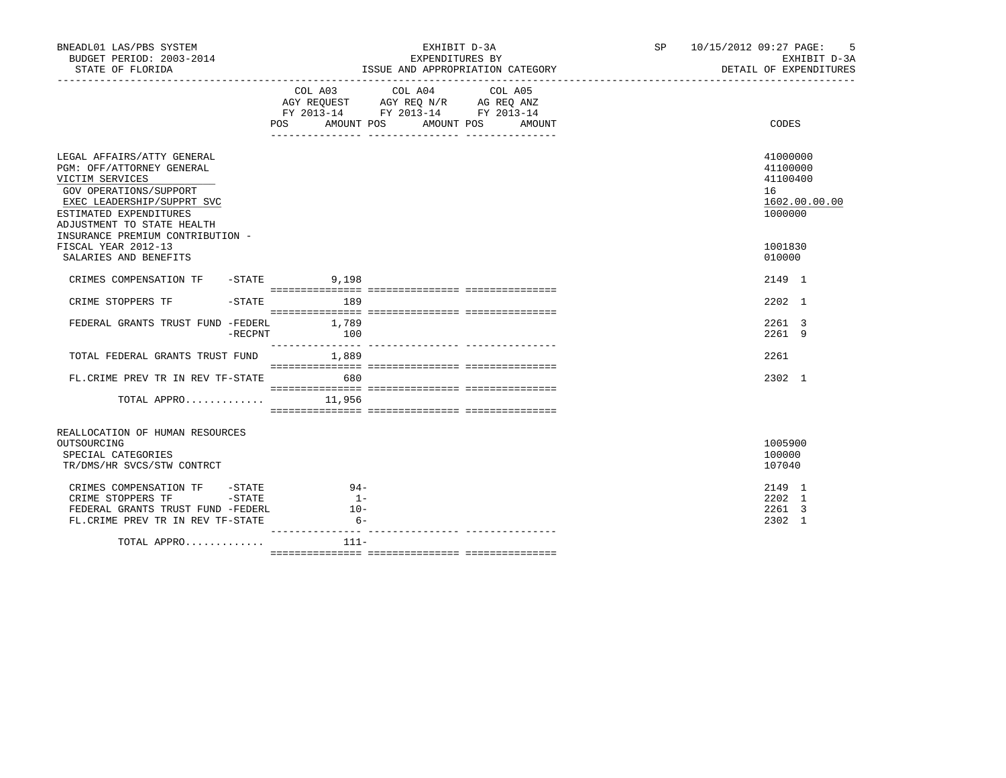| BNEADL01 LAS/PBS SYSTEM<br>BUDGET PERIOD: 2003-2014<br>STATE OF FLORIDA                                                                                                                                                        |                         | EXHIBIT D-3A<br>EXPENDITURES BY<br>ISSUE AND APPROPRIATION CATEGORY                                                                                                                                                                                                                                                                                         | SP 10/15/2012 09:27 PAGE: 5<br>EXHIBIT D-3A<br>DETAIL OF EXPENDITURES |
|--------------------------------------------------------------------------------------------------------------------------------------------------------------------------------------------------------------------------------|-------------------------|-------------------------------------------------------------------------------------------------------------------------------------------------------------------------------------------------------------------------------------------------------------------------------------------------------------------------------------------------------------|-----------------------------------------------------------------------|
|                                                                                                                                                                                                                                |                         | $\begin{tabular}{lllllllllllll} &\multicolumn{4}{c}{\text{COL A03}} &\multicolumn{4}{c}{\text{COL A04}} &\multicolumn{4}{c}{\text{COL A05}} \\ \multicolumn{4}{c}{\text{AGY REQUEST}} &\multicolumn{4}{c}{\text{AGY REQ N/R}} &\multicolumn{4}{c}{\text{AG REQ ANZ}} \end{tabular}$<br>FY 2013-14 FY 2013-14 FY 2013-14<br>POS AMOUNT POS AMOUNT POS AMOUNT | CODES                                                                 |
| LEGAL AFFAIRS/ATTY GENERAL<br>PGM: OFF/ATTORNEY GENERAL<br>VICTIM SERVICES<br>GOV OPERATIONS/SUPPORT<br>EXEC LEADERSHIP/SUPPRT SVC<br>ESTIMATED EXPENDITURES<br>ADJUSTMENT TO STATE HEALTH<br>INSURANCE PREMIUM CONTRIBUTION - |                         |                                                                                                                                                                                                                                                                                                                                                             | 41000000<br>41100000<br>41100400<br>16<br>1602.00.00.00<br>1000000    |
| FISCAL YEAR 2012-13<br>SALARIES AND BENEFITS                                                                                                                                                                                   |                         |                                                                                                                                                                                                                                                                                                                                                             | 1001830<br>010000                                                     |
| CRIMES COMPENSATION TF -STATE 9,198                                                                                                                                                                                            |                         |                                                                                                                                                                                                                                                                                                                                                             | 2149 1                                                                |
| CRIME STOPPERS TF                                                                                                                                                                                                              | $-STATE$ 189            |                                                                                                                                                                                                                                                                                                                                                             | 2202 1                                                                |
| FEDERAL GRANTS TRUST FUND -FEDERL 1,789<br>-RECPNT                                                                                                                                                                             | 100                     |                                                                                                                                                                                                                                                                                                                                                             | 2261 3<br>2261 9                                                      |
| TOTAL FEDERAL GRANTS TRUST FUND 1,889                                                                                                                                                                                          |                         |                                                                                                                                                                                                                                                                                                                                                             | 2261                                                                  |
| FL. CRIME PREV TR IN REV TF-STATE 680                                                                                                                                                                                          |                         |                                                                                                                                                                                                                                                                                                                                                             | 2302 1                                                                |
| TOTAL APPRO $11,956$                                                                                                                                                                                                           |                         |                                                                                                                                                                                                                                                                                                                                                             |                                                                       |
| REALLOCATION OF HUMAN RESOURCES<br>OUTSOURCING<br>SPECIAL CATEGORIES<br>TR/DMS/HR SVCS/STW CONTRCT                                                                                                                             |                         |                                                                                                                                                                                                                                                                                                                                                             | 1005900<br>100000<br>107040                                           |
| CRIMES COMPENSATION TF -STATE 94-<br>CRIME STOPPERS TF -STATE<br>FEDERAL GRANTS TRUST FUND -FEDERL<br>FL. CRIME PREV TR IN REV TF-STATE                                                                                        | $1 -$<br>$10-$<br>$6 -$ |                                                                                                                                                                                                                                                                                                                                                             | 2149 1<br>2202 1<br>2261 3<br>2302 1                                  |
| TOTAL APPRO                                                                                                                                                                                                                    | 111-                    |                                                                                                                                                                                                                                                                                                                                                             |                                                                       |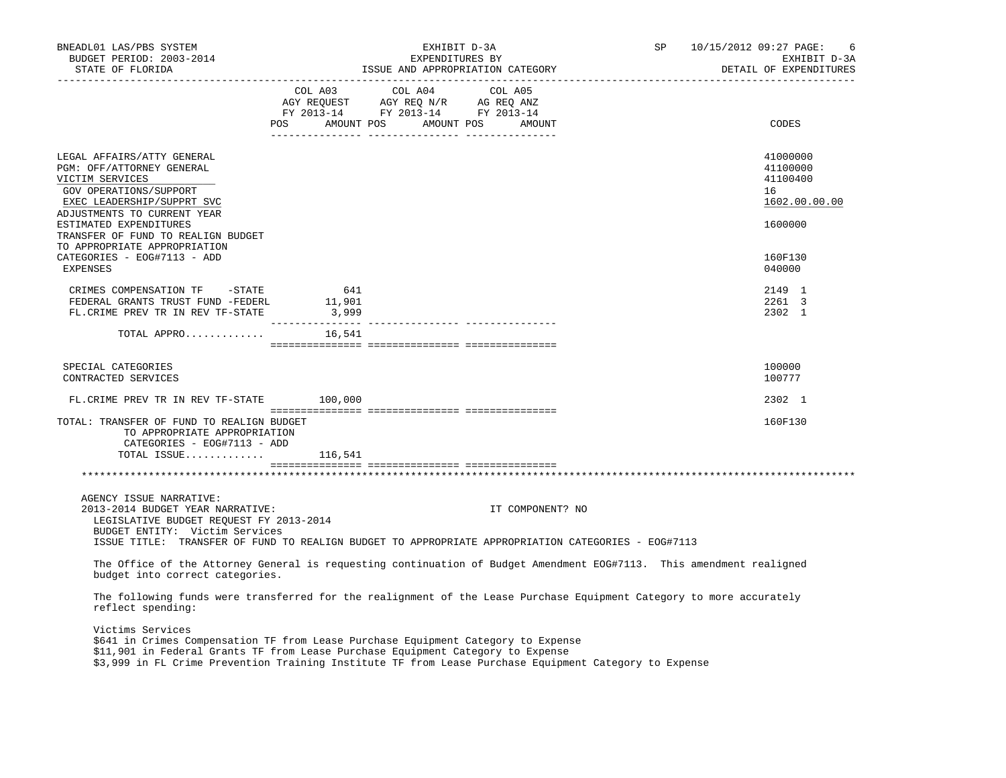| BNEADL01 LAS/PBS SYSTEM<br>BUDGET PERIOD: 2003-2014<br>STATE OF FLORIDA                                                                                                                                                                                                                            |     | EXHIBIT D-3A                                                                                                                                                                                   | EXPENDITURES BY | EXPENDITURES BY<br>ISSUE AND APPROPRIATION CATEGORY | SP 10/15/2012 09:27 PAGE: | 6<br>EXHIBIT D-3A<br>DETAIL OF EXPENDITURES             |
|----------------------------------------------------------------------------------------------------------------------------------------------------------------------------------------------------------------------------------------------------------------------------------------------------|-----|------------------------------------------------------------------------------------------------------------------------------------------------------------------------------------------------|-----------------|-----------------------------------------------------|---------------------------|---------------------------------------------------------|
|                                                                                                                                                                                                                                                                                                    |     | $\begin{tabular}{lcccc} COL A03 & COL A04 & COL A05 \\ AGY REQUEST & AGY REQ N/R & AG REQ ANZ \\ FY & 2013-14 & FY & 2013-14 & FY & 2013-14 \end{tabular}$<br>POS AMOUNT POS AMOUNT POS AMOUNT |                 |                                                     |                           | CODES                                                   |
|                                                                                                                                                                                                                                                                                                    |     |                                                                                                                                                                                                |                 |                                                     |                           |                                                         |
| LEGAL AFFAIRS/ATTY GENERAL<br>PGM: OFF/ATTORNEY GENERAL<br>VICTIM SERVICES<br>GOV OPERATIONS/SUPPORT<br>EXEC LEADERSHIP/SUPPRT SVC<br>ADJUSTMENTS TO CURRENT YEAR                                                                                                                                  |     |                                                                                                                                                                                                |                 |                                                     |                           | 41000000<br>41100000<br>41100400<br>16<br>1602.00.00.00 |
| ESTIMATED EXPENDITURES<br>TRANSFER OF FUND TO REALIGN BUDGET                                                                                                                                                                                                                                       |     |                                                                                                                                                                                                |                 |                                                     |                           | 1600000                                                 |
| TO APPROPRIATE APPROPRIATION<br>CATEGORIES - EOG#7113 - ADD<br>EXPENSES                                                                                                                                                                                                                            |     |                                                                                                                                                                                                |                 |                                                     |                           | 160F130<br>040000                                       |
| CRIMES COMPENSATION TF -STATE<br>EDERAL GRANTS TRUST FUND -FEDERL 11,901<br>FL.CRIME PREV TR IN REV TF-STATE 3,999                                                                                                                                                                                 | 641 |                                                                                                                                                                                                |                 |                                                     |                           | 2149 1<br>2261 3<br>2302 1                              |
| TOTAL APPRO $16,541$                                                                                                                                                                                                                                                                               |     |                                                                                                                                                                                                |                 |                                                     |                           |                                                         |
| SPECIAL CATEGORIES<br>CONTRACTED SERVICES                                                                                                                                                                                                                                                          |     |                                                                                                                                                                                                |                 |                                                     |                           | 100000<br>100777                                        |
| FL. CRIME PREV TR IN REV TF-STATE 100,000                                                                                                                                                                                                                                                          |     |                                                                                                                                                                                                |                 |                                                     |                           | 2302 1                                                  |
| TOTAL: TRANSFER OF FUND TO REALIGN BUDGET<br>TO APPROPRIATE APPROPRIATION<br>CATEGORIES - EOG#7113 - ADD                                                                                                                                                                                           |     |                                                                                                                                                                                                |                 |                                                     |                           | 160F130                                                 |
| TOTAL ISSUE $116,541$                                                                                                                                                                                                                                                                              |     |                                                                                                                                                                                                |                 |                                                     |                           |                                                         |
|                                                                                                                                                                                                                                                                                                    |     |                                                                                                                                                                                                |                 |                                                     |                           |                                                         |
| AGENCY ISSUE NARRATIVE:<br>2013-2014 BUDGET YEAR NARRATIVE:<br>LEGISLATIVE BUDGET REQUEST FY 2013-2014                                                                                                                                                                                             |     |                                                                                                                                                                                                |                 | IT COMPONENT? NO                                    |                           |                                                         |
| BUDGET ENTITY: Victim Services<br>ISSUE TITLE: TRANSFER OF FUND TO REALIGN BUDGET TO APPROPRIATE APPROPRIATION CATEGORIES - EOG#7113                                                                                                                                                               |     |                                                                                                                                                                                                |                 |                                                     |                           |                                                         |
| The Office of the Attorney General is requesting continuation of Budget Amendment EOG#7113. This amendment realigned<br>budget into correct categories.                                                                                                                                            |     |                                                                                                                                                                                                |                 |                                                     |                           |                                                         |
| The following funds were transferred for the realignment of the Lease Purchase Equipment Category to more accurately<br>reflect spending:                                                                                                                                                          |     |                                                                                                                                                                                                |                 |                                                     |                           |                                                         |
| Victims Services<br>\$641 in Crimes Compensation TF from Lease Purchase Equipment Category to Expense<br>\$11,901 in Federal Grants TF from Lease Purchase Equipment Category to Expense<br>\$3,999 in FL Crime Prevention Training Institute TF from Lease Purchase Equipment Category to Expense |     |                                                                                                                                                                                                |                 |                                                     |                           |                                                         |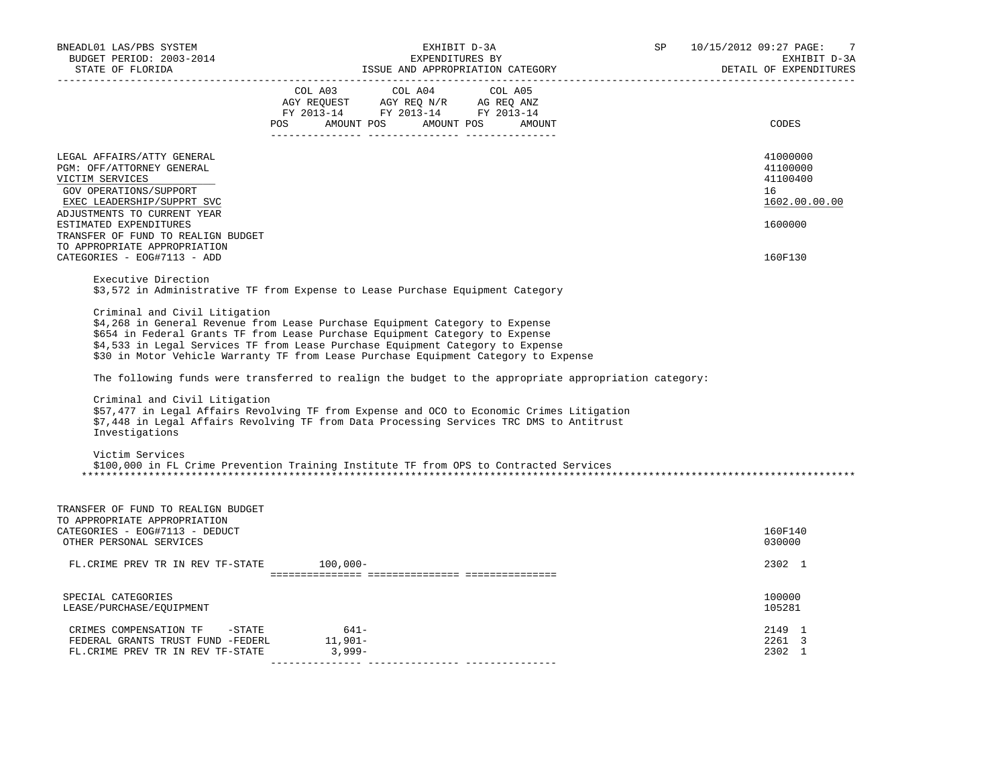| BNEADL01 LAS/PBS SYSTEM<br>BUDGET PERIOD: 2003-2014<br>STATE OF FLORIDA                                                                                                                                                                                           | EXHIBIT D-3A<br>EXPENDITURES BY<br>ISSUE AND APPROPRIATION CATEGORY                                                                                                                                                                                                                                                                                                                                                                                                                                                                                                                                                                                                                                                                                                                                                 | SP<br>10/15/2012 09:27 PAGE:<br>-7<br>EXHIBIT D-3A<br>DETAIL OF EXPENDITURES |
|-------------------------------------------------------------------------------------------------------------------------------------------------------------------------------------------------------------------------------------------------------------------|---------------------------------------------------------------------------------------------------------------------------------------------------------------------------------------------------------------------------------------------------------------------------------------------------------------------------------------------------------------------------------------------------------------------------------------------------------------------------------------------------------------------------------------------------------------------------------------------------------------------------------------------------------------------------------------------------------------------------------------------------------------------------------------------------------------------|------------------------------------------------------------------------------|
|                                                                                                                                                                                                                                                                   | $\begin{tabular}{lcccc} COL A03 & COL A04 & COL A05 \\ AGY REQUEST & AGY REQ N/R & AG REQ ANZ \\ FY & 2013-14 & FY & 2013-14 & FY & 2013-14 \end{tabular}$<br>POS AMOUNT POS AMOUNT POS AMOUNT                                                                                                                                                                                                                                                                                                                                                                                                                                                                                                                                                                                                                      | CODES                                                                        |
| LEGAL AFFAIRS/ATTY GENERAL<br>PGM: OFF/ATTORNEY GENERAL<br>VICTIM SERVICES<br>GOV OPERATIONS/SUPPORT<br>EXEC LEADERSHIP/SUPPRT SVC<br>ADJUSTMENTS TO CURRENT YEAR<br>ESTIMATED EXPENDITURES<br>TRANSFER OF FUND TO REALIGN BUDGET<br>TO APPROPRIATE APPROPRIATION |                                                                                                                                                                                                                                                                                                                                                                                                                                                                                                                                                                                                                                                                                                                                                                                                                     | 41000000<br>41100000<br>41100400<br>16<br>1602.00.00.00<br>1600000           |
| CATEGORIES - EOG#7113 - ADD                                                                                                                                                                                                                                       |                                                                                                                                                                                                                                                                                                                                                                                                                                                                                                                                                                                                                                                                                                                                                                                                                     | 160F130                                                                      |
| Executive Direction<br>Criminal and Civil Litigation<br>Criminal and Civil Litigation<br>Investigations<br>Victim Services                                                                                                                                        | \$3,572 in Administrative TF from Expense to Lease Purchase Equipment Category<br>\$4,268 in General Revenue from Lease Purchase Equipment Category to Expense<br>\$654 in Federal Grants TF from Lease Purchase Equipment Category to Expense<br>\$4,533 in Legal Services TF from Lease Purchase Equipment Category to Expense<br>\$30 in Motor Vehicle Warranty TF from Lease Purchase Equipment Category to Expense<br>The following funds were transferred to realign the budget to the appropriate appropriation category:<br>\$57,477 in Legal Affairs Revolving TF from Expense and OCO to Economic Crimes Litigation<br>\$7,448 in Legal Affairs Revolving TF from Data Processing Services TRC DMS to Antitrust<br>\$100,000 in FL Crime Prevention Training Institute TF from OPS to Contracted Services |                                                                              |
| TRANSFER OF FUND TO REALIGN BUDGET<br>TO APPROPRIATE APPROPRIATION<br>CATEGORIES - EOG#7113 - DEDUCT<br>OTHER PERSONAL SERVICES                                                                                                                                   |                                                                                                                                                                                                                                                                                                                                                                                                                                                                                                                                                                                                                                                                                                                                                                                                                     | 160F140<br>030000                                                            |
| FL. CRIME PREV TR IN REV TF-STATE 100,000-                                                                                                                                                                                                                        |                                                                                                                                                                                                                                                                                                                                                                                                                                                                                                                                                                                                                                                                                                                                                                                                                     | 2302 1                                                                       |
| SPECIAL CATEGORIES<br>LEASE/PURCHASE/EQUIPMENT                                                                                                                                                                                                                    |                                                                                                                                                                                                                                                                                                                                                                                                                                                                                                                                                                                                                                                                                                                                                                                                                     | 100000<br>105281                                                             |
| CRIMES COMPENSATION TF -STATE<br>FEDERAL GRANTS TRUST FUND -FEDERL 11,901-<br>FL.CRIME PREV TR IN REV TF-STATE 3,999-                                                                                                                                             | 641-                                                                                                                                                                                                                                                                                                                                                                                                                                                                                                                                                                                                                                                                                                                                                                                                                | 2149 1<br>2261 3<br>2302 1                                                   |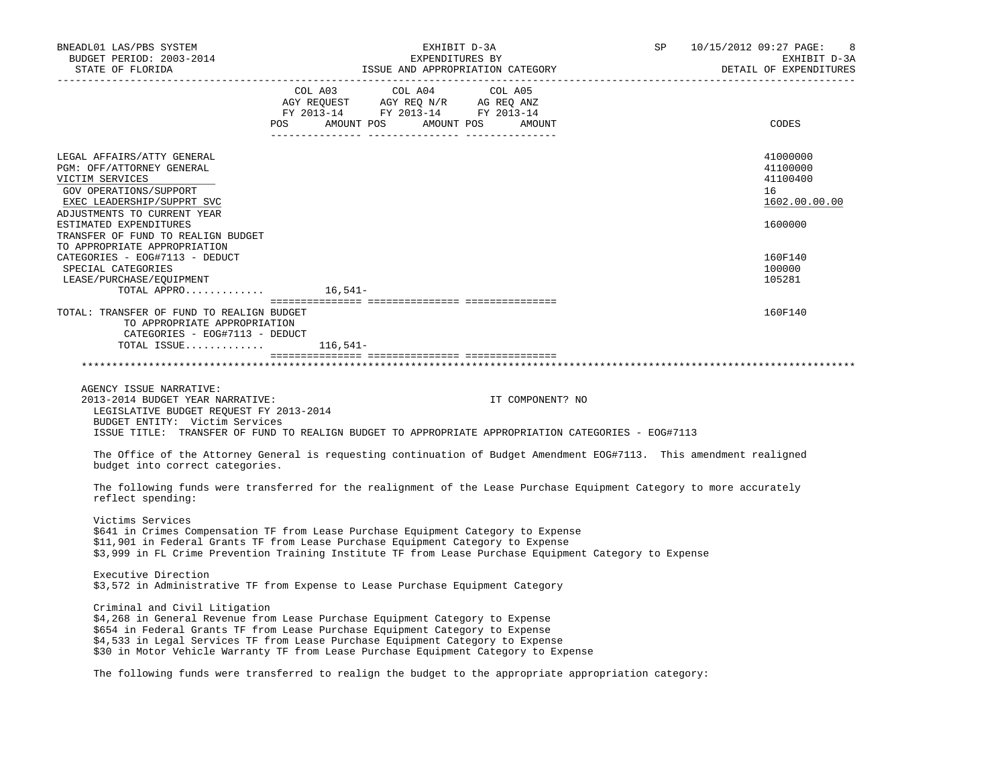| BNEADL01 LAS/PBS SYSTEM                                                                                                                                           | NEADL01 LAS/PBS SYSTEM EXHIBIT D-3A<br>BUDGET PERIOD: 2003-2014 EXPENDITURES BY<br>STATE OF FLORIDA STATE OF STATE OF STATE AND APPROPRIATION CATEGORY                                                                                                                                                                                                                                                                                                                 |                  | SP 10/15/2012 09:27 PAGE:<br>EXHIBIT D-3A<br>DETAIL OF EXPENDITURES |
|-------------------------------------------------------------------------------------------------------------------------------------------------------------------|------------------------------------------------------------------------------------------------------------------------------------------------------------------------------------------------------------------------------------------------------------------------------------------------------------------------------------------------------------------------------------------------------------------------------------------------------------------------|------------------|---------------------------------------------------------------------|
|                                                                                                                                                                   | $\begin{tabular}{lllllllllll} &\multicolumn{4}{c}{\text{COL A03}} &\multicolumn{4}{c}{\text{COL A04}} &\multicolumn{4}{c}{\text{COL A05}}\\ \multicolumn{4}{c}{\text{AGY REQUEST}} &\multicolumn{4}{c}{\text{AGY REQ N/R}} &\multicolumn{4}{c}{\text{AG REC ANZ}}\\ \multicolumn{4}{c}{\text{FY 2013--14}} &\multicolumn{4}{c}{\text{FY 2013--14}} &\multicolumn{4}{c}{\text{FY 2013--14}}\\ \multicolumn{4}{c}{\text{FY 2013--14$<br>POS AMOUNT POS AMOUNT POS AMOUNT |                  | CODES                                                               |
| LEGAL AFFAIRS/ATTY GENERAL<br>PGM: OFF/ATTORNEY GENERAL<br>VICTIM SERVICES<br>GOV OPERATIONS/SUPPORT<br>EXEC LEADERSHIP/SUPPRT SVC<br>ADJUSTMENTS TO CURRENT YEAR |                                                                                                                                                                                                                                                                                                                                                                                                                                                                        |                  | 41000000<br>41100000<br>41100400<br>16<br>1602.00.00.00             |
| ESTIMATED EXPENDITURES<br>TRANSFER OF FUND TO REALIGN BUDGET<br>TO APPROPRIATE APPROPRIATION                                                                      |                                                                                                                                                                                                                                                                                                                                                                                                                                                                        |                  | 1600000                                                             |
| CATEGORIES - EOG#7113 - DEDUCT<br>SPECIAL CATEGORIES<br>LEASE/PURCHASE/EQUIPMENT<br>TOTAL APPRO $\dots\dots\dots\dots$ 16,541-                                    |                                                                                                                                                                                                                                                                                                                                                                                                                                                                        |                  | 160F140<br>100000<br>105281                                         |
| TOTAL: TRANSFER OF FUND TO REALIGN BUDGET<br>TO APPROPRIATE APPROPRIATION<br>CATEGORIES - EOG#7113 - DEDUCT<br>TOTAL ISSUE $116,541-$                             |                                                                                                                                                                                                                                                                                                                                                                                                                                                                        |                  | 160F140                                                             |
|                                                                                                                                                                   |                                                                                                                                                                                                                                                                                                                                                                                                                                                                        |                  |                                                                     |
| AGENCY ISSUE NARRATIVE:<br>2013-2014 BUDGET YEAR NARRATIVE:<br>LEGISLATIVE BUDGET REQUEST FY 2013-2014<br>BUDGET ENTITY: Victim Services                          | ISSUE TITLE: TRANSFER OF FUND TO REALIGN BUDGET TO APPROPRIATE APPROPRIATION CATEGORIES - EOG#7113                                                                                                                                                                                                                                                                                                                                                                     | IT COMPONENT? NO |                                                                     |
| budget into correct categories.                                                                                                                                   | The Office of the Attorney General is requesting continuation of Budget Amendment EOG#7113. This amendment realigned                                                                                                                                                                                                                                                                                                                                                   |                  |                                                                     |
| reflect spending:                                                                                                                                                 | The following funds were transferred for the realignment of the Lease Purchase Equipment Category to more accurately                                                                                                                                                                                                                                                                                                                                                   |                  |                                                                     |
| Victims Services                                                                                                                                                  | \$641 in Crimes Compensation TF from Lease Purchase Equipment Category to Expense<br>\$11,901 in Federal Grants TF from Lease Purchase Equipment Category to Expense<br>\$3,999 in FL Crime Prevention Training Institute TF from Lease Purchase Equipment Category to Expense                                                                                                                                                                                         |                  |                                                                     |
| Executive Direction                                                                                                                                               | \$3,572 in Administrative TF from Expense to Lease Purchase Equipment Category                                                                                                                                                                                                                                                                                                                                                                                         |                  |                                                                     |
| Criminal and Civil Litigation                                                                                                                                     | \$4,268 in General Revenue from Lease Purchase Equipment Category to Expense<br>\$654 in Federal Grants TF from Lease Purchase Equipment Category to Expense<br>\$4,533 in Legal Services TF from Lease Purchase Equipment Category to Expense<br>\$30 in Motor Vehicle Warranty TF from Lease Purchase Equipment Category to Expense                                                                                                                                  |                  |                                                                     |
|                                                                                                                                                                   | The following funds were transferred to realign the budget to the appropriate appropriation category:                                                                                                                                                                                                                                                                                                                                                                  |                  |                                                                     |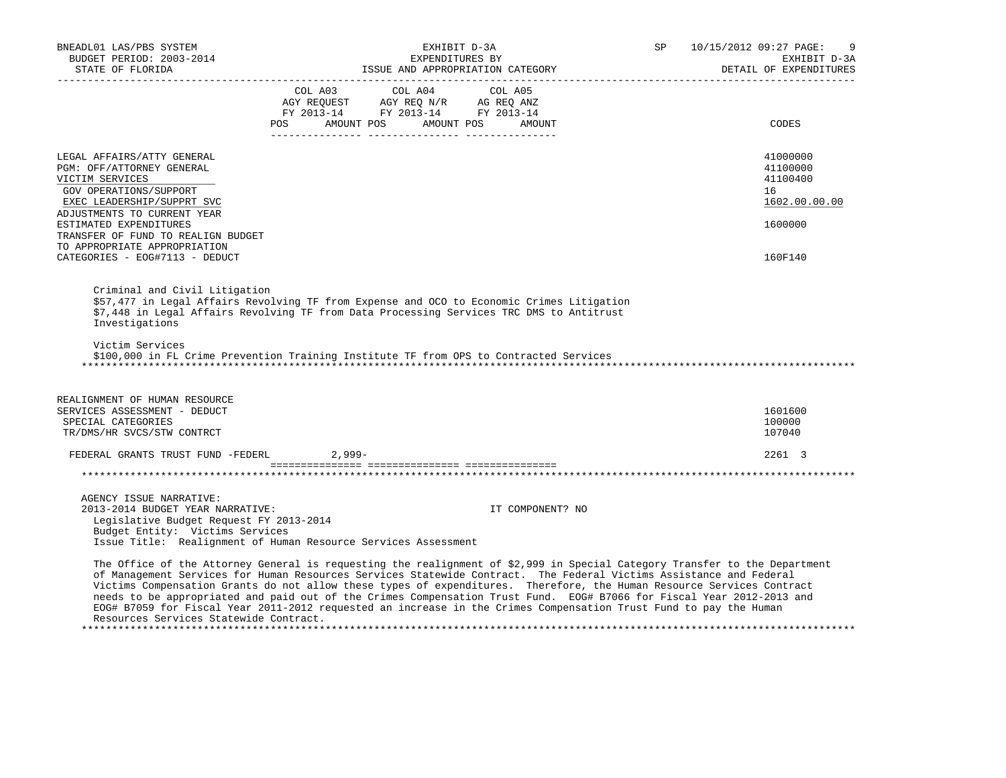| BNEADL01 LAS/PBS SYSTEM                                       | EXHIBIT D-3A                                                                                                                                                                                                                                                                                                                                                                                                                                                                                       |                  | SP                      | 10/15/2012 09:27 PAGE:<br>9            |
|---------------------------------------------------------------|----------------------------------------------------------------------------------------------------------------------------------------------------------------------------------------------------------------------------------------------------------------------------------------------------------------------------------------------------------------------------------------------------------------------------------------------------------------------------------------------------|------------------|-------------------------|----------------------------------------|
| BUDGET PERIOD: 2003-2014<br>STATE OF FLORIDA                  | EXPENDITURES BY<br>ISSUE AND APPROPRIATION CATEGORY                                                                                                                                                                                                                                                                                                                                                                                                                                                |                  |                         | EXHIBIT D-3A<br>DETAIL OF EXPENDITURES |
|                                                               |                                                                                                                                                                                                                                                                                                                                                                                                                                                                                                    |                  | _______________________ |                                        |
|                                                               | COL A03 COL A04 COL A05                                                                                                                                                                                                                                                                                                                                                                                                                                                                            |                  |                         |                                        |
|                                                               | AGY REQUEST AGY REQ N/R AG REQ ANZ<br>FY 2013-14 FY 2013-14 FY 2013-14                                                                                                                                                                                                                                                                                                                                                                                                                             |                  |                         |                                        |
|                                                               | POS AMOUNT POS AMOUNT POS                                                                                                                                                                                                                                                                                                                                                                                                                                                                          | AMOUNT           |                         | CODES                                  |
|                                                               |                                                                                                                                                                                                                                                                                                                                                                                                                                                                                                    |                  |                         |                                        |
|                                                               |                                                                                                                                                                                                                                                                                                                                                                                                                                                                                                    |                  |                         | 41000000                               |
| LEGAL AFFAIRS/ATTY GENERAL<br>PGM: OFF/ATTORNEY GENERAL       |                                                                                                                                                                                                                                                                                                                                                                                                                                                                                                    |                  |                         | 41100000                               |
| VICTIM SERVICES                                               |                                                                                                                                                                                                                                                                                                                                                                                                                                                                                                    |                  |                         | 41100400                               |
| GOV OPERATIONS/SUPPORT                                        |                                                                                                                                                                                                                                                                                                                                                                                                                                                                                                    |                  |                         | 16                                     |
| EXEC LEADERSHIP/SUPPRT SVC                                    |                                                                                                                                                                                                                                                                                                                                                                                                                                                                                                    |                  |                         | 1602.00.00.00                          |
| ADJUSTMENTS TO CURRENT YEAR                                   |                                                                                                                                                                                                                                                                                                                                                                                                                                                                                                    |                  |                         |                                        |
| ESTIMATED EXPENDITURES                                        |                                                                                                                                                                                                                                                                                                                                                                                                                                                                                                    |                  |                         | 1600000                                |
| TRANSFER OF FUND TO REALIGN BUDGET                            |                                                                                                                                                                                                                                                                                                                                                                                                                                                                                                    |                  |                         |                                        |
| TO APPROPRIATE APPROPRIATION                                  |                                                                                                                                                                                                                                                                                                                                                                                                                                                                                                    |                  |                         |                                        |
| CATEGORIES - EOG#7113 - DEDUCT                                |                                                                                                                                                                                                                                                                                                                                                                                                                                                                                                    |                  |                         | 160F140                                |
|                                                               |                                                                                                                                                                                                                                                                                                                                                                                                                                                                                                    |                  |                         |                                        |
| Investigations<br>Victim Services                             | \$57,477 in Legal Affairs Revolving TF from Expense and OCO to Economic Crimes Litigation<br>\$7,448 in Legal Affairs Revolving TF from Data Processing Services TRC DMS to Antitrust<br>\$100,000 in FL Crime Prevention Training Institute TF from OPS to Contracted Services                                                                                                                                                                                                                    |                  |                         |                                        |
| REALIGNMENT OF HUMAN RESOURCE<br>SERVICES ASSESSMENT - DEDUCT |                                                                                                                                                                                                                                                                                                                                                                                                                                                                                                    |                  |                         | 1601600                                |
| SPECIAL CATEGORIES                                            |                                                                                                                                                                                                                                                                                                                                                                                                                                                                                                    |                  |                         | 100000                                 |
| TR/DMS/HR SVCS/STW CONTRCT                                    |                                                                                                                                                                                                                                                                                                                                                                                                                                                                                                    |                  |                         | 107040                                 |
| FEDERAL GRANTS TRUST FUND -FEDERL                             | $2.999 -$                                                                                                                                                                                                                                                                                                                                                                                                                                                                                          |                  |                         | 2261 3                                 |
|                                                               |                                                                                                                                                                                                                                                                                                                                                                                                                                                                                                    |                  |                         |                                        |
|                                                               |                                                                                                                                                                                                                                                                                                                                                                                                                                                                                                    |                  |                         |                                        |
| AGENCY ISSUE NARRATIVE:                                       |                                                                                                                                                                                                                                                                                                                                                                                                                                                                                                    |                  |                         |                                        |
| 2013-2014 BUDGET YEAR NARRATIVE:                              |                                                                                                                                                                                                                                                                                                                                                                                                                                                                                                    | IT COMPONENT? NO |                         |                                        |
| Legislative Budget Request FY 2013-2014                       |                                                                                                                                                                                                                                                                                                                                                                                                                                                                                                    |                  |                         |                                        |
| Budget Entity: Victims Services                               |                                                                                                                                                                                                                                                                                                                                                                                                                                                                                                    |                  |                         |                                        |
|                                                               | Issue Title: Realignment of Human Resource Services Assessment                                                                                                                                                                                                                                                                                                                                                                                                                                     |                  |                         |                                        |
|                                                               | The Office of the Attorney General is requesting the realignment of \$2,999 in Special Category Transfer to the Department<br>of Management Services for Human Resources Services Statewide Contract. The Federal Victims Assistance and Federal<br>Victims Compensation Grants do not allow these types of expenditures. Therefore, the Human Resource Services Contract<br>needs to be appropriated and paid out of the Crimes Compensation Trust Fund. EOG# B7066 for Fiscal Year 2012-2013 and |                  |                         |                                        |

 EOG# B7059 for Fiscal Year 2011-2012 requested an increase in the Crimes Compensation Trust Fund to pay the Human Resources Services Statewide Contract. \*\*\*\*\*\*\*\*\*\*\*\*\*\*\*\*\*\*\*\*\*\*\*\*\*\*\*\*\*\*\*\*\*\*\*\*\*\*\*\*\*\*\*\*\*\*\*\*\*\*\*\*\*\*\*\*\*\*\*\*\*\*\*\*\*\*\*\*\*\*\*\*\*\*\*\*\*\*\*\*\*\*\*\*\*\*\*\*\*\*\*\*\*\*\*\*\*\*\*\*\*\*\*\*\*\*\*\*\*\*\*\*\*\*\*\*\*\*\*\*\*\*\*\*\*\*\*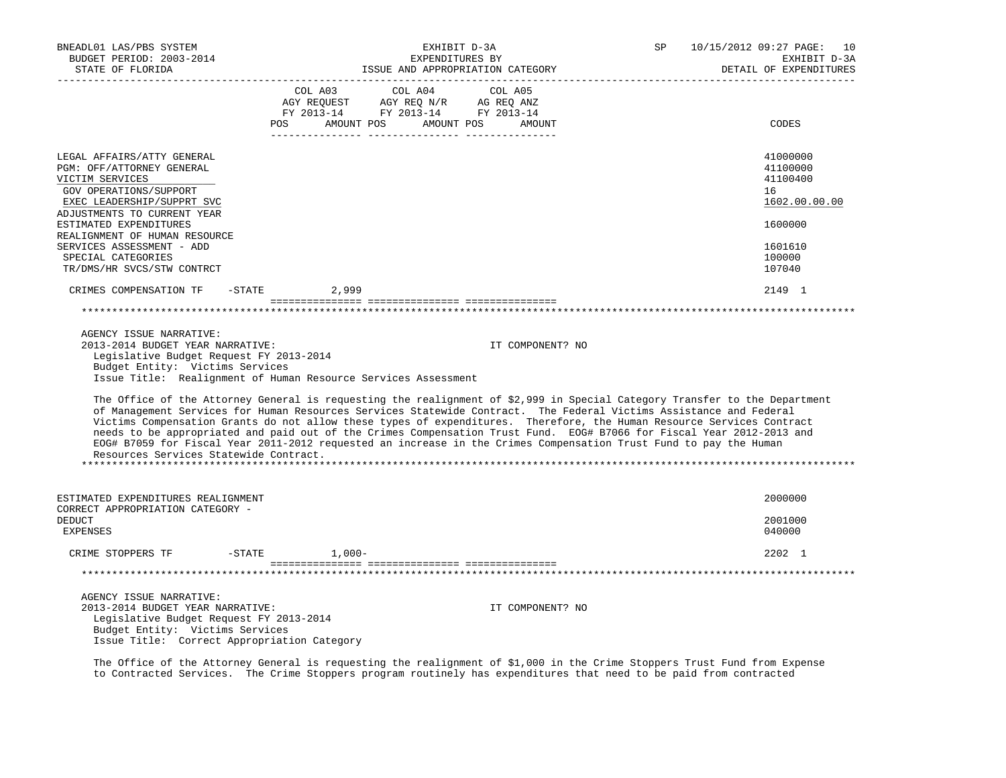| BNEADL01 LAS/PBS SYSTEM<br>BUDGET PERIOD: 2003-2014<br>STATE OF FLORIDA                                                                                                                                                                                                                                                                                                                                                                                                                                                                                                                                                                                                                                                                                                                                                                                                          |            | SP<br>EXHIBIT D-3A<br>EXPENDITURES BY<br>ISSUE AND APPROPRIATION CATEGORY         |                  |  | 10/15/2012 09:27 PAGE: 10<br>EXHIBIT D-3A<br>DETAIL OF EXPENDITURES |  |
|----------------------------------------------------------------------------------------------------------------------------------------------------------------------------------------------------------------------------------------------------------------------------------------------------------------------------------------------------------------------------------------------------------------------------------------------------------------------------------------------------------------------------------------------------------------------------------------------------------------------------------------------------------------------------------------------------------------------------------------------------------------------------------------------------------------------------------------------------------------------------------|------------|-----------------------------------------------------------------------------------|------------------|--|---------------------------------------------------------------------|--|
|                                                                                                                                                                                                                                                                                                                                                                                                                                                                                                                                                                                                                                                                                                                                                                                                                                                                                  | COL A03    | COL A04<br>AGY REQUEST AGY REQ N/R AG REQ ANZ<br>FY 2013-14 FY 2013-14 FY 2013-14 | COL A05          |  |                                                                     |  |
|                                                                                                                                                                                                                                                                                                                                                                                                                                                                                                                                                                                                                                                                                                                                                                                                                                                                                  | <b>POS</b> | AMOUNT POS AMOUNT POS                                                             | AMOUNT           |  | CODES                                                               |  |
| LEGAL AFFAIRS/ATTY GENERAL<br>PGM: OFF/ATTORNEY GENERAL<br>VICTIM SERVICES<br>GOV OPERATIONS/SUPPORT<br>EXEC LEADERSHIP/SUPPRT SVC                                                                                                                                                                                                                                                                                                                                                                                                                                                                                                                                                                                                                                                                                                                                               |            |                                                                                   |                  |  | 41000000<br>41100000<br>41100400<br>16<br>1602.00.00.00             |  |
| ADJUSTMENTS TO CURRENT YEAR<br>ESTIMATED EXPENDITURES<br>REALIGNMENT OF HUMAN RESOURCE                                                                                                                                                                                                                                                                                                                                                                                                                                                                                                                                                                                                                                                                                                                                                                                           |            |                                                                                   |                  |  | 1600000                                                             |  |
| SERVICES ASSESSMENT - ADD<br>SPECIAL CATEGORIES<br>TR/DMS/HR SVCS/STW CONTRCT                                                                                                                                                                                                                                                                                                                                                                                                                                                                                                                                                                                                                                                                                                                                                                                                    |            |                                                                                   |                  |  | 1601610<br>100000<br>107040                                         |  |
| CRIMES COMPENSATION TF<br>$-$ STATE                                                                                                                                                                                                                                                                                                                                                                                                                                                                                                                                                                                                                                                                                                                                                                                                                                              | 2,999      |                                                                                   |                  |  | 2149 1                                                              |  |
|                                                                                                                                                                                                                                                                                                                                                                                                                                                                                                                                                                                                                                                                                                                                                                                                                                                                                  |            |                                                                                   |                  |  |                                                                     |  |
| AGENCY ISSUE NARRATIVE:<br>2013-2014 BUDGET YEAR NARRATIVE:<br>Legislative Budget Request FY 2013-2014<br>Budget Entity: Victims Services<br>Issue Title: Realignment of Human Resource Services Assessment<br>The Office of the Attorney General is requesting the realignment of \$2,999 in Special Category Transfer to the Department<br>of Management Services for Human Resources Services Statewide Contract. The Federal Victims Assistance and Federal<br>Victims Compensation Grants do not allow these types of expenditures. Therefore, the Human Resource Services Contract<br>needs to be appropriated and paid out of the Crimes Compensation Trust Fund. EOG# B7066 for Fiscal Year 2012-2013 and<br>EOG# B7059 for Fiscal Year 2011-2012 requested an increase in the Crimes Compensation Trust Fund to pay the Human<br>Resources Services Statewide Contract. |            |                                                                                   | IT COMPONENT? NO |  |                                                                     |  |
|                                                                                                                                                                                                                                                                                                                                                                                                                                                                                                                                                                                                                                                                                                                                                                                                                                                                                  |            |                                                                                   |                  |  |                                                                     |  |
| ESTIMATED EXPENDITURES REALIGNMENT<br>CORRECT APPROPRIATION CATEGORY -                                                                                                                                                                                                                                                                                                                                                                                                                                                                                                                                                                                                                                                                                                                                                                                                           |            |                                                                                   |                  |  | 2000000                                                             |  |
| <b>DEDUCT</b><br><b>EXPENSES</b>                                                                                                                                                                                                                                                                                                                                                                                                                                                                                                                                                                                                                                                                                                                                                                                                                                                 |            |                                                                                   |                  |  | 2001000<br>040000                                                   |  |
| $-$ STATE<br>CRIME STOPPERS TF                                                                                                                                                                                                                                                                                                                                                                                                                                                                                                                                                                                                                                                                                                                                                                                                                                                   | $1,000-$   |                                                                                   |                  |  | 2202 1                                                              |  |
|                                                                                                                                                                                                                                                                                                                                                                                                                                                                                                                                                                                                                                                                                                                                                                                                                                                                                  |            |                                                                                   |                  |  |                                                                     |  |
| AGENCY ISSUE NARRATIVE:<br>2013-2014 BUDGET YEAR NARRATIVE:<br>Legislative Budget Request FY 2013-2014<br>Budget Entity: Victims Services<br>Issue Title: Correct Appropriation Category                                                                                                                                                                                                                                                                                                                                                                                                                                                                                                                                                                                                                                                                                         |            |                                                                                   | IT COMPONENT? NO |  |                                                                     |  |

 The Office of the Attorney General is requesting the realignment of \$1,000 in the Crime Stoppers Trust Fund from Expense to Contracted Services. The Crime Stoppers program routinely has expenditures that need to be paid from contracted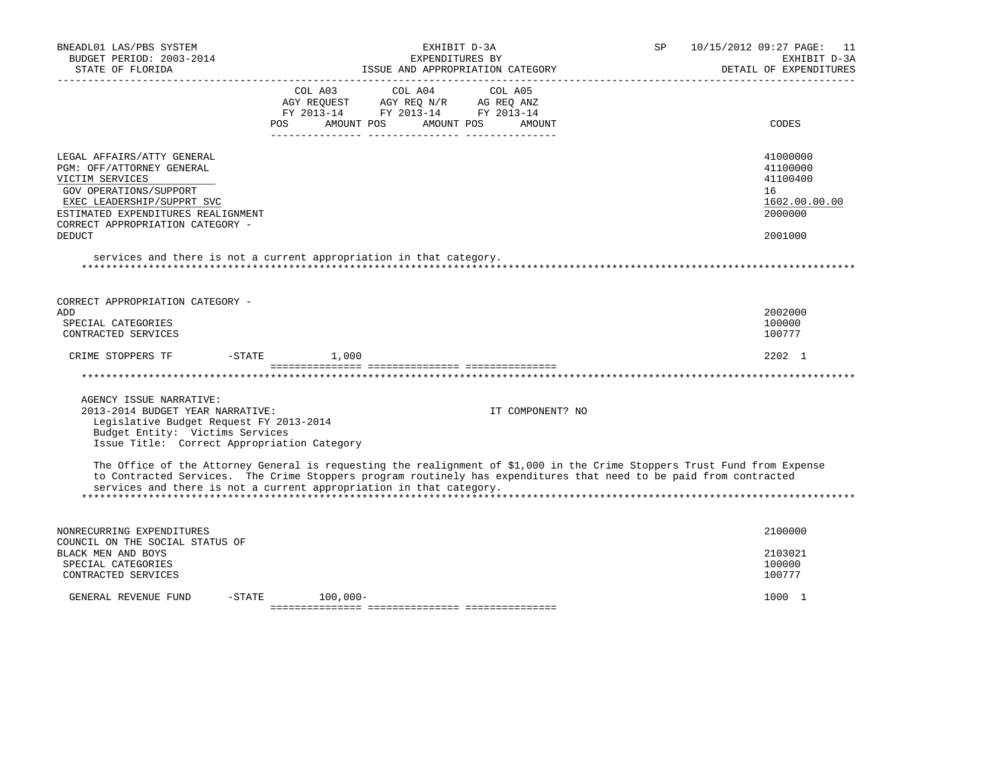| BNEADL01 LAS/PBS SYSTEM<br>BUDGET PERIOD: 2003-2014<br>STATE OF FLORIDA<br>___________________                                                                                                                                                                                                                         |                                              | EXHIBIT D-3A<br>EXPENDITURES BY                                                     | ISSUE AND APPROPRIATION CATEGORY | SP | 10/15/2012 09:27 PAGE:<br>-11<br>EXHIBIT D-3A<br>DETAIL OF EXPENDITURES       |
|------------------------------------------------------------------------------------------------------------------------------------------------------------------------------------------------------------------------------------------------------------------------------------------------------------------------|----------------------------------------------|-------------------------------------------------------------------------------------|----------------------------------|----|-------------------------------------------------------------------------------|
|                                                                                                                                                                                                                                                                                                                        | COL A03<br>AGY REQUEST<br>AMOUNT POS<br>POS. | COL A04<br>AGY REQ N/R AG REQ ANZ<br>FY 2013-14 FY 2013-14 FY 2013-14<br>AMOUNT POS | COL A05<br>AMOUNT                |    | CODES                                                                         |
| LEGAL AFFAIRS/ATTY GENERAL<br>PGM: OFF/ATTORNEY GENERAL<br>VICTIM SERVICES<br>GOV OPERATIONS/SUPPORT<br>EXEC LEADERSHIP/SUPPRT SVC<br>ESTIMATED EXPENDITURES REALIGNMENT<br>CORRECT APPROPRIATION CATEGORY -<br><b>DEDUCT</b><br>services and there is not a current appropriation in that category.                   |                                              |                                                                                     |                                  |    | 41000000<br>41100000<br>41100400<br>16<br>1602.00.00.00<br>2000000<br>2001000 |
|                                                                                                                                                                                                                                                                                                                        |                                              |                                                                                     |                                  |    |                                                                               |
| CORRECT APPROPRIATION CATEGORY -<br>ADD<br>SPECIAL CATEGORIES<br>CONTRACTED SERVICES                                                                                                                                                                                                                                   |                                              |                                                                                     |                                  |    | 2002000<br>100000<br>100777                                                   |
| $-$ STATE<br>CRIME STOPPERS TF                                                                                                                                                                                                                                                                                         | 1,000                                        |                                                                                     |                                  |    | $2202 \quad 1$                                                                |
|                                                                                                                                                                                                                                                                                                                        |                                              |                                                                                     |                                  |    |                                                                               |
| AGENCY ISSUE NARRATIVE:<br>2013-2014 BUDGET YEAR NARRATIVE:<br>Legislative Budget Request FY 2013-2014<br>Budget Entity: Victims Services<br>Issue Title: Correct Appropriation Category                                                                                                                               |                                              |                                                                                     | IT COMPONENT? NO                 |    |                                                                               |
| The Office of the Attorney General is requesting the realignment of \$1,000 in the Crime Stoppers Trust Fund from Expense<br>to Contracted Services. The Crime Stoppers program routinely has expenditures that need to be paid from contracted<br>services and there is not a current appropriation in that category. |                                              |                                                                                     |                                  |    |                                                                               |
| NONRECURRING EXPENDITURES<br>COUNCIL ON THE SOCIAL STATUS OF                                                                                                                                                                                                                                                           |                                              |                                                                                     |                                  |    | 2100000                                                                       |
| BLACK MEN AND BOYS<br>SPECIAL CATEGORIES<br>CONTRACTED SERVICES                                                                                                                                                                                                                                                        |                                              |                                                                                     |                                  |    | 2103021<br>100000<br>100777                                                   |
| GENERAL REVENUE FUND<br>$-$ STATE                                                                                                                                                                                                                                                                                      | 100,000-                                     |                                                                                     |                                  |    | 1000 1                                                                        |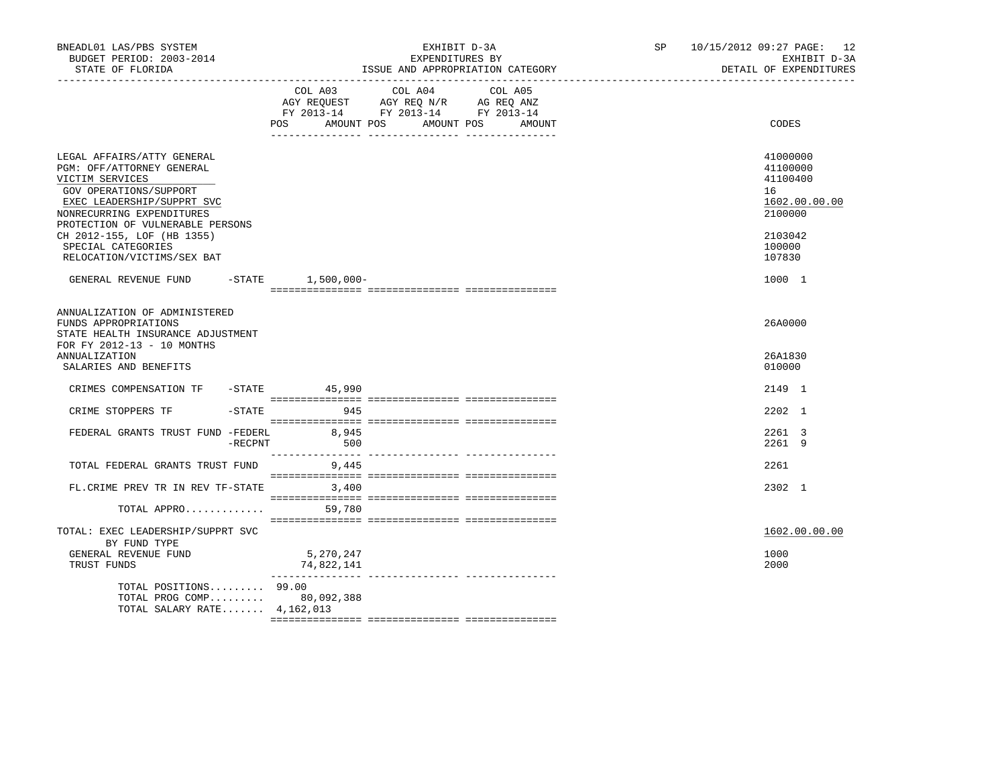| BNEADL01 LAS/PBS SYSTEM<br>BUDGET PERIOD: 2003-2014<br>STATE OF FLORIDA                                                                                                                                                                                                               |                            | EXHIBIT D-3A<br>EXPENDITURES BY<br>ISSUE AND APPROPRIATION CATEGORY                                                          | SP | 10/15/2012 09:27 PAGE: 12<br>EXHIBIT D-3A<br>DETAIL OF EXPENDITURES                               |
|---------------------------------------------------------------------------------------------------------------------------------------------------------------------------------------------------------------------------------------------------------------------------------------|----------------------------|------------------------------------------------------------------------------------------------------------------------------|----|---------------------------------------------------------------------------------------------------|
|                                                                                                                                                                                                                                                                                       | <b>POS</b><br>AMOUNT POS   | COL A03 COL A04<br>COL A05<br>AGY REQUEST AGY REQ N/R AG REQ ANZ<br>FY 2013-14 FY 2013-14 FY 2013-14<br>AMOUNT POS<br>AMOUNT |    | CODES                                                                                             |
| LEGAL AFFAIRS/ATTY GENERAL<br>PGM: OFF/ATTORNEY GENERAL<br>VICTIM SERVICES<br>GOV OPERATIONS/SUPPORT<br>EXEC LEADERSHIP/SUPPRT SVC<br>NONRECURRING EXPENDITURES<br>PROTECTION OF VULNERABLE PERSONS<br>CH 2012-155, LOF (HB 1355)<br>SPECIAL CATEGORIES<br>RELOCATION/VICTIMS/SEX BAT |                            |                                                                                                                              |    | 41000000<br>41100000<br>41100400<br>16<br>1602.00.00.00<br>2100000<br>2103042<br>100000<br>107830 |
| GENERAL REVENUE FUND -STATE 1,500,000-                                                                                                                                                                                                                                                |                            |                                                                                                                              |    | 1000 1                                                                                            |
| ANNUALIZATION OF ADMINISTERED<br>FUNDS APPROPRIATIONS<br>STATE HEALTH INSURANCE ADJUSTMENT<br>FOR FY 2012-13 - 10 MONTHS<br><b>ANNUALIZATION</b><br>SALARIES AND BENEFITS                                                                                                             |                            |                                                                                                                              |    | 26A0000<br>26A1830<br>010000                                                                      |
| CRIMES COMPENSATION TF -STATE 45,990                                                                                                                                                                                                                                                  |                            |                                                                                                                              |    | 2149 1                                                                                            |
| CRIME STOPPERS TF                                                                                                                                                                                                                                                                     | $-$ STATE<br>945           |                                                                                                                              |    | 2202 1                                                                                            |
| FEDERAL GRANTS TRUST FUND -FEDERL                                                                                                                                                                                                                                                     | 8,945<br>$-$ RECPNT<br>500 |                                                                                                                              |    | 2261 3<br>2261 9                                                                                  |
| TOTAL FEDERAL GRANTS TRUST FUND 9,445                                                                                                                                                                                                                                                 |                            |                                                                                                                              |    | 2261                                                                                              |
| FL. CRIME PREV TR IN REV TF-STATE                                                                                                                                                                                                                                                     | 3,400                      |                                                                                                                              |    | 2302 1                                                                                            |
| TOTAL APPRO                                                                                                                                                                                                                                                                           | 59,780                     |                                                                                                                              |    |                                                                                                   |
| TOTAL: EXEC LEADERSHIP/SUPPRT SVC<br>BY FUND TYPE<br>GENERAL REVENUE FUND<br>TRUST FUNDS                                                                                                                                                                                              | 5,270,247<br>74,822,141    |                                                                                                                              |    | 1602.00.00.00<br>1000<br>2000                                                                     |
| TOTAL POSITIONS 99.00<br>TOTAL PROG COMP 80,092,388<br>TOTAL SALARY RATE 4, 162, 013                                                                                                                                                                                                  |                            |                                                                                                                              |    |                                                                                                   |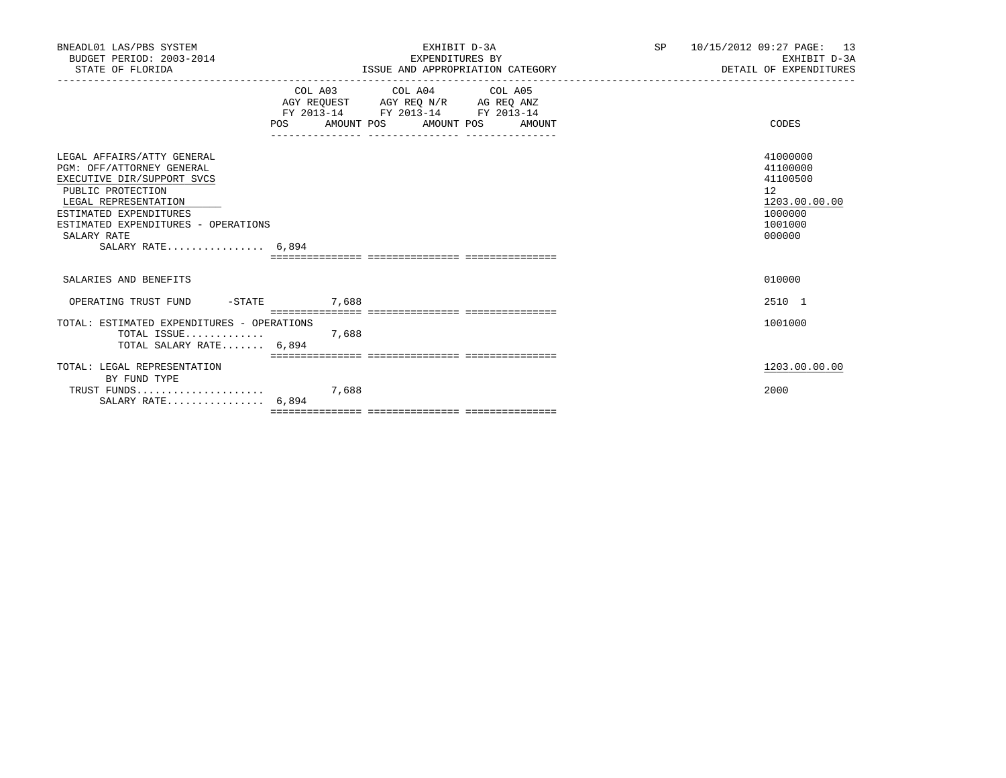| BNEADL01 LAS/PBS SYSTEM<br>BUDGET PERIOD: 2003-2014<br>STATE OF FLORIDA                                                                                                                                                                   | EXHIBIT D-3A<br>EXPENDITURES BY<br>ISSUE AND APPROPRIATION CATEGORY                                                            | SP <sub>2</sub> | 10/15/2012 09:27 PAGE: 13<br>EXHIBIT D-3A<br>DETAIL OF EXPENDITURES                     |  |
|-------------------------------------------------------------------------------------------------------------------------------------------------------------------------------------------------------------------------------------------|--------------------------------------------------------------------------------------------------------------------------------|-----------------|-----------------------------------------------------------------------------------------|--|
|                                                                                                                                                                                                                                           | COL A03 COL A04 COL A05<br>AGY REQUEST AGY REQ N/R AG REQ ANZ<br>FY 2013-14 FY 2013-14 FY 2013-14<br>POS AMOUNT POS AMOUNT POS | AMOUNT          | CODES                                                                                   |  |
| LEGAL AFFAIRS/ATTY GENERAL<br>PGM: OFF/ATTORNEY GENERAL<br>EXECUTIVE DIR/SUPPORT SVCS<br>PUBLIC PROTECTION<br>LEGAL REPRESENTATION<br>ESTIMATED EXPENDITURES<br>ESTIMATED EXPENDITURES - OPERATIONS<br>SALARY RATE<br>SALARY RATE $6.894$ |                                                                                                                                |                 | 41000000<br>41100000<br>41100500<br>12<br>1203.00.00.00<br>1000000<br>1001000<br>000000 |  |
|                                                                                                                                                                                                                                           |                                                                                                                                |                 |                                                                                         |  |
| SALARIES AND BENEFITS                                                                                                                                                                                                                     |                                                                                                                                |                 | 010000                                                                                  |  |
| OPERATING TRUST FUND -STATE 7,688                                                                                                                                                                                                         |                                                                                                                                |                 | 2510 1                                                                                  |  |
| TOTAL: ESTIMATED EXPENDITURES - OPERATIONS<br>TOTAL SALARY RATE 6,894                                                                                                                                                                     |                                                                                                                                |                 | 1001000                                                                                 |  |
| TOTAL: LEGAL REPRESENTATION                                                                                                                                                                                                               |                                                                                                                                |                 | 1203.00.00.00                                                                           |  |
| BY FUND TYPE<br>SALARY RATE $6,894$                                                                                                                                                                                                       |                                                                                                                                |                 | 2000                                                                                    |  |
|                                                                                                                                                                                                                                           |                                                                                                                                |                 |                                                                                         |  |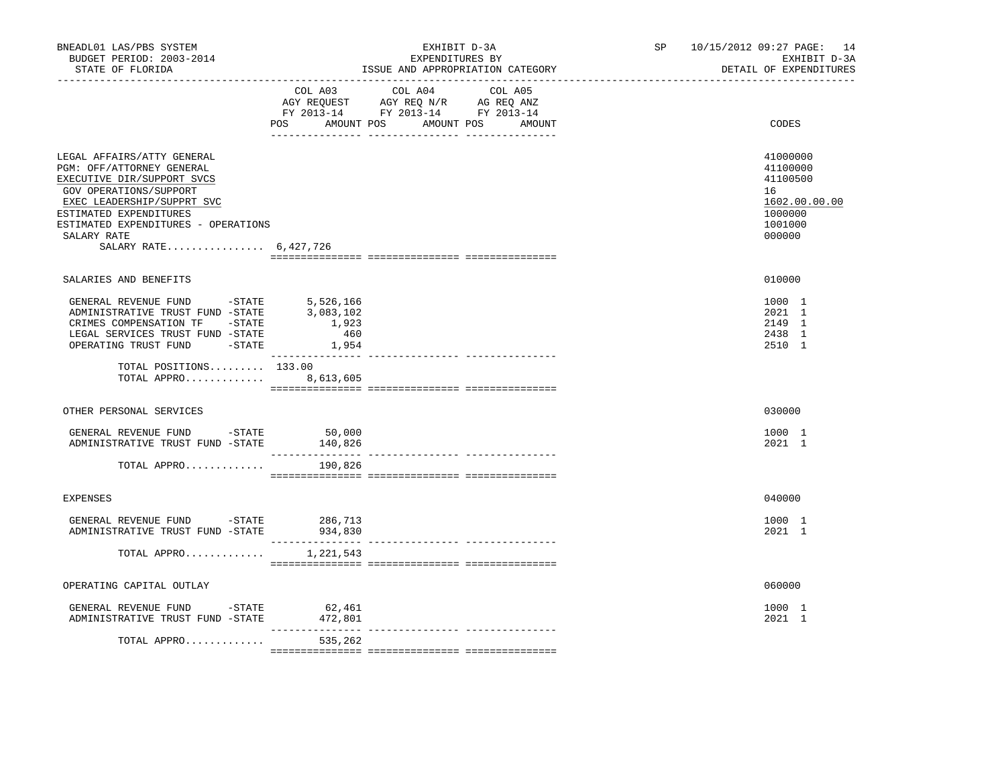| BNEADL01 LAS/PBS SYSTEM<br>BUDGET PERIOD: 2003-2014<br>STATE OF FLORIDA                                                                                                                                                                                |                                                 | EXHIBIT D-3A<br>EXPENDITURES BY<br>ISSUE AND APPROPRIATION CATEGORY                                                                   | SP 10/15/2012 09:27 PAGE: 14<br>EXHIBIT D-3A<br>DETAIL OF EXPENDITURES                  |
|--------------------------------------------------------------------------------------------------------------------------------------------------------------------------------------------------------------------------------------------------------|-------------------------------------------------|---------------------------------------------------------------------------------------------------------------------------------------|-----------------------------------------------------------------------------------------|
|                                                                                                                                                                                                                                                        |                                                 | COL A03 COL A04 COL A05<br>AGY REQUEST AGY REQ N/R AG REQ ANZ<br>FY 2013-14 FY 2013-14 FY 2013-14<br>POS AMOUNT POS AMOUNT POS AMOUNT | CODES                                                                                   |
| LEGAL AFFAIRS/ATTY GENERAL<br>PGM: OFF/ATTORNEY GENERAL<br>EXECUTIVE DIR/SUPPORT SVCS<br>GOV OPERATIONS/SUPPORT<br>EXEC LEADERSHIP/SUPPRT SVC<br>ESTIMATED EXPENDITURES<br>ESTIMATED EXPENDITURES - OPERATIONS<br>SALARY RATE<br>SALARY RATE 6,427,726 |                                                 |                                                                                                                                       | 41000000<br>41100000<br>41100500<br>16<br>1602.00.00.00<br>1000000<br>1001000<br>000000 |
| SALARIES AND BENEFITS                                                                                                                                                                                                                                  |                                                 |                                                                                                                                       | 010000                                                                                  |
| GENERAL REVENUE FUND -STATE<br>ADMINISTRATIVE TRUST FUND -STATE<br>CRIMES COMPENSATION TF -STATE<br>LEGAL SERVICES TRUST FUND -STATE<br>OPERATING TRUST FUND -STATE                                                                                    | 5,526,166<br>3,083,102<br>1,923<br>460<br>1,954 |                                                                                                                                       | 1000 1<br>2021 1<br>2149 1<br>2438 1<br>2510 1                                          |
| TOTAL POSITIONS 133.00<br>TOTAL APPRO 8,613,605                                                                                                                                                                                                        |                                                 |                                                                                                                                       |                                                                                         |
| OTHER PERSONAL SERVICES                                                                                                                                                                                                                                |                                                 |                                                                                                                                       | 030000                                                                                  |
| GENERAL REVENUE FUND - STATE<br>ADMINISTRATIVE TRUST FUND -STATE                                                                                                                                                                                       | 50,000<br>140,826                               |                                                                                                                                       | 1000 1<br>2021 1                                                                        |
| TOTAL APPRO                                                                                                                                                                                                                                            | 190,826                                         |                                                                                                                                       |                                                                                         |
| <b>EXPENSES</b>                                                                                                                                                                                                                                        |                                                 |                                                                                                                                       | 040000                                                                                  |
| GENERAL REVENUE FUND -STATE<br>ADMINISTRATIVE TRUST FUND -STATE 934,830                                                                                                                                                                                | 286,713                                         |                                                                                                                                       | 1000 1<br>2021 1                                                                        |
| TOTAL APPRO $1,221,543$                                                                                                                                                                                                                                |                                                 |                                                                                                                                       |                                                                                         |
| OPERATING CAPITAL OUTLAY                                                                                                                                                                                                                               |                                                 |                                                                                                                                       | 060000                                                                                  |
| GENERAL REVENUE FUND -STATE 62,461<br>ADMINISTRATIVE TRUST FUND -STATE                                                                                                                                                                                 | 472,801<br>_________________                    |                                                                                                                                       | 1000 1<br>2021 1                                                                        |
| TOTAL APPRO                                                                                                                                                                                                                                            | 535,262                                         |                                                                                                                                       |                                                                                         |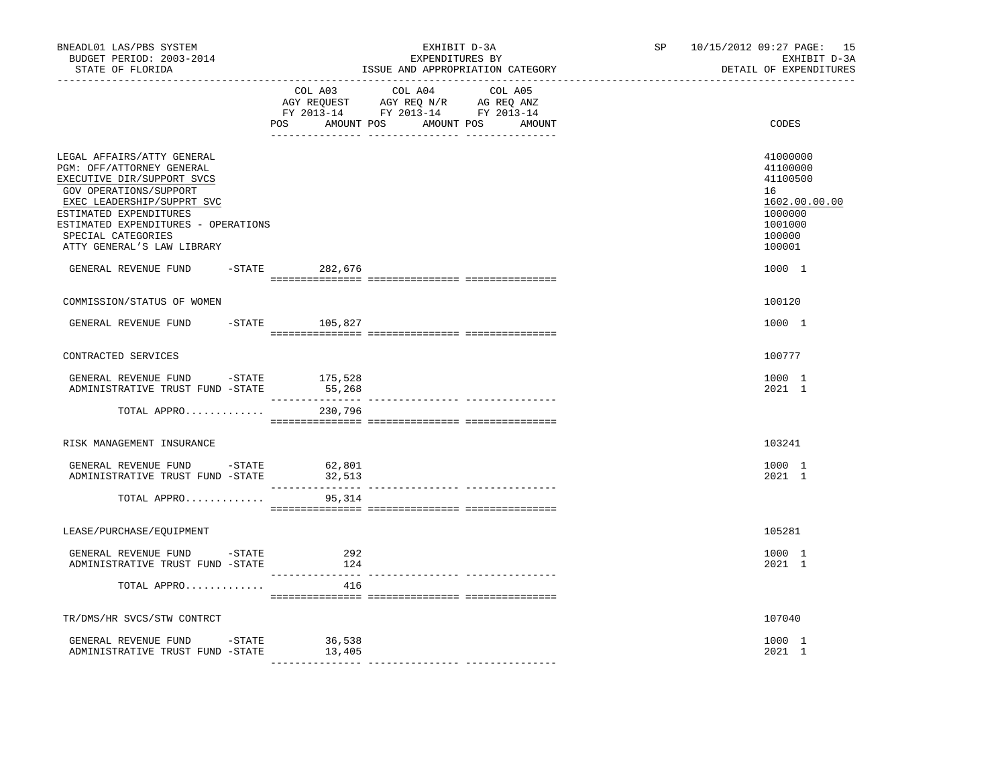| BNEADL01 LAS/PBS SYSTEM<br>BUDGET PERIOD: 2003-2014<br>STATE OF FLORIDA                                                                                                                                                                                            | ________________________________ | EXHIBIT D-3A<br>EXPENDITURES BY<br>ISSUE AND APPROPRIATION CATEGORY                                                              | SP 10/15/2012 09:27 PAGE: 15<br>EXHIBIT D-3A<br>DETAIL OF EXPENDITURES                            |
|--------------------------------------------------------------------------------------------------------------------------------------------------------------------------------------------------------------------------------------------------------------------|----------------------------------|----------------------------------------------------------------------------------------------------------------------------------|---------------------------------------------------------------------------------------------------|
|                                                                                                                                                                                                                                                                    | COL A03                          | COL A04<br>COL A05<br>AGY REQUEST AGY REQ N/R AG REQ ANZ<br>FY 2013-14 FY 2013-14 FY 2013-14<br>POS AMOUNT POS AMOUNT POS AMOUNT | CODES                                                                                             |
| LEGAL AFFAIRS/ATTY GENERAL<br>PGM: OFF/ATTORNEY GENERAL<br>EXECUTIVE DIR/SUPPORT SVCS<br>GOV OPERATIONS/SUPPORT<br>EXEC LEADERSHIP/SUPPRT SVC<br>ESTIMATED EXPENDITURES<br>ESTIMATED EXPENDITURES - OPERATIONS<br>SPECIAL CATEGORIES<br>ATTY GENERAL'S LAW LIBRARY |                                  |                                                                                                                                  | 41000000<br>41100000<br>41100500<br>16<br>1602.00.00.00<br>1000000<br>1001000<br>100000<br>100001 |
| GENERAL REVENUE FUND                                                                                                                                                                                                                                               | -STATE 282,676                   |                                                                                                                                  | 1000 1                                                                                            |
| COMMISSION/STATUS OF WOMEN                                                                                                                                                                                                                                         |                                  |                                                                                                                                  | 100120                                                                                            |
| GENERAL REVENUE FUND                                                                                                                                                                                                                                               | $-STATE$ 105,827                 |                                                                                                                                  | 1000 1                                                                                            |
| CONTRACTED SERVICES                                                                                                                                                                                                                                                |                                  |                                                                                                                                  | 100777                                                                                            |
| GENERAL REVENUE FUND -STATE 175,528<br>ADMINISTRATIVE TRUST FUND -STATE                                                                                                                                                                                            | 55,268                           |                                                                                                                                  | 1000 1<br>2021 1                                                                                  |
| TOTAL APPRO                                                                                                                                                                                                                                                        | 230,796                          |                                                                                                                                  |                                                                                                   |
| RISK MANAGEMENT INSURANCE                                                                                                                                                                                                                                          |                                  |                                                                                                                                  | 103241                                                                                            |
| GENERAL REVENUE FUND -STATE 62,801<br>ADMINISTRATIVE TRUST FUND -STATE                                                                                                                                                                                             | 32,513                           |                                                                                                                                  | 1000 1<br>2021 1                                                                                  |
| TOTAL APPRO                                                                                                                                                                                                                                                        | 95,314                           | ______________________________________                                                                                           |                                                                                                   |
| LEASE/PURCHASE/EQUIPMENT                                                                                                                                                                                                                                           |                                  |                                                                                                                                  | 105281                                                                                            |
| GENERAL REVENUE FUND -STATE<br>ADMINISTRATIVE TRUST FUND -STATE                                                                                                                                                                                                    | 292<br>124                       |                                                                                                                                  | 1000 1<br>2021 1                                                                                  |
| TOTAL APPRO                                                                                                                                                                                                                                                        | 416                              |                                                                                                                                  |                                                                                                   |
| TR/DMS/HR SVCS/STW CONTRCT                                                                                                                                                                                                                                         |                                  |                                                                                                                                  | 107040                                                                                            |
| GENERAL REVENUE FUND -STATE<br>ADMINISTRATIVE TRUST FUND -STATE                                                                                                                                                                                                    | 36,538<br>13,405                 |                                                                                                                                  | 1000 1<br>2021 1                                                                                  |
|                                                                                                                                                                                                                                                                    |                                  |                                                                                                                                  |                                                                                                   |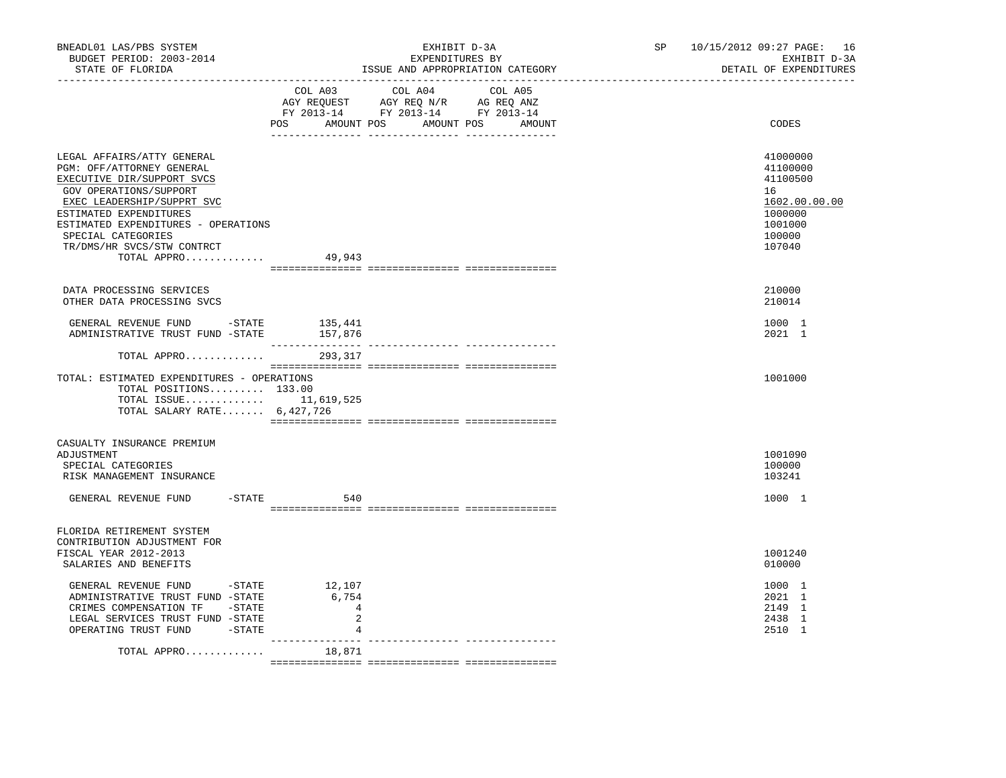| BNEADL01 LAS/PBS SYSTEM<br>BUDGET PERIOD: 2003-2014<br>STATE OF FLORIDA                                                                                                                                                                                                           |                                             | EXHIBIT D-3A<br>EXPENDITURES BY<br>ISSUE AND APPROPRIATION CATEGORY                                                                   | SP <sub>2</sub> | 10/15/2012 09:27 PAGE: 16<br>EXHIBIT D-3A<br>DETAIL OF EXPENDITURES                               |
|-----------------------------------------------------------------------------------------------------------------------------------------------------------------------------------------------------------------------------------------------------------------------------------|---------------------------------------------|---------------------------------------------------------------------------------------------------------------------------------------|-----------------|---------------------------------------------------------------------------------------------------|
|                                                                                                                                                                                                                                                                                   |                                             | COL A03 COL A04 COL A05<br>AGY REQUEST AGY REQ N/R AG REQ ANZ<br>FY 2013-14 FY 2013-14 FY 2013-14<br>POS AMOUNT POS AMOUNT POS AMOUNT |                 | CODES                                                                                             |
| LEGAL AFFAIRS/ATTY GENERAL<br>PGM: OFF/ATTORNEY GENERAL<br>EXECUTIVE DIR/SUPPORT SVCS<br>GOV OPERATIONS/SUPPORT<br>EXEC LEADERSHIP/SUPPRT SVC<br>ESTIMATED EXPENDITURES<br>ESTIMATED EXPENDITURES - OPERATIONS<br>SPECIAL CATEGORIES<br>TR/DMS/HR SVCS/STW CONTRCT<br>TOTAL APPRO | 49,943                                      |                                                                                                                                       |                 | 41000000<br>41100000<br>41100500<br>16<br>1602.00.00.00<br>1000000<br>1001000<br>100000<br>107040 |
| DATA PROCESSING SERVICES<br>OTHER DATA PROCESSING SVCS                                                                                                                                                                                                                            |                                             |                                                                                                                                       |                 | 210000<br>210014                                                                                  |
| GENERAL REVENUE FUND -STATE<br>ADMINISTRATIVE TRUST FUND -STATE 157,876                                                                                                                                                                                                           | 135,441                                     |                                                                                                                                       |                 | 1000 1<br>2021 1                                                                                  |
| TOTAL APPRO                                                                                                                                                                                                                                                                       | 293,317                                     |                                                                                                                                       |                 |                                                                                                   |
| TOTAL: ESTIMATED EXPENDITURES - OPERATIONS<br>TOTAL POSITIONS 133.00<br>TOTAL ISSUE 11,619,525<br>TOTAL SALARY RATE $6,427,726$                                                                                                                                                   |                                             |                                                                                                                                       |                 | 1001000                                                                                           |
| CASUALTY INSURANCE PREMIUM<br>ADJUSTMENT<br>SPECIAL CATEGORIES<br>RISK MANAGEMENT INSURANCE                                                                                                                                                                                       |                                             |                                                                                                                                       |                 | 1001090<br>100000<br>103241                                                                       |
| GENERAL REVENUE FUND -STATE                                                                                                                                                                                                                                                       | 540                                         |                                                                                                                                       |                 | 1000 1                                                                                            |
| FLORIDA RETIREMENT SYSTEM<br>CONTRIBUTION ADJUSTMENT FOR<br>FISCAL YEAR 2012-2013<br>SALARIES AND BENEFITS                                                                                                                                                                        |                                             |                                                                                                                                       |                 | 1001240<br>010000                                                                                 |
| GENERAL REVENUE FUND - STATE<br>ADMINISTRATIVE TRUST FUND -STATE<br>CRIMES COMPENSATION TF -STATE<br>LEGAL SERVICES TRUST FUND -STATE<br>OPERATING TRUST FUND -STATE                                                                                                              | 12,107<br>6,754<br>$\overline{4}$<br>2<br>4 |                                                                                                                                       |                 | 1000 1<br>2021 1<br>2149 1<br>2438 1<br>2510 1                                                    |
| TOTAL APPRO                                                                                                                                                                                                                                                                       | 18,871                                      |                                                                                                                                       |                 |                                                                                                   |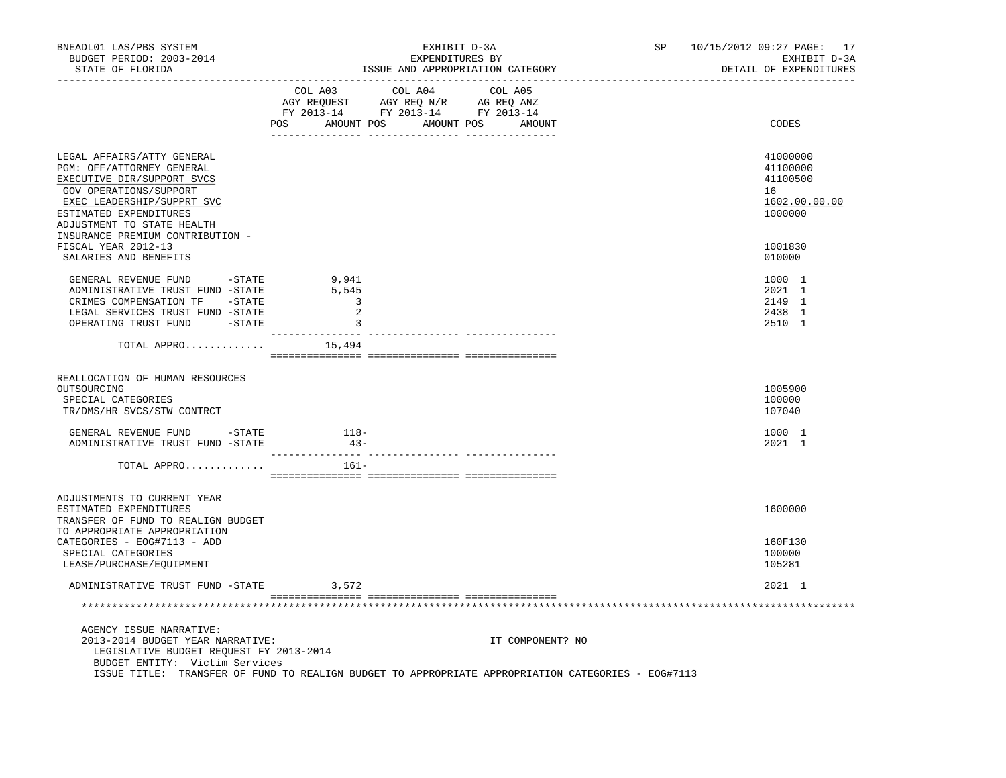| BNEADL01 LAS/PBS SYSTEM<br>BUDGET PERIOD: 2003-2014<br>STATE OF FLORIDA                                                                                                                               | EXHIBIT D-3A<br>EXPENDITURES BY<br>ISSUE AND APPROPRIATION CATEGORY                                                                                                                            | SP 10/15/2012 09:27 PAGE: 17<br>EXHIBIT D-3A<br>DETAIL OF EXPENDITURES |
|-------------------------------------------------------------------------------------------------------------------------------------------------------------------------------------------------------|------------------------------------------------------------------------------------------------------------------------------------------------------------------------------------------------|------------------------------------------------------------------------|
|                                                                                                                                                                                                       | $\begin{tabular}{lcccc} COL A03 & COL A04 & COL A05 \\ AGY REQUEST & AGY REQ N/R & AG REQ ANZ \\ FY & 2013-14 & FY & 2013-14 & FY & 2013-14 \end{tabular}$<br>POS AMOUNT POS AMOUNT POS AMOUNT | CODES                                                                  |
| LEGAL AFFAIRS/ATTY GENERAL<br>PGM: OFF/ATTORNEY GENERAL<br>EXECUTIVE DIR/SUPPORT SVCS<br>GOV OPERATIONS/SUPPORT<br>EXEC LEADERSHIP/SUPPRT SVC<br>ESTIMATED EXPENDITURES<br>ADJUSTMENT TO STATE HEALTH |                                                                                                                                                                                                | 41000000<br>41100000<br>41100500<br>16<br>1602.00.00.00<br>1000000     |
| INSURANCE PREMIUM CONTRIBUTION -<br>FISCAL YEAR 2012-13<br>SALARIES AND BENEFITS                                                                                                                      |                                                                                                                                                                                                | 1001830<br>010000                                                      |
| GENERAL REVENUE FUND -STATE<br>ADMINISTRATIVE TRUST FUND -STATE<br>CRIMES COMPENSATION TF -STATE<br>LEGAL SERVICES TRUST FUND -STATE<br>OPERATING TRUST FUND -STATE                                   | 9,941<br>5,545<br>$\overline{\phantom{a}}$ 3<br>2<br>$\overline{\phantom{a}}$<br>-------- ----                                                                                                 | 1000 1<br>2021 1<br>2149 1<br>2438 1<br>2510 1                         |
| TOTAL APPRO                                                                                                                                                                                           | ----------- --------<br>15,494                                                                                                                                                                 |                                                                        |
| REALLOCATION OF HUMAN RESOURCES<br>OUTSOURCING<br>SPECIAL CATEGORIES<br>TR/DMS/HR SVCS/STW CONTRCT                                                                                                    |                                                                                                                                                                                                | 1005900<br>100000<br>107040                                            |
| GENERAL REVENUE FUND - STATE<br>ADMINISTRATIVE TRUST FUND -STATE                                                                                                                                      | $118-$<br>$43-$                                                                                                                                                                                | 1000 1<br>2021 1                                                       |
| TOTAL APPRO                                                                                                                                                                                           | 161-                                                                                                                                                                                           |                                                                        |
| ADJUSTMENTS TO CURRENT YEAR<br>ESTIMATED EXPENDITURES<br>TRANSFER OF FUND TO REALIGN BUDGET                                                                                                           |                                                                                                                                                                                                | 1600000                                                                |
| TO APPROPRIATE APPROPRIATION<br>CATEGORIES - EOG#7113 - ADD<br>SPECIAL CATEGORIES<br>LEASE/PURCHASE/EQUIPMENT                                                                                         |                                                                                                                                                                                                | 160F130<br>100000<br>105281                                            |
| ADMINISTRATIVE TRUST FUND -STATE                                                                                                                                                                      | 3,572                                                                                                                                                                                          | 2021 1                                                                 |
|                                                                                                                                                                                                       |                                                                                                                                                                                                |                                                                        |
| AGENCY ISSUE NARRATIVE:<br>2013-2014 BUDGET YEAR NARRATIVE:<br>LEGISLATIVE BUDGET REQUEST FY 2013-2014<br>BUDGET ENTITY: Victim Services                                                              | IT COMPONENT? NO<br>ISSUE TITLE: TRANSFER OF FUND TO REALIGN BUDGET TO APPROPRIATE APPROPRIATION CATEGORIES - EOG#7113                                                                         |                                                                        |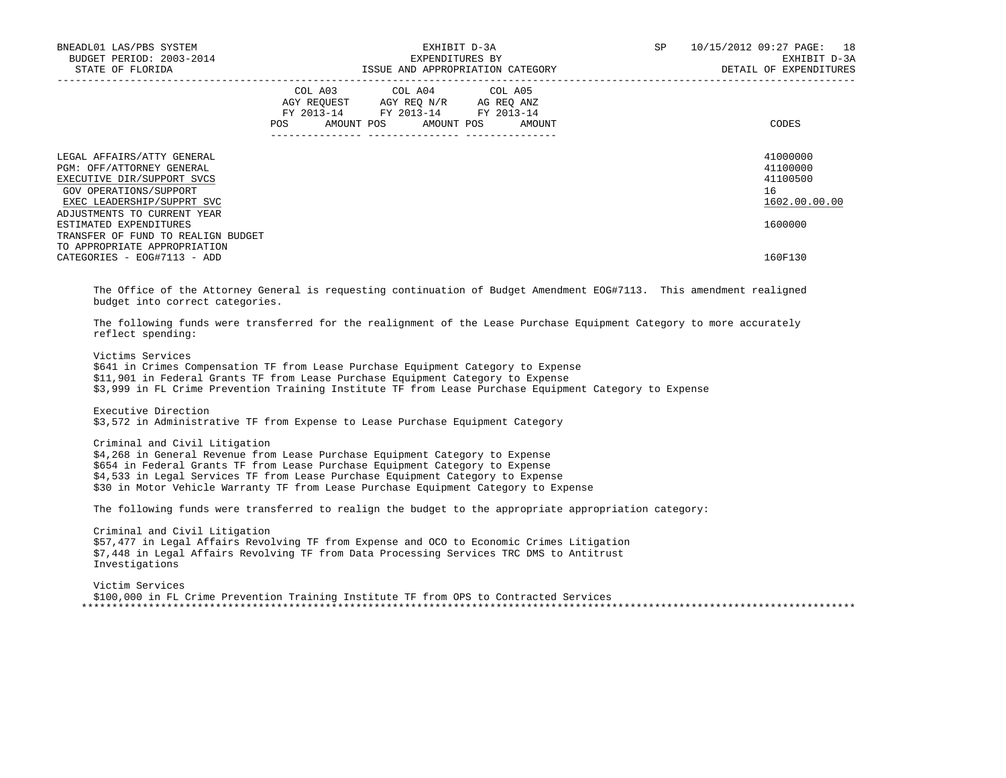| BNEADL01 LAS/PBS SYSTEM<br>BUDGET PERIOD: 2003-2014<br>STATE OF FLORIDA                                                                       | EXHIBIT D-3A<br>EXPENDITURES BY<br>ID ADDDODBIARTANT<br>EXPENDITURES BY<br>ISSUE AND APPROPRIATION CATEGORY                                                                                                                                                                                                                                                                                                                                                                                                                                                                                                                                                                                                                                                                      | 10/15/2012 09:27 PAGE: 18<br>SP<br>EXHIBIT D-3A<br>DETAIL OF EXPENDITURES |
|-----------------------------------------------------------------------------------------------------------------------------------------------|----------------------------------------------------------------------------------------------------------------------------------------------------------------------------------------------------------------------------------------------------------------------------------------------------------------------------------------------------------------------------------------------------------------------------------------------------------------------------------------------------------------------------------------------------------------------------------------------------------------------------------------------------------------------------------------------------------------------------------------------------------------------------------|---------------------------------------------------------------------------|
|                                                                                                                                               | COL A03 COL A04 COL A05<br>$\begin{tabular}{lllllll} \bf AGY \,\, &\bf REGUEST \,\, &\bf AGY \,\, &\bf REQ \,\, &\bf N/R \,\, &\bf AG \,\, &\bf REQ \,\, &\bf ANZ \,\, \\ \bf FY \,\, &\bf 2013-14 \,\, &\bf FY \,\, &\bf 2013-14 \,\, &\bf FY \,\, &\bf 2013-14 \end{tabular}$<br>AMOUNT POS<br>AMOUNT POS<br>AMOUNT<br>POS                                                                                                                                                                                                                                                                                                                                                                                                                                                     | <b>CODES</b>                                                              |
| LEGAL AFFAIRS/ATTY GENERAL<br>PGM: OFF/ATTORNEY GENERAL<br>EXECUTIVE DIR/SUPPORT SVCS<br>GOV OPERATIONS/SUPPORT<br>EXEC LEADERSHIP/SUPPRT SVC |                                                                                                                                                                                                                                                                                                                                                                                                                                                                                                                                                                                                                                                                                                                                                                                  | 41000000<br>41100000<br>41100500<br>16<br>1602.00.00.00                   |
| ADJUSTMENTS TO CURRENT YEAR<br>ESTIMATED EXPENDITURES<br>TRANSFER OF FUND TO REALIGN BUDGET                                                   |                                                                                                                                                                                                                                                                                                                                                                                                                                                                                                                                                                                                                                                                                                                                                                                  | 1600000                                                                   |
| TO APPROPRIATE APPROPRIATION<br>CATEGORIES - EOG#7113 - ADD                                                                                   |                                                                                                                                                                                                                                                                                                                                                                                                                                                                                                                                                                                                                                                                                                                                                                                  | 160F130                                                                   |
| budget into correct categories.<br>reflect spending:<br>Victims Services<br>Executive Direction<br>Criminal and Civil Litigation              | The Office of the Attorney General is requesting continuation of Budget Amendment EOG#7113. This amendment realigned<br>The following funds were transferred for the realignment of the Lease Purchase Equipment Category to more accurately<br>\$641 in Crimes Compensation TF from Lease Purchase Equipment Category to Expense<br>\$11,901 in Federal Grants TF from Lease Purchase Equipment Category to Expense<br>\$3,999 in FL Crime Prevention Training Institute TF from Lease Purchase Equipment Category to Expense<br>\$3,572 in Administrative TF from Expense to Lease Purchase Equipment Category<br>\$4,268 in General Revenue from Lease Purchase Equipment Category to Expense<br>\$654 in Federal Grants TF from Lease Purchase Equipment Category to Expense |                                                                           |
|                                                                                                                                               | \$4,533 in Legal Services TF from Lease Purchase Equipment Category to Expense<br>\$30 in Motor Vehicle Warranty TF from Lease Purchase Equipment Category to Expense                                                                                                                                                                                                                                                                                                                                                                                                                                                                                                                                                                                                            |                                                                           |
|                                                                                                                                               | The following funds were transferred to realign the budget to the appropriate appropriation category:                                                                                                                                                                                                                                                                                                                                                                                                                                                                                                                                                                                                                                                                            |                                                                           |
| Criminal and Civil Litigation<br>Investigations                                                                                               | \$57,477 in Legal Affairs Revolving TF from Expense and OCO to Economic Crimes Litigation<br>\$7,448 in Legal Affairs Revolving TF from Data Processing Services TRC DMS to Antitrust                                                                                                                                                                                                                                                                                                                                                                                                                                                                                                                                                                                            |                                                                           |
| Victim Services                                                                                                                               | \$100,000 in FL Crime Prevention Training Institute TF from OPS to Contracted Services                                                                                                                                                                                                                                                                                                                                                                                                                                                                                                                                                                                                                                                                                           |                                                                           |
|                                                                                                                                               |                                                                                                                                                                                                                                                                                                                                                                                                                                                                                                                                                                                                                                                                                                                                                                                  |                                                                           |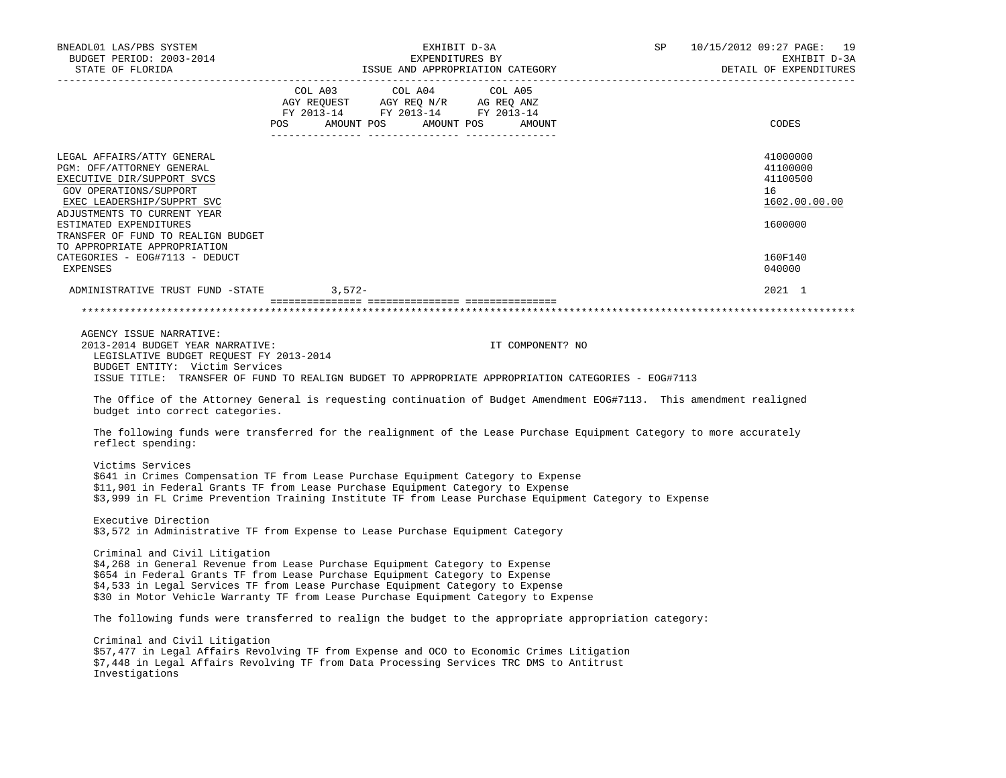| BNEADL01 LAS/PBS SYSTEM<br>BUDGET PERIOD: 2003-2014<br>STATE OF FLORIDA                                                                                                                                                                                                      | EXHIBIT D-3A<br>EXPENDITURES BY<br>ISSUE AND APPROPRIATION CATEGORY                                                                                                                                                                                                                                                                   | SP 10/15/2012 09:27 PAGE: 19<br>EXHIBIT D-3A<br>DETAIL OF EXPENDITURES |
|------------------------------------------------------------------------------------------------------------------------------------------------------------------------------------------------------------------------------------------------------------------------------|---------------------------------------------------------------------------------------------------------------------------------------------------------------------------------------------------------------------------------------------------------------------------------------------------------------------------------------|------------------------------------------------------------------------|
|                                                                                                                                                                                                                                                                              | $\begin{tabular}{lllllllllll} COL & A03 & \multicolumn{3}{l}COL & A04 & \multicolumn{3}{l}COL & A05 \\ AGY & REQUEST & \multicolumn{3}{l}AGY & REQ & N/R & \multicolumn{3}{l}AG & REQ & ANZ \\ FY & 2013-14 & \multicolumn{3}{l}FY & 2013-14 & \multicolumn{3}{l}FY & 2013-14 \\ \end{tabular}$<br>POS AMOUNT POS AMOUNT POS AMOUNT   | CODES                                                                  |
| LEGAL AFFAIRS/ATTY GENERAL<br>PGM: OFF/ATTORNEY GENERAL<br>EXECUTIVE DIR/SUPPORT SVCS<br>GOV OPERATIONS/SUPPORT<br>EXEC LEADERSHIP/SUPPRT SVC<br>ADJUSTMENTS TO CURRENT YEAR<br>ESTIMATED EXPENDITURES<br>TRANSFER OF FUND TO REALIGN BUDGET<br>TO APPROPRIATE APPROPRIATION |                                                                                                                                                                                                                                                                                                                                       | 41000000<br>41100000<br>41100500<br>16<br>1602.00.00.00<br>1600000     |
| CATEGORIES - EOG#7113 - DEDUCT<br>EXPENSES                                                                                                                                                                                                                                   |                                                                                                                                                                                                                                                                                                                                       | 160F140<br>040000                                                      |
| ADMINISTRATIVE TRUST FUND -STATE 3,572-                                                                                                                                                                                                                                      |                                                                                                                                                                                                                                                                                                                                       | 2021 1                                                                 |
|                                                                                                                                                                                                                                                                              |                                                                                                                                                                                                                                                                                                                                       |                                                                        |
| AGENCY ISSUE NARRATIVE:<br>2013-2014 BUDGET YEAR NARRATIVE:<br>LEGISLATIVE BUDGET REQUEST FY 2013-2014<br>BUDGET ENTITY: Victim Services<br>budget into correct categories.                                                                                                  | IT COMPONENT? NO<br>ISSUE TITLE: TRANSFER OF FUND TO REALIGN BUDGET TO APPROPRIATE APPROPRIATION CATEGORIES - EOG#7113<br>The Office of the Attorney General is requesting continuation of Budget Amendment EOG#7113. This amendment realigned                                                                                        |                                                                        |
| reflect spending:                                                                                                                                                                                                                                                            | The following funds were transferred for the realignment of the Lease Purchase Equipment Category to more accurately                                                                                                                                                                                                                  |                                                                        |
| Victims Services                                                                                                                                                                                                                                                             | \$641 in Crimes Compensation TF from Lease Purchase Equipment Category to Expense<br>\$11,901 in Federal Grants TF from Lease Purchase Equipment Category to Expense<br>\$3,999 in FL Crime Prevention Training Institute TF from Lease Purchase Equipment Category to Expense                                                        |                                                                        |
| Executive Direction                                                                                                                                                                                                                                                          | \$3,572 in Administrative TF from Expense to Lease Purchase Equipment Category                                                                                                                                                                                                                                                        |                                                                        |
| Criminal and Civil Litigation                                                                                                                                                                                                                                                | \$4,268 in General Revenue from Lease Purchase Equipment Category to Expense<br>\$654 in Federal Grants TF from Lease Purchase Equipment Category to Expense<br>\$4,533 in Legal Services TF from Lease Purchase Equipment Category to Expense<br>\$30 in Motor Vehicle Warranty TF from Lease Purchase Equipment Category to Expense |                                                                        |
|                                                                                                                                                                                                                                                                              | The following funds were transferred to realign the budget to the appropriate appropriation category:                                                                                                                                                                                                                                 |                                                                        |
| Criminal and Civil Litigation<br>Investigations                                                                                                                                                                                                                              | \$57,477 in Legal Affairs Revolving TF from Expense and OCO to Economic Crimes Litigation<br>\$7,448 in Legal Affairs Revolving TF from Data Processing Services TRC DMS to Antitrust                                                                                                                                                 |                                                                        |
|                                                                                                                                                                                                                                                                              |                                                                                                                                                                                                                                                                                                                                       |                                                                        |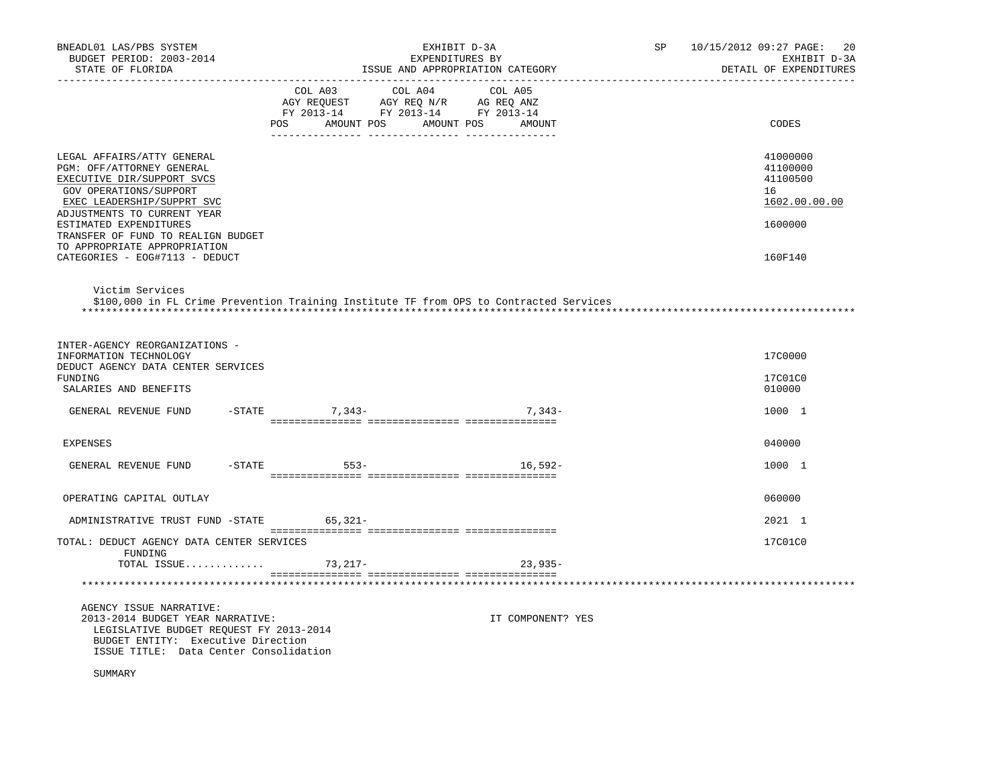| BNEADL01 LAS/PBS SYSTEM<br>BUDGET PERIOD: 2003-2014<br>STATE OF FLORIDA                                                                                                                                                                      |                  | EXHIBIT D-3A<br>EXPENDITURES BY<br>ISSUE AND APPROPRIATION CATEGORY                                                                       | SP 10/15/2012 09:27 PAGE:<br>20<br>EXHIBIT D-3A<br>DETAIL OF EXPENDITURES |
|----------------------------------------------------------------------------------------------------------------------------------------------------------------------------------------------------------------------------------------------|------------------|-------------------------------------------------------------------------------------------------------------------------------------------|---------------------------------------------------------------------------|
|                                                                                                                                                                                                                                              |                  | COL A03 COL A04 COL A05<br>COL AGY REQUEST AGY REQ ANZ AG REQ ANZ<br>FY 2013-14 FY 2013-14 FY 2013-14<br>POS AMOUNT POS AMOUNT POS AMOUNT | CODES                                                                     |
| LEGAL AFFAIRS/ATTY GENERAL<br>PGM: OFF/ATTORNEY GENERAL<br>EXECUTIVE DIR/SUPPORT SVCS<br>GOV OPERATIONS/SUPPORT<br>EXEC LEADERSHIP/SUPPRT SVC<br>ADJUSTMENTS TO CURRENT YEAR<br>ESTIMATED EXPENDITURES<br>TRANSFER OF FUND TO REALIGN BUDGET |                  |                                                                                                                                           | 41000000<br>41100000<br>41100500<br>16<br>1602.00.00.00<br>1600000        |
| TO APPROPRIATE APPROPRIATION<br>CATEGORIES - EOG#7113 - DEDUCT                                                                                                                                                                               |                  |                                                                                                                                           | 160F140                                                                   |
| Victim Services                                                                                                                                                                                                                              |                  | \$100,000 in FL Crime Prevention Training Institute TF from OPS to Contracted Services                                                    |                                                                           |
| INTER-AGENCY REORGANIZATIONS -<br>INFORMATION TECHNOLOGY<br>DEDUCT AGENCY DATA CENTER SERVICES                                                                                                                                               |                  |                                                                                                                                           | 17C0000                                                                   |
| FUNDING<br>SALARIES AND BENEFITS                                                                                                                                                                                                             |                  |                                                                                                                                           | 17C01C0<br>010000                                                         |
| GENERAL REVENUE FUND                                                                                                                                                                                                                         | $-STATE$ 7, 343- | $7.343-$                                                                                                                                  | 1000 1                                                                    |
| <b>EXPENSES</b>                                                                                                                                                                                                                              |                  |                                                                                                                                           | 040000                                                                    |
| GENERAL REVENUE FUND                                                                                                                                                                                                                         | -STATE 553-      | $16.592 -$                                                                                                                                | 1000 1                                                                    |
| OPERATING CAPITAL OUTLAY                                                                                                                                                                                                                     |                  |                                                                                                                                           | 060000                                                                    |
| ADMINISTRATIVE TRUST FUND -STATE 65,321-                                                                                                                                                                                                     |                  |                                                                                                                                           | 2021 1                                                                    |
| TOTAL: DEDUCT AGENCY DATA CENTER SERVICES<br>FUNDING                                                                                                                                                                                         |                  |                                                                                                                                           | 17C01C0                                                                   |
| TOTAL ISSUE                                                                                                                                                                                                                                  | 73,217-          | $23,935-$                                                                                                                                 |                                                                           |
|                                                                                                                                                                                                                                              |                  |                                                                                                                                           |                                                                           |
| AGENCY ISSUE NARRATIVE:<br>2013-2014 BUDGET YEAR NARRATIVE:<br>LEGISLATIVE BUDGET REQUEST FY 2013-2014<br>BUDGET ENTITY: Executive Direction<br>ISSUE TITLE: Data Center Consolidation                                                       |                  | IT COMPONENT? YES                                                                                                                         |                                                                           |
| SUMMARY                                                                                                                                                                                                                                      |                  |                                                                                                                                           |                                                                           |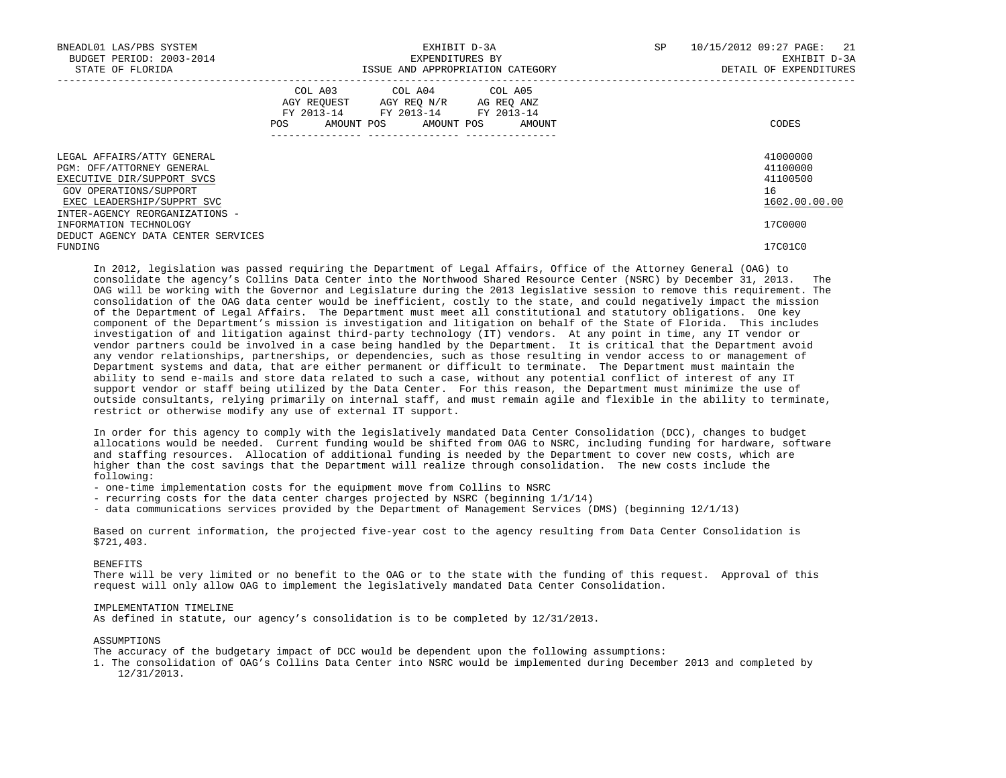| BNEADL01 LAS/PBS SYSTEM<br>BUDGET PERIOD: 2003-2014<br>STATE OF FLORIDA                                                                       | EXHIBIT D-3A<br>EXPENDITURES BY<br>ISSUE AND APPROPRIATION CATEGORY                                            |                                                                                                   |  |  |  |                              |  |                                                         |  |  | SP | 21<br>10/15/2012 09:27 PAGE:<br>EXHIBIT D-3A<br>DETAIL OF EXPENDITURES |
|-----------------------------------------------------------------------------------------------------------------------------------------------|----------------------------------------------------------------------------------------------------------------|---------------------------------------------------------------------------------------------------|--|--|--|------------------------------|--|---------------------------------------------------------|--|--|----|------------------------------------------------------------------------|
|                                                                                                                                               | POS FOR THE POST OF THE STATE STATE STATE STATE STATE STATE STATE STATE STATE STATE STATE STATE STATE STATE ST | COL A03 COL A04 COL A05<br>AGY REQUEST AGY REO N/R AG REO ANZ<br>FY 2013-14 FY 2013-14 FY 2013-14 |  |  |  | AMOUNT POS AMOUNT POS AMOUNT |  | CODES                                                   |  |  |    |                                                                        |
| LEGAL AFFAIRS/ATTY GENERAL<br>PGM: OFF/ATTORNEY GENERAL<br>EXECUTIVE DIR/SUPPORT SVCS<br>GOV OPERATIONS/SUPPORT<br>EXEC LEADERSHIP/SUPPRT SVC |                                                                                                                |                                                                                                   |  |  |  |                              |  | 41000000<br>41100000<br>41100500<br>16<br>1602.00.00.00 |  |  |    |                                                                        |
| INTER-AGENCY REORGANIZATIONS -<br>INFORMATION TECHNOLOGY<br>DEDUCT AGENCY DATA CENTER SERVICES                                                |                                                                                                                |                                                                                                   |  |  |  |                              |  | 17C0000                                                 |  |  |    |                                                                        |
| FUNDING                                                                                                                                       |                                                                                                                |                                                                                                   |  |  |  |                              |  | 17C01C0                                                 |  |  |    |                                                                        |

 In 2012, legislation was passed requiring the Department of Legal Affairs, Office of the Attorney General (OAG) to consolidate the agency's Collins Data Center into the Northwood Shared Resource Center (NSRC) by December 31, 2013. OAG will be working with the Governor and Legislature during the 2013 legislative session to remove this requirement. The consolidation of the OAG data center would be inefficient, costly to the state, and could negatively impact the mission of the Department of Legal Affairs. The Department must meet all constitutional and statutory obligations. One key component of the Department's mission is investigation and litigation on behalf of the State of Florida. This includes investigation of and litigation against third-party technology (IT) vendors. At any point in time, any IT vendor or vendor partners could be involved in a case being handled by the Department. It is critical that the Department avoid any vendor relationships, partnerships, or dependencies, such as those resulting in vendor access to or management of Department systems and data, that are either permanent or difficult to terminate. The Department must maintain the ability to send e-mails and store data related to such a case, without any potential conflict of interest of any IT support vendor or staff being utilized by the Data Center. For this reason, the Department must minimize the use of outside consultants, relying primarily on internal staff, and must remain agile and flexible in the ability to terminate, restrict or otherwise modify any use of external IT support.

 In order for this agency to comply with the legislatively mandated Data Center Consolidation (DCC), changes to budget allocations would be needed. Current funding would be shifted from OAG to NSRC, including funding for hardware, software and staffing resources. Allocation of additional funding is needed by the Department to cover new costs, which are higher than the cost savings that the Department will realize through consolidation. The new costs include the following:

- one-time implementation costs for the equipment move from Collins to NSRC
- recurring costs for the data center charges projected by NSRC (beginning 1/1/14)
- data communications services provided by the Department of Management Services (DMS) (beginning 12/1/13)

 Based on current information, the projected five-year cost to the agency resulting from Data Center Consolidation is \$721,403.

## BENEFITS

 There will be very limited or no benefit to the OAG or to the state with the funding of this request. Approval of this request will only allow OAG to implement the legislatively mandated Data Center Consolidation.

#### IMPLEMENTATION TIMELINE

As defined in statute, our agency's consolidation is to be completed by 12/31/2013.

## ASSUMPTIONS

The accuracy of the budgetary impact of DCC would be dependent upon the following assumptions:

 1. The consolidation of OAG's Collins Data Center into NSRC would be implemented during December 2013 and completed by 12/31/2013.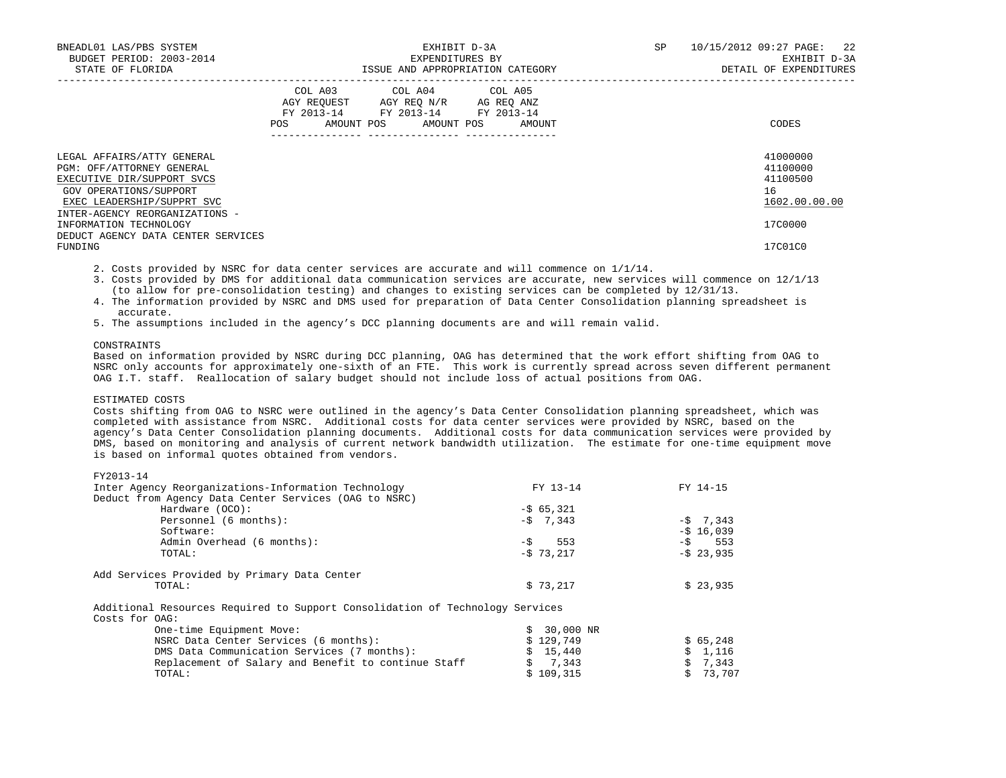| BNEADL01 LAS/PBS SYSTEM<br>BUDGET PERIOD: 2003-2014<br>STATE OF FLORIDA                                                                       |     | EXPENDITURES BY                                                                                                                                | EXHIBIT D-3A<br>ISSUE AND APPROPRIATION CATEGORY | SP | 10/15/2012 09:27 PAGE: 22<br>EXHIBIT D-3A<br>DETAIL OF EXPENDITURES |  |  |
|-----------------------------------------------------------------------------------------------------------------------------------------------|-----|------------------------------------------------------------------------------------------------------------------------------------------------|--------------------------------------------------|----|---------------------------------------------------------------------|--|--|
|                                                                                                                                               | POS | COL A03 COL A04 COL A05<br>AGY REOUEST AGY REO N/R AG REO ANZ<br>FY 2013-14 FY 2013-14 FY 2013-14<br>AMOUNT POS AMOUNT POS<br>---------------- | AMOUNT                                           |    | CODES                                                               |  |  |
| LEGAL AFFAIRS/ATTY GENERAL<br>PGM: OFF/ATTORNEY GENERAL<br>EXECUTIVE DIR/SUPPORT SVCS<br>GOV OPERATIONS/SUPPORT<br>EXEC LEADERSHIP/SUPPRT SVC |     |                                                                                                                                                |                                                  |    | 41000000<br>41100000<br>41100500<br>16<br>1602.00.00.00             |  |  |
| INTER-AGENCY REORGANIZATIONS -<br>INFORMATION TECHNOLOGY<br>DEDUCT AGENCY DATA CENTER SERVICES<br>FUNDING                                     |     |                                                                                                                                                |                                                  |    | 17C0000<br>17C01C0                                                  |  |  |
|                                                                                                                                               |     |                                                                                                                                                |                                                  |    |                                                                     |  |  |

2. Costs provided by NSRC for data center services are accurate and will commence on 1/1/14.

- 3. Costs provided by DMS for additional data communication services are accurate, new services will commence on 12/1/13 (to allow for pre-consolidation testing) and changes to existing services can be completed by 12/31/13.
- 4. The information provided by NSRC and DMS used for preparation of Data Center Consolidation planning spreadsheet is accurate.
- 5. The assumptions included in the agency's DCC planning documents are and will remain valid.

# CONSTRAINTS

 Based on information provided by NSRC during DCC planning, OAG has determined that the work effort shifting from OAG to NSRC only accounts for approximately one-sixth of an FTE. This work is currently spread across seven different permanent OAG I.T. staff. Reallocation of salary budget should not include loss of actual positions from OAG.

# ESTIMATED COSTS

 Costs shifting from OAG to NSRC were outlined in the agency's Data Center Consolidation planning spreadsheet, which was completed with assistance from NSRC. Additional costs for data center services were provided by NSRC, based on the agency's Data Center Consolidation planning documents. Additional costs for data communication services were provided by DMS, based on monitoring and analysis of current network bandwidth utilization. The estimate for one-time equipment move is based on informal quotes obtained from vendors.

| FY2013-14                                             |               |                      |
|-------------------------------------------------------|---------------|----------------------|
| Inter Agency Reorganizations-Information Technology   | FY 13-14      | FY 14-15             |
| Deduct from Agency Data Center Services (OAG to NSRC) |               |                      |
| Hardware (OCO):                                       | $-565,321$    |                      |
| Personnel (6 months):                                 | $-5$ 7,343    | $-5$ 7.343           |
| Software:                                             |               | $-5$ 16,039          |
| Admin Overhead (6 months):                            | 553<br>$-$ \$ | $-\mathsf{S}$<br>553 |
| TOTAL:                                                | $-$ \$ 73,217 | $-5$ 23,935          |
| Add Services Provided by Primary Data Center          |               |                      |
| TOTAL:                                                | \$73,217      | \$23,935             |
|                                                       |               |                      |

Additional Resources Required to Support Consolidation of Technology Services

Costs for OAG:

| One-time Equipment Move:                            | $$30,000$ NR |                 |
|-----------------------------------------------------|--------------|-----------------|
| NSRC Data Center Services (6 months):               | \$129.749    | \$65.248        |
| DMS Data Communication Services (7 months):         | \$15,440     | \$1.116         |
| Replacement of Salary and Benefit to continue Staff | 5, 7, 343    | $5 \quad 7.343$ |
| TOTAL:                                              | \$109.315    | \$73,707        |
|                                                     |              |                 |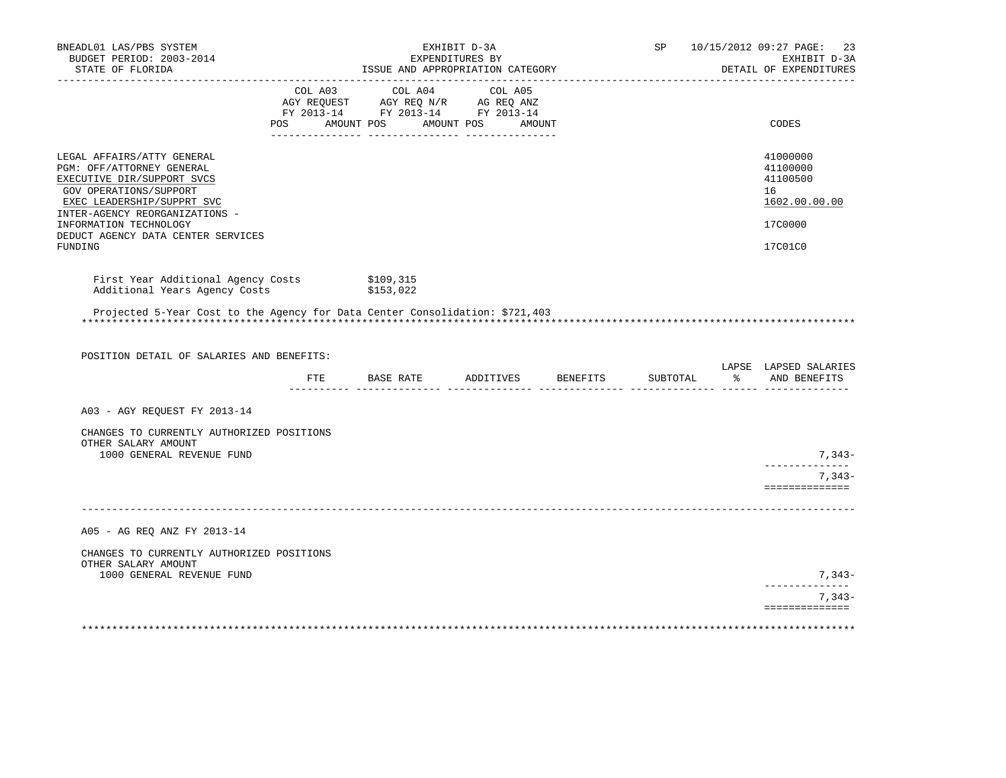| BNEADL01 LAS/PBS SYSTEM<br>BUDGET PERIOD: 2003-2014<br>STATE OF FLORIDA                                                                                                                                   |         | EXHIBIT D-3A<br>EXPENDITURES BY<br>ISSUE AND APPROPRIATION CATEGORY                                                                                                                                                                         |                      | SP       |                  | 10/15/2012 09:27 PAGE:<br>23<br>EXHIBIT D-3A<br>DETAIL OF EXPENDITURES |
|-----------------------------------------------------------------------------------------------------------------------------------------------------------------------------------------------------------|---------|---------------------------------------------------------------------------------------------------------------------------------------------------------------------------------------------------------------------------------------------|----------------------|----------|------------------|------------------------------------------------------------------------|
| __________________                                                                                                                                                                                        | POS FOR | COL A03 COL A04 COL A05<br>$\begin{tabular}{lllllll} \bf AGY & \bf REQUEST & \bf AGY & \bf REQ & \bf N/R & \bf AG & \bf REQ & \bf ANZ \\ \bf FY & \tt 2013-14 & \bf FY & \tt 2013-14 & \bf FY & \tt 2013-14 \\ \end{tabular}$<br>AMOUNT POS | AMOUNT POS<br>AMOUNT |          |                  | CODES                                                                  |
| LEGAL AFFAIRS/ATTY GENERAL<br>PGM: OFF/ATTORNEY GENERAL<br>EXECUTIVE DIR/SUPPORT SVCS<br>GOV OPERATIONS/SUPPORT<br>EXEC LEADERSHIP/SUPPRT SVC<br>INTER-AGENCY REORGANIZATIONS -<br>INFORMATION TECHNOLOGY |         |                                                                                                                                                                                                                                             |                      |          |                  | 41000000<br>41100000<br>41100500<br>16<br>1602.00.00.00<br>17C0000     |
| DEDUCT AGENCY DATA CENTER SERVICES<br>FUNDING                                                                                                                                                             |         |                                                                                                                                                                                                                                             |                      |          |                  | 17C01C0                                                                |
| First Year Additional Agency Costs<br>Additional Years Agency Costs                                                                                                                                       |         | \$109,315<br>\$153,022                                                                                                                                                                                                                      |                      |          |                  |                                                                        |
| Projected 5-Year Cost to the Agency for Data Center Consolidation: \$721,403                                                                                                                              |         |                                                                                                                                                                                                                                             |                      |          |                  |                                                                        |
| POSITION DETAIL OF SALARIES AND BENEFITS:                                                                                                                                                                 |         |                                                                                                                                                                                                                                             |                      |          |                  | LAPSE LAPSED SALARIES                                                  |
|                                                                                                                                                                                                           |         | FTE BASE RATE ADDITIVES BENEFITS                                                                                                                                                                                                            |                      | SUBTOTAL | $\sim$ $\approx$ | AND BENEFITS                                                           |
| A03 - AGY REQUEST FY 2013-14                                                                                                                                                                              |         |                                                                                                                                                                                                                                             |                      |          |                  |                                                                        |
| CHANGES TO CURRENTLY AUTHORIZED POSITIONS<br>OTHER SALARY AMOUNT                                                                                                                                          |         |                                                                                                                                                                                                                                             |                      |          |                  |                                                                        |
| 1000 GENERAL REVENUE FUND                                                                                                                                                                                 |         |                                                                                                                                                                                                                                             |                      |          |                  | 7,343-                                                                 |
|                                                                                                                                                                                                           |         |                                                                                                                                                                                                                                             |                      |          |                  | $7,343-$<br>==============                                             |
| A05 - AG REQ ANZ FY 2013-14                                                                                                                                                                               |         |                                                                                                                                                                                                                                             |                      |          |                  |                                                                        |
| CHANGES TO CURRENTLY AUTHORIZED POSITIONS<br>OTHER SALARY AMOUNT                                                                                                                                          |         |                                                                                                                                                                                                                                             |                      |          |                  |                                                                        |
| 1000 GENERAL REVENUE FUND                                                                                                                                                                                 |         |                                                                                                                                                                                                                                             |                      |          |                  | $7.343-$<br>--------------                                             |
|                                                                                                                                                                                                           |         |                                                                                                                                                                                                                                             |                      |          |                  | $7,343-$<br>==============                                             |
|                                                                                                                                                                                                           |         |                                                                                                                                                                                                                                             |                      |          |                  |                                                                        |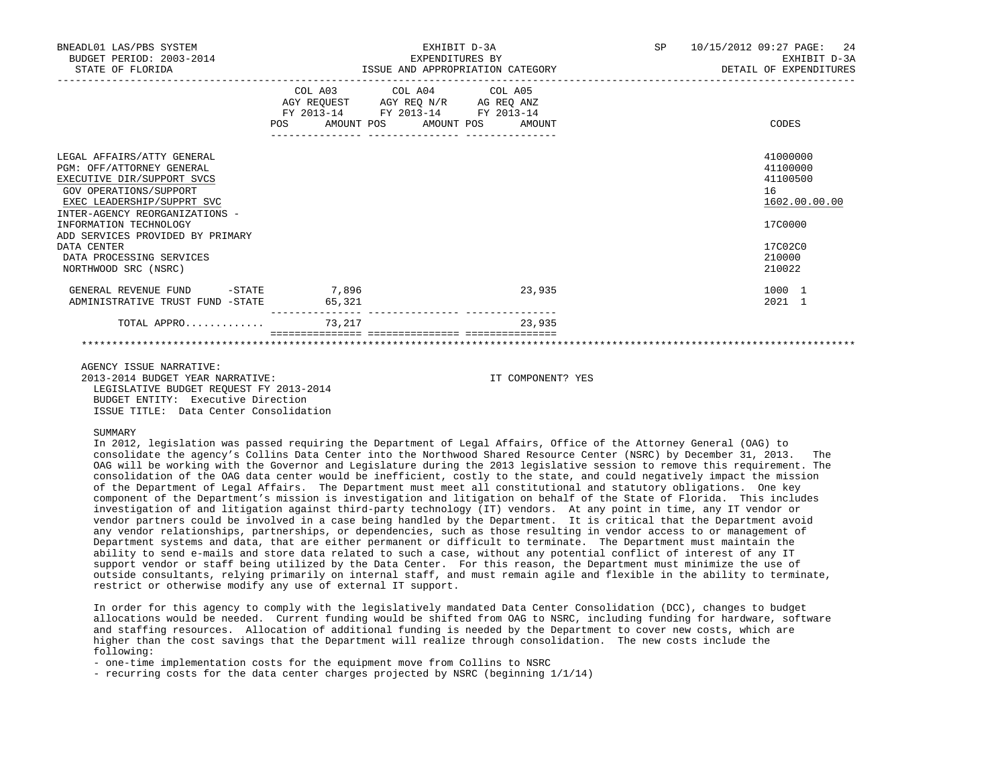| BNEADL01 LAS/PBS SYSTEM<br>BUDGET PERIOD: 2003-2014<br>STATE OF FLORIDA                                                                                                                                                                                                                                          | EXHIBIT D-3A<br>EXPENDITURES BY<br>ISSUE AND APPROPRIATION CATEGORY<br>__________________________________ |                                                                                                   | SP     | 2.4<br>10/15/2012 09:27 PAGE:<br>EXHIBIT D-3A<br>DETAIL OF EXPENDITURES |                                                                                                   |
|------------------------------------------------------------------------------------------------------------------------------------------------------------------------------------------------------------------------------------------------------------------------------------------------------------------|-----------------------------------------------------------------------------------------------------------|---------------------------------------------------------------------------------------------------|--------|-------------------------------------------------------------------------|---------------------------------------------------------------------------------------------------|
|                                                                                                                                                                                                                                                                                                                  | POS AMOUNT POS AMOUNT POS                                                                                 | COL A03 COL A04 COL A05<br>AGY REQUEST AGY REQ N/R AG REQ ANZ<br>FY 2013-14 FY 2013-14 FY 2013-14 | AMOUNT |                                                                         | CODES                                                                                             |
| LEGAL AFFAIRS/ATTY GENERAL<br>PGM: OFF/ATTORNEY GENERAL<br>EXECUTIVE DIR/SUPPORT SVCS<br>GOV OPERATIONS/SUPPORT<br>EXEC LEADERSHIP/SUPPRT SVC<br>INTER-AGENCY REORGANIZATIONS -<br>INFORMATION TECHNOLOGY<br>ADD SERVICES PROVIDED BY PRIMARY<br>DATA CENTER<br>DATA PROCESSING SERVICES<br>NORTHWOOD SRC (NSRC) |                                                                                                           |                                                                                                   |        |                                                                         | 41000000<br>41100000<br>41100500<br>16<br>1602.00.00.00<br>1700000<br>17C02C0<br>210000<br>210022 |
| GENERAL REVENUE FUND<br>ADMINISTRATIVE TRUST FUND -STATE                                                                                                                                                                                                                                                         | $-$ STATE $-$ 7,896<br>65,321                                                                             |                                                                                                   | 23,935 |                                                                         | 1000 1<br>$2021$ 1                                                                                |
| $TOTAL$ APPRO $\ldots \ldots \ldots$                                                                                                                                                                                                                                                                             |                                                                                                           |                                                                                                   | 23,935 |                                                                         |                                                                                                   |
|                                                                                                                                                                                                                                                                                                                  |                                                                                                           |                                                                                                   |        |                                                                         |                                                                                                   |

 AGENCY ISSUE NARRATIVE: 2013-2014 BUDGET YEAR NARRATIVE: IT COMPONENT? YES LEGISLATIVE BUDGET REQUEST FY 2013-2014 BUDGET ENTITY: Executive Direction ISSUE TITLE: Data Center Consolidation

#### SUMMARY

 In 2012, legislation was passed requiring the Department of Legal Affairs, Office of the Attorney General (OAG) to consolidate the agency's Collins Data Center into the Northwood Shared Resource Center (NSRC) by December 31, 2013. The OAG will be working with the Governor and Legislature during the 2013 legislative session to remove this requirement. The consolidation of the OAG data center would be inefficient, costly to the state, and could negatively impact the mission of the Department of Legal Affairs. The Department must meet all constitutional and statutory obligations. One key component of the Department's mission is investigation and litigation on behalf of the State of Florida. This includes investigation of and litigation against third-party technology (IT) vendors. At any point in time, any IT vendor or vendor partners could be involved in a case being handled by the Department. It is critical that the Department avoid any vendor relationships, partnerships, or dependencies, such as those resulting in vendor access to or management of Department systems and data, that are either permanent or difficult to terminate. The Department must maintain the ability to send e-mails and store data related to such a case, without any potential conflict of interest of any IT support vendor or staff being utilized by the Data Center. For this reason, the Department must minimize the use of outside consultants, relying primarily on internal staff, and must remain agile and flexible in the ability to terminate, restrict or otherwise modify any use of external IT support.

 In order for this agency to comply with the legislatively mandated Data Center Consolidation (DCC), changes to budget allocations would be needed. Current funding would be shifted from OAG to NSRC, including funding for hardware, software and staffing resources. Allocation of additional funding is needed by the Department to cover new costs, which are higher than the cost savings that the Department will realize through consolidation. The new costs include the following:

- one-time implementation costs for the equipment move from Collins to NSRC

- recurring costs for the data center charges projected by NSRC (beginning 1/1/14)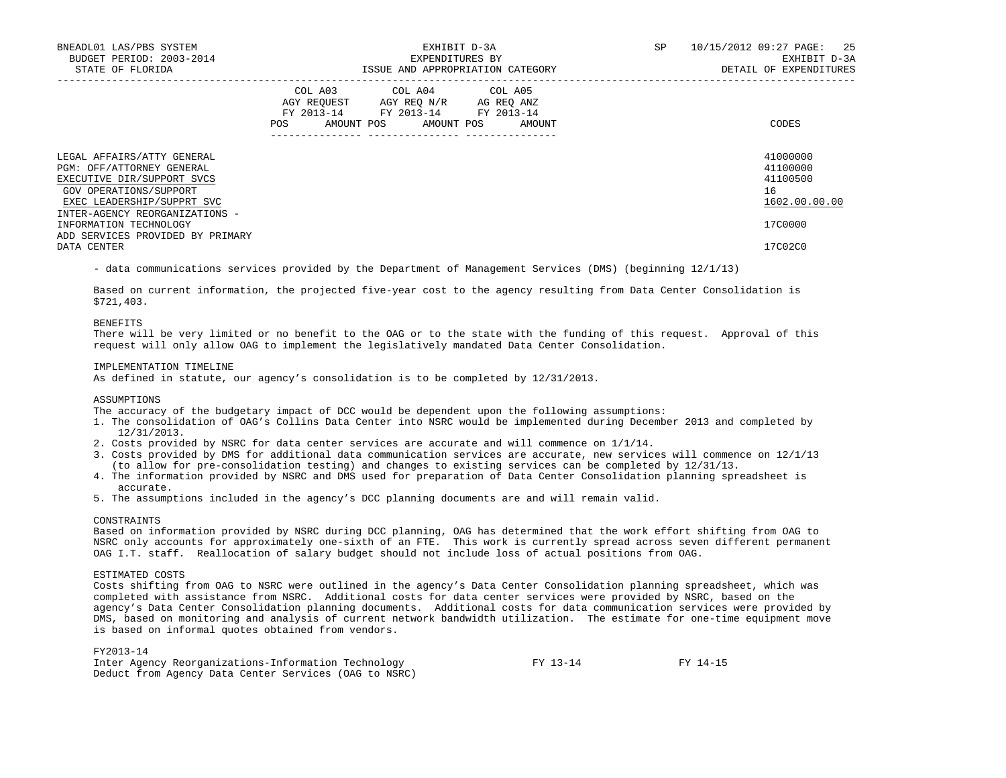| BNEADL01 LAS/PBS SYSTEM<br>BUDGET PERIOD: 2003-2014<br>STATE OF FLORIDA                                                                       | EXHIBIT D-3A<br>EXPENDITURES BY<br>ISSUE AND APPROPRIATION CATEGORY |                                                                                                                                       |  | SP | 10/15/2012 09:27 PAGE: 25<br>EXHIBIT D-3A<br>DETAIL OF EXPENDITURES |
|-----------------------------------------------------------------------------------------------------------------------------------------------|---------------------------------------------------------------------|---------------------------------------------------------------------------------------------------------------------------------------|--|----|---------------------------------------------------------------------|
|                                                                                                                                               |                                                                     | COL A03 COL A04 COL A05<br>AGY REOUEST AGY REO N/R AG REO ANZ<br>FY 2013-14 FY 2013-14 FY 2013-14<br>POS AMOUNT POS AMOUNT POS AMOUNT |  |    | CODES                                                               |
| LEGAL AFFAIRS/ATTY GENERAL<br>PGM: OFF/ATTORNEY GENERAL<br>EXECUTIVE DIR/SUPPORT SVCS<br>GOV OPERATIONS/SUPPORT<br>EXEC LEADERSHIP/SUPPRT SVC |                                                                     |                                                                                                                                       |  |    | 41000000<br>41100000<br>41100500<br>16<br>1602.00.00.00             |
| INTER-AGENCY REORGANIZATIONS -<br>INFORMATION TECHNOLOGY<br>ADD SERVICES PROVIDED BY PRIMARY<br>DATA CENTER                                   |                                                                     |                                                                                                                                       |  |    | 17C0000<br>17C02C0                                                  |

- data communications services provided by the Department of Management Services (DMS) (beginning 12/1/13)

 Based on current information, the projected five-year cost to the agency resulting from Data Center Consolidation is \$721,403.

#### BENEFITS

There will be very limited or no benefit to the OAG or to the state with the funding of this request. Approval of this request will only allow OAG to implement the legislatively mandated Data Center Consolidation.

#### IMPLEMENTATION TIMELINE

As defined in statute, our agency's consolidation is to be completed by 12/31/2013.

## **ASSUMPTIONS**

The accuracy of the budgetary impact of DCC would be dependent upon the following assumptions:

- 1. The consolidation of OAG's Collins Data Center into NSRC would be implemented during December 2013 and completed by 12/31/2013.
- 2. Costs provided by NSRC for data center services are accurate and will commence on 1/1/14.
- 3. Costs provided by DMS for additional data communication services are accurate, new services will commence on 12/1/13 (to allow for pre-consolidation testing) and changes to existing services can be completed by 12/31/13.
- 4. The information provided by NSRC and DMS used for preparation of Data Center Consolidation planning spreadsheet is accurate.
- 5. The assumptions included in the agency's DCC planning documents are and will remain valid.

# CONSTRAINTS

 Based on information provided by NSRC during DCC planning, OAG has determined that the work effort shifting from OAG to NSRC only accounts for approximately one-sixth of an FTE. This work is currently spread across seven different permanent OAG I.T. staff. Reallocation of salary budget should not include loss of actual positions from OAG.

#### ESTIMATED COSTS

 Costs shifting from OAG to NSRC were outlined in the agency's Data Center Consolidation planning spreadsheet, which was completed with assistance from NSRC. Additional costs for data center services were provided by NSRC, based on the agency's Data Center Consolidation planning documents. Additional costs for data communication services were provided by DMS, based on monitoring and analysis of current network bandwidth utilization. The estimate for one-time equipment move is based on informal quotes obtained from vendors.

# FY2013-14

| Inter Agency Reorganizations-Information Technology   | FY 13-14 | FY 14-15 |
|-------------------------------------------------------|----------|----------|
| Deduct from Agency Data Center Services (OAG to NSRC) |          |          |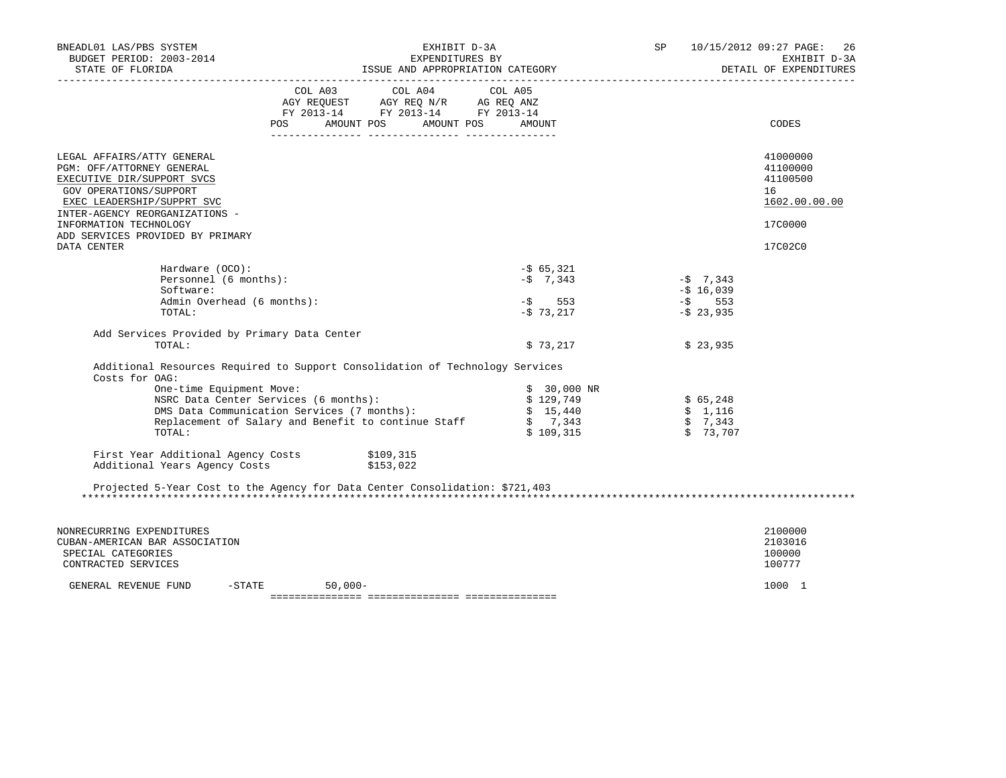| BNEADL01 LAS/PBS SYSTEM<br>BUDGET PERIOD: 2003-2014<br>STATE OF FLORIDA                                                                                                                                                                       | EXHIBIT D-3A                                                                                                                                                                                                                 |                                                               | SP                                                   | 10/15/2012 09:27 PAGE: 26<br>EXHIBIT D-3A<br>EXHIBIT D-3A<br>DETAIL OF EXPENDITURES |
|-----------------------------------------------------------------------------------------------------------------------------------------------------------------------------------------------------------------------------------------------|------------------------------------------------------------------------------------------------------------------------------------------------------------------------------------------------------------------------------|---------------------------------------------------------------|------------------------------------------------------|-------------------------------------------------------------------------------------|
|                                                                                                                                                                                                                                               | COL A03 COL A04 COL A05<br>AGY REQUEST AGY REQ N/R AG REQ ANZ<br>FY 2013-14 FY 2013-14 FY 2013-14<br>POS AMOUNT POS AMOUNT POS AMOUNT                                                                                        |                                                               |                                                      | CODES                                                                               |
| LEGAL AFFAIRS/ATTY GENERAL<br>PGM: OFF/ATTORNEY GENERAL<br>EXECUTIVE DIR/SUPPORT SVCS<br>GOV OPERATIONS/SUPPORT<br>EXEC LEADERSHIP/SUPPRT SVC<br>INTER-AGENCY REORGANIZATIONS -<br>INFORMATION TECHNOLOGY<br>ADD SERVICES PROVIDED BY PRIMARY |                                                                                                                                                                                                                              |                                                               |                                                      | 41000000<br>41100000<br>41100500<br>16<br>1602.00.00.00<br>17C0000                  |
| DATA CENTER<br>Hardware (OCO):<br>Personnel (6 months):<br>Software:<br>Admin Overhead (6 months):                                                                                                                                            |                                                                                                                                                                                                                              | $-565,321$<br>$-5$ 7,343<br>$-$ \$ 553<br>-\$ 73,217          | $-5$ 7,343<br>$-5$ 16,039<br>$-5$ 553<br>$-5$ 23,935 | 17C02C0                                                                             |
| TOTAL:<br>Add Services Provided by Primary Data Center<br>TOTAL:                                                                                                                                                                              |                                                                                                                                                                                                                              | \$73,217                                                      | \$23,935                                             |                                                                                     |
| Costs for OAG:<br>One-time Equipment Move:<br>TOTAL:                                                                                                                                                                                          | Additional Resources Required to Support Consolidation of Technology Services<br>NSRC Data Center Services (6 months):<br>DMS Data Communication Services (7 months):<br>Replacement of Salary and Benefit to continue Staff | $$30,000$ NR<br>\$129,749<br>\$15,440<br>\$7,343<br>\$109,315 | \$65,248<br>\$1,116<br>\$7,343<br>\$73,707           |                                                                                     |
| First Year Additional Agency Costs \$109,315<br>Additional Years Agency Costs \$153,022                                                                                                                                                       |                                                                                                                                                                                                                              |                                                               |                                                      |                                                                                     |
|                                                                                                                                                                                                                                               | Projected 5-Year Cost to the Agency for Data Center Consolidation: \$721,403                                                                                                                                                 |                                                               |                                                      |                                                                                     |
| NONRECURRING EXPENDITURES<br>CUBAN-AMERICAN BAR ASSOCIATION<br>SPECIAL CATEGORIES<br>CONTRACTED SERVICES                                                                                                                                      |                                                                                                                                                                                                                              |                                                               |                                                      | 2100000<br>2103016<br>100000<br>100777                                              |
| $-STATE$<br>GENERAL REVENUE FUND                                                                                                                                                                                                              | $50,000-$                                                                                                                                                                                                                    |                                                               |                                                      | 1000 1                                                                              |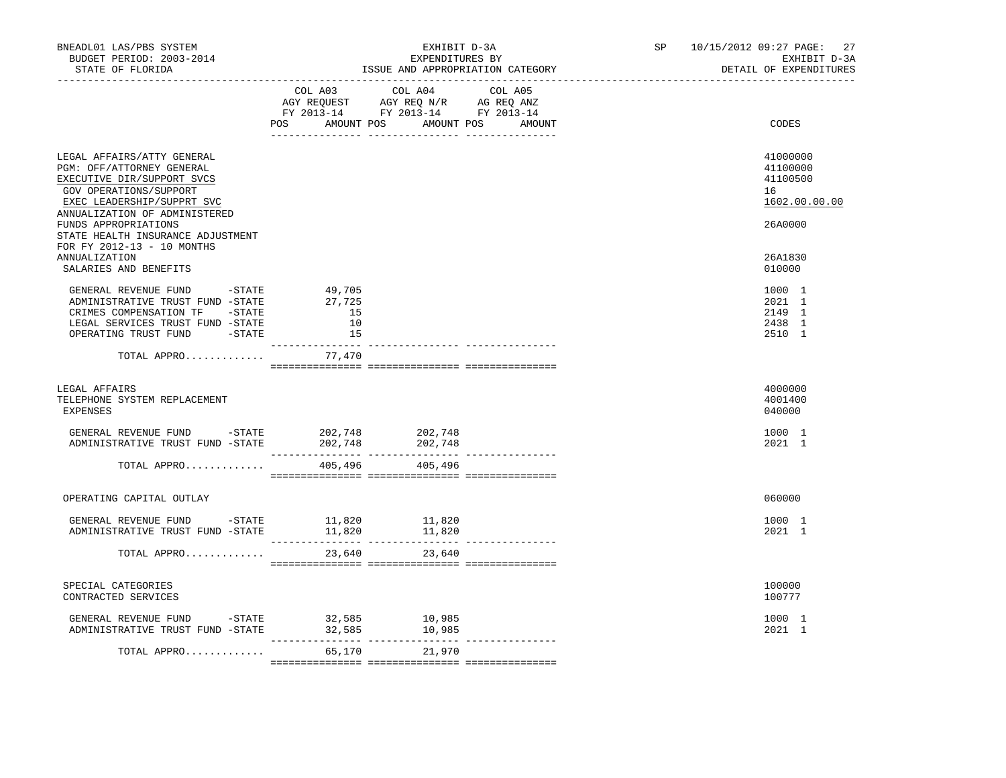| BNEADL01 LAS/PBS SYSTEM<br>BUDGET PERIOD: 2003-2014<br>STATE OF FLORIDA                                                                                                                                                                                                                                             |                                    | EXHIBIT D-3A<br>EXPENDITURES BY<br>ISSUE AND APPROPRIATION CATEGORY                                                                   | 10/15/2012 09:27 PAGE:<br>SP and the set of the set of the set of the set of the set of the set of the set of the set of the set of the set of the set of the set of the set of the set of the set of the set of the set of the set of the set of the se | 27<br>EXHIBIT D-3A<br>DETAIL OF EXPENDITURES                                            |
|---------------------------------------------------------------------------------------------------------------------------------------------------------------------------------------------------------------------------------------------------------------------------------------------------------------------|------------------------------------|---------------------------------------------------------------------------------------------------------------------------------------|----------------------------------------------------------------------------------------------------------------------------------------------------------------------------------------------------------------------------------------------------------|-----------------------------------------------------------------------------------------|
|                                                                                                                                                                                                                                                                                                                     |                                    | COL A03 COL A04 COL A05<br>AGY REQUEST AGY REQ N/R AG REQ ANZ<br>FY 2013-14 FY 2013-14 FY 2013-14<br>POS AMOUNT POS AMOUNT POS AMOUNT |                                                                                                                                                                                                                                                          | CODES                                                                                   |
| LEGAL AFFAIRS/ATTY GENERAL<br>PGM: OFF/ATTORNEY GENERAL<br>EXECUTIVE DIR/SUPPORT SVCS<br>GOV OPERATIONS/SUPPORT<br>EXEC LEADERSHIP/SUPPRT SVC<br>ANNUALIZATION OF ADMINISTERED<br>FUNDS APPROPRIATIONS<br>STATE HEALTH INSURANCE ADJUSTMENT<br>FOR FY 2012-13 - 10 MONTHS<br>ANNUALIZATION<br>SALARIES AND BENEFITS |                                    |                                                                                                                                       |                                                                                                                                                                                                                                                          | 41000000<br>41100000<br>41100500<br>16<br>1602.00.00.00<br>26A0000<br>26A1830<br>010000 |
| GENERAL REVENUE FUND -STATE<br>ADMINISTRATIVE TRUST FUND -STATE<br>CRIMES COMPENSATION TF -STATE<br>LEGAL SERVICES TRUST FUND -STATE<br>OPERATING TRUST FUND -STATE                                                                                                                                                 | 49,705<br>27,725<br>15<br>10<br>15 |                                                                                                                                       |                                                                                                                                                                                                                                                          | 1000 1<br>2021 1<br>2149 1<br>2438 1<br>2510 1                                          |
| TOTAL APPRO                                                                                                                                                                                                                                                                                                         | 77,470                             |                                                                                                                                       |                                                                                                                                                                                                                                                          |                                                                                         |
| LEGAL AFFAIRS<br>TELEPHONE SYSTEM REPLACEMENT<br><b>EXPENSES</b>                                                                                                                                                                                                                                                    |                                    |                                                                                                                                       |                                                                                                                                                                                                                                                          | 4000000<br>4001400<br>040000                                                            |
| GENERAL REVENUE FUND -STATE 202,748 202,748<br>ADMINISTRATIVE TRUST FUND -STATE                                                                                                                                                                                                                                     |                                    | 202,748 202,748                                                                                                                       |                                                                                                                                                                                                                                                          | 1000 1<br>2021 1                                                                        |
| TOTAL APPRO                                                                                                                                                                                                                                                                                                         | --------------- ---------------    | 405,496 405,496                                                                                                                       |                                                                                                                                                                                                                                                          |                                                                                         |
| OPERATING CAPITAL OUTLAY                                                                                                                                                                                                                                                                                            |                                    |                                                                                                                                       |                                                                                                                                                                                                                                                          | 060000                                                                                  |
| GENERAL REVENUE FUND -STATE 11,820 11,820<br>ADMINISTRATIVE TRUST FUND -STATE 11,820 11,820                                                                                                                                                                                                                         |                                    |                                                                                                                                       |                                                                                                                                                                                                                                                          | 1000 1<br>2021 1                                                                        |
| TOTAL APPRO                                                                                                                                                                                                                                                                                                         | 23,640                             | 23,640                                                                                                                                |                                                                                                                                                                                                                                                          |                                                                                         |
| SPECIAL CATEGORIES<br>CONTRACTED SERVICES                                                                                                                                                                                                                                                                           |                                    |                                                                                                                                       |                                                                                                                                                                                                                                                          | 100000<br>100777                                                                        |
| GENERAL REVENUE FUND $-$ STATE 32,585 $10,985$<br>ADMINISTRATIVE TRUST FUND -STATE                                                                                                                                                                                                                                  |                                    | 32,585 10,985                                                                                                                         |                                                                                                                                                                                                                                                          | 1000 1<br>2021 1                                                                        |
| TOTAL APPRO                                                                                                                                                                                                                                                                                                         |                                    | 65,170 21,970                                                                                                                         |                                                                                                                                                                                                                                                          |                                                                                         |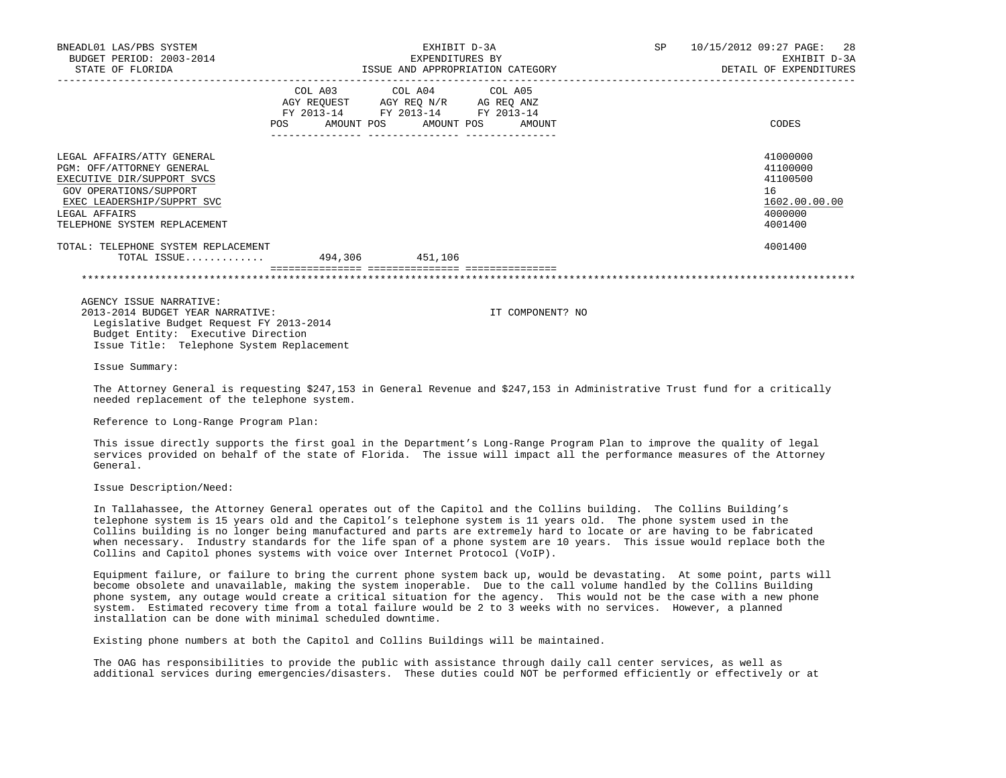| BNEADL01 LAS/PBS SYSTEM                                               |                 |                                                                                                   | EXHIBIT D-3A                     | SP 10/15/2012 09:27 PAGE: 28 |
|-----------------------------------------------------------------------|-----------------|---------------------------------------------------------------------------------------------------|----------------------------------|------------------------------|
| BUDGET PERIOD: 2003-2014                                              | EXPENDITURES BY |                                                                                                   |                                  | EXHIBIT D-3A                 |
| STATE OF FLORIDA                                                      |                 |                                                                                                   | ISSUE AND APPROPRIATION CATEGORY | DETAIL OF EXPENDITURES       |
|                                                                       |                 | COL A03 COL A04 COL A05<br>AGY REQUEST AGY REQ N/R AG REQ ANZ<br>FY 2013-14 FY 2013-14 FY 2013-14 | POS AMOUNT POS AMOUNT POS AMOUNT | CODES                        |
| LEGAL AFFAIRS/ATTY GENERAL                                            |                 |                                                                                                   |                                  | 41000000                     |
| PGM: OFF/ATTORNEY GENERAL                                             |                 |                                                                                                   |                                  | 41100000                     |
| EXECUTIVE DIR/SUPPORT SVCS                                            |                 |                                                                                                   |                                  | 41100500                     |
| GOV OPERATIONS/SUPPORT                                                |                 |                                                                                                   |                                  | 16                           |
| EXEC LEADERSHIP/SUPPRT SVC                                            |                 |                                                                                                   |                                  | 1602.00.00.00                |
| LEGAL AFFAIRS                                                         |                 |                                                                                                   |                                  | 4000000                      |
| TELEPHONE SYSTEM REPLACEMENT                                          |                 |                                                                                                   |                                  | 4001400                      |
|                                                                       |                 |                                                                                                   |                                  |                              |
| TOTAL: TELEPHONE SYSTEM REPLACEMENT                                   |                 |                                                                                                   |                                  | 4001400                      |
| TOTAL ISSUE                                                           |                 | 494,306 451,106                                                                                   |                                  |                              |
|                                                                       |                 |                                                                                                   |                                  |                              |
|                                                                       |                 |                                                                                                   |                                  |                              |
|                                                                       |                 |                                                                                                   |                                  |                              |
| AGENCY ISSUE NARRATIVE:<br>$0.012$ $0.014$ punctum veran windpametin. |                 |                                                                                                   | TH COMPONITION NO                |                              |
|                                                                       |                 |                                                                                                   |                                  |                              |

 2013-2014 BUDGET YEAR NARRATIVE: IT COMPONENT? NO Legislative Budget Request FY 2013-2014 Budget Entity: Executive Direction Issue Title: Telephone System Replacement

Issue Summary:

 The Attorney General is requesting \$247,153 in General Revenue and \$247,153 in Administrative Trust fund for a critically needed replacement of the telephone system.

Reference to Long-Range Program Plan:

 This issue directly supports the first goal in the Department's Long-Range Program Plan to improve the quality of legal services provided on behalf of the state of Florida. The issue will impact all the performance measures of the Attorney General.

Issue Description/Need:

 In Tallahassee, the Attorney General operates out of the Capitol and the Collins building. The Collins Building's telephone system is 15 years old and the Capitol's telephone system is 11 years old. The phone system used in the Collins building is no longer being manufactured and parts are extremely hard to locate or are having to be fabricated when necessary. Industry standards for the life span of a phone system are 10 years. This issue would replace both the Collins and Capitol phones systems with voice over Internet Protocol (VoIP).

 Equipment failure, or failure to bring the current phone system back up, would be devastating. At some point, parts will become obsolete and unavailable, making the system inoperable. Due to the call volume handled by the Collins Building phone system, any outage would create a critical situation for the agency. This would not be the case with a new phone system. Estimated recovery time from a total failure would be 2 to 3 weeks with no services. However, a planned installation can be done with minimal scheduled downtime.

Existing phone numbers at both the Capitol and Collins Buildings will be maintained.

 The OAG has responsibilities to provide the public with assistance through daily call center services, as well as additional services during emergencies/disasters. These duties could NOT be performed efficiently or effectively or at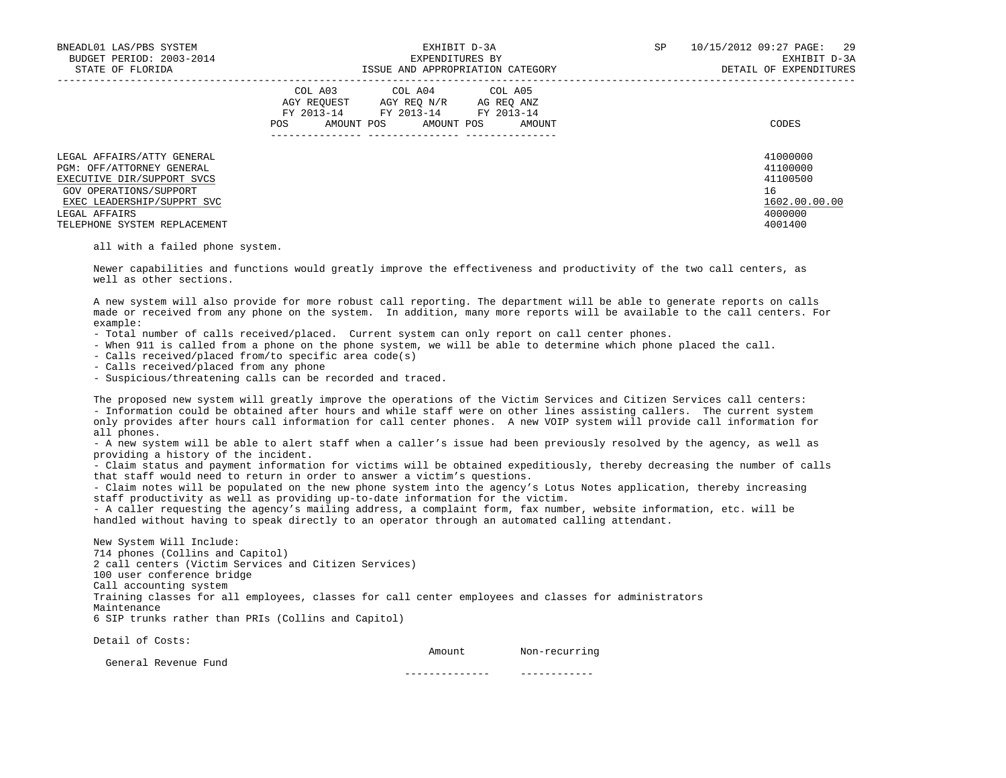| BNEADL01 LAS/PBS SYSTEM<br>BUDGET PERIOD: 2003-2014<br>STATE OF FLORIDA                                                                                        | EXHIBIT D-3A<br>EXPENDITURES BY<br>ISSUE AND APPROPRIATION CATEGORY                                                                                     | 10/15/2012 09:27 PAGE:<br>29<br>SP<br>EXHIBIT D-3A<br>DETAIL OF EXPENDITURES |
|----------------------------------------------------------------------------------------------------------------------------------------------------------------|---------------------------------------------------------------------------------------------------------------------------------------------------------|------------------------------------------------------------------------------|
|                                                                                                                                                                | COL A03 COL A04 COL A05<br>AGY REOUEST<br>AGY REO N/R<br>AG REO ANZ<br>FY 2013-14 FY 2013-14<br>FY 2013-14<br>AMOUNT POS<br>AMOUNT POS<br>POS<br>AMOUNT | CODES                                                                        |
| LEGAL AFFAIRS/ATTY GENERAL<br>PGM: OFF/ATTORNEY GENERAL<br>EXECUTIVE DIR/SUPPORT SVCS<br>GOV OPERATIONS/SUPPORT<br>EXEC LEADERSHIP/SUPPRT SVC<br>LEGAL AFFAIRS |                                                                                                                                                         | 41000000<br>41100000<br>41100500<br>16<br>1602.00.00.00<br>4000000           |
| TELEPHONE SYSTEM REPLACEMENT                                                                                                                                   |                                                                                                                                                         | 4001400                                                                      |

all with a failed phone system.

 Newer capabilities and functions would greatly improve the effectiveness and productivity of the two call centers, as well as other sections.

 A new system will also provide for more robust call reporting. The department will be able to generate reports on calls made or received from any phone on the system. In addition, many more reports will be available to the call centers. For example:

- Total number of calls received/placed. Current system can only report on call center phones.
- When 911 is called from a phone on the phone system, we will be able to determine which phone placed the call.
- Calls received/placed from/to specific area code(s)
- Calls received/placed from any phone
- Suspicious/threatening calls can be recorded and traced.

 The proposed new system will greatly improve the operations of the Victim Services and Citizen Services call centers: - Information could be obtained after hours and while staff were on other lines assisting callers. The current system only provides after hours call information for call center phones. A new VOIP system will provide call information for all phones.

 - A new system will be able to alert staff when a caller's issue had been previously resolved by the agency, as well as providing a history of the incident.

 - Claim status and payment information for victims will be obtained expeditiously, thereby decreasing the number of calls that staff would need to return in order to answer a victim's questions.

 - Claim notes will be populated on the new phone system into the agency's Lotus Notes application, thereby increasing staff productivity as well as providing up-to-date information for the victim.

 - A caller requesting the agency's mailing address, a complaint form, fax number, website information, etc. will be handled without having to speak directly to an operator through an automated calling attendant.

 New System Will Include: 714 phones (Collins and Capitol) 2 call centers (Victim Services and Citizen Services) 100 user conference bridge Call accounting system Training classes for all employees, classes for call center employees and classes for administrators Maintenance 6 SIP trunks rather than PRIs (Collins and Capitol)

Detail of Costs:

Amount Non-recurring

General Revenue Fund

-------------- ------------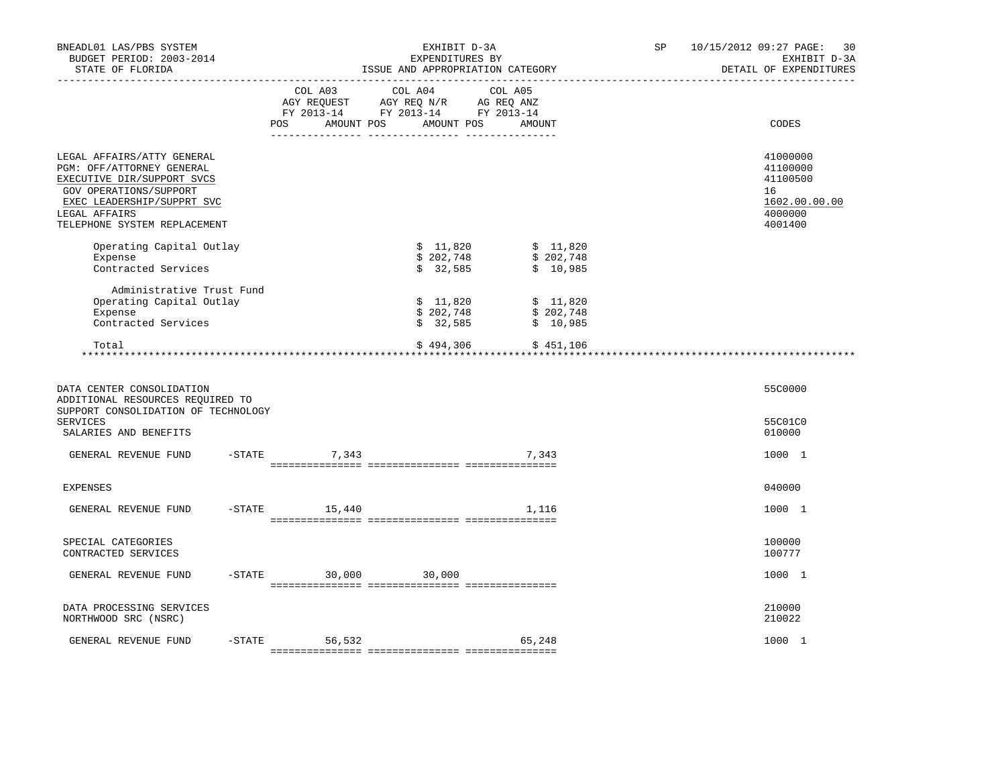| BNEADL01 LAS/PBS SYSTEM<br>BUDGET PERIOD: 2003-2014<br>STATE OF FLORIDA                                                                                                                        |          | ______________________________ | EXHIBIT D-3A<br>EXPENDITURES BY<br>ISSUE AND APPROPRIATION CATEGORY                                                                                                                            |                                                                                                                                                    | SP 10/15/2012 09:27 PAGE: 30<br>EXHIBIT D-3A<br>DETAIL OF EXPENDITURES        |
|------------------------------------------------------------------------------------------------------------------------------------------------------------------------------------------------|----------|--------------------------------|------------------------------------------------------------------------------------------------------------------------------------------------------------------------------------------------|----------------------------------------------------------------------------------------------------------------------------------------------------|-------------------------------------------------------------------------------|
|                                                                                                                                                                                                |          |                                | $\begin{tabular}{lcccc} COL A03 & COL A04 & COL A05 \\ AGY REQUEST & AGY REQ N/R & AG REQ ANZ \\ FY & 2013-14 & FY & 2013-14 & FY & 2013-14 \end{tabular}$<br>POS AMOUNT POS AMOUNT POS AMOUNT |                                                                                                                                                    | CODES                                                                         |
| LEGAL AFFAIRS/ATTY GENERAL<br>PGM: OFF/ATTORNEY GENERAL<br>EXECUTIVE DIR/SUPPORT SVCS<br>GOV OPERATIONS/SUPPORT<br>EXEC LEADERSHIP/SUPPRT SVC<br>LEGAL AFFAIRS<br>TELEPHONE SYSTEM REPLACEMENT |          |                                |                                                                                                                                                                                                |                                                                                                                                                    | 41000000<br>41100000<br>41100500<br>16<br>1602.00.00.00<br>4000000<br>4001400 |
| Operating Capital Outlay<br>Expense<br>Contracted Services                                                                                                                                     |          |                                |                                                                                                                                                                                                | $\begin{array}{ccccccc}\n & -1.620 & & & 5 & 11.820 \\ \text{\$} & 202.748 & & & 5 & 202.748 \\ \text{\$} & 32.585 & & & 5 & 10 & 00\n\end{array}$ |                                                                               |
| Administrative Trust Fund<br>Operating Capital Outlay<br>Expense<br>Contracted Services                                                                                                        |          |                                | \$202,748                                                                                                                                                                                      | $$11,820$ $$11,820$<br>\$202,748<br>$\frac{1}{5}$ 32,585 $\frac{1}{5}$ 10,985                                                                      |                                                                               |
| Total                                                                                                                                                                                          |          |                                |                                                                                                                                                                                                | $$494,306$ $$451,106$                                                                                                                              |                                                                               |
| DATA CENTER CONSOLIDATION<br>ADDITIONAL RESOURCES REQUIRED TO<br>SUPPORT CONSOLIDATION OF TECHNOLOGY<br>SERVICES                                                                               |          |                                |                                                                                                                                                                                                |                                                                                                                                                    | 55C0000<br>55C01C0                                                            |
| SALARIES AND BENEFITS<br>GENERAL REVENUE FUND                                                                                                                                                  |          | $-STATE$ 7,343                 |                                                                                                                                                                                                | 7,343                                                                                                                                              | 010000<br>1000 1                                                              |
| <b>EXPENSES</b>                                                                                                                                                                                |          |                                |                                                                                                                                                                                                |                                                                                                                                                    | 040000                                                                        |
| GENERAL REVENUE FUND                                                                                                                                                                           | $-STATE$ | 15,440                         |                                                                                                                                                                                                | 1,116                                                                                                                                              | 1000 1                                                                        |
| SPECIAL CATEGORIES<br>CONTRACTED SERVICES                                                                                                                                                      |          |                                |                                                                                                                                                                                                |                                                                                                                                                    | 100000<br>100777                                                              |
| GENERAL REVENUE FUND                                                                                                                                                                           |          |                                | $-STATE$ 30,000 30,000                                                                                                                                                                         |                                                                                                                                                    | 1000 1                                                                        |
| DATA PROCESSING SERVICES<br>NORTHWOOD SRC (NSRC)                                                                                                                                               |          |                                |                                                                                                                                                                                                |                                                                                                                                                    | 210000<br>210022                                                              |
| GENERAL REVENUE FUND                                                                                                                                                                           |          | $-$ STATE 56,532               |                                                                                                                                                                                                | 65,248                                                                                                                                             | 1000 1                                                                        |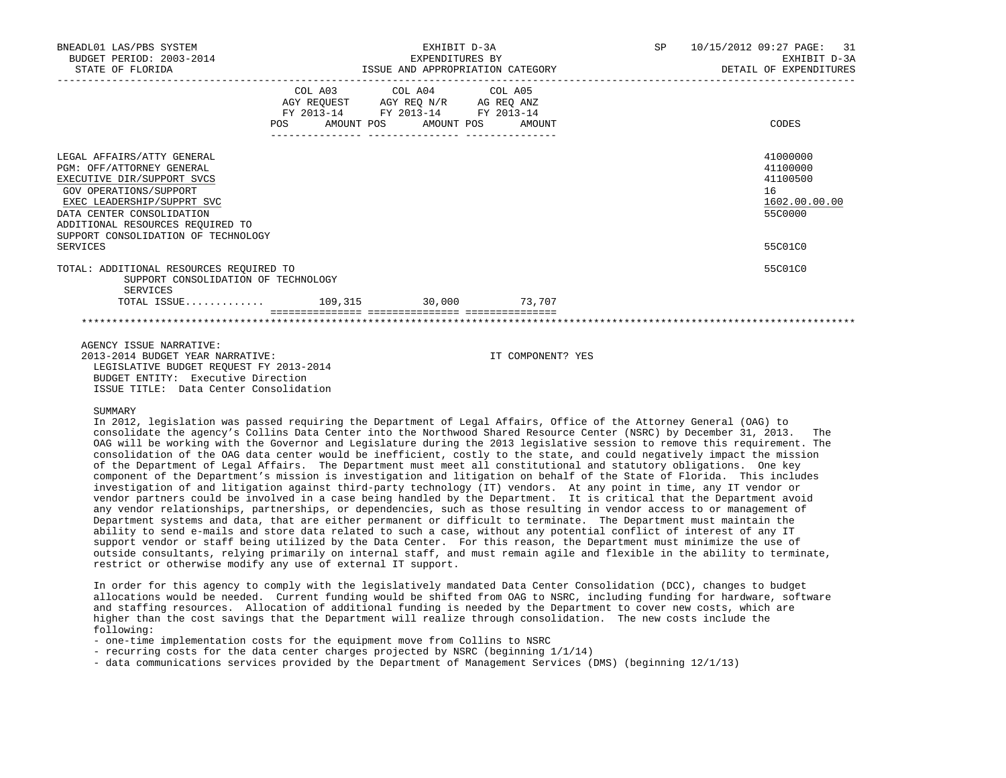| BNEADL01 LAS/PBS SYSTEM<br>BUDGET PERIOD: 2003-2014<br>STATE OF FLORIDA                                                                                                                                                                                           | EXHIBIT D-3A<br>EXPENDITURES BY<br>ISSUE AND APPROPRIATION CATEGORY                                        |                         |  | SP 10/15/2012 09:27 PAGE: 31<br>EXHIBIT D-3A<br>DETAIL OF EXPENDITURES        |
|-------------------------------------------------------------------------------------------------------------------------------------------------------------------------------------------------------------------------------------------------------------------|------------------------------------------------------------------------------------------------------------|-------------------------|--|-------------------------------------------------------------------------------|
|                                                                                                                                                                                                                                                                   | AGY REQUEST AGY REQ N/R AG REQ ANZ<br>FY 2013-14 FY 2013-14 FY 2013-14<br>POS AMOUNT POS AMOUNT POS AMOUNT | COL A03 COL A04 COL A05 |  | CODES                                                                         |
| LEGAL AFFAIRS/ATTY GENERAL<br>PGM: OFF/ATTORNEY GENERAL<br>EXECUTIVE DIR/SUPPORT SVCS<br>GOV OPERATIONS/SUPPORT<br>EXEC LEADERSHIP/SUPPRT SVC<br>DATA CENTER CONSOLIDATION<br>ADDITIONAL RESOURCES REOUIRED TO<br>SUPPORT CONSOLIDATION OF TECHNOLOGY<br>SERVICES |                                                                                                            |                         |  | 41000000<br>41100000<br>41100500<br>16<br>1602.00.00.00<br>55C0000<br>55C01C0 |
| TOTAL: ADDITIONAL RESOURCES REOUIRED TO<br>SUPPORT CONSOLIDATION OF TECHNOLOGY<br>SERVICES<br>TOTAL ISSUE 109,315 30,000 73,707                                                                                                                                   |                                                                                                            |                         |  | 55C01C0                                                                       |
| AGENCY ISSUE NARRATIVE:                                                                                                                                                                                                                                           |                                                                                                            |                         |  |                                                                               |

 2013-2014 BUDGET YEAR NARRATIVE: IT COMPONENT? YES LEGISLATIVE BUDGET REQUEST FY 2013-2014 BUDGET ENTITY: Executive Direction ISSUE TITLE: Data Center Consolidation

### SUMMARY

 In 2012, legislation was passed requiring the Department of Legal Affairs, Office of the Attorney General (OAG) to consolidate the agency's Collins Data Center into the Northwood Shared Resource Center (NSRC) by December 31, 2013. The OAG will be working with the Governor and Legislature during the 2013 legislative session to remove this requirement. The consolidation of the OAG data center would be inefficient, costly to the state, and could negatively impact the mission of the Department of Legal Affairs. The Department must meet all constitutional and statutory obligations. One key component of the Department's mission is investigation and litigation on behalf of the State of Florida. This includes investigation of and litigation against third-party technology (IT) vendors. At any point in time, any IT vendor or vendor partners could be involved in a case being handled by the Department. It is critical that the Department avoid any vendor relationships, partnerships, or dependencies, such as those resulting in vendor access to or management of Department systems and data, that are either permanent or difficult to terminate. The Department must maintain the ability to send e-mails and store data related to such a case, without any potential conflict of interest of any IT support vendor or staff being utilized by the Data Center. For this reason, the Department must minimize the use of outside consultants, relying primarily on internal staff, and must remain agile and flexible in the ability to terminate, restrict or otherwise modify any use of external IT support.

 In order for this agency to comply with the legislatively mandated Data Center Consolidation (DCC), changes to budget allocations would be needed. Current funding would be shifted from OAG to NSRC, including funding for hardware, software and staffing resources. Allocation of additional funding is needed by the Department to cover new costs, which are higher than the cost savings that the Department will realize through consolidation. The new costs include the following:

- one-time implementation costs for the equipment move from Collins to NSRC
- recurring costs for the data center charges projected by NSRC (beginning 1/1/14)
- data communications services provided by the Department of Management Services (DMS) (beginning 12/1/13)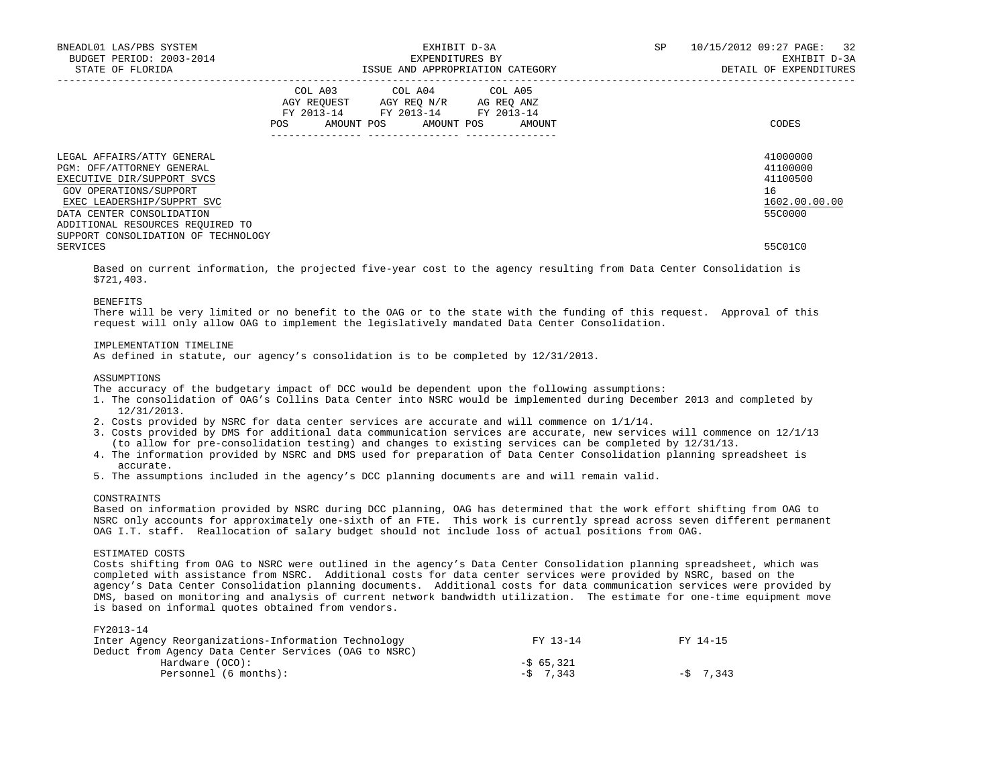| BNEADL01 LAS/PBS SYSTEM<br>BUDGET PERIOD: 2003-2014<br>STATE OF FLORIDA                                                                                                                                                                               | EXHIBIT D-3A<br>EXPENDITURES BY<br>ISSUE AND APPROPRIATION CATEGORY                                                                                             | 10/15/2012 09:27 PAGE: 32<br><b>SP</b><br>EXHIBIT D-3A<br>DETAIL OF EXPENDITURES |
|-------------------------------------------------------------------------------------------------------------------------------------------------------------------------------------------------------------------------------------------------------|-----------------------------------------------------------------------------------------------------------------------------------------------------------------|----------------------------------------------------------------------------------|
|                                                                                                                                                                                                                                                       | COL A03 COL A04 COL A05<br>AGY REOUEST AGY REO N/R AG REO ANZ<br>FY 2013-14 FY 2013-14 FY 2013-14<br>AMOUNT POS AMOUNT POS<br>POS<br>AMOUNT<br>________________ | CODES                                                                            |
| LEGAL AFFAIRS/ATTY GENERAL<br>PGM: OFF/ATTORNEY GENERAL<br>EXECUTIVE DIR/SUPPORT SVCS<br>GOV OPERATIONS/SUPPORT<br>EXEC LEADERSHIP/SUPPRT SVC<br>DATA CENTER CONSOLIDATION<br>ADDITIONAL RESOURCES REQUIRED TO<br>SUPPORT CONSOLIDATION OF TECHNOLOGY |                                                                                                                                                                 | 41000000<br>41100000<br>41100500<br>16<br>1602.00.00.00<br>55C0000               |
| SERVICES                                                                                                                                                                                                                                              |                                                                                                                                                                 | 55C01C0                                                                          |

 Based on current information, the projected five-year cost to the agency resulting from Data Center Consolidation is \$721,403.

#### BENEFITS

 There will be very limited or no benefit to the OAG or to the state with the funding of this request. Approval of this request will only allow OAG to implement the legislatively mandated Data Center Consolidation.

## IMPLEMENTATION TIMELINE

As defined in statute, our agency's consolidation is to be completed by 12/31/2013.

## ASSUMPTIONS

The accuracy of the budgetary impact of DCC would be dependent upon the following assumptions:

- 1. The consolidation of OAG's Collins Data Center into NSRC would be implemented during December 2013 and completed by 12/31/2013.
- 2. Costs provided by NSRC for data center services are accurate and will commence on 1/1/14.
- 3. Costs provided by DMS for additional data communication services are accurate, new services will commence on 12/1/13 (to allow for pre-consolidation testing) and changes to existing services can be completed by 12/31/13.
- 4. The information provided by NSRC and DMS used for preparation of Data Center Consolidation planning spreadsheet is accurate.
- 5. The assumptions included in the agency's DCC planning documents are and will remain valid.

### CONSTRATIVE

 Based on information provided by NSRC during DCC planning, OAG has determined that the work effort shifting from OAG to NSRC only accounts for approximately one-sixth of an FTE. This work is currently spread across seven different permanent OAG I.T. staff. Reallocation of salary budget should not include loss of actual positions from OAG.

# ESTIMATED COSTS

 Costs shifting from OAG to NSRC were outlined in the agency's Data Center Consolidation planning spreadsheet, which was completed with assistance from NSRC. Additional costs for data center services were provided by NSRC, based on the agency's Data Center Consolidation planning documents. Additional costs for data communication services were provided by DMS, based on monitoring and analysis of current network bandwidth utilization. The estimate for one-time equipment move is based on informal quotes obtained from vendors.

#### FY2013-14

| Inter Agency Reorganizations-Information Technology   | FY 13-14   | FY 14-15   |
|-------------------------------------------------------|------------|------------|
| Deduct from Agency Data Center Services (OAG to NSRC) |            |            |
| Hardware (OCO):                                       | $-565.321$ |            |
| Personnel (6 months):                                 | $-5$ 7.343 | $-5$ 7.343 |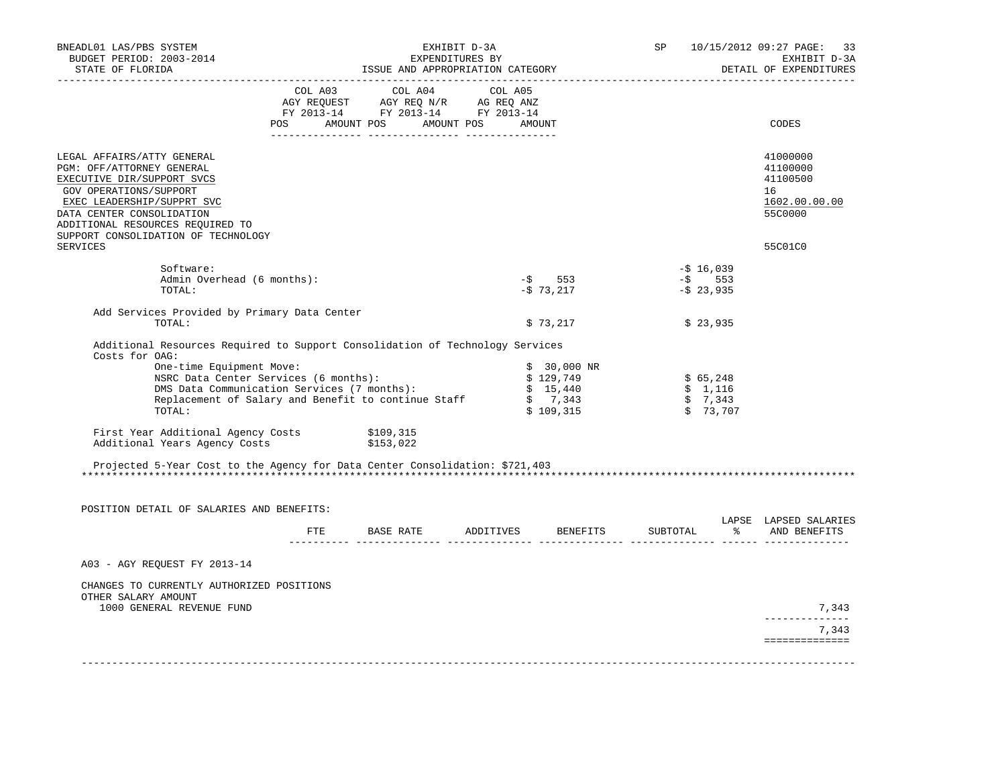| BNEADL01 LAS/PBS SYSTEM<br>BUDGET PERIOD: 2003-2014<br>STATE OF FLORIDA                                                                                                                                                                                                                                                                                               |              |                                                                                                                                                                                                | EXHIBIT D-3A<br>EXPENDITURES BY | ISSUE AND APPROPRIATION CATEGORY                              | SP       |                                            | 10/15/2012 09:27 PAGE:<br>33<br>EXHIBIT D-3A<br>DETAIL OF EXPENDITURES |
|-----------------------------------------------------------------------------------------------------------------------------------------------------------------------------------------------------------------------------------------------------------------------------------------------------------------------------------------------------------------------|--------------|------------------------------------------------------------------------------------------------------------------------------------------------------------------------------------------------|---------------------------------|---------------------------------------------------------------|----------|--------------------------------------------|------------------------------------------------------------------------|
|                                                                                                                                                                                                                                                                                                                                                                       |              | $\begin{tabular}{lcccc} COL A03 & COL A04 & COL A05 \\ AGY REQUEST & AGY REQ N/R & AG REQ ANZ \\ FY & 2013-14 & FY & 2013-14 & FY & 2013-14 \end{tabular}$<br>POS AMOUNT POS AMOUNT POS AMOUNT |                                 |                                                               |          |                                            | CODES                                                                  |
|                                                                                                                                                                                                                                                                                                                                                                       |              |                                                                                                                                                                                                |                                 |                                                               |          |                                            |                                                                        |
| LEGAL AFFAIRS/ATTY GENERAL<br>PGM: OFF/ATTORNEY GENERAL<br>EXECUTIVE DIR/SUPPORT SVCS<br>GOV OPERATIONS/SUPPORT<br>EXEC LEADERSHIP/SUPPRT SVC<br>DATA CENTER CONSOLIDATION<br>ADDITIONAL RESOURCES REQUIRED TO<br>SUPPORT CONSOLIDATION OF TECHNOLOGY                                                                                                                 |              |                                                                                                                                                                                                |                                 |                                                               |          |                                            | 41000000<br>41100000<br>41100500<br>16<br>1602.00.00.00<br>55C0000     |
| <b>SERVICES</b>                                                                                                                                                                                                                                                                                                                                                       |              |                                                                                                                                                                                                |                                 |                                                               |          |                                            | 55C01C0                                                                |
| Software:<br>Admin Overhead (6 months):<br>TOTAL:                                                                                                                                                                                                                                                                                                                     |              |                                                                                                                                                                                                |                                 | $-$ \$ 553<br>$-573,217$                                      |          | $-5$ 16,039<br>$-$ \$ 553<br>$-5$ 23,935   |                                                                        |
| Add Services Provided by Primary Data Center<br>TOTAL:                                                                                                                                                                                                                                                                                                                |              |                                                                                                                                                                                                |                                 | \$73,217                                                      |          | \$23,935                                   |                                                                        |
| Additional Resources Required to Support Consolidation of Technology Services<br>Costs for OAG:<br>One-time Equipment Move:<br>NSRC Data Center Services (6 months):<br>DMS Data Communication Services (7 months):<br>Replacement of Salary and Benefit to continue Staff<br>TOTAL:<br>First Year Additional Agency Costs \$109,315<br>Additional Years Agency Costs |              | \$153,022                                                                                                                                                                                      |                                 | $$30,000$ NR<br>\$129,749<br>\$15,440<br>\$7,343<br>\$109,315 |          | \$65,248<br>\$1,116<br>\$7,343<br>\$73,707 |                                                                        |
| Projected 5-Year Cost to the Agency for Data Center Consolidation: \$721,403                                                                                                                                                                                                                                                                                          |              |                                                                                                                                                                                                |                                 |                                                               |          |                                            |                                                                        |
| POSITION DETAIL OF SALARIES AND BENEFITS:                                                                                                                                                                                                                                                                                                                             | FTE <b>F</b> |                                                                                                                                                                                                |                                 | BASE RATE ADDITIVES BENEFITS                                  | SUBTOTAL | °                                          | LAPSE LAPSED SALARIES<br>AND BENEFITS                                  |
| A03 - AGY REQUEST FY 2013-14                                                                                                                                                                                                                                                                                                                                          |              |                                                                                                                                                                                                |                                 |                                                               |          |                                            |                                                                        |
|                                                                                                                                                                                                                                                                                                                                                                       |              |                                                                                                                                                                                                |                                 |                                                               |          |                                            |                                                                        |
| CHANGES TO CURRENTLY AUTHORIZED POSITIONS<br>OTHER SALARY AMOUNT<br>1000 GENERAL REVENUE FUND                                                                                                                                                                                                                                                                         |              |                                                                                                                                                                                                |                                 |                                                               |          |                                            | 7,343<br>-------------<br>7,343<br>==============                      |
|                                                                                                                                                                                                                                                                                                                                                                       |              |                                                                                                                                                                                                |                                 |                                                               |          |                                            |                                                                        |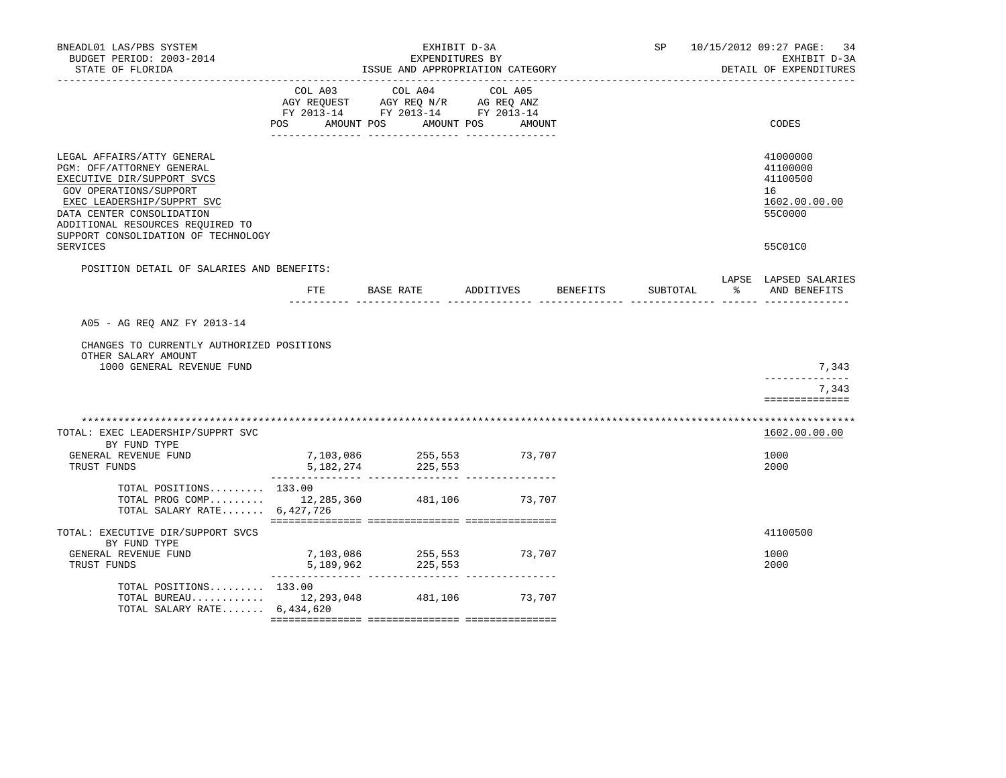| BNEADL01 LAS/PBS SYSTEM<br>BUDGET PERIOD: 2003-2014<br>STATE OF FLORIDA                                                                                                                                                                               |            | EXHIBIT D-3A<br>EXPENDITURES BY<br>ISSUE AND APPROPRIATION CATEGORY                                             |                      |          | SP 10/15/2012 09:27 PAGE: 34<br>EXHIBIT D-3A<br>DETAIL OF EXPENDITURES |
|-------------------------------------------------------------------------------------------------------------------------------------------------------------------------------------------------------------------------------------------------------|------------|-----------------------------------------------------------------------------------------------------------------|----------------------|----------|------------------------------------------------------------------------|
| -------------------                                                                                                                                                                                                                                   | <b>POS</b> | COL A03 COL A04 COL A05<br>AGY REQUEST AGY REQ N/R AG REQ ANZ<br>FY 2013-14 FY 2013-14 FY 2013-14<br>AMOUNT POS | AMOUNT POS<br>AMOUNT |          | CODES                                                                  |
| LEGAL AFFAIRS/ATTY GENERAL<br>PGM: OFF/ATTORNEY GENERAL<br>EXECUTIVE DIR/SUPPORT SVCS<br>GOV OPERATIONS/SUPPORT<br>EXEC LEADERSHIP/SUPPRT SVC<br>DATA CENTER CONSOLIDATION<br>ADDITIONAL RESOURCES REQUIRED TO<br>SUPPORT CONSOLIDATION OF TECHNOLOGY |            |                                                                                                                 |                      |          | 41000000<br>41100000<br>41100500<br>16<br>1602.00.00.00<br>55C0000     |
| SERVICES                                                                                                                                                                                                                                              |            |                                                                                                                 |                      |          | 55C01C0                                                                |
| POSITION DETAIL OF SALARIES AND BENEFITS:                                                                                                                                                                                                             | FTE        | BASE RATE ADDITIVES BENEFITS                                                                                    |                      | SUBTOTAL | LAPSE LAPSED SALARIES<br>% AND BENEFITS                                |
| A05 - AG REO ANZ FY 2013-14<br>CHANGES TO CURRENTLY AUTHORIZED POSITIONS<br>OTHER SALARY AMOUNT<br>1000 GENERAL REVENUE FUND                                                                                                                          |            |                                                                                                                 |                      |          | 7,343<br>-------------                                                 |
|                                                                                                                                                                                                                                                       |            |                                                                                                                 |                      |          | 7,343<br>==============                                                |
| TOTAL: EXEC LEADERSHIP/SUPPRT SVC<br>BY FUND TYPE<br>GENERAL REVENUE FUND<br>TRUST FUNDS                                                                                                                                                              | 5,182,274  | 7,103,086 255,553 73,707<br>225,553                                                                             |                      |          | 1602.00.00.00<br>1000<br>2000                                          |
| TOTAL POSITIONS 133.00<br>TOTAL PROG COMP 12,285,360 481,106 73,707<br>TOTAL SALARY RATE $6,427,726$                                                                                                                                                  |            |                                                                                                                 |                      |          |                                                                        |
| TOTAL: EXECUTIVE DIR/SUPPORT SVCS<br>BY FUND TYPE<br>GENERAL REVENUE FUND<br>TRUST FUNDS                                                                                                                                                              | 5,189,962  | 225,553                                                                                                         | 73,707               |          | 41100500<br>1000<br>2000                                               |
| TOTAL POSITIONS $133.00$<br>TOTAL BUREAU 12, 293, 048 481, 106 73, 707<br>TOTAL SALARY RATE $6.434.620$                                                                                                                                               |            |                                                                                                                 |                      |          |                                                                        |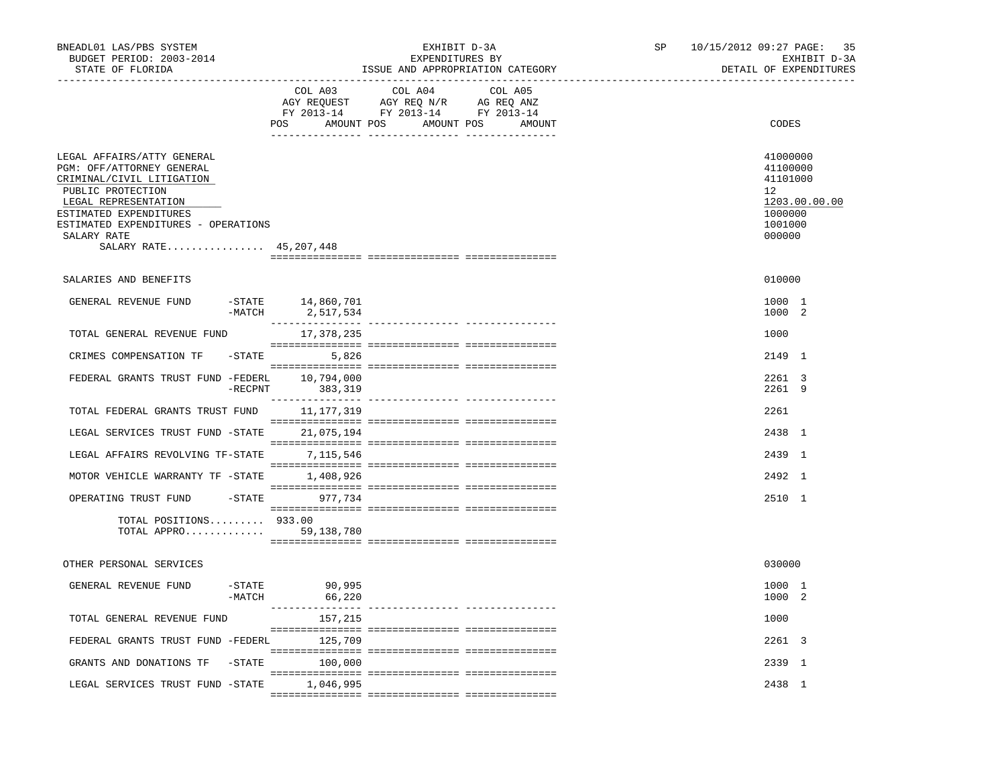| BNEADL01 LAS/PBS SYSTEM<br>BUDGET PERIOD: 2003-2014<br>STATE OF FLORIDA                                                                                                                                                                     |                    | __________________________________  | EXHIBIT D-3A<br>EXPENDITURES BY                                                                                | ISSUE AND APPROPRIATION CATEGORY | SP | 10/15/2012 09:27 PAGE: 35<br>DETAIL OF EXPENDITURES                    | EXHIBIT D-3A  |
|---------------------------------------------------------------------------------------------------------------------------------------------------------------------------------------------------------------------------------------------|--------------------|-------------------------------------|----------------------------------------------------------------------------------------------------------------|----------------------------------|----|------------------------------------------------------------------------|---------------|
|                                                                                                                                                                                                                                             |                    | COL A03                             | COL A04<br>AGY REQUEST AGY REQ N/R AG REQ ANZ<br>FY 2013-14 FY 2013-14 FY 2013-14<br>POS AMOUNT POS AMOUNT POS | COL A05<br>AMOUNT                |    | CODES                                                                  |               |
| LEGAL AFFAIRS/ATTY GENERAL<br>PGM: OFF/ATTORNEY GENERAL<br>CRIMINAL/CIVIL LITIGATION<br>PUBLIC PROTECTION<br>LEGAL REPRESENTATION<br>ESTIMATED EXPENDITURES<br>ESTIMATED EXPENDITURES - OPERATIONS<br>SALARY RATE<br>SALARY RATE 45,207,448 |                    |                                     |                                                                                                                |                                  |    | 41000000<br>41100000<br>41101000<br>12<br>1000000<br>1001000<br>000000 | 1203.00.00.00 |
| SALARIES AND BENEFITS                                                                                                                                                                                                                       |                    |                                     |                                                                                                                |                                  |    | 010000                                                                 |               |
| GENERAL REVENUE FUND                                                                                                                                                                                                                        | $-MATCH$           | $-$ STATE $14,860,701$<br>2,517,534 |                                                                                                                |                                  |    | 1000 1<br>1000 2                                                       |               |
| TOTAL GENERAL REVENUE FUND                                                                                                                                                                                                                  |                    | 17,378,235                          |                                                                                                                |                                  |    | 1000                                                                   |               |
| CRIMES COMPENSATION TF                                                                                                                                                                                                                      |                    | $-STATE$ 5,826                      |                                                                                                                |                                  |    | 2149 1                                                                 |               |
| FEDERAL GRANTS TRUST FUND -FEDERL 10,794,000                                                                                                                                                                                                | $-$ RECPNT         | 383,319                             |                                                                                                                |                                  |    | 2261 3<br>2261 9                                                       |               |
| TOTAL FEDERAL GRANTS TRUST FUND 11,177,319                                                                                                                                                                                                  |                    |                                     |                                                                                                                |                                  |    | 2261                                                                   |               |
| LEGAL SERVICES TRUST FUND -STATE 21,075,194                                                                                                                                                                                                 |                    |                                     |                                                                                                                |                                  |    | 2438 1                                                                 |               |
| LEGAL AFFAIRS REVOLVING TF-STATE 7,115,546                                                                                                                                                                                                  |                    |                                     |                                                                                                                |                                  |    | 2439 1                                                                 |               |
| MOTOR VEHICLE WARRANTY TF -STATE 1.408.926                                                                                                                                                                                                  |                    |                                     |                                                                                                                |                                  |    | $2492 \quad 1$                                                         |               |
| OPERATING TRUST FUND                                                                                                                                                                                                                        |                    | $-$ STATE 977,734                   |                                                                                                                |                                  |    | 2510 1                                                                 |               |
| TOTAL POSITIONS $933.00$<br>TOTAL APPRO                                                                                                                                                                                                     |                    | 59,138,780                          |                                                                                                                |                                  |    |                                                                        |               |
| OTHER PERSONAL SERVICES                                                                                                                                                                                                                     |                    |                                     |                                                                                                                |                                  |    | 030000                                                                 |               |
| GENERAL REVENUE FUND                                                                                                                                                                                                                        | -STATE<br>$-MATCH$ | 90,995<br>66,220                    |                                                                                                                |                                  |    | 1000 1<br>1000 2                                                       |               |
| TOTAL GENERAL REVENUE FUND                                                                                                                                                                                                                  |                    | 157,215                             |                                                                                                                |                                  |    | 1000                                                                   |               |
| FEDERAL GRANTS TRUST FUND -FEDERL 125,709                                                                                                                                                                                                   |                    |                                     |                                                                                                                |                                  |    | 2261 3                                                                 |               |
| GRANTS AND DONATIONS TF                                                                                                                                                                                                                     |                    | $-STATE$ 100,000                    |                                                                                                                |                                  |    | 2339 1                                                                 |               |
| LEGAL SERVICES TRUST FUND -STATE 1,046,995                                                                                                                                                                                                  |                    |                                     |                                                                                                                |                                  |    | 2438 1                                                                 |               |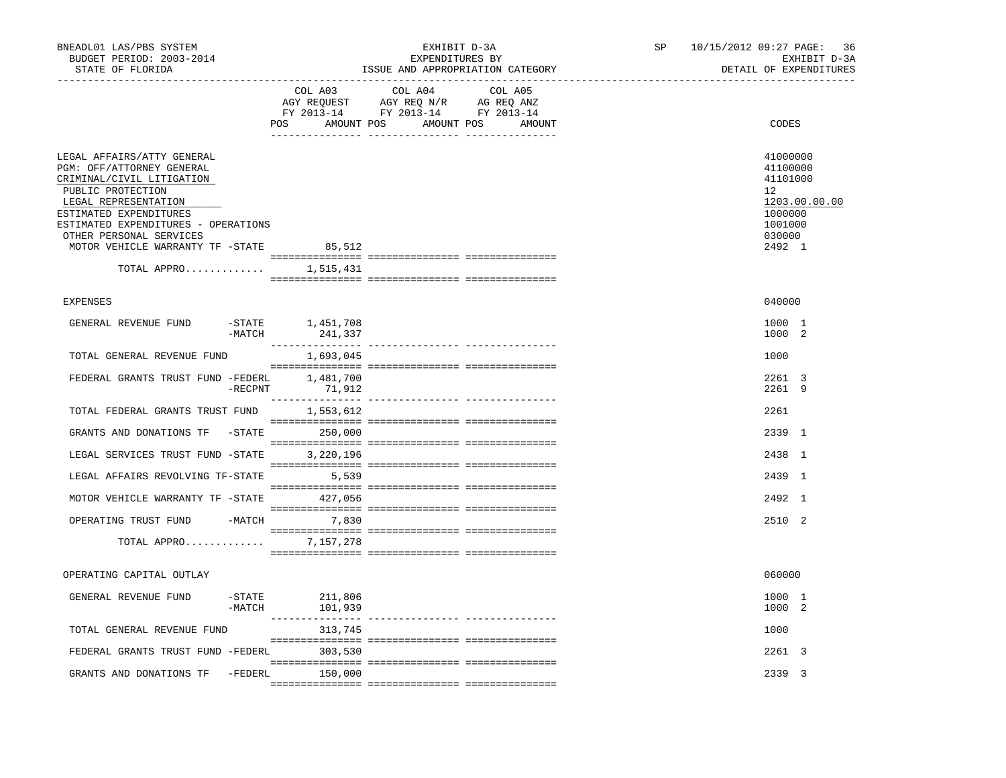| BNEADL01 LAS/PBS SYSTEM<br>BUDGET PERIOD: 2003-2014<br>STATE OF FLORIDA                                                                                                                                                                                                                      |                    |                                    | EXHIBIT D-3A<br>EXPENDITURES BY                                                                                               | ISSUE AND APPROPRIATION CATEGORY | SP | 10/15/2012 09:27 PAGE: 36<br>EXHIBIT D-3A<br>DETAIL OF EXPENDITURES                                            |
|----------------------------------------------------------------------------------------------------------------------------------------------------------------------------------------------------------------------------------------------------------------------------------------------|--------------------|------------------------------------|-------------------------------------------------------------------------------------------------------------------------------|----------------------------------|----|----------------------------------------------------------------------------------------------------------------|
|                                                                                                                                                                                                                                                                                              |                    | COL A03                            | COL A04 COL A05<br>AGY REQUEST AGY REQ N/R AG REQ ANZ<br>FY 2013-14 FY 2013-14 FY 2013-14<br>POS AMOUNT POS AMOUNT POS AMOUNT |                                  |    | <b>CODES</b>                                                                                                   |
| LEGAL AFFAIRS/ATTY GENERAL<br>PGM: OFF/ATTORNEY GENERAL<br>CRIMINAL/CIVIL LITIGATION<br>PUBLIC PROTECTION<br>LEGAL REPRESENTATION<br>ESTIMATED EXPENDITURES<br>ESTIMATED EXPENDITURES - OPERATIONS<br>OTHER PERSONAL SERVICES<br>MOTOR VEHICLE WARRANTY TF -STATE<br>TOTAL APPRO $1,515,431$ |                    | 85,512                             |                                                                                                                               |                                  |    | 41000000<br>41100000<br>41101000<br>12 <sup>°</sup><br>1203.00.00.00<br>1000000<br>1001000<br>030000<br>2492 1 |
| <b>EXPENSES</b>                                                                                                                                                                                                                                                                              |                    |                                    |                                                                                                                               |                                  |    | 040000                                                                                                         |
| GENERAL REVENUE FUND                                                                                                                                                                                                                                                                         | $-MATCH$           | $-$ STATE $1, 451, 708$<br>241,337 |                                                                                                                               |                                  |    | 1000 1<br>1000 2                                                                                               |
| TOTAL GENERAL REVENUE FUND                                                                                                                                                                                                                                                                   |                    | 1,693,045                          |                                                                                                                               |                                  |    | 1000                                                                                                           |
| FEDERAL GRANTS TRUST FUND -FEDERL                                                                                                                                                                                                                                                            | $-$ RECPNT         | 1,481,700<br>71,912                |                                                                                                                               |                                  |    | 2261 3<br>2261 9                                                                                               |
| TOTAL FEDERAL GRANTS TRUST FUND 1,553,612                                                                                                                                                                                                                                                    |                    |                                    |                                                                                                                               |                                  |    | 2261                                                                                                           |
| GRANTS AND DONATIONS TF -STATE 250,000                                                                                                                                                                                                                                                       |                    |                                    |                                                                                                                               |                                  |    | 2339 1                                                                                                         |
| LEGAL SERVICES TRUST FUND -STATE 3,220,196                                                                                                                                                                                                                                                   |                    |                                    |                                                                                                                               |                                  |    | 2438 1                                                                                                         |
| LEGAL AFFAIRS REVOLVING TF-STATE                                                                                                                                                                                                                                                             |                    | 5,539                              |                                                                                                                               |                                  |    | 2439 1                                                                                                         |
| MOTOR VEHICLE WARRANTY TF -STATE 427,056                                                                                                                                                                                                                                                     |                    |                                    |                                                                                                                               |                                  |    | 2492 1                                                                                                         |
| OPERATING TRUST FUND -MATCH 7,830                                                                                                                                                                                                                                                            |                    |                                    |                                                                                                                               |                                  |    | 2510 2                                                                                                         |
| TOTAL APPRO                                                                                                                                                                                                                                                                                  |                    | 7,157,278                          |                                                                                                                               |                                  |    |                                                                                                                |
| OPERATING CAPITAL OUTLAY                                                                                                                                                                                                                                                                     |                    |                                    |                                                                                                                               |                                  |    | 060000                                                                                                         |
| GENERAL REVENUE FUND                                                                                                                                                                                                                                                                         | -STATE<br>$-MATCH$ | 211,806<br>101,939                 |                                                                                                                               |                                  |    | 1000 1<br>1000 2                                                                                               |
| TOTAL GENERAL REVENUE FUND                                                                                                                                                                                                                                                                   |                    | 313,745                            |                                                                                                                               |                                  |    | 1000                                                                                                           |
| FEDERAL GRANTS TRUST FUND -FEDERL 303,530                                                                                                                                                                                                                                                    |                    |                                    |                                                                                                                               |                                  |    | 2261 3                                                                                                         |
| GRANTS AND DONATIONS TF                                                                                                                                                                                                                                                                      | -FEDERL            | 150,000                            |                                                                                                                               |                                  |    | 2339 3                                                                                                         |
|                                                                                                                                                                                                                                                                                              |                    |                                    |                                                                                                                               |                                  |    |                                                                                                                |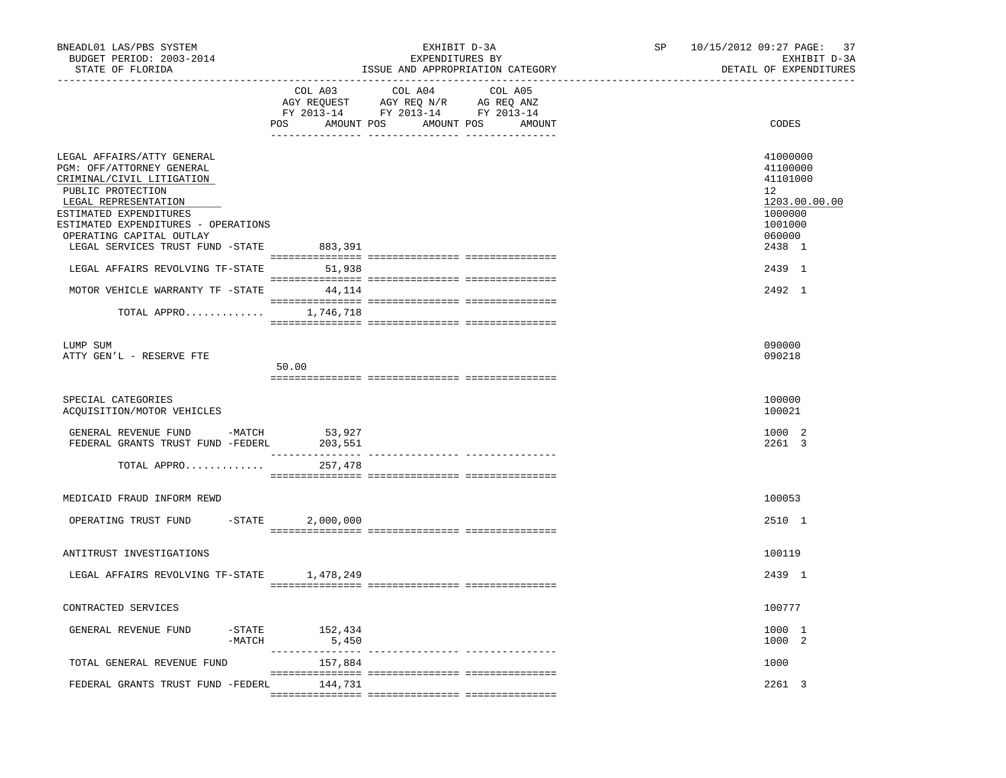| BNEADL01 LAS/PBS SYSTEM<br>BUDGET PERIOD: 2003-2014<br>STATE OF FLORIDA                                                                                                                                                                                                                                                                                                         | EXHIBIT D-3A<br>EXPENDITURES BY<br>ISSUE AND APPROPRIATION CATEGORY<br>________________________________                                                                                                                                                                   | 10/15/2012 09:27 PAGE:<br>37<br>SP<br>EXHIBIT D-3A<br>DETAIL OF EXPENDITURES                                                                 |
|---------------------------------------------------------------------------------------------------------------------------------------------------------------------------------------------------------------------------------------------------------------------------------------------------------------------------------------------------------------------------------|---------------------------------------------------------------------------------------------------------------------------------------------------------------------------------------------------------------------------------------------------------------------------|----------------------------------------------------------------------------------------------------------------------------------------------|
|                                                                                                                                                                                                                                                                                                                                                                                 | COL A03<br>COL A04<br>COL A05<br>$\begin{tabular}{lllllllll} \bf AGY & \bf REQUEST & \bf AGY & \bf REQ & \tt M/R & \tt AG & \tt REQ & \tt ANZ \\ \bf FY & \tt 2013-14 & \tt FY & \tt 2013-14 & \tt FY & \tt 2013-14 \\ \end{tabular}$<br>POS AMOUNT POS AMOUNT POS AMOUNT | CODES                                                                                                                                        |
| LEGAL AFFAIRS/ATTY GENERAL<br>PGM: OFF/ATTORNEY GENERAL<br>CRIMINAL/CIVIL LITIGATION<br>PUBLIC PROTECTION<br>LEGAL REPRESENTATION<br>ESTIMATED EXPENDITURES<br>ESTIMATED EXPENDITURES - OPERATIONS<br>OPERATING CAPITAL OUTLAY<br>LEGAL SERVICES TRUST FUND -STATE<br>LEGAL AFFAIRS REVOLVING TF-STATE<br>MOTOR VEHICLE WARRANTY TF -STATE<br>TOTAL APPRO 1,746,718<br>LUMP SUM | 883,391<br>51,938<br>44, 114                                                                                                                                                                                                                                              | 41000000<br>41100000<br>41101000<br>12 <sup>°</sup><br>1203.00.00.00<br>1000000<br>1001000<br>060000<br>2438 1<br>2439 1<br>2492 1<br>090000 |
| ATTY GEN'L - RESERVE FTE                                                                                                                                                                                                                                                                                                                                                        | 50.00                                                                                                                                                                                                                                                                     | 090218                                                                                                                                       |
| SPECIAL CATEGORIES<br>ACQUISITION/MOTOR VEHICLES                                                                                                                                                                                                                                                                                                                                |                                                                                                                                                                                                                                                                           | 100000<br>100021                                                                                                                             |
| GENERAL REVENUE FUND -MATCH<br>FEDERAL GRANTS TRUST FUND -FEDERL                                                                                                                                                                                                                                                                                                                | 53,927<br>203,551<br>---------------                                                                                                                                                                                                                                      | 1000 2<br>2261 3                                                                                                                             |
| TOTAL APPRO                                                                                                                                                                                                                                                                                                                                                                     | 257,478                                                                                                                                                                                                                                                                   |                                                                                                                                              |
| MEDICAID FRAUD INFORM REWD                                                                                                                                                                                                                                                                                                                                                      |                                                                                                                                                                                                                                                                           | 100053                                                                                                                                       |
| OPERATING TRUST FUND                                                                                                                                                                                                                                                                                                                                                            | $-STATE$ 2,000,000                                                                                                                                                                                                                                                        | 2510 1                                                                                                                                       |
| ANTITRUST INVESTIGATIONS                                                                                                                                                                                                                                                                                                                                                        |                                                                                                                                                                                                                                                                           | 100119                                                                                                                                       |
| LEGAL AFFAIRS REVOLVING TF-STATE 1,478,249                                                                                                                                                                                                                                                                                                                                      |                                                                                                                                                                                                                                                                           | 2439 1                                                                                                                                       |
| CONTRACTED SERVICES                                                                                                                                                                                                                                                                                                                                                             |                                                                                                                                                                                                                                                                           | 100777                                                                                                                                       |
| GENERAL REVENUE FUND<br>$-$ STATE<br>$-MATCH$                                                                                                                                                                                                                                                                                                                                   | 152,434<br>5,450                                                                                                                                                                                                                                                          | 1000 1<br>1000 2                                                                                                                             |
| TOTAL GENERAL REVENUE FUND                                                                                                                                                                                                                                                                                                                                                      | 157,884                                                                                                                                                                                                                                                                   | 1000                                                                                                                                         |
| FEDERAL GRANTS TRUST FUND -FEDERL                                                                                                                                                                                                                                                                                                                                               | 144,731                                                                                                                                                                                                                                                                   | 2261 3                                                                                                                                       |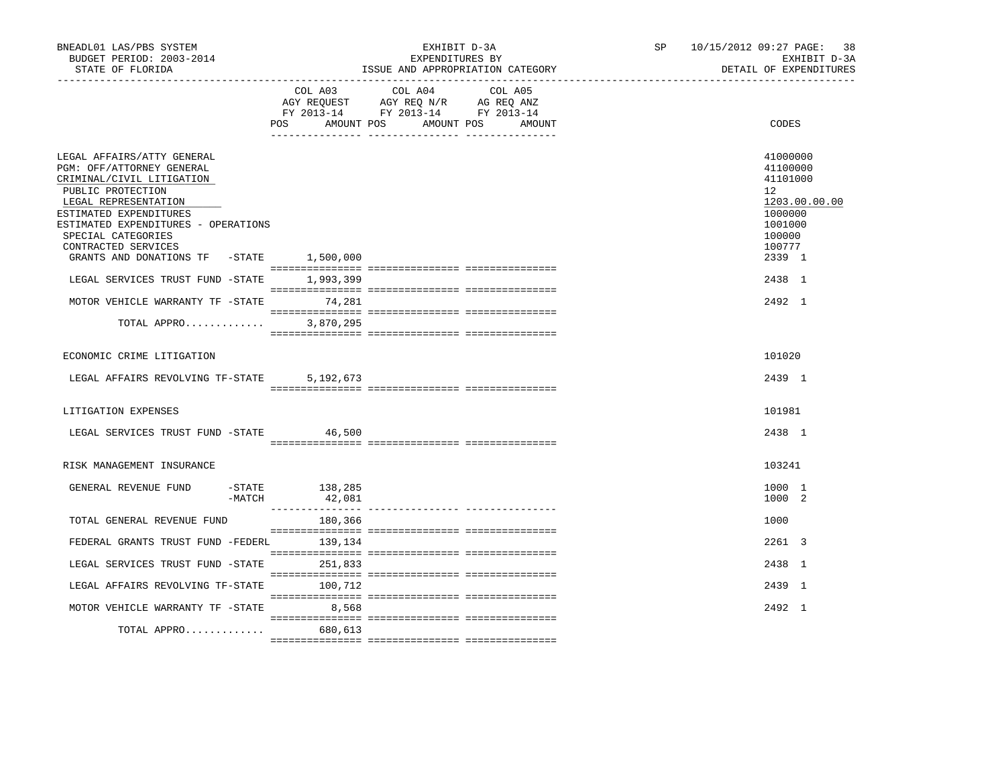| BNEADL01 LAS/PBS SYSTEM<br>BUDGET PERIOD: 2003-2014<br>STATE OF FLORIDA                                                                                                                                                                                                                     |          |                          | EXHIBIT D-3A<br>EXPENDITURES BY                                                                                            | ISSUE AND APPROPRIATION CATEGORY | SP 10/15/2012 09:27 PAGE: 38<br>EXHIBIT D-3A<br>DETAIL OF EXPENDITURES                                      |
|---------------------------------------------------------------------------------------------------------------------------------------------------------------------------------------------------------------------------------------------------------------------------------------------|----------|--------------------------|----------------------------------------------------------------------------------------------------------------------------|----------------------------------|-------------------------------------------------------------------------------------------------------------|
|                                                                                                                                                                                                                                                                                             |          | POS                      | COL A03 COL A04 COL A05<br>AGY REQUEST AGY REQ N/R AG REQ ANZ<br>FY 2013-14 FY 2013-14 FY 2013-14<br>AMOUNT POS AMOUNT POS | AMOUNT                           | CODES                                                                                                       |
| LEGAL AFFAIRS/ATTY GENERAL<br>PGM: OFF/ATTORNEY GENERAL<br>CRIMINAL/CIVIL LITIGATION<br>PUBLIC PROTECTION<br>LEGAL REPRESENTATION<br>ESTIMATED EXPENDITURES<br>ESTIMATED EXPENDITURES - OPERATIONS<br>SPECIAL CATEGORIES<br>CONTRACTED SERVICES<br>GRANTS AND DONATIONS TF -STATE 1,500,000 |          |                          |                                                                                                                            |                                  | 41000000<br>41100000<br>41101000<br>12<br>1203.00.00.00<br>1000000<br>1001000<br>100000<br>100777<br>2339 1 |
| LEGAL SERVICES TRUST FUND -STATE                                                                                                                                                                                                                                                            |          | 1,993,399                |                                                                                                                            |                                  | 2438 1                                                                                                      |
|                                                                                                                                                                                                                                                                                             |          |                          |                                                                                                                            |                                  |                                                                                                             |
| MOTOR VEHICLE WARRANTY TF -STATE                                                                                                                                                                                                                                                            |          | 74,281                   |                                                                                                                            |                                  | $2492 \quad 1$                                                                                              |
| TOTAL APPRO                                                                                                                                                                                                                                                                                 |          | 3,870,295                |                                                                                                                            |                                  |                                                                                                             |
| ECONOMIC CRIME LITIGATION                                                                                                                                                                                                                                                                   |          |                          |                                                                                                                            |                                  | 101020                                                                                                      |
| LEGAL AFFAIRS REVOLVING TF-STATE                                                                                                                                                                                                                                                            |          | 5,192,673                |                                                                                                                            |                                  | 2439 1                                                                                                      |
| LITIGATION EXPENSES                                                                                                                                                                                                                                                                         |          |                          |                                                                                                                            |                                  | 101981                                                                                                      |
| LEGAL SERVICES TRUST FUND -STATE                                                                                                                                                                                                                                                            |          | 46,500                   |                                                                                                                            |                                  | 2438 1                                                                                                      |
| RISK MANAGEMENT INSURANCE                                                                                                                                                                                                                                                                   |          |                          |                                                                                                                            |                                  | 103241                                                                                                      |
| GENERAL REVENUE FUND                                                                                                                                                                                                                                                                        | $-MATCH$ | -STATE 138,285<br>42,081 |                                                                                                                            |                                  | 1000 1<br>1000 2                                                                                            |
| TOTAL GENERAL REVENUE FUND                                                                                                                                                                                                                                                                  |          | 180,366                  |                                                                                                                            |                                  | 1000                                                                                                        |
| FEDERAL GRANTS TRUST FUND -FEDERL                                                                                                                                                                                                                                                           |          | 139,134                  |                                                                                                                            |                                  | 2261 3                                                                                                      |
| LEGAL SERVICES TRUST FUND -STATE                                                                                                                                                                                                                                                            |          | 251,833                  |                                                                                                                            |                                  | 2438 1                                                                                                      |
| LEGAL AFFAIRS REVOLVING TF-STATE                                                                                                                                                                                                                                                            |          | 100,712                  |                                                                                                                            |                                  | 2439 1                                                                                                      |
| MOTOR VEHICLE WARRANTY TF -STATE                                                                                                                                                                                                                                                            |          | 8,568                    |                                                                                                                            |                                  | 2492 1                                                                                                      |
| TOTAL APPRO                                                                                                                                                                                                                                                                                 |          | 680,613                  |                                                                                                                            |                                  |                                                                                                             |
|                                                                                                                                                                                                                                                                                             |          |                          |                                                                                                                            |                                  |                                                                                                             |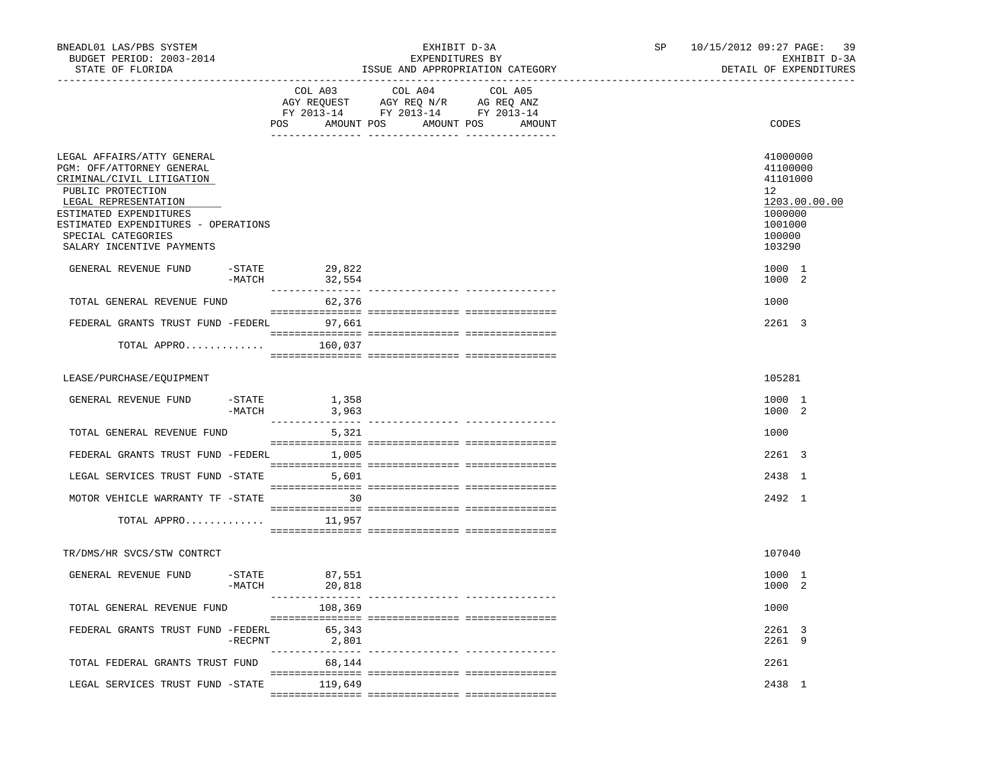| BNEADL01 LAS/PBS SYSTEM<br>BUDGET PERIOD: 2003-2014<br>STATE OF FLORIDA                                                                                                                                                                               |                       |                             | EXHIBIT D-3A<br>EXPENDITURES BY<br>ISSUE AND APPROPRIATION CATEGORY                                                   |         | SP and the set of the set of the set of the set of the set of the set of the set of the set of the set of the set of the set of the set of the set of the set of the set of the set of the set of the set of the set of the se | 10/15/2012 09:27 PAGE: 39<br>EXHIBIT D-3A<br>DETAIL OF EXPENDITURES<br>____________________________ |
|-------------------------------------------------------------------------------------------------------------------------------------------------------------------------------------------------------------------------------------------------------|-----------------------|-----------------------------|-----------------------------------------------------------------------------------------------------------------------|---------|--------------------------------------------------------------------------------------------------------------------------------------------------------------------------------------------------------------------------------|-----------------------------------------------------------------------------------------------------|
|                                                                                                                                                                                                                                                       |                       | COL A03                     | COL A04<br>AGY REQUEST AGY REQ N/R AG REQ ANZ<br>FY 2013-14 FY 2013-14 FY 2013-14<br>POS AMOUNT POS AMOUNT POS AMOUNT | COL A05 |                                                                                                                                                                                                                                | CODES                                                                                               |
| LEGAL AFFAIRS/ATTY GENERAL<br>PGM: OFF/ATTORNEY GENERAL<br>CRIMINAL/CIVIL LITIGATION<br>PUBLIC PROTECTION<br>LEGAL REPRESENTATION<br>ESTIMATED EXPENDITURES<br>ESTIMATED EXPENDITURES - OPERATIONS<br>SPECIAL CATEGORIES<br>SALARY INCENTIVE PAYMENTS |                       |                             |                                                                                                                       |         |                                                                                                                                                                                                                                | 41000000<br>41100000<br>41101000<br>12<br>1203.00.00.00<br>1000000<br>1001000<br>100000<br>103290   |
| GENERAL REVENUE FUND                                                                                                                                                                                                                                  | $-$ STATE<br>$-MATCH$ | 29,822<br>32,554            |                                                                                                                       |         |                                                                                                                                                                                                                                | 1000 1<br>1000 2                                                                                    |
| TOTAL GENERAL REVENUE FUND                                                                                                                                                                                                                            |                       | 62,376                      |                                                                                                                       |         |                                                                                                                                                                                                                                | 1000                                                                                                |
| FEDERAL GRANTS TRUST FUND -FEDERL                                                                                                                                                                                                                     |                       | 97,661                      |                                                                                                                       |         |                                                                                                                                                                                                                                | 2261 3                                                                                              |
| TOTAL APPRO 160,037                                                                                                                                                                                                                                   |                       |                             |                                                                                                                       |         |                                                                                                                                                                                                                                |                                                                                                     |
| LEASE/PURCHASE/EQUIPMENT                                                                                                                                                                                                                              |                       |                             |                                                                                                                       |         |                                                                                                                                                                                                                                | 105281                                                                                              |
| GENERAL REVENUE FUND                                                                                                                                                                                                                                  | -STATE<br>$-MATCH$    | 1,358<br>3,963              |                                                                                                                       |         |                                                                                                                                                                                                                                | 1000 1<br>1000 2                                                                                    |
| TOTAL GENERAL REVENUE FUND                                                                                                                                                                                                                            |                       | 5,321                       |                                                                                                                       |         |                                                                                                                                                                                                                                | 1000                                                                                                |
| FEDERAL GRANTS TRUST FUND -FEDERL                                                                                                                                                                                                                     |                       | 1,005                       |                                                                                                                       |         |                                                                                                                                                                                                                                | 2261 3                                                                                              |
| LEGAL SERVICES TRUST FUND -STATE                                                                                                                                                                                                                      |                       | 5,601                       |                                                                                                                       |         |                                                                                                                                                                                                                                | 2438 1                                                                                              |
| MOTOR VEHICLE WARRANTY TF -STATE                                                                                                                                                                                                                      |                       | 30                          |                                                                                                                       |         |                                                                                                                                                                                                                                | 2492 1                                                                                              |
| TOTAL APPRO                                                                                                                                                                                                                                           |                       | 11,957                      |                                                                                                                       |         |                                                                                                                                                                                                                                |                                                                                                     |
| TR/DMS/HR SVCS/STW CONTRCT                                                                                                                                                                                                                            |                       |                             |                                                                                                                       |         |                                                                                                                                                                                                                                | 107040                                                                                              |
| GENERAL REVENUE FUND                                                                                                                                                                                                                                  | $-MATCH$              | $-$ STATE 87,551<br>20,818  |                                                                                                                       |         |                                                                                                                                                                                                                                | 1000 1<br>1000 2                                                                                    |
| TOTAL GENERAL REVENUE FUND                                                                                                                                                                                                                            |                       | ________________<br>108,369 |                                                                                                                       |         |                                                                                                                                                                                                                                | 1000                                                                                                |
| FEDERAL GRANTS TRUST FUND -FEDERL                                                                                                                                                                                                                     | -RECPNT               | 65,343<br>2,801             |                                                                                                                       |         |                                                                                                                                                                                                                                | 2261 3<br>2261 9                                                                                    |
| TOTAL FEDERAL GRANTS TRUST FUND                                                                                                                                                                                                                       |                       | ---------------<br>68,144   | ------------- ---------------                                                                                         |         |                                                                                                                                                                                                                                | 2261                                                                                                |
| LEGAL SERVICES TRUST FUND -STATE                                                                                                                                                                                                                      |                       | 119,649                     |                                                                                                                       |         |                                                                                                                                                                                                                                | 2438 1                                                                                              |
|                                                                                                                                                                                                                                                       |                       |                             |                                                                                                                       |         |                                                                                                                                                                                                                                |                                                                                                     |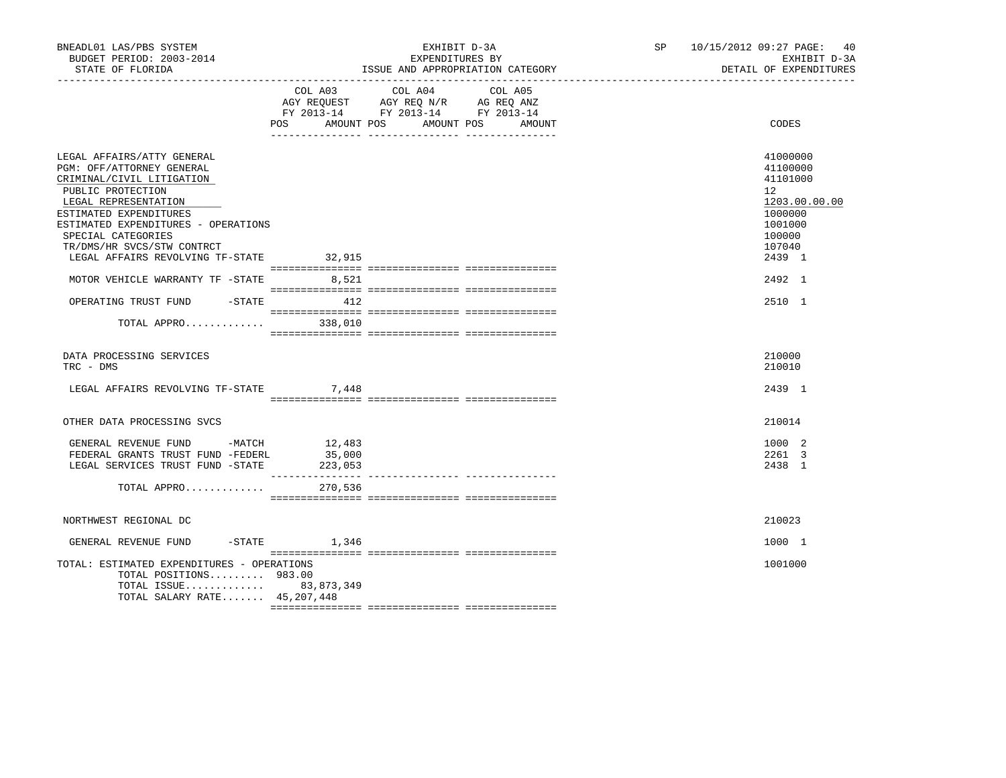| BNEADL01 LAS/PBS SYSTEM<br>BUDGET PERIOD: 2003-2014<br>STATE OF FLORIDA                                                                                                                                                                                                                           |                                        | EXHIBIT D-3A<br>EXPENDITURES BY<br>ISSUE AND APPROPRIATION CATEGORY                               | SP 10/15/2012 09:27 PAGE: 40<br>EXHIBIT D-3A<br>DETAIL OF EXPENDITURES |                                                                                                                       |  |
|---------------------------------------------------------------------------------------------------------------------------------------------------------------------------------------------------------------------------------------------------------------------------------------------------|----------------------------------------|---------------------------------------------------------------------------------------------------|------------------------------------------------------------------------|-----------------------------------------------------------------------------------------------------------------------|--|
| _____________________                                                                                                                                                                                                                                                                             | AMOUNT POS<br><b>POS</b>               | COL A03 COL A04 COL A05<br>AGY REQUEST AGY REQ N/R AG REQ ANZ<br>FY 2013-14 FY 2013-14 FY 2013-14 | AMOUNT POS<br>AMOUNT                                                   | CODES                                                                                                                 |  |
| LEGAL AFFAIRS/ATTY GENERAL<br>PGM: OFF/ATTORNEY GENERAL<br>CRIMINAL/CIVIL LITIGATION<br>PUBLIC PROTECTION<br>LEGAL REPRESENTATION<br>ESTIMATED EXPENDITURES<br>ESTIMATED EXPENDITURES - OPERATIONS<br>SPECIAL CATEGORIES<br>TR/DMS/HR SVCS/STW CONTRCT<br>LEGAL AFFAIRS REVOLVING TF-STATE 32,915 |                                        |                                                                                                   |                                                                        | 41000000<br>41100000<br>41101000<br>$12^{\circ}$<br>1203.00.00.00<br>1000000<br>1001000<br>100000<br>107040<br>2439 1 |  |
| MOTOR VEHICLE WARRANTY TF -STATE 8,521<br>OPERATING TRUST FUND -STATE 412<br>TOTAL APPRO 338,010                                                                                                                                                                                                  |                                        |                                                                                                   |                                                                        | 2492 1<br>2510 1                                                                                                      |  |
| DATA PROCESSING SERVICES<br>TRC - DMS<br>LEGAL AFFAIRS REVOLVING TF-STATE 7,448                                                                                                                                                                                                                   |                                        |                                                                                                   |                                                                        | 210000<br>210010<br>2439 1                                                                                            |  |
| OTHER DATA PROCESSING SVCS                                                                                                                                                                                                                                                                        |                                        |                                                                                                   |                                                                        | 210014                                                                                                                |  |
| GENERAL REVENUE FUND -MATCH<br>FEDERAL GRANTS TRUST FUND -FEDERL<br>LEGAL SERVICES TRUST FUND -STATE<br>TOTAL APPRO                                                                                                                                                                               | 12,483<br>35,000<br>223,053<br>270,536 |                                                                                                   |                                                                        | 1000 2<br>2261 3<br>2438 1                                                                                            |  |
| NORTHWEST REGIONAL DC                                                                                                                                                                                                                                                                             |                                        |                                                                                                   |                                                                        | 210023                                                                                                                |  |
| $-STATE$<br>GENERAL REVENUE FUND<br>TOTAL: ESTIMATED EXPENDITURES - OPERATIONS<br>TOTAL POSITIONS 983.00<br>TOTAL ISSUE 83,873,349<br>TOTAL SALARY RATE 45,207,448                                                                                                                                | 1,346                                  |                                                                                                   |                                                                        | 1000 1<br>1001000                                                                                                     |  |
|                                                                                                                                                                                                                                                                                                   |                                        |                                                                                                   |                                                                        |                                                                                                                       |  |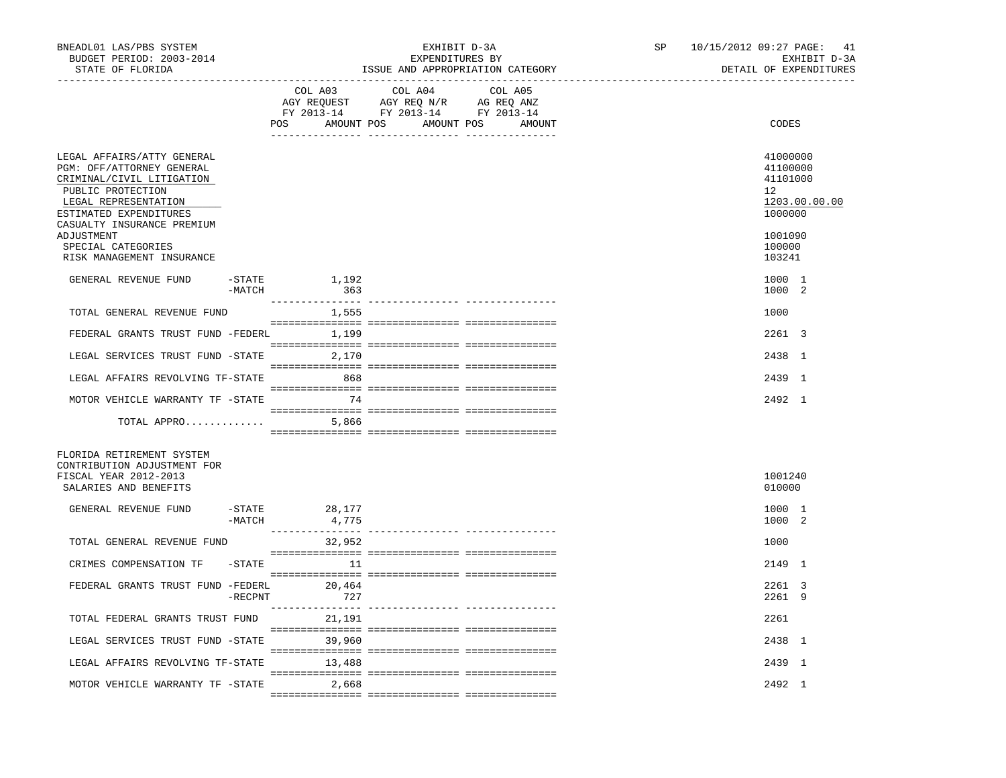| BNEADL01 LAS/PBS SYSTEM<br>BUDGET PERIOD: 2003-2014<br>STATE OF FLORIDA                                                                                     |                     |                              | EXHIBIT D-3A<br>EXPENDITURES BY<br>ISSUE AND APPROPRIATION CATEGORY               | SP                              | 10/15/2012 09:27 PAGE: 41<br>EXHIBIT D-3A<br>DETAIL OF EXPENDITURES |                                                                    |
|-------------------------------------------------------------------------------------------------------------------------------------------------------------|---------------------|------------------------------|-----------------------------------------------------------------------------------|---------------------------------|---------------------------------------------------------------------|--------------------------------------------------------------------|
|                                                                                                                                                             |                     | COL A03<br>POS<br>AMOUNT POS | COL A04<br>AGY REQUEST AGY REQ N/R AG REQ ANZ<br>FY 2013-14 FY 2013-14 FY 2013-14 | COL A05<br>AMOUNT POS<br>AMOUNT |                                                                     | CODES                                                              |
| LEGAL AFFAIRS/ATTY GENERAL<br>PGM: OFF/ATTORNEY GENERAL<br>CRIMINAL/CIVIL LITIGATION<br>PUBLIC PROTECTION<br>LEGAL REPRESENTATION<br>ESTIMATED EXPENDITURES |                     |                              |                                                                                   |                                 |                                                                     | 41000000<br>41100000<br>41101000<br>12<br>1203.00.00.00<br>1000000 |
| CASUALTY INSURANCE PREMIUM<br>ADJUSTMENT<br>SPECIAL CATEGORIES<br>RISK MANAGEMENT INSURANCE                                                                 |                     |                              |                                                                                   |                                 |                                                                     | 1001090<br>100000<br>103241                                        |
| GENERAL REVENUE FUND                                                                                                                                        | $-$ STATE<br>-MATCH | 1,192<br>363                 |                                                                                   |                                 |                                                                     | 1000 1<br>1000 2                                                   |
| TOTAL GENERAL REVENUE FUND                                                                                                                                  |                     | 1,555                        |                                                                                   |                                 |                                                                     | 1000                                                               |
| FEDERAL GRANTS TRUST FUND -FEDERL 1,199                                                                                                                     |                     |                              |                                                                                   |                                 |                                                                     | 2261 3                                                             |
| LEGAL SERVICES TRUST FUND -STATE 2,170                                                                                                                      |                     |                              |                                                                                   |                                 |                                                                     | 2438 1                                                             |
| LEGAL AFFAIRS REVOLVING TF-STATE                                                                                                                            |                     | 868                          |                                                                                   |                                 |                                                                     | 2439 1                                                             |
| MOTOR VEHICLE WARRANTY TF -STATE                                                                                                                            |                     | 74                           |                                                                                   |                                 |                                                                     | 2492 1                                                             |
| TOTAL APPRO                                                                                                                                                 |                     | 5,866                        |                                                                                   |                                 |                                                                     |                                                                    |
| FLORIDA RETIREMENT SYSTEM<br>CONTRIBUTION ADJUSTMENT FOR<br>FISCAL YEAR 2012-2013                                                                           |                     |                              |                                                                                   |                                 |                                                                     | 1001240                                                            |
| SALARIES AND BENEFITS                                                                                                                                       |                     |                              |                                                                                   |                                 |                                                                     | 010000                                                             |
| GENERAL REVENUE FUND                                                                                                                                        | -MATCH              | -STATE 28,177<br>4,775       |                                                                                   |                                 |                                                                     | 1000 1<br>1000 2                                                   |
| TOTAL GENERAL REVENUE FUND                                                                                                                                  |                     | 32,952                       |                                                                                   |                                 |                                                                     | 1000                                                               |
| CRIMES COMPENSATION TF                                                                                                                                      | -STATE              | $\sim$ 11                    |                                                                                   |                                 |                                                                     | 2149 1                                                             |
| FEDERAL GRANTS TRUST FUND -FEDERL 20,464                                                                                                                    | $-$ RECPNT          | 727                          |                                                                                   |                                 |                                                                     | 2261 3<br>2261 9                                                   |
| TOTAL FEDERAL GRANTS TRUST FUND                                                                                                                             |                     | 21,191                       |                                                                                   |                                 |                                                                     | 2261                                                               |
| LEGAL SERVICES TRUST FUND -STATE                                                                                                                            |                     | 39,960                       |                                                                                   |                                 |                                                                     | 2438 1                                                             |
| LEGAL AFFAIRS REVOLVING TF-STATE                                                                                                                            |                     | 13,488                       |                                                                                   |                                 |                                                                     | 2439 1                                                             |
| MOTOR VEHICLE WARRANTY TF -STATE                                                                                                                            |                     | 2,668                        |                                                                                   |                                 |                                                                     | 2492 1                                                             |
|                                                                                                                                                             |                     |                              |                                                                                   |                                 |                                                                     |                                                                    |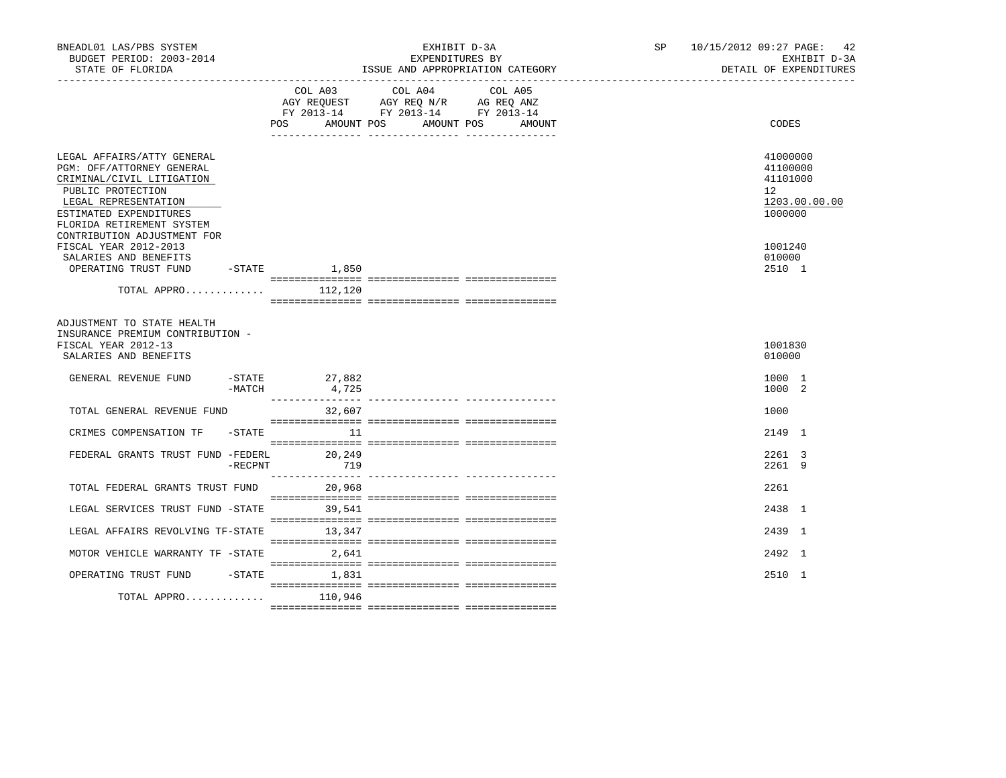| BNEADL01 LAS/PBS SYSTEM<br>BUDGET PERIOD: 2003-2014<br>STATE OF FLORIDA                                                                                                                                                 | EXHIBIT D-3A<br>EXPENDITURES BY<br>ISSUE AND APPROPRIATION CATEGORY |                               |                                                                                                               |                   |  | SP | 10/15/2012 09:27 PAGE: 42<br>EXHIBIT D-3A<br>DETAIL OF EXPENDITURES |  |
|-------------------------------------------------------------------------------------------------------------------------------------------------------------------------------------------------------------------------|---------------------------------------------------------------------|-------------------------------|---------------------------------------------------------------------------------------------------------------|-------------------|--|----|---------------------------------------------------------------------|--|
|                                                                                                                                                                                                                         |                                                                     | COL A03<br>POS.<br>AMOUNT POS | COL A04<br>AGY REQUEST AGY REQ N/R AG REQ ANZ<br>FY 2013-14 FY 2013-14 FY 2013-14<br>AMOUNT POS<br><u>.  </u> | COL A05<br>AMOUNT |  |    | CODES                                                               |  |
| LEGAL AFFAIRS/ATTY GENERAL<br>PGM: OFF/ATTORNEY GENERAL<br>CRIMINAL/CIVIL LITIGATION<br>PUBLIC PROTECTION<br>LEGAL REPRESENTATION<br>ESTIMATED EXPENDITURES<br>FLORIDA RETIREMENT SYSTEM<br>CONTRIBUTION ADJUSTMENT FOR |                                                                     |                               |                                                                                                               |                   |  |    | 41000000<br>41100000<br>41101000<br>12<br>1203.00.00.00<br>1000000  |  |
| FISCAL YEAR 2012-2013<br>SALARIES AND BENEFITS<br>OPERATING TRUST FUND                                                                                                                                                  |                                                                     | $-STATE$ 1,850                |                                                                                                               |                   |  |    | 1001240<br>010000<br>2510 1                                         |  |
| TOTAL APPRO $112,120$                                                                                                                                                                                                   |                                                                     |                               |                                                                                                               |                   |  |    |                                                                     |  |
| ADJUSTMENT TO STATE HEALTH<br>INSURANCE PREMIUM CONTRIBUTION -<br>FISCAL YEAR 2012-13<br>SALARIES AND BENEFITS<br>GENERAL REVENUE FUND                                                                                  |                                                                     | $-$ STATE 27,882              |                                                                                                               |                   |  |    | 1001830<br>010000<br>1000 1                                         |  |
|                                                                                                                                                                                                                         | $-MATCH$                                                            | 4,725                         |                                                                                                               |                   |  |    | 1000 2                                                              |  |
| TOTAL GENERAL REVENUE FUND                                                                                                                                                                                              |                                                                     | 32,607                        |                                                                                                               |                   |  |    | 1000                                                                |  |
| CRIMES COMPENSATION TF                                                                                                                                                                                                  | -STATE                                                              | 11                            |                                                                                                               |                   |  |    | 2149 1                                                              |  |
| FEDERAL GRANTS TRUST FUND -FEDERL                                                                                                                                                                                       | $-$ RECPNT                                                          | 20,249<br>719                 |                                                                                                               |                   |  |    | 2261 3<br>2261 9                                                    |  |
| TOTAL FEDERAL GRANTS TRUST FUND 20,968                                                                                                                                                                                  |                                                                     |                               |                                                                                                               |                   |  |    | 2261                                                                |  |
| LEGAL SERVICES TRUST FUND -STATE                                                                                                                                                                                        |                                                                     | 39,541                        |                                                                                                               |                   |  |    | 2438 1                                                              |  |
| LEGAL AFFAIRS REVOLVING TF-STATE                                                                                                                                                                                        |                                                                     | 13,347                        |                                                                                                               |                   |  |    | 2439 1                                                              |  |
| MOTOR VEHICLE WARRANTY TF -STATE                                                                                                                                                                                        |                                                                     | 2,641                         |                                                                                                               |                   |  |    | 2492 1                                                              |  |
| OPERATING TRUST FUND -STATE                                                                                                                                                                                             |                                                                     | 1,831                         |                                                                                                               |                   |  |    | 2510 1                                                              |  |
| TOTAL APPRO                                                                                                                                                                                                             |                                                                     | 110,946                       |                                                                                                               |                   |  |    |                                                                     |  |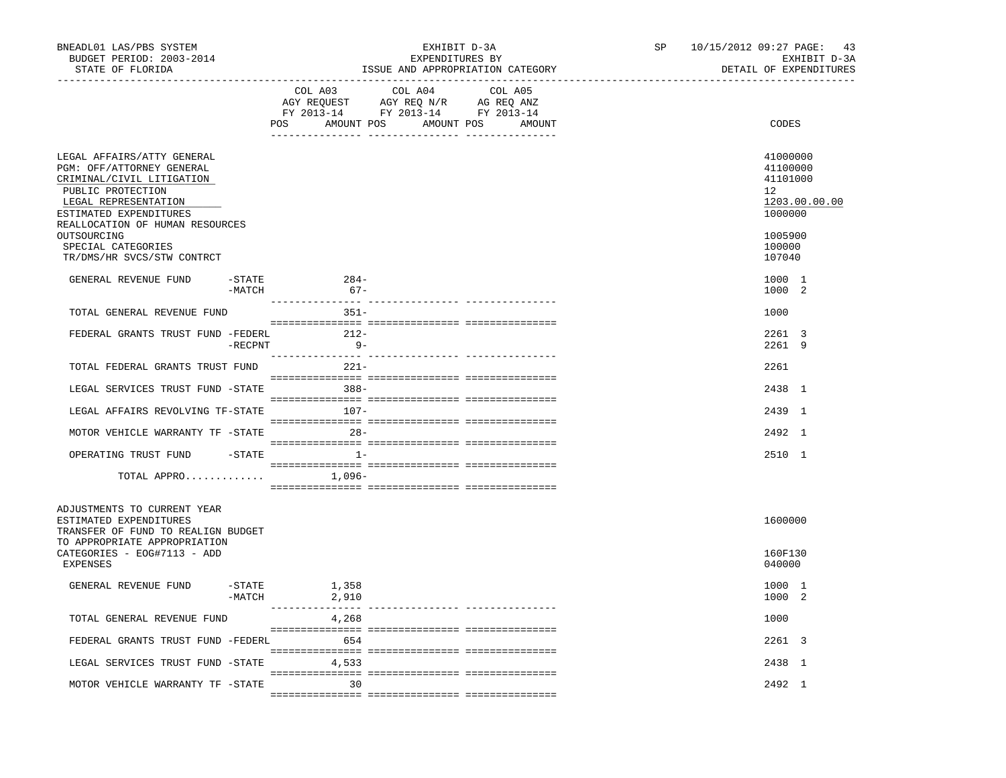| BNEADL01 LAS/PBS SYSTEM<br>BUDGET PERIOD: 2003-2014<br>STATE OF FLORIDA                                                                                                                                                             | EXHIBIT D-3A<br>EXPENDITURES BY<br>ISSUE AND APPROPRIATION CATEGORY | 10/15/2012 09:27 PAGE: 43<br>SP<br>EXHIBIT D-3A<br>DETAIL OF EXPENDITURES                             |  |
|-------------------------------------------------------------------------------------------------------------------------------------------------------------------------------------------------------------------------------------|---------------------------------------------------------------------|-------------------------------------------------------------------------------------------------------|--|
|                                                                                                                                                                                                                                     | COL A03<br>COL A04<br>COL A05<br>POS AMOUNT POS AMOUNT POS AMOUNT   | CODES                                                                                                 |  |
| LEGAL AFFAIRS/ATTY GENERAL<br>PGM: OFF/ATTORNEY GENERAL<br>CRIMINAL/CIVIL LITIGATION<br>PUBLIC PROTECTION<br>LEGAL REPRESENTATION<br>ESTIMATED EXPENDITURES<br>REALLOCATION OF HUMAN RESOURCES<br>OUTSOURCING<br>SPECIAL CATEGORIES |                                                                     | 41000000<br>41100000<br>41101000<br>12 <sup>12</sup><br>1203.00.00.00<br>1000000<br>1005900<br>100000 |  |
| TR/DMS/HR SVCS/STW CONTRCT                                                                                                                                                                                                          |                                                                     | 107040                                                                                                |  |
| GENERAL REVENUE FUND<br>-STATE<br>-MATCH                                                                                                                                                                                            | $284-$<br>$67 -$                                                    | 1000 1<br>1000 2                                                                                      |  |
| TOTAL GENERAL REVENUE FUND                                                                                                                                                                                                          | $351-$                                                              | 1000                                                                                                  |  |
| FEDERAL GRANTS TRUST FUND -FEDERL<br>$-$ RECPNT                                                                                                                                                                                     | $212-$<br>$9-$                                                      | 2261 3<br>2261 9                                                                                      |  |
| TOTAL FEDERAL GRANTS TRUST FUND                                                                                                                                                                                                     | $221 -$                                                             | 2261                                                                                                  |  |
| LEGAL SERVICES TRUST FUND -STATE                                                                                                                                                                                                    | $388 -$                                                             | 2438 1                                                                                                |  |
| LEGAL AFFAIRS REVOLVING TF-STATE                                                                                                                                                                                                    | 107-                                                                | 2439 1                                                                                                |  |
| MOTOR VEHICLE WARRANTY TF -STATE                                                                                                                                                                                                    | $28 -$                                                              | 2492 1                                                                                                |  |
| OPERATING TRUST FUND                                                                                                                                                                                                                | $-$ STATE $1-$                                                      | 2510 1                                                                                                |  |
| TOTAL APPRO $\ldots \ldots \ldots \ldots$ 1,096-                                                                                                                                                                                    |                                                                     |                                                                                                       |  |
| ADJUSTMENTS TO CURRENT YEAR<br>ESTIMATED EXPENDITURES<br>TRANSFER OF FUND TO REALIGN BUDGET<br>TO APPROPRIATE APPROPRIATION                                                                                                         |                                                                     | 1600000                                                                                               |  |
| CATEGORIES - EOG#7113 - ADD<br>EXPENSES                                                                                                                                                                                             |                                                                     | 160F130<br>040000                                                                                     |  |
| GENERAL REVENUE FUND<br>-STATE<br>$-MATCH$                                                                                                                                                                                          | 1,358<br>2,910                                                      | 1000 1<br>1000 2                                                                                      |  |
| TOTAL GENERAL REVENUE FUND                                                                                                                                                                                                          | 4,268                                                               | 1000                                                                                                  |  |
| FEDERAL GRANTS TRUST FUND -FEDERL 654                                                                                                                                                                                               |                                                                     | 2261 3                                                                                                |  |
| LEGAL SERVICES TRUST FUND -STATE                                                                                                                                                                                                    | 4,533                                                               | 2438 1                                                                                                |  |
| MOTOR VEHICLE WARRANTY TF -STATE                                                                                                                                                                                                    | $\sim$ 30                                                           | 2492 1                                                                                                |  |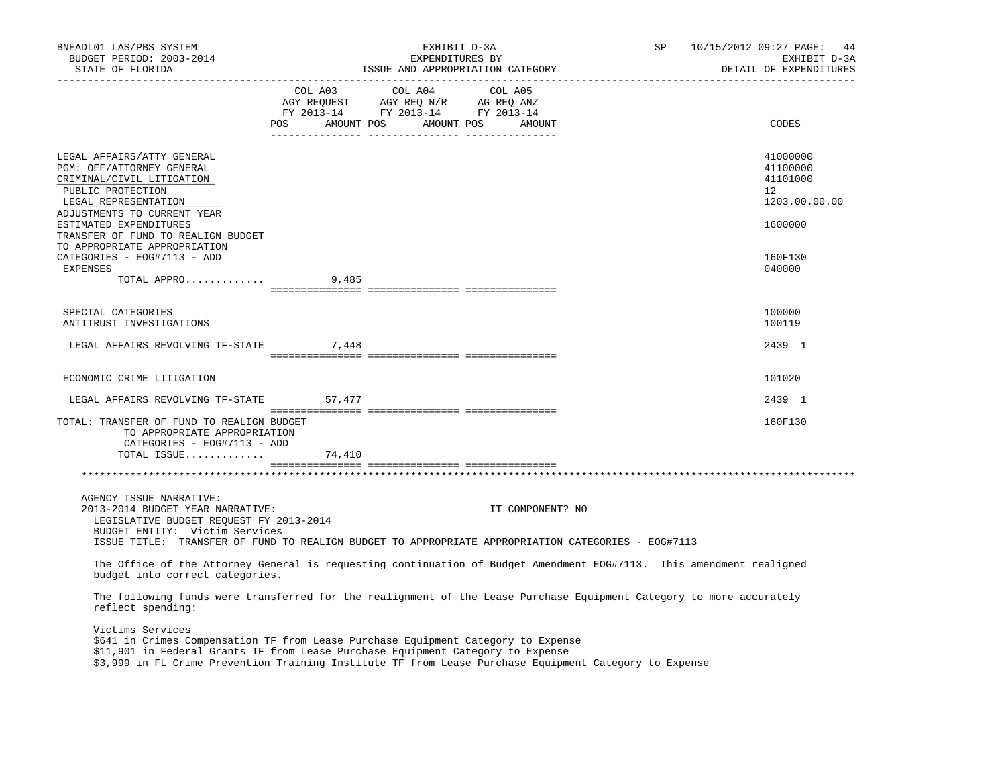| BNEADL01 LAS/PBS SYSTEM<br>BUDGET PERIOD: 2003-2014<br>STATE OF FLORIDA                                                                                                                                                                                                                            |                                                                                                                                                                                                                                                                                                                                                       | EXHIBIT D-3A<br>EXPENDITURES BY<br>EXPENDITORES BI<br>ISSUE AND APPROPRIATION CATEGORY |                  | $SP$ 10/15/2012 09:27 PAGE: 44<br>EXHIBIT D-3A<br>DETAIL OF EXPENDITURES |                                                         |
|----------------------------------------------------------------------------------------------------------------------------------------------------------------------------------------------------------------------------------------------------------------------------------------------------|-------------------------------------------------------------------------------------------------------------------------------------------------------------------------------------------------------------------------------------------------------------------------------------------------------------------------------------------------------|----------------------------------------------------------------------------------------|------------------|--------------------------------------------------------------------------|---------------------------------------------------------|
|                                                                                                                                                                                                                                                                                                    | $\begin{tabular}{lllllllllll} COL & A03 & \multicolumn{3}{c }{COL} & A04 & \multicolumn{3}{c }{COL} & A05 \\ AGY & REQUEST & \multicolumn{3}{c }{AGY} & REQ & N/R & \multicolumn{3}{c }{AG} & REQ & ANZ \\ FY & 2013-14 & \multicolumn{3}{c }{FY} & 2013-14 & \multicolumn{3}{c }{FY} & 2013-14 \\ \end{tabular}$<br>POS AMOUNT POS AMOUNT POS AMOUNT |                                                                                        |                  |                                                                          | CODES                                                   |
| LEGAL AFFAIRS/ATTY GENERAL<br>PGM: OFF/ATTORNEY GENERAL<br>CRIMINAL/CIVIL LITIGATION<br>PUBLIC PROTECTION<br>LEGAL REPRESENTATION<br>ADJUSTMENTS TO CURRENT YEAR                                                                                                                                   |                                                                                                                                                                                                                                                                                                                                                       |                                                                                        |                  |                                                                          | 41000000<br>41100000<br>41101000<br>12<br>1203.00.00.00 |
| ESTIMATED EXPENDITURES<br>TRANSFER OF FUND TO REALIGN BUDGET<br>TO APPROPRIATE APPROPRIATION<br>CATEGORIES - EOG#7113 - ADD                                                                                                                                                                        |                                                                                                                                                                                                                                                                                                                                                       |                                                                                        |                  |                                                                          | 1600000<br>160F130                                      |
| EXPENSES<br>TOTAL APPRO 9,485                                                                                                                                                                                                                                                                      |                                                                                                                                                                                                                                                                                                                                                       |                                                                                        |                  |                                                                          | 040000                                                  |
| SPECIAL CATEGORIES                                                                                                                                                                                                                                                                                 |                                                                                                                                                                                                                                                                                                                                                       |                                                                                        |                  |                                                                          | 100000                                                  |
| ANTITRUST INVESTIGATIONS                                                                                                                                                                                                                                                                           |                                                                                                                                                                                                                                                                                                                                                       |                                                                                        |                  |                                                                          | 100119                                                  |
| LEGAL AFFAIRS REVOLVING TF-STATE 7,448                                                                                                                                                                                                                                                             |                                                                                                                                                                                                                                                                                                                                                       |                                                                                        |                  |                                                                          | 2439 1                                                  |
| ECONOMIC CRIME LITIGATION                                                                                                                                                                                                                                                                          |                                                                                                                                                                                                                                                                                                                                                       |                                                                                        |                  |                                                                          | 101020                                                  |
| LEGAL AFFAIRS REVOLVING TF-STATE 57,477                                                                                                                                                                                                                                                            |                                                                                                                                                                                                                                                                                                                                                       |                                                                                        |                  |                                                                          | 2439 1                                                  |
| TOTAL: TRANSFER OF FUND TO REALIGN BUDGET<br>TO APPROPRIATE APPROPRIATION<br>CATEGORIES - EOG#7113 - ADD                                                                                                                                                                                           |                                                                                                                                                                                                                                                                                                                                                       |                                                                                        |                  |                                                                          | 160F130                                                 |
| TOTAL ISSUE                                                                                                                                                                                                                                                                                        | 74,410                                                                                                                                                                                                                                                                                                                                                |                                                                                        |                  |                                                                          |                                                         |
|                                                                                                                                                                                                                                                                                                    |                                                                                                                                                                                                                                                                                                                                                       |                                                                                        |                  |                                                                          |                                                         |
| AGENCY ISSUE NARRATIVE:<br>2013-2014 BUDGET YEAR NARRATIVE:<br>LEGISLATIVE BUDGET REQUEST FY 2013-2014<br>BUDGET ENTITY: Victim Services                                                                                                                                                           |                                                                                                                                                                                                                                                                                                                                                       |                                                                                        | IT COMPONENT? NO |                                                                          |                                                         |
| ISSUE TITLE: TRANSFER OF FUND TO REALIGN BUDGET TO APPROPRIATE APPROPRIATION CATEGORIES - EOG#7113                                                                                                                                                                                                 |                                                                                                                                                                                                                                                                                                                                                       |                                                                                        |                  |                                                                          |                                                         |
| The Office of the Attorney General is requesting continuation of Budget Amendment EOG#7113. This amendment realigned<br>budget into correct categories.                                                                                                                                            |                                                                                                                                                                                                                                                                                                                                                       |                                                                                        |                  |                                                                          |                                                         |
| The following funds were transferred for the realignment of the Lease Purchase Equipment Category to more accurately<br>reflect spending:                                                                                                                                                          |                                                                                                                                                                                                                                                                                                                                                       |                                                                                        |                  |                                                                          |                                                         |
| Victims Services<br>\$641 in Crimes Compensation TF from Lease Purchase Equipment Category to Expense<br>\$11,901 in Federal Grants TF from Lease Purchase Equipment Category to Expense<br>\$3,999 in FL Crime Prevention Training Institute TF from Lease Purchase Equipment Category to Expense |                                                                                                                                                                                                                                                                                                                                                       |                                                                                        |                  |                                                                          |                                                         |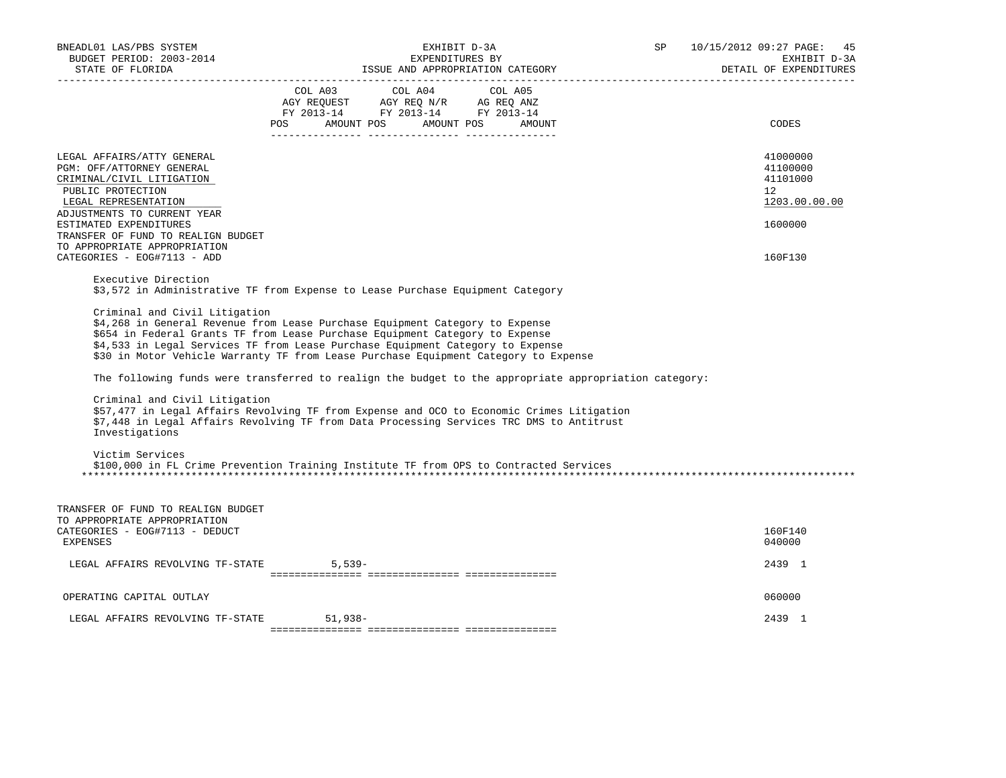| BNEADL01 LAS/PBS SYSTEM<br>BUDGET PERIOD: 2003-2014<br>STATE OF FLORIDA                                                                                                                                                                                          | EXHIBIT D-3A<br>EXPENDITURES BY<br>ISSUE AND APPROPRIATION CATEGORY                                                                                                                                                                                                                                                                   | SP | 10/15/2012 09:27 PAGE: 45<br>EXHIBIT D-3A<br>DETAIL OF EXPENDITURES |
|------------------------------------------------------------------------------------------------------------------------------------------------------------------------------------------------------------------------------------------------------------------|---------------------------------------------------------------------------------------------------------------------------------------------------------------------------------------------------------------------------------------------------------------------------------------------------------------------------------------|----|---------------------------------------------------------------------|
|                                                                                                                                                                                                                                                                  | COL A03 COL A04 COL A05<br>AGY REQUEST AGY REQ N/R AG REQ ANZ<br>FY 2013-14 FY 2013-14 FY 2013-14<br>AMOUNT POS<br>AMOUNT POS<br><b>POS</b><br>AMOUNT                                                                                                                                                                                 |    | CODES                                                               |
| LEGAL AFFAIRS/ATTY GENERAL<br>PGM: OFF/ATTORNEY GENERAL<br>CRIMINAL/CIVIL LITIGATION<br>PUBLIC PROTECTION<br>LEGAL REPRESENTATION<br>ADJUSTMENTS TO CURRENT YEAR<br>ESTIMATED EXPENDITURES<br>TRANSFER OF FUND TO REALIGN BUDGET<br>TO APPROPRIATE APPROPRIATION |                                                                                                                                                                                                                                                                                                                                       |    | 41000000<br>41100000<br>41101000<br>12<br>1203.00.00.00<br>1600000  |
| CATEGORIES - EOG#7113 - ADD                                                                                                                                                                                                                                      |                                                                                                                                                                                                                                                                                                                                       |    | 160F130                                                             |
| Executive Direction                                                                                                                                                                                                                                              | \$3,572 in Administrative TF from Expense to Lease Purchase Equipment Category                                                                                                                                                                                                                                                        |    |                                                                     |
| Criminal and Civil Litigation                                                                                                                                                                                                                                    | \$4,268 in General Revenue from Lease Purchase Equipment Category to Expense<br>\$654 in Federal Grants TF from Lease Purchase Equipment Category to Expense<br>\$4,533 in Legal Services TF from Lease Purchase Equipment Category to Expense<br>\$30 in Motor Vehicle Warranty TF from Lease Purchase Equipment Category to Expense |    |                                                                     |
|                                                                                                                                                                                                                                                                  | The following funds were transferred to realign the budget to the appropriate appropriation category:                                                                                                                                                                                                                                 |    |                                                                     |
| Criminal and Civil Litigation<br>Investigations                                                                                                                                                                                                                  | \$57,477 in Legal Affairs Revolving TF from Expense and OCO to Economic Crimes Litigation<br>\$7,448 in Legal Affairs Revolving TF from Data Processing Services TRC DMS to Antitrust                                                                                                                                                 |    |                                                                     |
| Victim Services                                                                                                                                                                                                                                                  | \$100,000 in FL Crime Prevention Training Institute TF from OPS to Contracted Services                                                                                                                                                                                                                                                |    |                                                                     |
| TRANSFER OF FUND TO REALIGN BUDGET<br>TO APPROPRIATE APPROPRIATION<br>CATEGORIES - EOG#7113 - DEDUCT                                                                                                                                                             |                                                                                                                                                                                                                                                                                                                                       |    | 160F140                                                             |
| <b>EXPENSES</b>                                                                                                                                                                                                                                                  |                                                                                                                                                                                                                                                                                                                                       |    | 040000                                                              |
| LEGAL AFFAIRS REVOLVING TF-STATE                                                                                                                                                                                                                                 | $5.539-$                                                                                                                                                                                                                                                                                                                              |    | 2439 1                                                              |
| OPERATING CAPITAL OUTLAY                                                                                                                                                                                                                                         |                                                                                                                                                                                                                                                                                                                                       |    | 060000                                                              |
| LEGAL AFFAIRS REVOLVING TF-STATE                                                                                                                                                                                                                                 | 51,938-                                                                                                                                                                                                                                                                                                                               |    | 2439 1                                                              |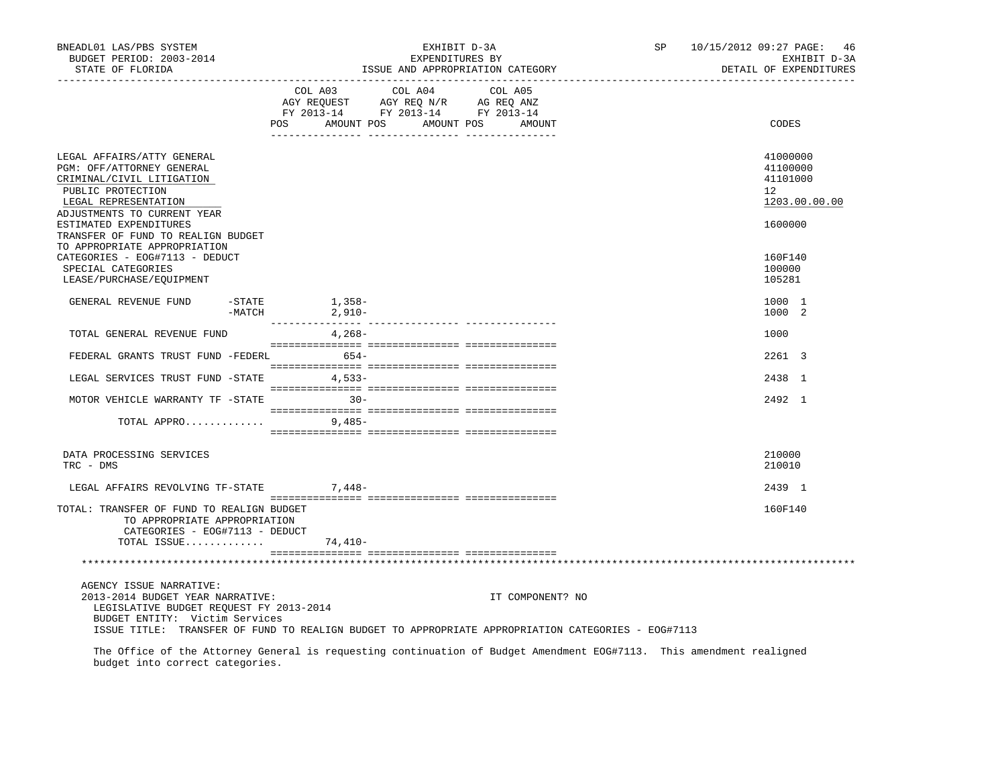| BNEADL01 LAS/PBS SYSTEM<br>BUDGET PERIOD: 2003-2014<br>STATE OF FLORIDA<br>--------------------                                                                                                                                                |                              | EXHIBIT D-3A<br>EXPENDITURES BY<br>ISSUE AND APPROPRIATION CATEGORY                                                                      |                  | SP | 10/15/2012 09:27 PAGE: 46<br>EXHIBIT D-3A<br>DETAIL OF EXPENDITURES |
|------------------------------------------------------------------------------------------------------------------------------------------------------------------------------------------------------------------------------------------------|------------------------------|------------------------------------------------------------------------------------------------------------------------------------------|------------------|----|---------------------------------------------------------------------|
|                                                                                                                                                                                                                                                |                              | COL A03 COL A04 COL A05<br>CO AGY REQUEST AGY REQ N/R AG REQ ANZ<br>FY 2013-14 FY 2013-14 FY 2013-14<br>POS AMOUNT POS AMOUNT POS AMOUNT |                  |    | CODES                                                               |
| LEGAL AFFAIRS/ATTY GENERAL<br>PGM: OFF/ATTORNEY GENERAL<br>CRIMINAL/CIVIL LITIGATION<br>PUBLIC PROTECTION<br>LEGAL REPRESENTATION<br>ADJUSTMENTS TO CURRENT YEAR                                                                               |                              |                                                                                                                                          |                  |    | 41000000<br>41100000<br>41101000<br>12<br>1203.00.00.00             |
| ESTIMATED EXPENDITURES<br>TRANSFER OF FUND TO REALIGN BUDGET<br>TO APPROPRIATE APPROPRIATION<br>CATEGORIES - EOG#7113 - DEDUCT<br>SPECIAL CATEGORIES<br>LEASE/PURCHASE/EQUIPMENT                                                               |                              |                                                                                                                                          |                  |    | 1600000<br>160F140<br>100000<br>105281                              |
| GENERAL REVENUE FUND<br>$ STATE$                                                                                                                                                                                                               | 1,358–<br>2,910–<br>$-MATCH$ |                                                                                                                                          |                  |    | 1000 1<br>1000 2                                                    |
| TOTAL GENERAL REVENUE FUND                                                                                                                                                                                                                     | 4,268-                       |                                                                                                                                          |                  |    | 1000                                                                |
| FEDERAL GRANTS TRUST FUND -FEDERL 654-                                                                                                                                                                                                         |                              |                                                                                                                                          |                  |    | 2261 3                                                              |
| LEGAL SERVICES TRUST FUND -STATE 4,533-                                                                                                                                                                                                        |                              |                                                                                                                                          |                  |    | 2438 1                                                              |
| MOTOR VEHICLE WARRANTY TF -STATE 30-                                                                                                                                                                                                           |                              |                                                                                                                                          |                  |    | 2492 1                                                              |
| $\texttt{TOTAL } \texttt{APPRO} \dots \dots \dots \dots \qquad \qquad \texttt{9,485--}$                                                                                                                                                        |                              |                                                                                                                                          |                  |    |                                                                     |
| DATA PROCESSING SERVICES<br>TRC - DMS                                                                                                                                                                                                          |                              |                                                                                                                                          |                  |    | 210000<br>210010                                                    |
| LEGAL AFFAIRS REVOLVING TF-STATE 7,448-                                                                                                                                                                                                        |                              |                                                                                                                                          |                  |    | 2439 1                                                              |
| TOTAL: TRANSFER OF FUND TO REALIGN BUDGET<br>TO APPROPRIATE APPROPRIATION<br>CATEGORIES - EOG#7113 - DEDUCT<br>TOTAL ISSUE                                                                                                                     | 74,410-                      |                                                                                                                                          |                  |    | 160F140                                                             |
|                                                                                                                                                                                                                                                |                              |                                                                                                                                          |                  |    |                                                                     |
| AGENCY ISSUE NARRATIVE:<br>2013-2014 BUDGET YEAR NARRATIVE:<br>LEGISLATIVE BUDGET REQUEST FY 2013-2014<br>BUDGET ENTITY: Victim Services<br>ISSUE TITLE: TRANSFER OF FUND TO REALIGN BUDGET TO APPROPRIATE APPROPRIATION CATEGORIES - EOG#7113 |                              |                                                                                                                                          | IT COMPONENT? NO |    |                                                                     |
| The Office of the Attorney General is requesting continuation of Budget Amendment EOG#7113. This amendment realigned<br>budget into correct categories.                                                                                        |                              |                                                                                                                                          |                  |    |                                                                     |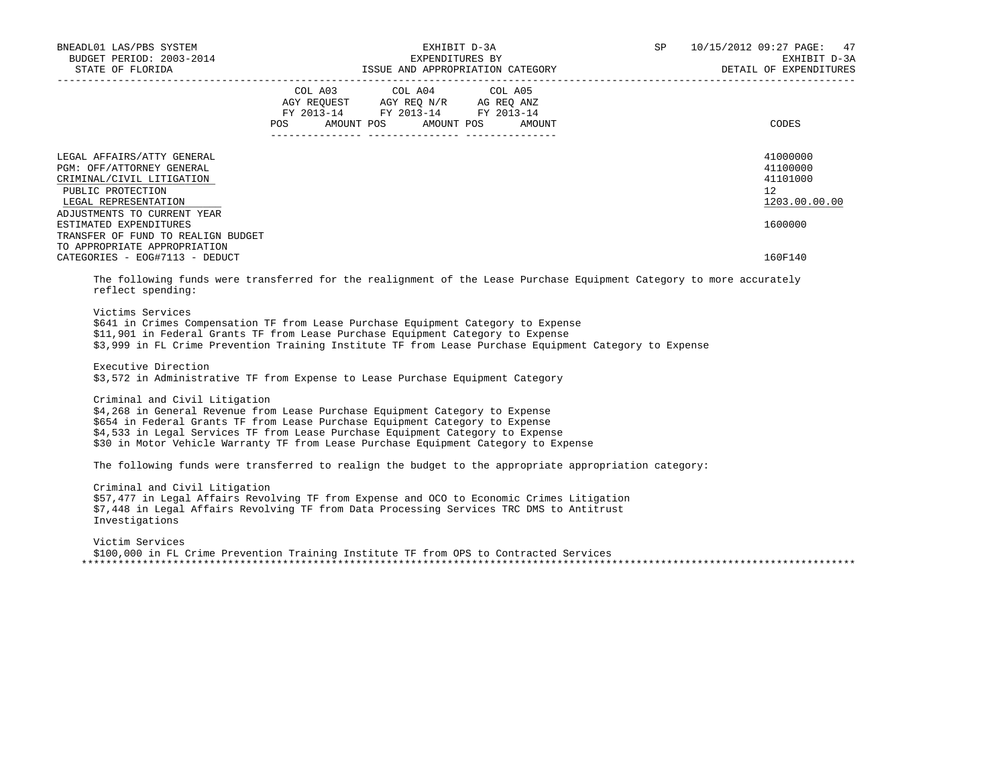| BNEADL01 LAS/PBS SYSTEM                                                                                                                                                                                                                                                                                                                                                |         |                                                                                                                                                                                                                                                                                                    | EXHIBIT D-3A | <b>SP</b> SP | 10/15/2012 09:27 PAGE:<br>47<br>EXHIBIT D-3A<br>DETAIL OF EXPENDITURES |
|------------------------------------------------------------------------------------------------------------------------------------------------------------------------------------------------------------------------------------------------------------------------------------------------------------------------------------------------------------------------|---------|----------------------------------------------------------------------------------------------------------------------------------------------------------------------------------------------------------------------------------------------------------------------------------------------------|--------------|--------------|------------------------------------------------------------------------|
|                                                                                                                                                                                                                                                                                                                                                                        | POS FOR | COL A03 COL A04 COL A05<br>$\begin{tabular}{lllllll} \bf AGY \;\; RegUEST \hspace{1cm} \bf AGY \;\; REG \;\; N/R \hspace{1cm} \bf AG \;\; REG \;\; ANZ \\ \hline \tt FY \;\; 2013-14 \hspace{1cm} & \tt FY \;\; 2013-14 \hspace{1cm} & \tt FY \;\; 2013-14 \end{tabular}$<br>AMOUNT POS AMOUNT POS | AMOUNT       |              | CODES                                                                  |
| LEGAL AFFAIRS/ATTY GENERAL<br>PGM: OFF/ATTORNEY GENERAL<br>CRIMINAL/CIVIL LITIGATION<br>PUBLIC PROTECTION<br>LEGAL REPRESENTATION<br>ADJUSTMENTS TO CURRENT YEAR<br>ESTIMATED EXPENDITURES                                                                                                                                                                             |         |                                                                                                                                                                                                                                                                                                    |              |              | 41000000<br>41100000<br>41101000<br>12<br>1203.00.00.00<br>1600000     |
| TRANSFER OF FUND TO REALIGN BUDGET<br>TO APPROPRIATE APPROPRIATION<br>CATEGORIES - EOG#7113 - DEDUCT                                                                                                                                                                                                                                                                   |         |                                                                                                                                                                                                                                                                                                    |              |              | 160F140                                                                |
| The following funds were transferred for the realignment of the Lease Purchase Equipment Category to more accurately<br>reflect spending:<br>Victims Services<br>\$641 in Crimes Compensation TF from Lease Purchase Equipment Category to Expense                                                                                                                     |         |                                                                                                                                                                                                                                                                                                    |              |              |                                                                        |
| \$11,901 in Federal Grants TF from Lease Purchase Equipment Category to Expense<br>\$3,999 in FL Crime Prevention Training Institute TF from Lease Purchase Equipment Category to Expense<br>Executive Direction                                                                                                                                                       |         |                                                                                                                                                                                                                                                                                                    |              |              |                                                                        |
| \$3,572 in Administrative TF from Expense to Lease Purchase Equipment Category                                                                                                                                                                                                                                                                                         |         |                                                                                                                                                                                                                                                                                                    |              |              |                                                                        |
| Criminal and Civil Litigation<br>\$4,268 in General Revenue from Lease Purchase Equipment Category to Expense<br>\$654 in Federal Grants TF from Lease Purchase Equipment Category to Expense<br>\$4,533 in Legal Services TF from Lease Purchase Equipment Category to Expense<br>\$30 in Motor Vehicle Warranty TF from Lease Purchase Equipment Category to Expense |         |                                                                                                                                                                                                                                                                                                    |              |              |                                                                        |
| The following funds were transferred to realign the budget to the appropriate appropriation category:                                                                                                                                                                                                                                                                  |         |                                                                                                                                                                                                                                                                                                    |              |              |                                                                        |
| Criminal and Civil Litigation<br>\$57,477 in Legal Affairs Revolving TF from Expense and OCO to Economic Crimes Litigation<br>\$7,448 in Legal Affairs Revolving TF from Data Processing Services TRC DMS to Antitrust<br>Investigations                                                                                                                               |         |                                                                                                                                                                                                                                                                                                    |              |              |                                                                        |
| Victim Services<br>\$100,000 in FL Crime Prevention Training Institute TF from OPS to Contracted Services                                                                                                                                                                                                                                                              |         |                                                                                                                                                                                                                                                                                                    |              |              |                                                                        |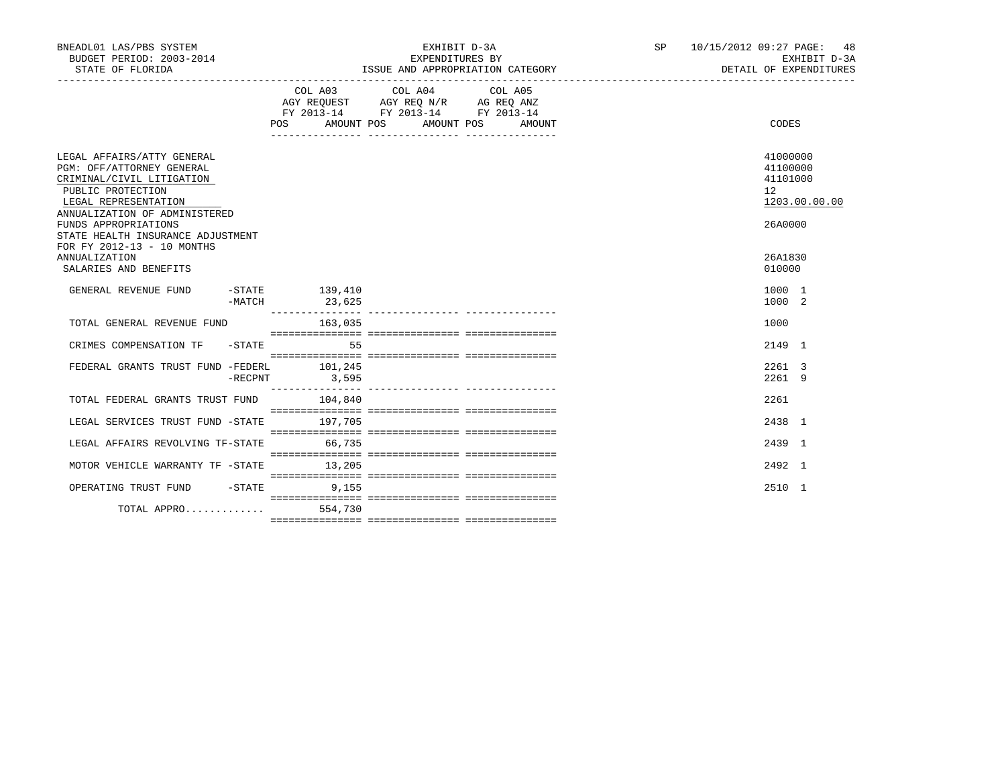| BNEADL01 LAS/PBS SYSTEM<br>BUDGET PERIOD: 2003-2014<br>STATE OF FLORIDA                                                                                                                                                         |         |                                                                                                                                | EXPENDITURES BY | EXHIBIT D-3A | ISSUE AND APPROPRIATION CATEGORY | SP 10/15/2012 09:27 PAGE: 48<br>EXHIBIT D-3A<br>DETAIL OF EXPENDITURES |                                                                |               |
|---------------------------------------------------------------------------------------------------------------------------------------------------------------------------------------------------------------------------------|---------|--------------------------------------------------------------------------------------------------------------------------------|-----------------|--------------|----------------------------------|------------------------------------------------------------------------|----------------------------------------------------------------|---------------|
|                                                                                                                                                                                                                                 |         | COL A03 COL A04 COL A05<br>AGY REQUEST AGY REQ N/R AG REQ ANZ<br>FY 2013-14 FY 2013-14 FY 2013-14<br>POS AMOUNT POS AMOUNT POS |                 |              | AMOUNT                           |                                                                        | CODES                                                          |               |
| LEGAL AFFAIRS/ATTY GENERAL<br>PGM: OFF/ATTORNEY GENERAL<br>CRIMINAL/CIVIL LITIGATION<br>PUBLIC PROTECTION<br>LEGAL REPRESENTATION<br>ANNUALIZATION OF ADMINISTERED<br>FUNDS APPROPRIATIONS<br>STATE HEALTH INSURANCE ADJUSTMENT |         |                                                                                                                                |                 |              |                                  |                                                                        | 41000000<br>41100000<br>41101000<br>12 <sup>°</sup><br>26A0000 | 1203.00.00.00 |
| FOR FY 2012-13 - 10 MONTHS<br><b>ANNUALIZATION</b><br>SALARIES AND BENEFITS                                                                                                                                                     |         |                                                                                                                                |                 |              |                                  |                                                                        | 26A1830<br>010000                                              |               |
| GENERAL REVENUE FUND -STATE 139,410                                                                                                                                                                                             | -MATCH  | 23,625                                                                                                                         |                 |              |                                  |                                                                        | 1000 1<br>1000 2                                               |               |
| TOTAL GENERAL REVENUE FUND                                                                                                                                                                                                      |         | 163,035                                                                                                                        |                 |              |                                  |                                                                        | 1000                                                           |               |
| CRIMES COMPENSATION TF -STATE 55                                                                                                                                                                                                |         |                                                                                                                                |                 |              |                                  |                                                                        | 2149 1                                                         |               |
| FEDERAL GRANTS TRUST FUND -FEDERL 101,245                                                                                                                                                                                       | -RECPNT | 3,595                                                                                                                          |                 |              |                                  |                                                                        | 2261 3<br>2261 9                                               |               |
| TOTAL FEDERAL GRANTS TRUST FUND 104,840                                                                                                                                                                                         |         |                                                                                                                                |                 |              |                                  |                                                                        | 2261                                                           |               |
| LEGAL SERVICES TRUST FUND -STATE 197,705                                                                                                                                                                                        |         |                                                                                                                                |                 |              |                                  |                                                                        | 2438 1                                                         |               |
| LEGAL AFFAIRS REVOLVING TF-STATE 66,735                                                                                                                                                                                         |         |                                                                                                                                |                 |              |                                  |                                                                        | 2439 1                                                         |               |
| MOTOR VEHICLE WARRANTY TF - STATE 13, 205                                                                                                                                                                                       |         |                                                                                                                                |                 |              |                                  |                                                                        | 2492 1                                                         |               |
| OPERATING TRUST FUND -STATE 9,155                                                                                                                                                                                               |         |                                                                                                                                |                 |              |                                  |                                                                        | 2510 1                                                         |               |
| TOTAL APPRO                                                                                                                                                                                                                     |         | 554,730                                                                                                                        |                 |              |                                  |                                                                        |                                                                |               |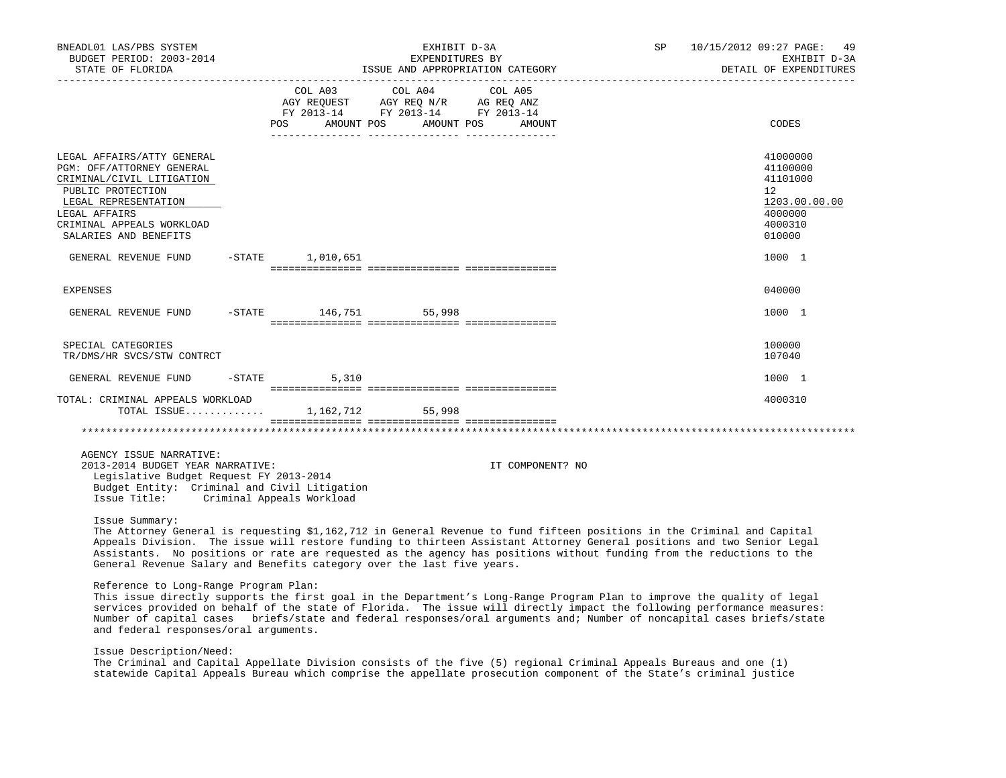| BNEADL01 LAS/PBS SYSTEM<br>BUDGET PERIOD: 2003-2014<br>STATE OF FLORIDA                                                                                                                                  |                             | EXHIBIT D-3A<br>EXPENDITURES BY                                                                   | ISSUE AND APPROPRIATION CATEGORY |  | SP 10/15/2012 09:27 PAGE: 49<br>EXHIBIT D-3A<br>DETAIL OF EXPENDITURES                  |
|----------------------------------------------------------------------------------------------------------------------------------------------------------------------------------------------------------|-----------------------------|---------------------------------------------------------------------------------------------------|----------------------------------|--|-----------------------------------------------------------------------------------------|
|                                                                                                                                                                                                          | POS AMOUNT POS              | COL A03 COL A04 COL A05<br>AGY REQUEST AGY REQ N/R AG REQ ANZ<br>FY 2013-14 FY 2013-14 FY 2013-14 | AMOUNT POS AMOUNT                |  | CODES                                                                                   |
| LEGAL AFFAIRS/ATTY GENERAL<br>PGM: OFF/ATTORNEY GENERAL<br>CRIMINAL/CIVIL LITIGATION<br>PUBLIC PROTECTION<br>LEGAL REPRESENTATION<br>LEGAL AFFAIRS<br>CRIMINAL APPEALS WORKLOAD<br>SALARIES AND BENEFITS |                             |                                                                                                   |                                  |  | 41000000<br>41100000<br>41101000<br>12<br>1203.00.00.00<br>4000000<br>4000310<br>010000 |
| GENERAL REVENUE FUND                                                                                                                                                                                     | $-STATE$ 1,010,651          |                                                                                                   |                                  |  | 1000 1                                                                                  |
| EXPENSES                                                                                                                                                                                                 |                             |                                                                                                   |                                  |  | 040000                                                                                  |
| GENERAL REVENUE FUND                                                                                                                                                                                     | $-$ STATE $146, 751$ 55,998 |                                                                                                   |                                  |  | 1000 1                                                                                  |
| SPECIAL CATEGORIES<br>TR/DMS/HR SVCS/STW CONTRCT                                                                                                                                                         |                             |                                                                                                   |                                  |  | 100000<br>107040                                                                        |
| GENERAL REVENUE FUND                                                                                                                                                                                     | $-$ STATE 5,310             |                                                                                                   |                                  |  | 1000 1                                                                                  |
| TOTAL: CRIMINAL APPEALS WORKLOAD<br>TOTAL ISSUE 1.162.712 55.998                                                                                                                                         |                             |                                                                                                   |                                  |  | 4000310                                                                                 |
|                                                                                                                                                                                                          |                             |                                                                                                   |                                  |  |                                                                                         |
| AGENCY ISSUE NARRATIVE:<br>2013-2014 BUDGET YEAR NARRATIVE:<br>Legislative Budget Request FY 2013-2014<br>Budget Entity: Criminal and Civil Litigation<br>Issue Title: Criminal Appeals Workload         |                             |                                                                                                   | IT COMPONENT? NO                 |  |                                                                                         |

### Issue Summary:

 The Attorney General is requesting \$1,162,712 in General Revenue to fund fifteen positions in the Criminal and Capital Appeals Division. The issue will restore funding to thirteen Assistant Attorney General positions and two Senior Legal Assistants. No positions or rate are requested as the agency has positions without funding from the reductions to the General Revenue Salary and Benefits category over the last five years.

# Reference to Long-Range Program Plan:

 This issue directly supports the first goal in the Department's Long-Range Program Plan to improve the quality of legal services provided on behalf of the state of Florida. The issue will directly impact the following performance measures: Number of capital cases briefs/state and federal responses/oral arguments and; Number of noncapital cases briefs/state and federal responses/oral arguments.

#### Issue Description/Need:

 The Criminal and Capital Appellate Division consists of the five (5) regional Criminal Appeals Bureaus and one (1) statewide Capital Appeals Bureau which comprise the appellate prosecution component of the State's criminal justice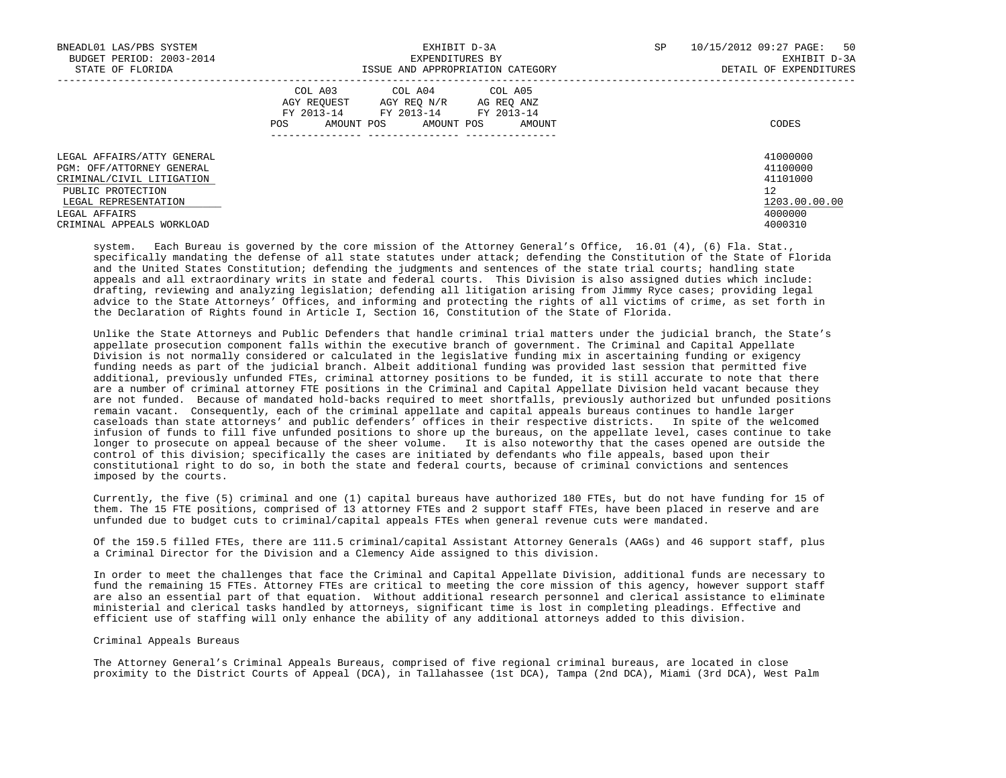| BNEADL01 LAS/PBS SYSTEM<br>BUDGET PERIOD: 2003-2014<br>STATE OF FLORIDA                                                                                                         | EXHIBIT D-3A<br>EXPENDITURES BY<br>ISSUE AND APPROPRIATION CATEGORY                                                                                     | 50<br>SP<br>10/15/2012 09:27 PAGE:<br>EXHIBIT D-3A<br>DETAIL OF EXPENDITURES  |
|---------------------------------------------------------------------------------------------------------------------------------------------------------------------------------|---------------------------------------------------------------------------------------------------------------------------------------------------------|-------------------------------------------------------------------------------|
|                                                                                                                                                                                 | COL A03<br>COL A04 COL A05<br>AGY REOUEST<br>AGY REQ N/R AG REQ ANZ<br>FY 2013-14<br>FY 2013-14 FY 2013-14<br>AMOUNT POS<br>AMOUNT POS<br>POS<br>AMOUNT | CODES                                                                         |
| LEGAL AFFAIRS/ATTY GENERAL<br>PGM: OFF/ATTORNEY GENERAL<br>CRIMINAL/CIVIL LITIGATION<br>PUBLIC PROTECTION<br>LEGAL REPRESENTATION<br>LEGAL AFFAIRS<br>CRIMINAL APPEALS WORKLOAD |                                                                                                                                                         | 41000000<br>41100000<br>41101000<br>12<br>1203.00.00.00<br>4000000<br>4000310 |

 system. Each Bureau is governed by the core mission of the Attorney General's Office, 16.01 (4), (6) Fla. Stat., specifically mandating the defense of all state statutes under attack; defending the Constitution of the State of Florida and the United States Constitution; defending the judgments and sentences of the state trial courts; handling state appeals and all extraordinary writs in state and federal courts. This Division is also assigned duties which include: drafting, reviewing and analyzing legislation; defending all litigation arising from Jimmy Ryce cases; providing legal advice to the State Attorneys' Offices, and informing and protecting the rights of all victims of crime, as set forth in the Declaration of Rights found in Article I, Section 16, Constitution of the State of Florida.

 Unlike the State Attorneys and Public Defenders that handle criminal trial matters under the judicial branch, the State's appellate prosecution component falls within the executive branch of government. The Criminal and Capital Appellate Division is not normally considered or calculated in the legislative funding mix in ascertaining funding or exigency funding needs as part of the judicial branch. Albeit additional funding was provided last session that permitted five additional, previously unfunded FTEs, criminal attorney positions to be funded, it is still accurate to note that there are a number of criminal attorney FTE positions in the Criminal and Capital Appellate Division held vacant because they are not funded. Because of mandated hold-backs required to meet shortfalls, previously authorized but unfunded positions remain vacant. Consequently, each of the criminal appellate and capital appeals bureaus continues to handle larger caseloads than state attorneys' and public defenders' offices in their respective districts. In spite of the welcomed infusion of funds to fill five unfunded positions to shore up the bureaus, on the appellate level, cases continue to take longer to prosecute on appeal because of the sheer volume. It is also noteworthy that the cases opened are outside the control of this division; specifically the cases are initiated by defendants who file appeals, based upon their constitutional right to do so, in both the state and federal courts, because of criminal convictions and sentences imposed by the courts.

 Currently, the five (5) criminal and one (1) capital bureaus have authorized 180 FTEs, but do not have funding for 15 of them. The 15 FTE positions, comprised of 13 attorney FTEs and 2 support staff FTEs, have been placed in reserve and are unfunded due to budget cuts to criminal/capital appeals FTEs when general revenue cuts were mandated.

 Of the 159.5 filled FTEs, there are 111.5 criminal/capital Assistant Attorney Generals (AAGs) and 46 support staff, plus a Criminal Director for the Division and a Clemency Aide assigned to this division.

 In order to meet the challenges that face the Criminal and Capital Appellate Division, additional funds are necessary to fund the remaining 15 FTEs. Attorney FTEs are critical to meeting the core mission of this agency, however support staff are also an essential part of that equation. Without additional research personnel and clerical assistance to eliminate ministerial and clerical tasks handled by attorneys, significant time is lost in completing pleadings. Effective and efficient use of staffing will only enhance the ability of any additional attorneys added to this division.

#### Criminal Appeals Bureaus

 The Attorney General's Criminal Appeals Bureaus, comprised of five regional criminal bureaus, are located in close proximity to the District Courts of Appeal (DCA), in Tallahassee (1st DCA), Tampa (2nd DCA), Miami (3rd DCA), West Palm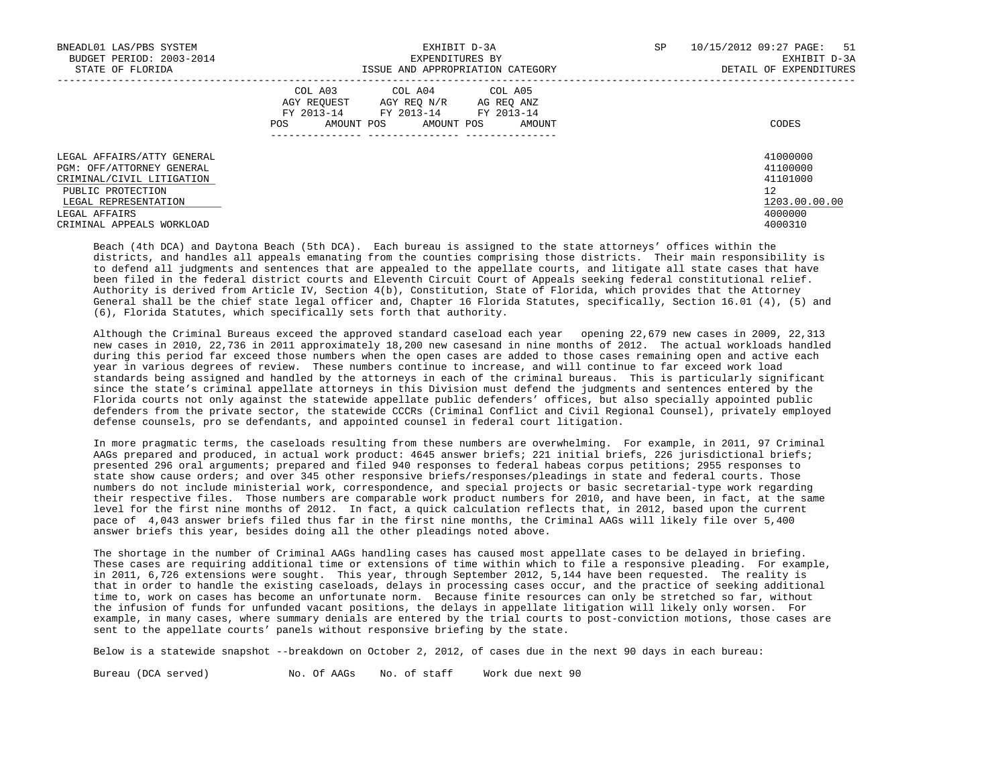| BNEADL01 LAS/PBS SYSTEM<br>BUDGET PERIOD: 2003-2014<br>STATE OF FLORIDA                                                                                                         | EXHIBIT D-3A<br>EXPENDITURES BY<br>ISSUE AND APPROPRIATION CATEGORY                                                                                      | 10/15/2012 09:27 PAGE: 51<br>SP<br>EXHIBIT D-3A<br>DETAIL OF EXPENDITURES     |
|---------------------------------------------------------------------------------------------------------------------------------------------------------------------------------|----------------------------------------------------------------------------------------------------------------------------------------------------------|-------------------------------------------------------------------------------|
|                                                                                                                                                                                 | COL A03<br>COL A04 COL A05<br>AGY REOUEST<br>AGY REO N/R<br>AG REO ANZ<br>FY 2013-14 FY 2013-14 FY 2013-14<br>AMOUNT POS<br>AMOUNT POS<br>POS.<br>AMOUNT | CODES                                                                         |
| LEGAL AFFAIRS/ATTY GENERAL<br>PGM: OFF/ATTORNEY GENERAL<br>CRIMINAL/CIVIL LITIGATION<br>PUBLIC PROTECTION<br>LEGAL REPRESENTATION<br>LEGAL AFFAIRS<br>CRIMINAL APPEALS WORKLOAD |                                                                                                                                                          | 41000000<br>41100000<br>41101000<br>12<br>1203.00.00.00<br>4000000<br>4000310 |

 Beach (4th DCA) and Daytona Beach (5th DCA). Each bureau is assigned to the state attorneys' offices within the districts, and handles all appeals emanating from the counties comprising those districts. Their main responsibility is to defend all judgments and sentences that are appealed to the appellate courts, and litigate all state cases that have been filed in the federal district courts and Eleventh Circuit Court of Appeals seeking federal constitutional relief. Authority is derived from Article IV, Section 4(b), Constitution, State of Florida, which provides that the Attorney General shall be the chief state legal officer and, Chapter 16 Florida Statutes, specifically, Section 16.01 (4), (5) and (6), Florida Statutes, which specifically sets forth that authority.

 Although the Criminal Bureaus exceed the approved standard caseload each year opening 22,679 new cases in 2009, 22,313 new cases in 2010, 22,736 in 2011 approximately 18,200 new casesand in nine months of 2012. The actual workloads handled during this period far exceed those numbers when the open cases are added to those cases remaining open and active each year in various degrees of review. These numbers continue to increase, and will continue to far exceed work load standards being assigned and handled by the attorneys in each of the criminal bureaus. This is particularly significant since the state's criminal appellate attorneys in this Division must defend the judgments and sentences entered by the Florida courts not only against the statewide appellate public defenders' offices, but also specially appointed public defenders from the private sector, the statewide CCCRs (Criminal Conflict and Civil Regional Counsel), privately employed defense counsels, pro se defendants, and appointed counsel in federal court litigation.

 In more pragmatic terms, the caseloads resulting from these numbers are overwhelming. For example, in 2011, 97 Criminal AAGs prepared and produced, in actual work product: 4645 answer briefs; 221 initial briefs, 226 jurisdictional briefs; presented 296 oral arguments; prepared and filed 940 responses to federal habeas corpus petitions; 2955 responses to state show cause orders; and over 345 other responsive briefs/responses/pleadings in state and federal courts. Those numbers do not include ministerial work, correspondence, and special projects or basic secretarial-type work regarding their respective files. Those numbers are comparable work product numbers for 2010, and have been, in fact, at the same level for the first nine months of 2012. In fact, a quick calculation reflects that, in 2012, based upon the current pace of 4,043 answer briefs filed thus far in the first nine months, the Criminal AAGs will likely file over 5,400 answer briefs this year, besides doing all the other pleadings noted above.

 The shortage in the number of Criminal AAGs handling cases has caused most appellate cases to be delayed in briefing. These cases are requiring additional time or extensions of time within which to file a responsive pleading. For example, in 2011, 6,726 extensions were sought. This year, through September 2012, 5,144 have been requested. The reality is that in order to handle the existing caseloads, delays in processing cases occur, and the practice of seeking additional time to, work on cases has become an unfortunate norm. Because finite resources can only be stretched so far, without the infusion of funds for unfunded vacant positions, the delays in appellate litigation will likely only worsen. For example, in many cases, where summary denials are entered by the trial courts to post-conviction motions, those cases are sent to the appellate courts' panels without responsive briefing by the state.

Below is a statewide snapshot --breakdown on October 2, 2012, of cases due in the next 90 days in each bureau:

Bureau (DCA served) No. Of AAGs No. of staff Work due next 90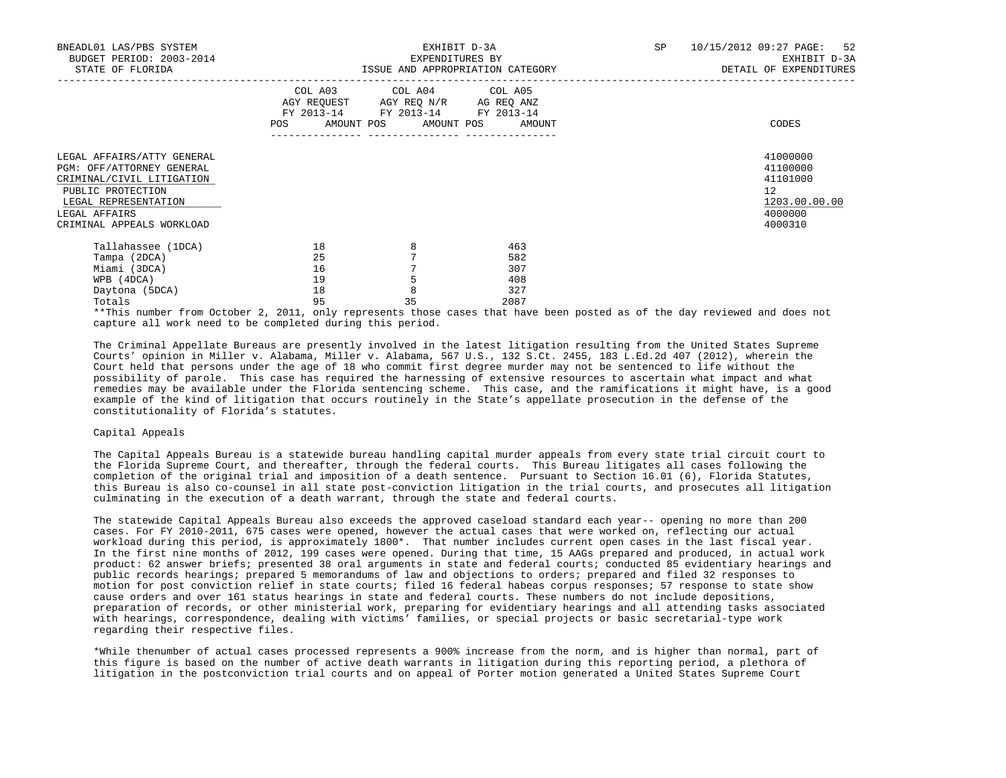| BNEADL01 LAS/PBS SYSTEM<br>BUDGET PERIOD: 2003-2014<br>STATE OF FLORIDA                                                                                                         |                                  |                                                                                                   | EXHIBIT D-3A<br>EXPENDITURES BY<br>ISSUE AND APPROPRIATION CATEGORY | SP<br>10/15/2012 09:27 PAGE:<br>EXHIBIT D-3A<br>DETAIL OF EXPENDITURES |                                                                               |  |
|---------------------------------------------------------------------------------------------------------------------------------------------------------------------------------|----------------------------------|---------------------------------------------------------------------------------------------------|---------------------------------------------------------------------|------------------------------------------------------------------------|-------------------------------------------------------------------------------|--|
|                                                                                                                                                                                 |                                  | COL A03 COL A04 COL A05<br>AGY REQUEST AGY REQ N/R AG REQ ANZ<br>FY 2013-14 FY 2013-14 FY 2013-14 | POS AMOUNT POS AMOUNT POS AMOUNT                                    |                                                                        | CODES                                                                         |  |
| LEGAL AFFAIRS/ATTY GENERAL<br>PGM: OFF/ATTORNEY GENERAL<br>CRIMINAL/CIVIL LITIGATION<br>PUBLIC PROTECTION<br>LEGAL REPRESENTATION<br>LEGAL AFFAIRS<br>CRIMINAL APPEALS WORKLOAD |                                  |                                                                                                   |                                                                     |                                                                        | 41000000<br>41100000<br>41101000<br>12<br>1203.00.00.00<br>4000000<br>4000310 |  |
| Tallahassee (1DCA)<br>Tampa (2DCA)<br>Miami (3DCA)<br>WPB (4DCA)<br>Daytona (5DCA)<br>Totals                                                                                    | 18<br>25<br>16<br>19<br>18<br>95 | 8<br>8<br>35                                                                                      | 463<br>582<br>307<br>408<br>327<br>2087                             |                                                                        |                                                                               |  |

 \*\*This number from October 2, 2011, only represents those cases that have been posted as of the day reviewed and does not capture all work need to be completed during this period.

 The Criminal Appellate Bureaus are presently involved in the latest litigation resulting from the United States Supreme Courts' opinion in Miller v. Alabama, Miller v. Alabama, 567 U.S., 132 S.Ct. 2455, 183 L.Ed.2d 407 (2012), wherein the Court held that persons under the age of 18 who commit first degree murder may not be sentenced to life without the possibility of parole. This case has required the harnessing of extensive resources to ascertain what impact and what remedies may be available under the Florida sentencing scheme. This case, and the ramifications it might have, is a good example of the kind of litigation that occurs routinely in the State's appellate prosecution in the defense of the constitutionality of Florida's statutes.

## Capital Appeals

 The Capital Appeals Bureau is a statewide bureau handling capital murder appeals from every state trial circuit court to the Florida Supreme Court, and thereafter, through the federal courts. This Bureau litigates all cases following the completion of the original trial and imposition of a death sentence. Pursuant to Section 16.01 (6), Florida Statutes, this Bureau is also co-counsel in all state post-conviction litigation in the trial courts, and prosecutes all litigation culminating in the execution of a death warrant, through the state and federal courts.

 The statewide Capital Appeals Bureau also exceeds the approved caseload standard each year-- opening no more than 200 cases. For FY 2010-2011, 675 cases were opened, however the actual cases that were worked on, reflecting our actual workload during this period, is approximately 1800\*. That number includes current open cases in the last fiscal year. In the first nine months of 2012, 199 cases were opened. During that time, 15 AAGs prepared and produced, in actual work product: 62 answer briefs; presented 38 oral arguments in state and federal courts; conducted 85 evidentiary hearings and public records hearings; prepared 5 memorandums of law and objections to orders; prepared and filed 32 responses to motion for post conviction relief in state courts; filed 16 federal habeas corpus responses; 57 response to state show cause orders and over 161 status hearings in state and federal courts. These numbers do not include depositions, preparation of records, or other ministerial work, preparing for evidentiary hearings and all attending tasks associated with hearings, correspondence, dealing with victims' families, or special projects or basic secretarial-type work regarding their respective files.

 \*While thenumber of actual cases processed represents a 900% increase from the norm, and is higher than normal, part of this figure is based on the number of active death warrants in litigation during this reporting period, a plethora of litigation in the postconviction trial courts and on appeal of Porter motion generated a United States Supreme Court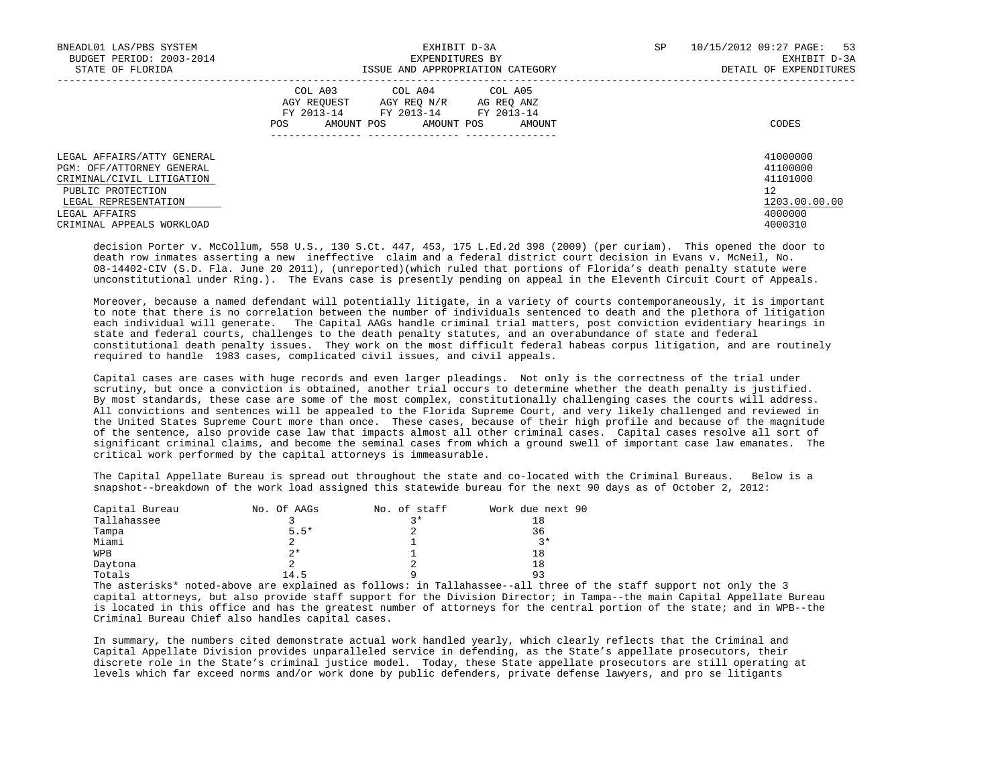| BNEADL01 LAS/PBS SYSTEM<br>BUDGET PERIOD: 2003-2014<br>STATE OF FLORIDA                                                                                                         | EXHIBIT D-3A<br>EXPENDITURES BY<br>ISSUE AND APPROPRIATION CATEGORY                                                                                     | 10/15/2012 09:27 PAGE: 53<br>SP<br>EXHIBIT D-3A<br>DETAIL OF EXPENDITURES     |
|---------------------------------------------------------------------------------------------------------------------------------------------------------------------------------|---------------------------------------------------------------------------------------------------------------------------------------------------------|-------------------------------------------------------------------------------|
|                                                                                                                                                                                 | COL A03<br>COL A04 COL A05<br>AGY REOUEST<br>AGY REO N/R<br>AG REO ANZ<br>FY 2013-14 FY 2013-14 FY 2013-14<br>POS<br>AMOUNT POS<br>AMOUNT POS<br>AMOUNT | CODES                                                                         |
| LEGAL AFFAIRS/ATTY GENERAL<br>PGM: OFF/ATTORNEY GENERAL<br>CRIMINAL/CIVIL LITIGATION<br>PUBLIC PROTECTION<br>LEGAL REPRESENTATION<br>LEGAL AFFAIRS<br>CRIMINAL APPEALS WORKLOAD |                                                                                                                                                         | 41000000<br>41100000<br>41101000<br>12<br>1203.00.00.00<br>4000000<br>4000310 |

 decision Porter v. McCollum, 558 U.S., 130 S.Ct. 447, 453, 175 L.Ed.2d 398 (2009) (per curiam). This opened the door to death row inmates asserting a new ineffective claim and a federal district court decision in Evans v. McNeil, No. 08-14402-CIV (S.D. Fla. June 20 2011), (unreported)(which ruled that portions of Florida's death penalty statute were unconstitutional under Ring.). The Evans case is presently pending on appeal in the Eleventh Circuit Court of Appeals.

 Moreover, because a named defendant will potentially litigate, in a variety of courts contemporaneously, it is important to note that there is no correlation between the number of individuals sentenced to death and the plethora of litigation each individual will generate. The Capital AAGs handle criminal trial matters, post conviction evidentiary hearings in state and federal courts, challenges to the death penalty statutes, and an overabundance of state and federal constitutional death penalty issues. They work on the most difficult federal habeas corpus litigation, and are routinely required to handle 1983 cases, complicated civil issues, and civil appeals.

 Capital cases are cases with huge records and even larger pleadings. Not only is the correctness of the trial under scrutiny, but once a conviction is obtained, another trial occurs to determine whether the death penalty is justified. By most standards, these case are some of the most complex, constitutionally challenging cases the courts will address. All convictions and sentences will be appealed to the Florida Supreme Court, and very likely challenged and reviewed in the United States Supreme Court more than once. These cases, because of their high profile and because of the magnitude of the sentence, also provide case law that impacts almost all other criminal cases. Capital cases resolve all sort of significant criminal claims, and become the seminal cases from which a ground swell of important case law emanates. The critical work performed by the capital attorneys is immeasurable.

 The Capital Appellate Bureau is spread out throughout the state and co-located with the Criminal Bureaus. Below is a snapshot--breakdown of the work load assigned this statewide bureau for the next 90 days as of October 2, 2012:

| Capital Bureau | No. Of AAGs | No. of staff | Work due next 90 |
|----------------|-------------|--------------|------------------|
| Tallahassee    |             | $2*$         |                  |
| Tampa          | $5.5*$      |              | 36               |
| Miami          |             |              | $2*$             |
| <b>WPB</b>     | $2*$        |              | 18               |
| Daytona        |             |              | 18               |
| Totals         | 14.5        |              |                  |

 The asterisks\* noted-above are explained as follows: in Tallahassee--all three of the staff support not only the 3 capital attorneys, but also provide staff support for the Division Director; in Tampa--the main Capital Appellate Bureau is located in this office and has the greatest number of attorneys for the central portion of the state; and in WPB--the Criminal Bureau Chief also handles capital cases.

 In summary, the numbers cited demonstrate actual work handled yearly, which clearly reflects that the Criminal and Capital Appellate Division provides unparalleled service in defending, as the State's appellate prosecutors, their discrete role in the State's criminal justice model. Today, these State appellate prosecutors are still operating at levels which far exceed norms and/or work done by public defenders, private defense lawyers, and pro se litigants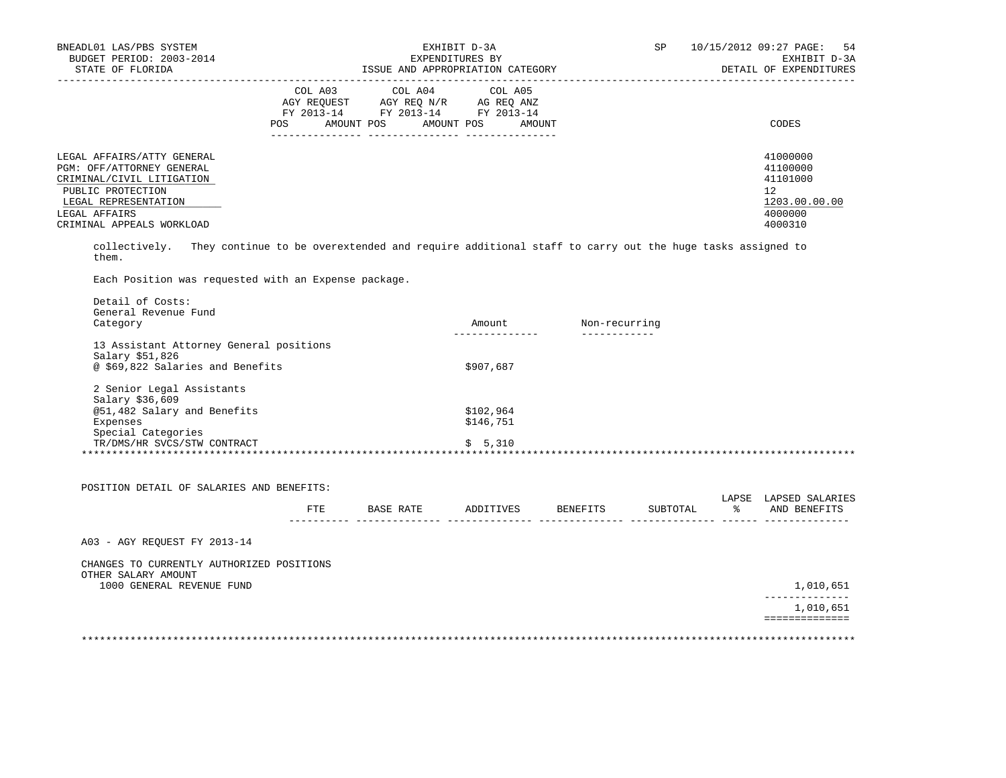| BNEADL01 LAS/PBS SYSTEM<br>BUDGET PERIOD: 2003-2014 | EXHIBIT D-3A<br>EXPENDITURES BY                                                                         | SP<br>54<br>10/15/2012 09:27 PAGE:<br>EXHIBIT D-3A |
|-----------------------------------------------------|---------------------------------------------------------------------------------------------------------|----------------------------------------------------|
| STATE OF FLORIDA                                    | ISSUE AND APPROPRIATION CATEGORY                                                                        | DETAIL OF EXPENDITURES                             |
|                                                     | COL A03 COL A04 COL A05<br>AGY REOUEST<br>AGY REO N/R<br>AG REO ANZ<br>FY 2013-14 FY 2013-14 FY 2013-14 |                                                    |
|                                                     | AMOUNT POS<br>AMOUNT POS<br>POS<br>AMOUNT                                                               | CODES                                              |
| LEGAL AFFAIRS/ATTY GENERAL                          |                                                                                                         | 41000000                                           |
| PGM: OFF/ATTORNEY GENERAL                           |                                                                                                         | 41100000<br>41101000                               |
| CRIMINAL/CIVIL LITIGATION<br>PUBLIC PROTECTION      |                                                                                                         | 12.                                                |
| LEGAL REPRESENTATION                                |                                                                                                         | 1203.00.00.00                                      |
| LEGAL AFFAIRS                                       |                                                                                                         | 4000000                                            |
| CRIMINAL APPEALS WORKLOAD                           |                                                                                                         | 4000310                                            |

 collectively. They continue to be overextended and require additional staff to carry out the huge tasks assigned to them.

Each Position was requested with an Expense package.

| Category                                | Amount     | Non-recurring |
|-----------------------------------------|------------|---------------|
| 13 Assistant Attorney General positions | ---------- |               |
| Salary \$51,826                         |            |               |
| @ \$69,822 Salaries and Benefits        | \$907,687  |               |
| 2 Senior Legal Assistants               |            |               |
| Salary \$36,609                         |            |               |
| @51,482 Salary and Benefits             | \$102,964  |               |
| Expenses                                | \$146,751  |               |
| Special Categories                      |            |               |
| TR/DMS/HR SVCS/STW CONTRACT             | \$5,310    |               |

|                                                                  | FTE. | BASE RATE | ADDITIVES | BENEFITS | SUBTOTAL | LAPSE<br>ႜ | LAPSED SALARIES<br>AND BENEFITS |
|------------------------------------------------------------------|------|-----------|-----------|----------|----------|------------|---------------------------------|
| A03 - AGY REOUEST FY 2013-14                                     |      |           |           |          |          |            |                                 |
| CHANGES TO CURRENTLY AUTHORIZED POSITIONS<br>OTHER SALARY AMOUNT |      |           |           |          |          |            |                                 |
| 1000 GENERAL REVENUE FUND                                        |      |           |           |          |          |            | 1,010,651                       |
|                                                                  |      |           |           |          |          |            | 1,010,651                       |
|                                                                  |      |           |           |          |          |            | ==========                      |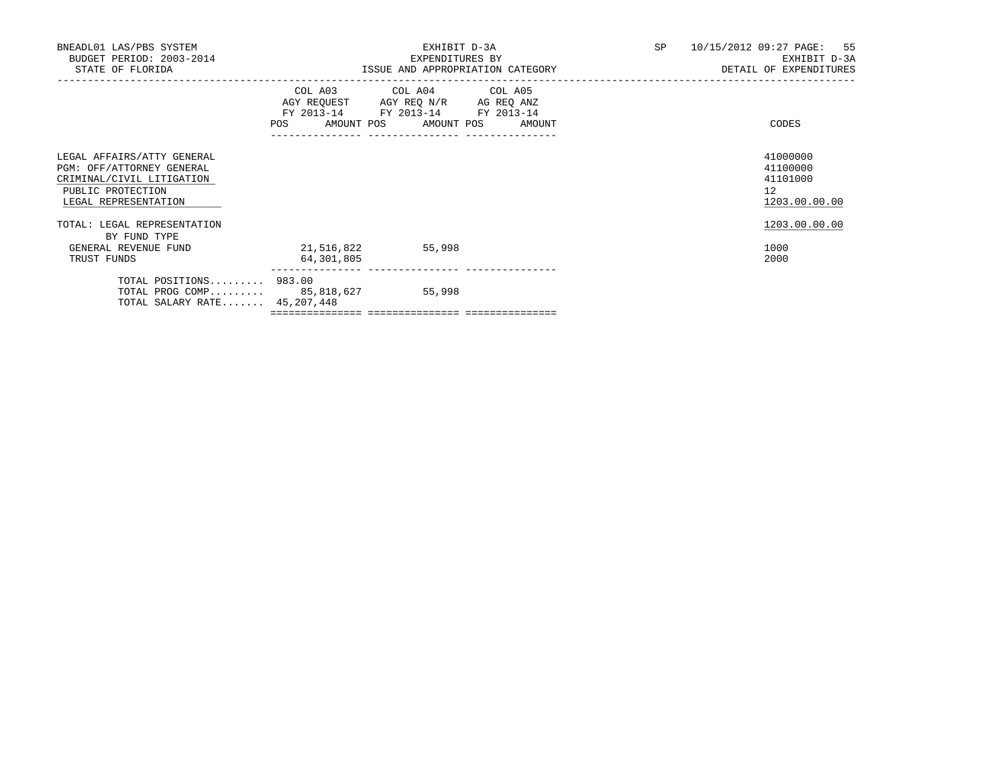| BNEADL01 LAS/PBS SYSTEM<br>BUDGET PERIOD: 2003-2014<br>STATE OF FLORIDA                                                           |                                  | EXHIBIT D-3A<br>EXPENDITURES BY<br>ISSUE AND APPROPRIATION CATEGORY                                                  |  | SP 10/15/2012 09:27 PAGE: 55<br>EXHIBIT D-3A<br>DETAIL OF EXPENDITURES |
|-----------------------------------------------------------------------------------------------------------------------------------|----------------------------------|----------------------------------------------------------------------------------------------------------------------|--|------------------------------------------------------------------------|
|                                                                                                                                   | POS AMOUNT POS AMOUNT POS AMOUNT | COL A03 COL A04 COL A05<br>AGY REQUEST AGY REQ N/R AG REQ ANZ<br>FY 2013-14 FY 2013-14 FY 2013-14<br>_______________ |  | CODES                                                                  |
| LEGAL AFFAIRS/ATTY GENERAL<br>PGM: OFF/ATTORNEY GENERAL<br>CRIMINAL/CIVIL LITIGATION<br>PUBLIC PROTECTION<br>LEGAL REPRESENTATION |                                  |                                                                                                                      |  | 41000000<br>41100000<br>41101000<br>12<br>1203.00.00.00                |
| TOTAL: LEGAL REPRESENTATION<br>BY FUND TYPE                                                                                       |                                  |                                                                                                                      |  | 1203.00.00.00                                                          |
| GENERAL REVENUE FUND<br>TRUST FUNDS                                                                                               | 21,516,822<br>64,301,805         | 55,998                                                                                                               |  | 1000<br>2000                                                           |
| TOTAL POSITIONS 983.00<br>TOTAL PROG COMP 85,818,627<br>TOTAL SALARY RATE 45,207,448                                              |                                  | 55,998                                                                                                               |  |                                                                        |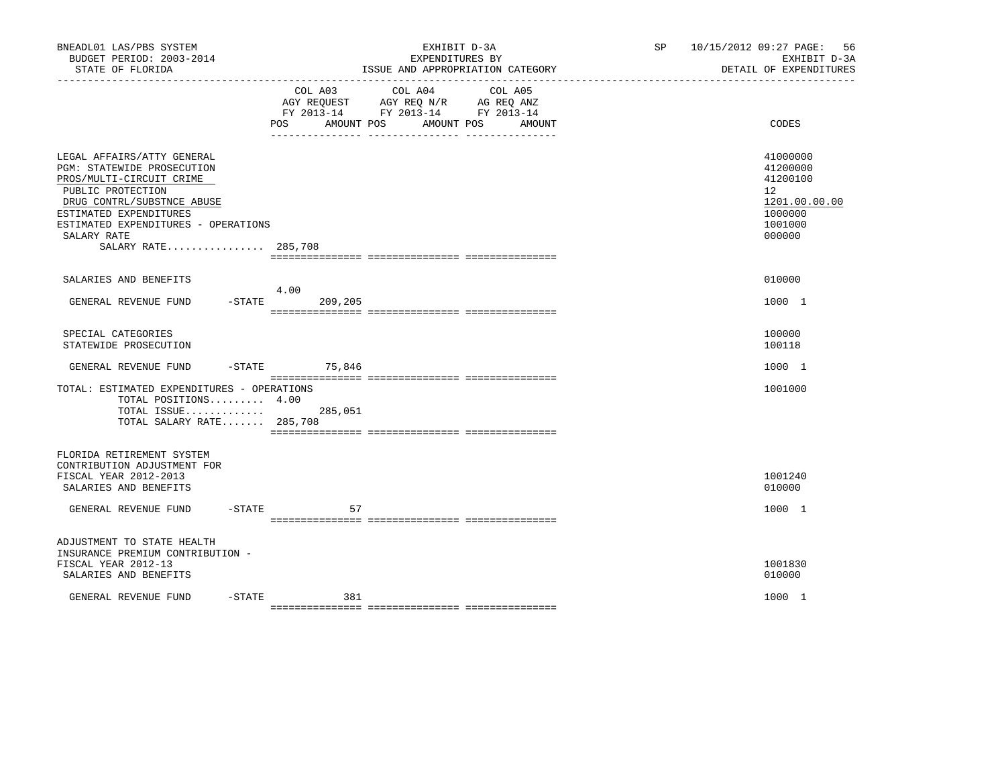| BNEADL01 LAS/PBS SYSTEM<br>BUDGET PERIOD: 2003-2014<br>STATE OF FLORIDA                                                                                                                                                                        |                                                                  | EXHIBIT D-3A<br>EXPENDITURES BY<br>ISSUE AND APPROPRIATION CATEGORY                                                          | SP 10/15/2012 09:27 PAGE:<br>-56<br>EXHIBIT D-3A<br>DETAIL OF EXPENDITURES              |
|------------------------------------------------------------------------------------------------------------------------------------------------------------------------------------------------------------------------------------------------|------------------------------------------------------------------|------------------------------------------------------------------------------------------------------------------------------|-----------------------------------------------------------------------------------------|
|                                                                                                                                                                                                                                                | <b>POS</b><br>AMOUNT POS<br>____________________________________ | COL A03 COL A04<br>COL A05<br>AGY REQUEST AGY REQ N/R AG REQ ANZ<br>FY 2013-14 FY 2013-14 FY 2013-14<br>AMOUNT POS<br>AMOUNT | CODES                                                                                   |
| LEGAL AFFAIRS/ATTY GENERAL<br>PGM: STATEWIDE PROSECUTION<br>PROS/MULTI-CIRCUIT CRIME<br>PUBLIC PROTECTION<br>DRUG CONTRL/SUBSTNCE ABUSE<br>ESTIMATED EXPENDITURES<br>ESTIMATED EXPENDITURES - OPERATIONS<br>SALARY RATE<br>SALARY RATE 285,708 |                                                                  |                                                                                                                              | 41000000<br>41200000<br>41200100<br>12<br>1201.00.00.00<br>1000000<br>1001000<br>000000 |
| SALARIES AND BENEFITS                                                                                                                                                                                                                          |                                                                  |                                                                                                                              | 010000                                                                                  |
| GENERAL REVENUE FUND                                                                                                                                                                                                                           | 4.00<br>$-STATE$<br>209,205                                      |                                                                                                                              | 1000 1                                                                                  |
| SPECIAL CATEGORIES<br>STATEWIDE PROSECUTION                                                                                                                                                                                                    |                                                                  |                                                                                                                              | 100000<br>100118                                                                        |
| GENERAL REVENUE FUND -STATE 75,846                                                                                                                                                                                                             |                                                                  |                                                                                                                              | 1000 1                                                                                  |
| TOTAL: ESTIMATED EXPENDITURES - OPERATIONS<br>TOTAL POSITIONS 4.00<br>TOTAL ISSUE<br>TOTAL SALARY RATE 285,708                                                                                                                                 | 285,051                                                          |                                                                                                                              | 1001000                                                                                 |
| FLORIDA RETIREMENT SYSTEM<br>CONTRIBUTION ADJUSTMENT FOR<br>FISCAL YEAR 2012-2013<br>SALARIES AND BENEFITS                                                                                                                                     |                                                                  |                                                                                                                              | 1001240<br>010000                                                                       |
| GENERAL REVENUE FUND<br>$-$ STATE                                                                                                                                                                                                              | 57                                                               |                                                                                                                              | 1000 1                                                                                  |
| ADJUSTMENT TO STATE HEALTH<br>INSURANCE PREMIUM CONTRIBUTION -<br>FISCAL YEAR 2012-13<br>SALARIES AND BENEFITS                                                                                                                                 |                                                                  |                                                                                                                              | 1001830<br>010000                                                                       |
| $-$ STATE<br>GENERAL REVENUE FUND                                                                                                                                                                                                              | 381                                                              |                                                                                                                              | 1000 1                                                                                  |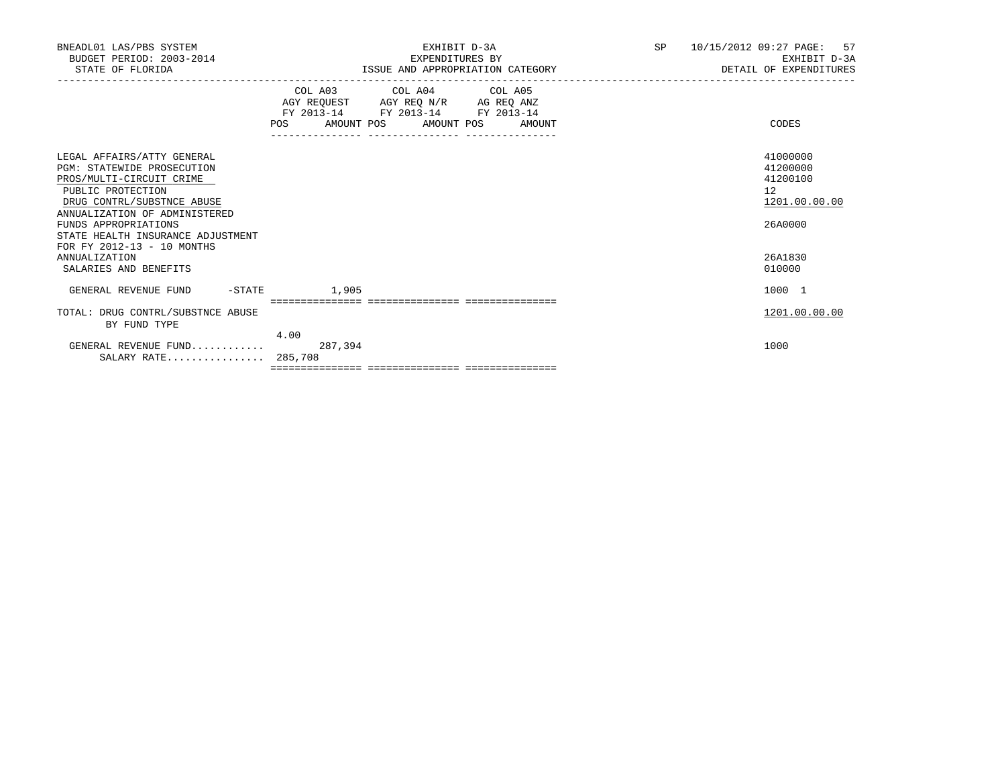| BNEADL01 LAS/PBS SYSTEM<br>BUDGET PERIOD: 2003-2014<br>STATE OF FLORIDA                                                                                                                                                                                                    |                 | EXHIBIT D-3A<br>EXPENDITURES BY<br>ISSUE AND APPROPRIATION CATEGORY                             | SP <sub>2</sub> | 10/15/2012 09:27 PAGE: 57<br>EXHIBIT D-3A<br>DETAIL OF EXPENDITURES |
|----------------------------------------------------------------------------------------------------------------------------------------------------------------------------------------------------------------------------------------------------------------------------|-----------------|-------------------------------------------------------------------------------------------------|-----------------|---------------------------------------------------------------------|
|                                                                                                                                                                                                                                                                            |                 | COL A03 COL A04 COL A05<br>FY 2013-14 FY 2013-14 FY 2013-14<br>POS AMOUNT POS AMOUNT POS AMOUNT |                 | CODES                                                               |
| LEGAL AFFAIRS/ATTY GENERAL<br><b>PGM: STATEWIDE PROSECUTION</b><br>PROS/MULTI-CIRCUIT CRIME<br>PUBLIC PROTECTION<br>DRUG CONTRL/SUBSTNCE ABUSE<br>ANNUALIZATION OF ADMINISTERED<br>FUNDS APPROPRIATIONS<br>STATE HEALTH INSURANCE ADJUSTMENT<br>FOR FY 2012-13 - 10 MONTHS |                 |                                                                                                 |                 | 41000000<br>41200000<br>41200100<br>12<br>1201.00.00.00<br>26A0000  |
| <b>ANNUALIZATION</b><br>SALARIES AND BENEFITS                                                                                                                                                                                                                              |                 |                                                                                                 |                 | 26A1830<br>010000                                                   |
| GENERAL REVENUE FUND -STATE                                                                                                                                                                                                                                                | 1,905           |                                                                                                 |                 | 1000 1                                                              |
| TOTAL: DRUG CONTRL/SUBSTNCE ABUSE<br>BY FUND TYPE                                                                                                                                                                                                                          |                 |                                                                                                 |                 | 1201.00.00.00                                                       |
| GENERAL REVENUE FUND<br>SALARY RATE 285,708                                                                                                                                                                                                                                | 4.00<br>287,394 |                                                                                                 |                 | 1000                                                                |
|                                                                                                                                                                                                                                                                            |                 |                                                                                                 |                 |                                                                     |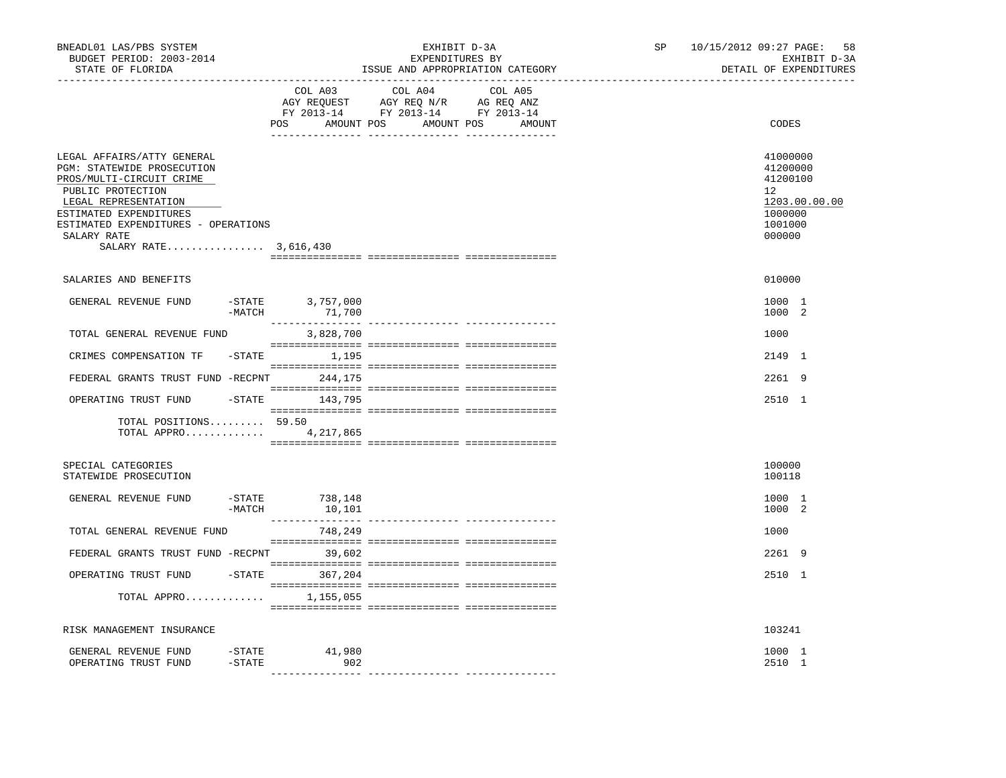| BNEADL01 LAS/PBS SYSTEM<br>BUDGET PERIOD: 2003-2014<br>STATE OF FLORIDA                                                                                                                                                                    |                        |                               | EXHIBIT D-3A<br>EXPENDITURES BY                                                                                                                                                                                                                                    | ISSUE AND APPROPRIATION CATEGORY | SP | 10/15/2012 09:27 PAGE:<br>DETAIL OF EXPENDITURES                                                     | 58<br>EXHIBIT D-3A |
|--------------------------------------------------------------------------------------------------------------------------------------------------------------------------------------------------------------------------------------------|------------------------|-------------------------------|--------------------------------------------------------------------------------------------------------------------------------------------------------------------------------------------------------------------------------------------------------------------|----------------------------------|----|------------------------------------------------------------------------------------------------------|--------------------|
|                                                                                                                                                                                                                                            |                        | COL A03                       | COL A04<br>$\begin{tabular}{lllllllll} \bf{AGY} & \bf{REQUEST} & \bf{AGY} & \bf{REQ} & \bf{IN/R} & \bf{AG} & \bf{REQ} & \bf{ANZ} \\ \bf{FY} & \bf{2013-14} & \bf{FY} & \bf{2013-14} & \bf{FY} & \bf{2013-14} \\ \end{tabular}$<br>POS AMOUNT POS AMOUNT POS AMOUNT | COL A05                          |    | CODES                                                                                                |                    |
| LEGAL AFFAIRS/ATTY GENERAL<br>PGM: STATEWIDE PROSECUTION<br>PROS/MULTI-CIRCUIT CRIME<br>PUBLIC PROTECTION<br>LEGAL REPRESENTATION<br>ESTIMATED EXPENDITURES<br>ESTIMATED EXPENDITURES - OPERATIONS<br>SALARY RATE<br>SALARY RATE 3,616,430 |                        |                               |                                                                                                                                                                                                                                                                    |                                  |    | 41000000<br>41200000<br>41200100<br>12 <sup>°</sup><br>1203.00.00.00<br>1000000<br>1001000<br>000000 |                    |
| SALARIES AND BENEFITS                                                                                                                                                                                                                      |                        |                               |                                                                                                                                                                                                                                                                    |                                  |    | 010000                                                                                               |                    |
| GENERAL REVENUE FUND                                                                                                                                                                                                                       | $-MATCH$               | $-$ STATE 3,757,000<br>71,700 |                                                                                                                                                                                                                                                                    |                                  |    | 1000 1<br>1000 2                                                                                     |                    |
| TOTAL GENERAL REVENUE FUND                                                                                                                                                                                                                 |                        | 3,828,700                     |                                                                                                                                                                                                                                                                    |                                  |    | 1000                                                                                                 |                    |
| CRIMES COMPENSATION TF                                                                                                                                                                                                                     |                        | $-$ STATE $1, 195$            |                                                                                                                                                                                                                                                                    |                                  |    | 2149 1                                                                                               |                    |
| FEDERAL GRANTS TRUST FUND -RECPNT 244,175                                                                                                                                                                                                  |                        |                               |                                                                                                                                                                                                                                                                    |                                  |    | 2261 9                                                                                               |                    |
| OPERATING TRUST FUND                                                                                                                                                                                                                       |                        | -STATE 143,795                |                                                                                                                                                                                                                                                                    |                                  |    | 2510 1                                                                                               |                    |
| TOTAL POSITIONS 59.50<br>TOTAL APPRO $4,217,865$                                                                                                                                                                                           |                        |                               |                                                                                                                                                                                                                                                                    |                                  |    |                                                                                                      |                    |
| SPECIAL CATEGORIES<br>STATEWIDE PROSECUTION                                                                                                                                                                                                |                        |                               |                                                                                                                                                                                                                                                                    |                                  |    | 100000<br>100118                                                                                     |                    |
| GENERAL REVENUE FUND                                                                                                                                                                                                                       | $-MATCH$               | $-$ STATE 738, 148<br>10,101  |                                                                                                                                                                                                                                                                    |                                  |    | 1000 1<br>1000 2                                                                                     |                    |
| TOTAL GENERAL REVENUE FUND                                                                                                                                                                                                                 |                        | 748,249                       |                                                                                                                                                                                                                                                                    |                                  |    | 1000                                                                                                 |                    |
| FEDERAL GRANTS TRUST FUND -RECPNT 39,602                                                                                                                                                                                                   |                        |                               |                                                                                                                                                                                                                                                                    |                                  |    | 2261 9                                                                                               |                    |
| OPERATING TRUST FUND                                                                                                                                                                                                                       |                        | $-STATE$ 367,204              |                                                                                                                                                                                                                                                                    |                                  |    | 2510 1                                                                                               |                    |
| TOTAL APPRO 1,155,055                                                                                                                                                                                                                      |                        |                               |                                                                                                                                                                                                                                                                    |                                  |    |                                                                                                      |                    |
| RISK MANAGEMENT INSURANCE                                                                                                                                                                                                                  |                        |                               |                                                                                                                                                                                                                                                                    |                                  |    | 103241                                                                                               |                    |
| GENERAL REVENUE FUND<br>OPERATING TRUST FUND                                                                                                                                                                                               | $-$ STATE<br>$-$ STATE | 41,980<br>902                 |                                                                                                                                                                                                                                                                    |                                  |    | 1000 1<br>2510 1                                                                                     |                    |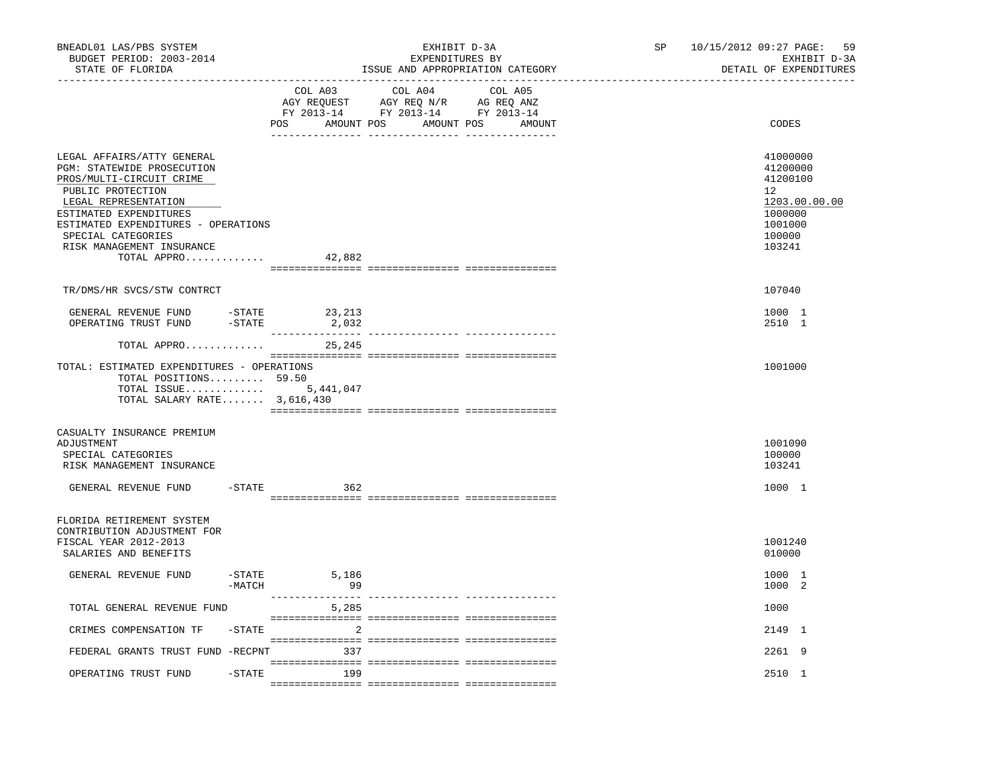| BNEADL01 LAS/PBS SYSTEM<br>BUDGET PERIOD: 2003-2014<br>STATE OF FLORIDA<br>----------------                                                                                                                                                                          |                    |                 | EXHIBIT D-3A<br>EXPENDITURES BY<br>ISSUE AND APPROPRIATION CATEGORY                                                                                                                                                                                                                                                                          | SP <sub>2</sub> | 10/15/2012 09:27 PAGE:<br>59<br>EXHIBIT D-3A<br>DETAIL OF EXPENDITURES                                         |
|----------------------------------------------------------------------------------------------------------------------------------------------------------------------------------------------------------------------------------------------------------------------|--------------------|-----------------|----------------------------------------------------------------------------------------------------------------------------------------------------------------------------------------------------------------------------------------------------------------------------------------------------------------------------------------------|-----------------|----------------------------------------------------------------------------------------------------------------|
|                                                                                                                                                                                                                                                                      |                    | COL A03         | COL A04<br>COL A05<br>$\begin{tabular}{lllllllll} \bf AGY \;\; RegUEST \hspace{1cm} AGY \;\; REG \;\; N/R \hspace{1cm} AG \;\; REG \;\; ANZ \\ \hline \texttt{FY} \;\; 2013\text{--}14 \hspace{1cm} & \texttt{FY} \;\; 2013\text{--}14 \hspace{1cm} & \texttt{FY} \;\; 2013\text{--}14 \end{tabular}$<br>POS AMOUNT POS AMOUNT POS<br>AMOUNT |                 | CODES                                                                                                          |
| LEGAL AFFAIRS/ATTY GENERAL<br>PGM: STATEWIDE PROSECUTION<br>PROS/MULTI-CIRCUIT CRIME<br>PUBLIC PROTECTION<br>LEGAL REPRESENTATION<br>ESTIMATED EXPENDITURES<br>ESTIMATED EXPENDITURES - OPERATIONS<br>SPECIAL CATEGORIES<br>RISK MANAGEMENT INSURANCE<br>TOTAL APPRO |                    | 42,882          |                                                                                                                                                                                                                                                                                                                                              |                 | 41000000<br>41200000<br>41200100<br>12 <sup>°</sup><br>1203.00.00.00<br>1000000<br>1001000<br>100000<br>103241 |
| TR/DMS/HR SVCS/STW CONTRCT                                                                                                                                                                                                                                           |                    |                 |                                                                                                                                                                                                                                                                                                                                              |                 | 107040                                                                                                         |
| GENERAL REVENUE FUND<br>OPERATING TRUST FUND                                                                                                                                                                                                                         | -STATE<br>-STATE   | 23,213<br>2,032 |                                                                                                                                                                                                                                                                                                                                              |                 | 1000 1<br>2510 1                                                                                               |
| TOTAL APPRO                                                                                                                                                                                                                                                          |                    | 25,245          |                                                                                                                                                                                                                                                                                                                                              |                 |                                                                                                                |
| TOTAL: ESTIMATED EXPENDITURES - OPERATIONS<br>TOTAL POSITIONS 59.50<br>TOTAL ISSUE 5,441,047<br>TOTAL SALARY RATE 3,616,430                                                                                                                                          |                    |                 |                                                                                                                                                                                                                                                                                                                                              |                 | 1001000                                                                                                        |
| CASUALTY INSURANCE PREMIUM<br>ADJUSTMENT<br>SPECIAL CATEGORIES<br>RISK MANAGEMENT INSURANCE                                                                                                                                                                          |                    |                 |                                                                                                                                                                                                                                                                                                                                              |                 | 1001090<br>100000<br>103241                                                                                    |
| GENERAL REVENUE FUND                                                                                                                                                                                                                                                 | $-$ STATE          | 362             |                                                                                                                                                                                                                                                                                                                                              |                 | 1000 1                                                                                                         |
| FLORIDA RETIREMENT SYSTEM<br>CONTRIBUTION ADJUSTMENT FOR<br>FISCAL YEAR 2012-2013<br>SALARIES AND BENEFITS                                                                                                                                                           |                    |                 |                                                                                                                                                                                                                                                                                                                                              |                 | 1001240<br>010000                                                                                              |
| GENERAL REVENUE FUND                                                                                                                                                                                                                                                 | -STATE<br>$-MATCH$ | 5,186<br>99     |                                                                                                                                                                                                                                                                                                                                              |                 | 1000 1<br>1000 2                                                                                               |
| TOTAL GENERAL REVENUE FUND                                                                                                                                                                                                                                           |                    | 5,285           |                                                                                                                                                                                                                                                                                                                                              |                 | 1000                                                                                                           |
| CRIMES COMPENSATION TF                                                                                                                                                                                                                                               | $-$ STATE          | 2               |                                                                                                                                                                                                                                                                                                                                              |                 | 2149 1                                                                                                         |
| FEDERAL GRANTS TRUST FUND -RECPNT                                                                                                                                                                                                                                    |                    | 337             |                                                                                                                                                                                                                                                                                                                                              |                 | 2261 9                                                                                                         |
| OPERATING TRUST FUND                                                                                                                                                                                                                                                 |                    | $-STATE$<br>199 |                                                                                                                                                                                                                                                                                                                                              |                 | 2510 1                                                                                                         |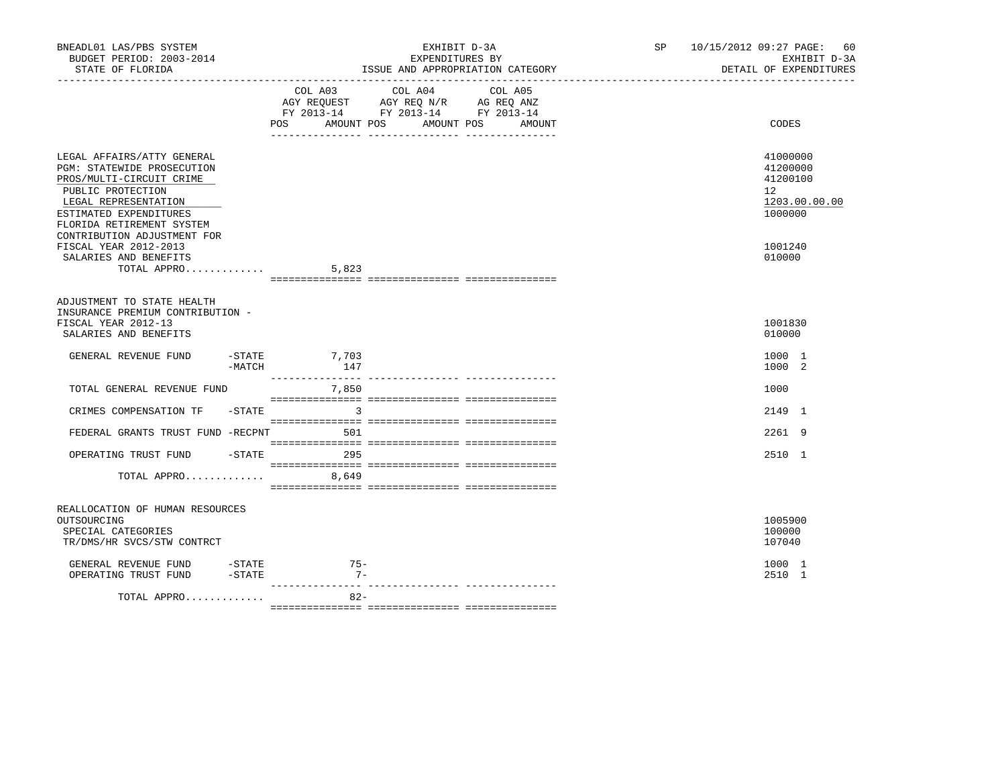| BNEADL01 LAS/PBS SYSTEM<br>BUDGET PERIOD: 2003-2014<br>STATE OF FLORIDA                                                                                                                                                                                                                         |                |                                                                                                                                                                                                        | EXHIBIT D-3A<br>EXPENDITURES BY         | ISSUE AND APPROPRIATION CATEGORY | SP and the set of the set of the set of the set of the set of the set of the set of the set of the set of the set of the set of the set of the set of the set of the set of the set of the set of the set of the set of the se | 10/15/2012 09:27 PAGE: 60<br>EXHIBIT D-3A<br>DETAIL OF EXPENDITURES                     |  |
|-------------------------------------------------------------------------------------------------------------------------------------------------------------------------------------------------------------------------------------------------------------------------------------------------|----------------|--------------------------------------------------------------------------------------------------------------------------------------------------------------------------------------------------------|-----------------------------------------|----------------------------------|--------------------------------------------------------------------------------------------------------------------------------------------------------------------------------------------------------------------------------|-----------------------------------------------------------------------------------------|--|
|                                                                                                                                                                                                                                                                                                 | COL A03<br>POS | COL A04<br>$\begin{tabular}{lllllll} \bf AGY \,\, REQUEST \,\, &\bf AGY \,\, REQ \,\, N/R &\bf AG \,\, REQ \,\, ANZ \\ \bf FY \,\, 2013-14 &\bf FY \,\, 2013-14 &\bf FY \,\, 2013-14 \\ \end{tabular}$ | COL A05<br>AMOUNT POS AMOUNT POS AMOUNT |                                  | CODES                                                                                                                                                                                                                          |                                                                                         |  |
| LEGAL AFFAIRS/ATTY GENERAL<br><b>PGM: STATEWIDE PROSECUTION</b><br>PROS/MULTI-CIRCUIT CRIME<br>PUBLIC PROTECTION<br>LEGAL REPRESENTATION<br>ESTIMATED EXPENDITURES<br>FLORIDA RETIREMENT SYSTEM<br>CONTRIBUTION ADJUSTMENT FOR<br>FISCAL YEAR 2012-2013<br>SALARIES AND BENEFITS<br>TOTAL APPRO |                | 5,823                                                                                                                                                                                                  |                                         |                                  |                                                                                                                                                                                                                                | 41000000<br>41200000<br>41200100<br>12<br>1203.00.00.00<br>1000000<br>1001240<br>010000 |  |
| ADJUSTMENT TO STATE HEALTH<br>INSURANCE PREMIUM CONTRIBUTION -<br>FISCAL YEAR 2012-13<br>SALARIES AND BENEFITS                                                                                                                                                                                  |                |                                                                                                                                                                                                        |                                         |                                  |                                                                                                                                                                                                                                | 1001830<br>010000                                                                       |  |
| GENERAL REVENUE FUND                                                                                                                                                                                                                                                                            | -MATCH         | $-STATE$ 7,703<br>147                                                                                                                                                                                  |                                         |                                  |                                                                                                                                                                                                                                | 1000 1<br>1000 2                                                                        |  |
| TOTAL GENERAL REVENUE FUND                                                                                                                                                                                                                                                                      |                | 7,850                                                                                                                                                                                                  |                                         |                                  |                                                                                                                                                                                                                                | 1000                                                                                    |  |
| CRIMES COMPENSATION TF - STATE 3                                                                                                                                                                                                                                                                |                |                                                                                                                                                                                                        |                                         |                                  |                                                                                                                                                                                                                                | 2149 1                                                                                  |  |
| FEDERAL GRANTS TRUST FUND -RECPNT                                                                                                                                                                                                                                                               |                | 501                                                                                                                                                                                                    |                                         |                                  |                                                                                                                                                                                                                                | 2261 9                                                                                  |  |
| OPERATING TRUST FUND                                                                                                                                                                                                                                                                            |                | $-STATE$ 295                                                                                                                                                                                           |                                         |                                  |                                                                                                                                                                                                                                | 2510 1                                                                                  |  |
| TOTAL APPRO 8,649                                                                                                                                                                                                                                                                               |                |                                                                                                                                                                                                        |                                         |                                  |                                                                                                                                                                                                                                |                                                                                         |  |
| REALLOCATION OF HUMAN RESOURCES<br>OUTSOURCING<br>SPECIAL CATEGORIES<br>TR/DMS/HR SVCS/STW CONTRCT                                                                                                                                                                                              |                |                                                                                                                                                                                                        |                                         |                                  |                                                                                                                                                                                                                                | 1005900<br>100000<br>107040                                                             |  |
| GENERAL REVENUE FUND -STATE<br>OPERATING TRUST FUND                                                                                                                                                                                                                                             | $-$ STATE      | $75 -$<br>$7 -$                                                                                                                                                                                        |                                         |                                  |                                                                                                                                                                                                                                | 1000 1<br>2510 1                                                                        |  |
| TOTAL APPRO                                                                                                                                                                                                                                                                                     |                | $82 -$                                                                                                                                                                                                 |                                         |                                  |                                                                                                                                                                                                                                |                                                                                         |  |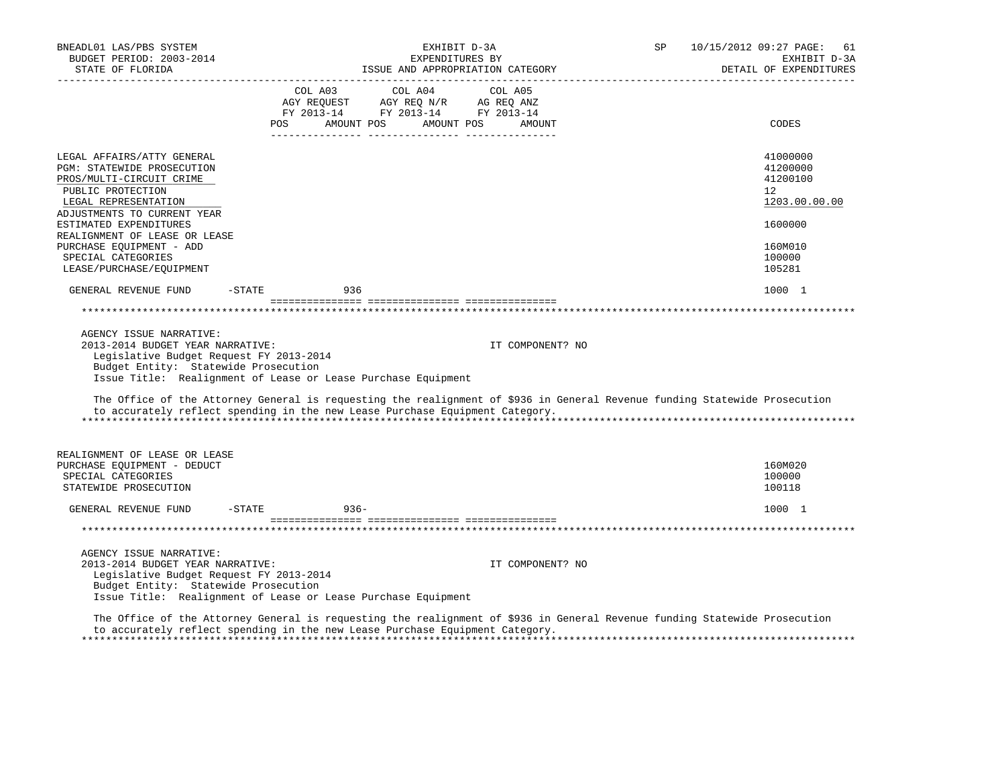| BNEADL01 LAS/PBS SYSTEM<br>BUDGET PERIOD: 2003-2014<br>STATE OF FLORIDA                                                                                                                                         |                      | EXHIBIT D-3A<br>EXPENDITURES BY<br>ISSUE AND APPROPRIATION CATEGORY                                                                                        |                                                                                                                            | SP | 10/15/2012 09:27 PAGE:<br>61<br>EXHIBIT D-3A<br>DETAIL OF EXPENDITURES |
|-----------------------------------------------------------------------------------------------------------------------------------------------------------------------------------------------------------------|----------------------|------------------------------------------------------------------------------------------------------------------------------------------------------------|----------------------------------------------------------------------------------------------------------------------------|----|------------------------------------------------------------------------|
|                                                                                                                                                                                                                 |                      | $\begin{tabular}{lcccc} CDL A03 & CDL A04 & CDL A05 \\ AGY REQUEST & AGY REQ N/R & AG REQ ANZ \\ FY & 2013-14 & FY & 2013-14 & FY & 2013-14 \end{tabular}$ |                                                                                                                            |    |                                                                        |
|                                                                                                                                                                                                                 |                      | POS AMOUNT POS AMOUNT POS                                                                                                                                  | AMOUNT                                                                                                                     |    | CODES                                                                  |
| LEGAL AFFAIRS/ATTY GENERAL<br>PGM: STATEWIDE PROSECUTION<br>PROS/MULTI-CIRCUIT CRIME<br>PUBLIC PROTECTION<br>LEGAL REPRESENTATION                                                                               |                      |                                                                                                                                                            |                                                                                                                            |    | 41000000<br>41200000<br>41200100<br>12<br>1203.00.00.00                |
| ADJUSTMENTS TO CURRENT YEAR<br>ESTIMATED EXPENDITURES<br>REALIGNMENT OF LEASE OR LEASE                                                                                                                          |                      |                                                                                                                                                            |                                                                                                                            |    | 1600000                                                                |
| PURCHASE EQUIPMENT - ADD<br>SPECIAL CATEGORIES<br>LEASE/PURCHASE/EQUIPMENT                                                                                                                                      |                      |                                                                                                                                                            |                                                                                                                            |    | 160M010<br>100000<br>105281                                            |
| GENERAL REVENUE FUND                                                                                                                                                                                            | $-$ STATE<br>936     |                                                                                                                                                            |                                                                                                                            |    | 1000 1                                                                 |
|                                                                                                                                                                                                                 |                      |                                                                                                                                                            |                                                                                                                            |    |                                                                        |
| AGENCY ISSUE NARRATIVE:<br>2013-2014 BUDGET YEAR NARRATIVE:<br>Legislative Budget Request FY 2013-2014<br>Budget Entity: Statewide Prosecution<br>Issue Title: Realignment of Lease or Lease Purchase Equipment |                      |                                                                                                                                                            | IT COMPONENT? NO                                                                                                           |    |                                                                        |
| to accurately reflect spending in the new Lease Purchase Equipment Category.                                                                                                                                    |                      |                                                                                                                                                            | The Office of the Attorney General is requesting the realignment of \$936 in General Revenue funding Statewide Prosecution |    |                                                                        |
| REALIGNMENT OF LEASE OR LEASE<br>PURCHASE EQUIPMENT - DEDUCT<br>SPECIAL CATEGORIES<br>STATEWIDE PROSECUTION                                                                                                     |                      |                                                                                                                                                            |                                                                                                                            |    | 160M020<br>100000<br>100118                                            |
| GENERAL REVENUE FUND                                                                                                                                                                                            | $-$ STATE<br>$936 -$ |                                                                                                                                                            |                                                                                                                            |    | 1000 1                                                                 |
|                                                                                                                                                                                                                 |                      |                                                                                                                                                            |                                                                                                                            |    |                                                                        |
| AGENCY ISSUE NARRATIVE:<br>2013-2014 BUDGET YEAR NARRATIVE:<br>Legislative Budget Request FY 2013-2014<br>Budget Entity: Statewide Prosecution<br>Issue Title: Realignment of Lease or Lease Purchase Equipment |                      |                                                                                                                                                            | IT COMPONENT? NO                                                                                                           |    |                                                                        |
| to accurately reflect spending in the new Lease Purchase Equipment Category.                                                                                                                                    |                      |                                                                                                                                                            | The Office of the Attorney General is requesting the realignment of \$936 in General Revenue funding Statewide Prosecution |    |                                                                        |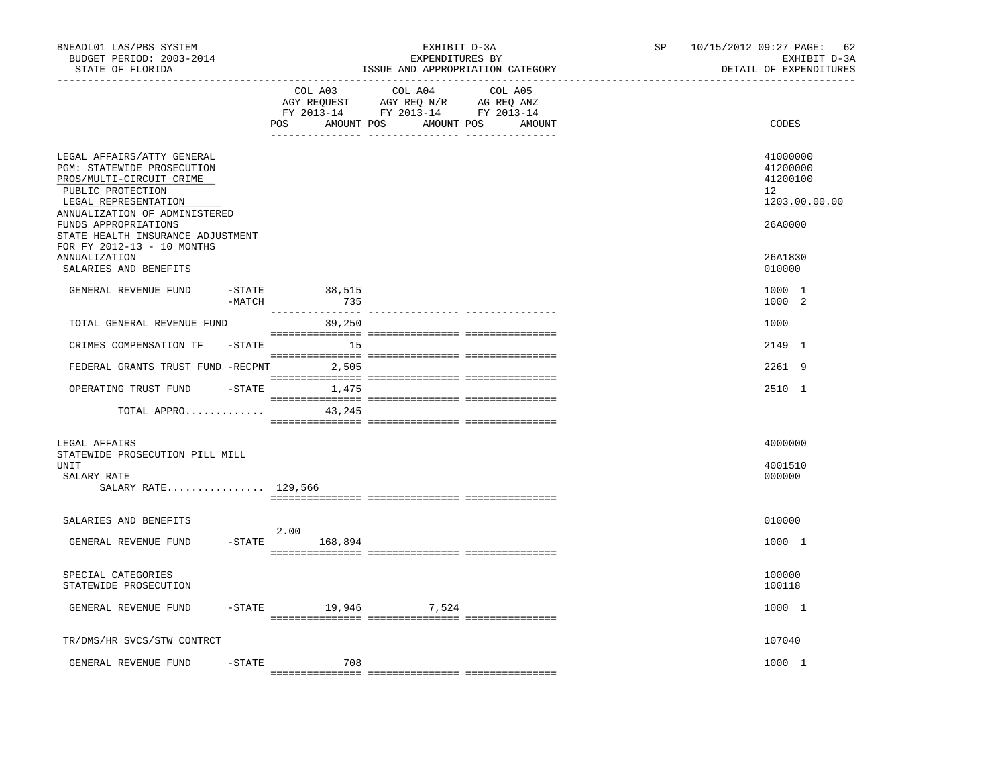| BNEADL01 LAS/PBS SYSTEM<br>BUDGET PERIOD: 2003-2014<br>STATE OF FLORIDA                                                                                                                                                                                                                                        |                     | EXHIBIT D-3A<br>EXPENDITURES BY<br>ISSUE AND APPROPRIATION CATEGORY                                                                                                                                                                                                                                    | SP and the set of the set of the set of the set of the set of the set of the set of the set of the set of the set of the set of the set of the set of the set of the set of the set of the set of the set of the set of the se | 10/15/2012 09:27 PAGE: 62<br>EXHIBIT D-3A<br>DETAIL OF EXPENDITURES                                  |
|----------------------------------------------------------------------------------------------------------------------------------------------------------------------------------------------------------------------------------------------------------------------------------------------------------------|---------------------|--------------------------------------------------------------------------------------------------------------------------------------------------------------------------------------------------------------------------------------------------------------------------------------------------------|--------------------------------------------------------------------------------------------------------------------------------------------------------------------------------------------------------------------------------|------------------------------------------------------------------------------------------------------|
| -----------------                                                                                                                                                                                                                                                                                              | COL A03             | COL A04<br>COL A05<br>$\begin{tabular}{lllllllll} \bf AGY \;\; RegUEST\hspace{1cm} \bf AGY \;\; REG \;\; N/R\hspace{1cm} \bf AG \;\; REG \;\; \bf ANZ \\ \bf FY \;\; 2013-14\hspace{1cm} & \bf FY \;\; 2013-14\hspace{1cm} & \bf FY \;\; 2013-14 \end{tabular}$<br>POS AMOUNT POS AMOUNT POS<br>AMOUNT |                                                                                                                                                                                                                                | CODES                                                                                                |
| LEGAL AFFAIRS/ATTY GENERAL<br><b>PGM: STATEWIDE PROSECUTION</b><br>PROS/MULTI-CIRCUIT CRIME<br>PUBLIC PROTECTION<br>LEGAL REPRESENTATION<br>ANNUALIZATION OF ADMINISTERED<br>FUNDS APPROPRIATIONS<br>STATE HEALTH INSURANCE ADJUSTMENT<br>FOR FY 2012-13 - 10 MONTHS<br>ANNUALIZATION<br>SALARIES AND BENEFITS |                     |                                                                                                                                                                                                                                                                                                        |                                                                                                                                                                                                                                | 41000000<br>41200000<br>41200100<br>12 <sup>°</sup><br>1203.00.00.00<br>26A0000<br>26A1830<br>010000 |
| $-$ STATE<br>GENERAL REVENUE FUND<br>$-MATCH$                                                                                                                                                                                                                                                                  | 38,515<br>735       |                                                                                                                                                                                                                                                                                                        |                                                                                                                                                                                                                                | 1000 1<br>1000 2                                                                                     |
| TOTAL GENERAL REVENUE FUND                                                                                                                                                                                                                                                                                     | 39,250              |                                                                                                                                                                                                                                                                                                        |                                                                                                                                                                                                                                | 1000                                                                                                 |
| CRIMES COMPENSATION TF<br>$-$ STATE                                                                                                                                                                                                                                                                            | $\sim$ 15           |                                                                                                                                                                                                                                                                                                        |                                                                                                                                                                                                                                | 2149 1                                                                                               |
| FEDERAL GRANTS TRUST FUND -RECPNT                                                                                                                                                                                                                                                                              | 2,505               |                                                                                                                                                                                                                                                                                                        |                                                                                                                                                                                                                                | 2261 9                                                                                               |
| OPERATING TRUST FUND                                                                                                                                                                                                                                                                                           | $-STATE$ 1,475      |                                                                                                                                                                                                                                                                                                        |                                                                                                                                                                                                                                | 2510 1                                                                                               |
| TOTAL APPRO                                                                                                                                                                                                                                                                                                    | 43,245              |                                                                                                                                                                                                                                                                                                        |                                                                                                                                                                                                                                |                                                                                                      |
| LEGAL AFFAIRS<br>STATEWIDE PROSECUTION PILL MILL<br>UNIT<br>SALARY RATE<br>SALARY RATE 129,566                                                                                                                                                                                                                 |                     |                                                                                                                                                                                                                                                                                                        |                                                                                                                                                                                                                                | 4000000<br>4001510<br>000000                                                                         |
|                                                                                                                                                                                                                                                                                                                |                     |                                                                                                                                                                                                                                                                                                        |                                                                                                                                                                                                                                |                                                                                                      |
| SALARIES AND BENEFITS                                                                                                                                                                                                                                                                                          | 2.00                |                                                                                                                                                                                                                                                                                                        |                                                                                                                                                                                                                                | 010000                                                                                               |
| GENERAL REVENUE FUND<br>$-STATE$                                                                                                                                                                                                                                                                               | 168,894             |                                                                                                                                                                                                                                                                                                        |                                                                                                                                                                                                                                | 1000 1                                                                                               |
| SPECIAL CATEGORIES<br>STATEWIDE PROSECUTION                                                                                                                                                                                                                                                                    |                     |                                                                                                                                                                                                                                                                                                        |                                                                                                                                                                                                                                | 100000<br>100118                                                                                     |
| GENERAL REVENUE FUND                                                                                                                                                                                                                                                                                           | -STATE 19,946 7,524 |                                                                                                                                                                                                                                                                                                        |                                                                                                                                                                                                                                | 1000 1                                                                                               |
| TR/DMS/HR SVCS/STW CONTRCT                                                                                                                                                                                                                                                                                     |                     |                                                                                                                                                                                                                                                                                                        |                                                                                                                                                                                                                                | 107040                                                                                               |
| GENERAL REVENUE FUND<br>$-$ STATE                                                                                                                                                                                                                                                                              | 708                 |                                                                                                                                                                                                                                                                                                        |                                                                                                                                                                                                                                | 1000 1                                                                                               |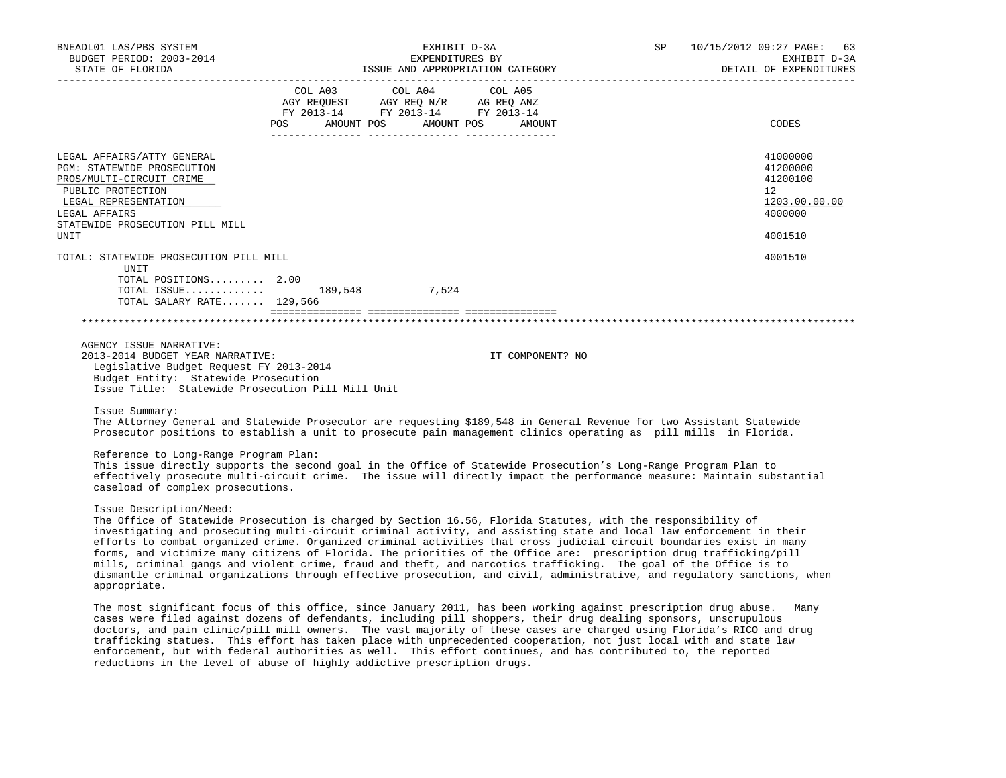| BNEADL01 LAS/PBS SYSTEM<br>BUDGET PERIOD: 2003-2014<br>STATE OF FLORIDA                                                                                                                                                                                                                                                                                                                                                                                                                                                                                                                                                                                                                                                                                                             | EXHIBIT D-3A<br>EXPENDITURES BY<br>ISSUE AND APPROPRIATION CATEGORY |                                                                                                                       |                  | SP | 10/15/2012 09:27 PAGE: 63<br>EXHIBIT D-3A<br>DETAIL OF EXPENDITURES |
|-------------------------------------------------------------------------------------------------------------------------------------------------------------------------------------------------------------------------------------------------------------------------------------------------------------------------------------------------------------------------------------------------------------------------------------------------------------------------------------------------------------------------------------------------------------------------------------------------------------------------------------------------------------------------------------------------------------------------------------------------------------------------------------|---------------------------------------------------------------------|-----------------------------------------------------------------------------------------------------------------------|------------------|----|---------------------------------------------------------------------|
|                                                                                                                                                                                                                                                                                                                                                                                                                                                                                                                                                                                                                                                                                                                                                                                     | COL A03                                                             | COL A04<br>AGY REQUEST AGY REQ N/R AG REQ ANZ<br>FY 2013-14 FY 2013-14 FY 2013-14<br>POS AMOUNT POS AMOUNT POS AMOUNT | COL A05          |    | CODES                                                               |
|                                                                                                                                                                                                                                                                                                                                                                                                                                                                                                                                                                                                                                                                                                                                                                                     |                                                                     |                                                                                                                       |                  |    |                                                                     |
| LEGAL AFFAIRS/ATTY GENERAL<br><b>PGM: STATEWIDE PROSECUTION</b><br>PROS/MULTI-CIRCUIT CRIME<br>PUBLIC PROTECTION<br>LEGAL REPRESENTATION<br>LEGAL AFFAIRS                                                                                                                                                                                                                                                                                                                                                                                                                                                                                                                                                                                                                           |                                                                     |                                                                                                                       |                  |    | 41000000<br>41200000<br>41200100<br>12<br>1203.00.00.00<br>4000000  |
| STATEWIDE PROSECUTION PILL MILL<br>UNIT                                                                                                                                                                                                                                                                                                                                                                                                                                                                                                                                                                                                                                                                                                                                             |                                                                     |                                                                                                                       |                  |    | 4001510                                                             |
| TOTAL: STATEWIDE PROSECUTION PILL MILL                                                                                                                                                                                                                                                                                                                                                                                                                                                                                                                                                                                                                                                                                                                                              |                                                                     |                                                                                                                       |                  |    | 4001510                                                             |
| UNIT<br>TOTAL POSITIONS 2.00<br>TOTAL ISSUE 189,548 7,524<br>TOTAL SALARY RATE 129,566                                                                                                                                                                                                                                                                                                                                                                                                                                                                                                                                                                                                                                                                                              |                                                                     |                                                                                                                       |                  |    |                                                                     |
|                                                                                                                                                                                                                                                                                                                                                                                                                                                                                                                                                                                                                                                                                                                                                                                     |                                                                     |                                                                                                                       |                  |    |                                                                     |
| AGENCY ISSUE NARRATIVE:<br>2013-2014 BUDGET YEAR NARRATIVE:<br>Legislative Budget Request FY 2013-2014<br>Budget Entity: Statewide Prosecution<br>Issue Title: Statewide Prosecution Pill Mill Unit                                                                                                                                                                                                                                                                                                                                                                                                                                                                                                                                                                                 |                                                                     |                                                                                                                       | IT COMPONENT? NO |    |                                                                     |
| Issue Summary:<br>The Attorney General and Statewide Prosecutor are requesting \$189,548 in General Revenue for two Assistant Statewide<br>Prosecutor positions to establish a unit to prosecute pain management clinics operating as pill mills in Florida.                                                                                                                                                                                                                                                                                                                                                                                                                                                                                                                        |                                                                     |                                                                                                                       |                  |    |                                                                     |
| Reference to Long-Range Program Plan:<br>This issue directly supports the second goal in the Office of Statewide Prosecution's Long-Range Program Plan to<br>effectively prosecute multi-circuit crime. The issue will directly impact the performance measure: Maintain substantial<br>caseload of complex prosecutions.                                                                                                                                                                                                                                                                                                                                                                                                                                                           |                                                                     |                                                                                                                       |                  |    |                                                                     |
| Issue Description/Need:<br>The Office of Statewide Prosecution is charged by Section 16.56, Florida Statutes, with the responsibility of<br>investigating and prosecuting multi-circuit criminal activity, and assisting state and local law enforcement in their<br>efforts to combat organized crime. Organized criminal activities that cross judicial circuit boundaries exist in many<br>forms, and victimize many citizens of Florida. The priorities of the Office are: prescription drug trafficking/pill<br>mills, criminal gangs and violent crime, fraud and theft, and narcotics trafficking. The goal of the Office is to<br>dismantle criminal organizations through effective prosecution, and civil, administrative, and regulatory sanctions, when<br>appropriate. |                                                                     |                                                                                                                       |                  |    |                                                                     |
| The most significant focus of this office, since January 2011, has been working against prescription drug abuse.<br>cases were filed against dozens of defendants, including pill shoppers, their drug dealing sponsors, unscrupulous<br>doctors, and pain clinic/pill mill owners. The vast majority of these cases are charged using Florida's RICO and drug<br>trafficking statues. This effort has taken place with unprecedented cooperation, not just local with and state law                                                                                                                                                                                                                                                                                                |                                                                     |                                                                                                                       |                  |    | Many                                                                |

 trafficking statues. This effort has taken place with unprecedented cooperation, not just local with and state law enforcement, but with federal authorities as well. This effort continues, and has contributed to, the reported reductions in the level of abuse of highly addictive prescription drugs.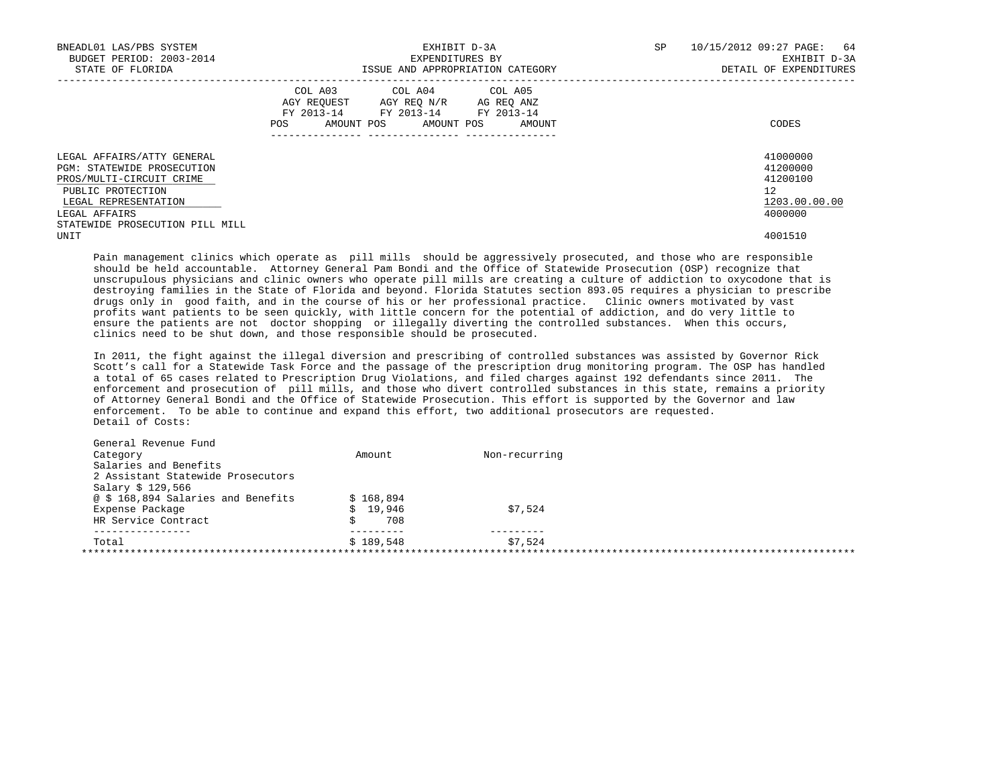| BNEADL01 LAS/PBS SYSTEM<br>BUDGET PERIOD: 2003-2014<br>STATE OF FLORIDA                                                                                                               | EXHIBIT D-3A<br>EXPENDITURES BY<br>ISSUE AND APPROPRIATION CATEGORY                                                                                | 64<br>10/15/2012 09:27 PAGE:<br>SP<br>EXHIBIT D-3A<br>DETAIL OF EXPENDITURES |
|---------------------------------------------------------------------------------------------------------------------------------------------------------------------------------------|----------------------------------------------------------------------------------------------------------------------------------------------------|------------------------------------------------------------------------------|
|                                                                                                                                                                                       | COL A03 COL A04 COL A05<br>AGY REOUEST<br>AGY REO N/R AG REO ANZ<br>FY 2013-14 FY 2013-14 FY 2013-14<br>AMOUNT POS<br>AMOUNT POS<br>POS.<br>AMOUNT | CODES                                                                        |
| LEGAL AFFAIRS/ATTY GENERAL<br>PGM: STATEWIDE PROSECUTION<br>PROS/MULTI-CIRCUIT CRIME<br>PUBLIC PROTECTION<br>LEGAL REPRESENTATION<br>LEGAL AFFAIRS<br>STATEWIDE PROSECUTION PILL MILL |                                                                                                                                                    | 41000000<br>41200000<br>41200100<br>$12^{\circ}$<br>1203.00.00.00<br>4000000 |
| UNIT                                                                                                                                                                                  |                                                                                                                                                    | 4001510                                                                      |

 Pain management clinics which operate as pill mills should be aggressively prosecuted, and those who are responsible should be held accountable. Attorney General Pam Bondi and the Office of Statewide Prosecution (OSP) recognize that unscrupulous physicians and clinic owners who operate pill mills are creating a culture of addiction to oxycodone that is destroying families in the State of Florida and beyond. Florida Statutes section 893.05 requires a physician to prescribe drugs only in good faith, and in the course of his or her professional practice. Clinic owners motivated by vast profits want patients to be seen quickly, with little concern for the potential of addiction, and do very little to ensure the patients are not doctor shopping or illegally diverting the controlled substances. When this occurs, clinics need to be shut down, and those responsible should be prosecuted.

 In 2011, the fight against the illegal diversion and prescribing of controlled substances was assisted by Governor Rick Scott's call for a Statewide Task Force and the passage of the prescription drug monitoring program. The OSP has handled a total of 65 cases related to Prescription Drug Violations, and filed charges against 192 defendants since 2011. The enforcement and prosecution of pill mills, and those who divert controlled substances in this state, remains a priority of Attorney General Bondi and the Office of Statewide Prosecution. This effort is supported by the Governor and law enforcement. To be able to continue and expand this effort, two additional prosecutors are requested. Detail of Costs:

| Category<br>Salaries and Benefits  | Amount    | Non-recurring |  |
|------------------------------------|-----------|---------------|--|
| 2 Assistant Statewide Prosecutors  |           |               |  |
| Salary \$ 129,566                  |           |               |  |
| @ \$ 168,894 Salaries and Benefits | \$168.894 |               |  |
| Expense Package                    | \$19.946  | \$7,524       |  |
| HR Service Contract                | 708       |               |  |
| -----------<br>Total               | \$189.548 | \$7,524       |  |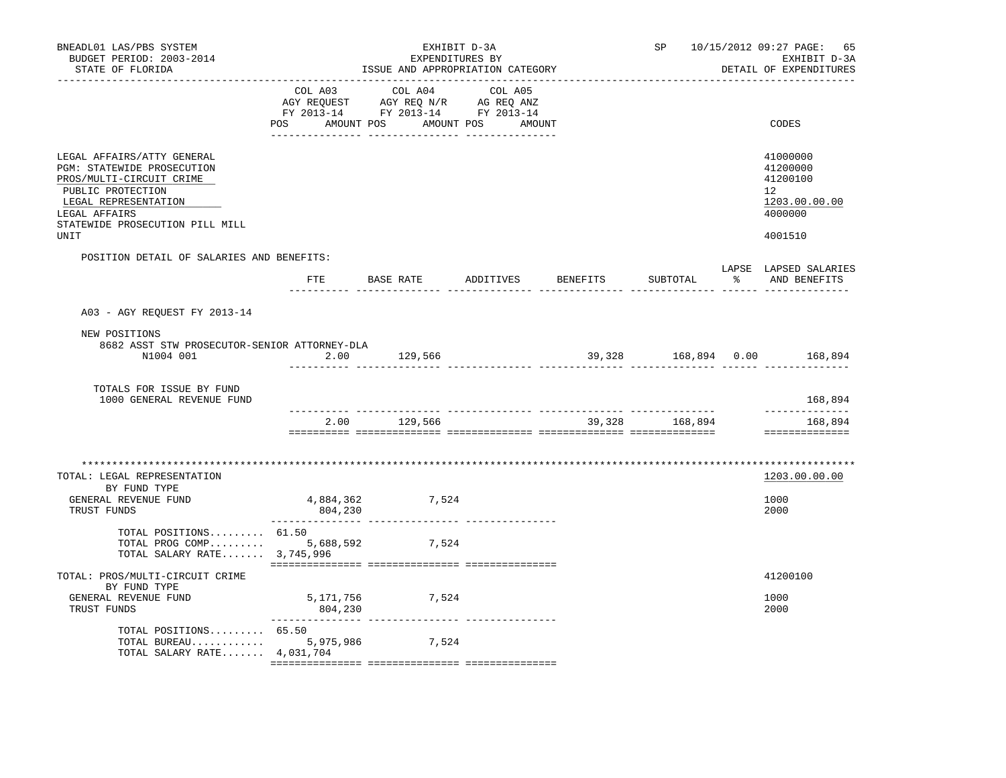| BNEADL01 LAS/PBS SYSTEM<br>BUDGET PERIOD: 2003-2014<br>STATE OF FLORIDA                                                                                                                       |                      | EXPENDITURES BY<br>ISSUE AND APPROPRIATION CATEGORY                                                               | EXHIBIT D-3A |                 | SP                  |   | 10/15/2012 09:27 PAGE:<br>65<br>EXHIBIT D-3A<br>DETAIL OF EXPENDITURES        |
|-----------------------------------------------------------------------------------------------------------------------------------------------------------------------------------------------|----------------------|-------------------------------------------------------------------------------------------------------------------|--------------|-----------------|---------------------|---|-------------------------------------------------------------------------------|
|                                                                                                                                                                                               | COL A03<br>POS       | COL A04<br>AGY REQUEST AGY REQ N/R AG REQ ANZ<br>FY 2013-14 FY 2013-14 FY 2013-14<br>AMOUNT POS AMOUNT POS AMOUNT | COL A05      |                 |                     |   | CODES                                                                         |
| LEGAL AFFAIRS/ATTY GENERAL<br>PGM: STATEWIDE PROSECUTION<br>PROS/MULTI-CIRCUIT CRIME<br>PUBLIC PROTECTION<br>LEGAL REPRESENTATION<br>LEGAL AFFAIRS<br>STATEWIDE PROSECUTION PILL MILL<br>UNIT |                      |                                                                                                                   |              |                 |                     |   | 41000000<br>41200000<br>41200100<br>12<br>1203.00.00.00<br>4000000<br>4001510 |
| POSITION DETAIL OF SALARIES AND BENEFITS:                                                                                                                                                     |                      |                                                                                                                   |              |                 |                     |   |                                                                               |
|                                                                                                                                                                                               |                      | FTE BASE RATE ADDITIVES                                                                                           |              | <b>BENEFITS</b> | SUBTOTAL            | ႜ | LAPSE LAPSED SALARIES<br>AND BENEFITS                                         |
| A03 - AGY REQUEST FY 2013-14                                                                                                                                                                  |                      |                                                                                                                   |              |                 |                     |   |                                                                               |
| NEW POSITIONS<br>8682 ASST STW PROSECUTOR-SENIOR ATTORNEY-DLA<br>N1004 001                                                                                                                    | 2.00                 | 129,566                                                                                                           |              |                 | 39,328 168,894 0.00 |   | 168,894                                                                       |
| TOTALS FOR ISSUE BY FUND<br>1000 GENERAL REVENUE FUND                                                                                                                                         |                      |                                                                                                                   |              |                 |                     |   | 168,894                                                                       |
|                                                                                                                                                                                               | 2.00                 | 129,566                                                                                                           |              |                 | 39,328 168,894      |   | _____________<br>168,894<br>==============                                    |
| TOTAL: LEGAL REPRESENTATION<br>BY FUND TYPE<br>GENERAL REVENUE FUND<br>TRUST FUNDS                                                                                                            | 4,884,362<br>804,230 | 7,524                                                                                                             |              |                 |                     |   | 1203.00.00.00<br>1000<br>2000                                                 |
| TOTAL POSITIONS 61.50<br>TOTAL PROG COMP 5,688,592<br>TOTAL SALARY RATE 3,745,996                                                                                                             |                      | 7,524                                                                                                             |              |                 |                     |   |                                                                               |
| TOTAL: PROS/MULTI-CIRCUIT CRIME<br>BY FUND TYPE<br>GENERAL REVENUE FUND<br>TRUST FUNDS                                                                                                        | 5,171,756<br>804,230 | 7,524                                                                                                             |              |                 |                     |   | 41200100<br>1000<br>2000                                                      |
| TOTAL POSITIONS 65.50<br>TOTAL BUREAU<br>TOTAL SALARY RATE $4,031,704$                                                                                                                        | 5,975,986            | 7,524                                                                                                             |              |                 |                     |   |                                                                               |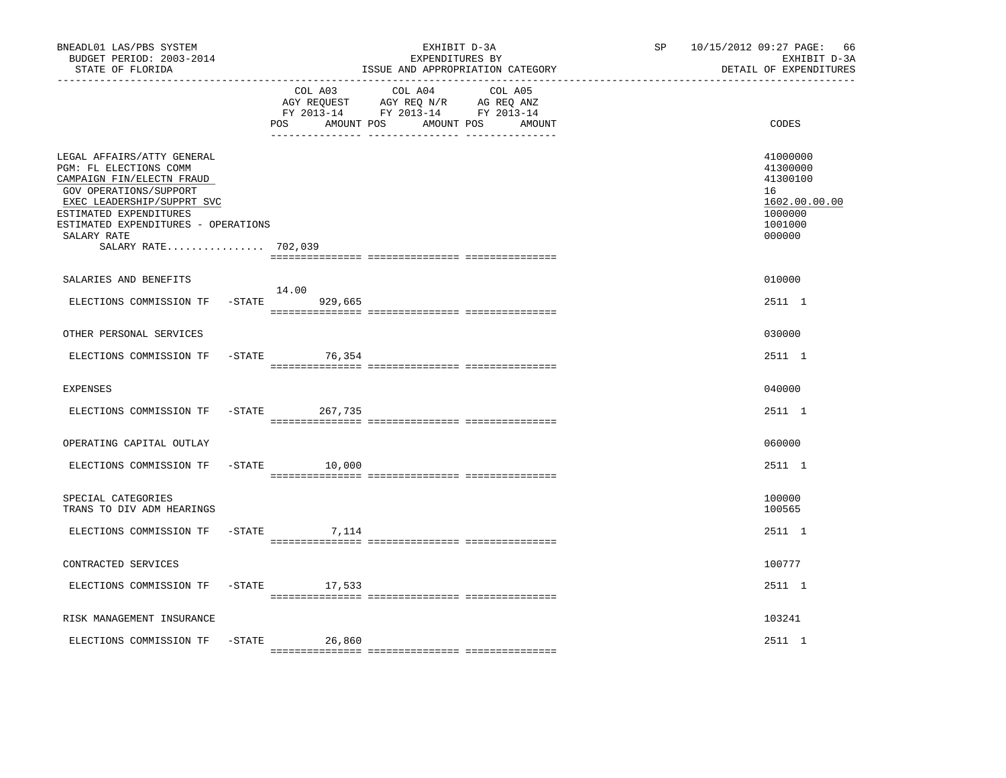| BNEADL01 LAS/PBS SYSTEM<br>BUDGET PERIOD: 2003-2014<br>STATE OF FLORIDA                                                                                                                                                                          |                               | EXHIBIT D-3A<br>EXPENDITURES BY<br>ISSUE AND APPROPRIATION CATEGORY                                                                | SP <sub>2</sub> | 10/15/2012 09:27 PAGE: 66<br>EXHIBIT D-3A<br>DETAIL OF EXPENDITURES                     |
|--------------------------------------------------------------------------------------------------------------------------------------------------------------------------------------------------------------------------------------------------|-------------------------------|------------------------------------------------------------------------------------------------------------------------------------|-----------------|-----------------------------------------------------------------------------------------|
|                                                                                                                                                                                                                                                  | COL A03<br>POS.               | COL A04<br>COL A05<br>AGY REQUEST AGY REQ N/R AG REQ ANZ<br>FY 2013-14 FY 2013-14 FY 2013-14<br>AMOUNT POS<br>AMOUNT POS<br>AMOUNT |                 | CODES                                                                                   |
| LEGAL AFFAIRS/ATTY GENERAL<br>PGM: FL ELECTIONS COMM<br>CAMPAIGN FIN/ELECTN FRAUD<br>GOV OPERATIONS/SUPPORT<br>EXEC LEADERSHIP/SUPPRT SVC<br>ESTIMATED EXPENDITURES<br>ESTIMATED EXPENDITURES - OPERATIONS<br>SALARY RATE<br>SALARY RATE 702,039 |                               |                                                                                                                                    |                 | 41000000<br>41300000<br>41300100<br>16<br>1602.00.00.00<br>1000000<br>1001000<br>000000 |
| SALARIES AND BENEFITS                                                                                                                                                                                                                            |                               |                                                                                                                                    |                 | 010000                                                                                  |
| ELECTIONS COMMISSION TF                                                                                                                                                                                                                          | 14.00<br>$-$ STATE<br>929,665 |                                                                                                                                    |                 | 2511 1                                                                                  |
| OTHER PERSONAL SERVICES                                                                                                                                                                                                                          |                               |                                                                                                                                    |                 | 030000                                                                                  |
| ELECTIONS COMMISSION TF                                                                                                                                                                                                                          | $-STATE$<br>76,354            |                                                                                                                                    |                 | 2511 1                                                                                  |
| <b>EXPENSES</b>                                                                                                                                                                                                                                  |                               |                                                                                                                                    |                 | 040000                                                                                  |
| ELECTIONS COMMISSION TF                                                                                                                                                                                                                          | $-STATE$<br>267,735           |                                                                                                                                    |                 | 2511 1                                                                                  |
| OPERATING CAPITAL OUTLAY                                                                                                                                                                                                                         |                               |                                                                                                                                    |                 | 060000                                                                                  |
| ELECTIONS COMMISSION TF                                                                                                                                                                                                                          | $-$ STATE<br>10,000           |                                                                                                                                    |                 | 2511 1                                                                                  |
| SPECIAL CATEGORIES<br>TRANS TO DIV ADM HEARINGS                                                                                                                                                                                                  |                               |                                                                                                                                    |                 | 100000<br>100565                                                                        |
| ELECTIONS COMMISSION TF                                                                                                                                                                                                                          | $-$ STATE<br>7,114            |                                                                                                                                    |                 | 2511 1                                                                                  |
| CONTRACTED SERVICES                                                                                                                                                                                                                              |                               |                                                                                                                                    |                 | 100777                                                                                  |
| ELECTIONS COMMISSION TF                                                                                                                                                                                                                          | $-STATE$ 17,533               |                                                                                                                                    |                 | 2511 1                                                                                  |
| RISK MANAGEMENT INSURANCE                                                                                                                                                                                                                        |                               |                                                                                                                                    |                 | 103241                                                                                  |
| ELECTIONS COMMISSION TF                                                                                                                                                                                                                          | $-$ STATE<br>26,860           |                                                                                                                                    |                 | 2511 1                                                                                  |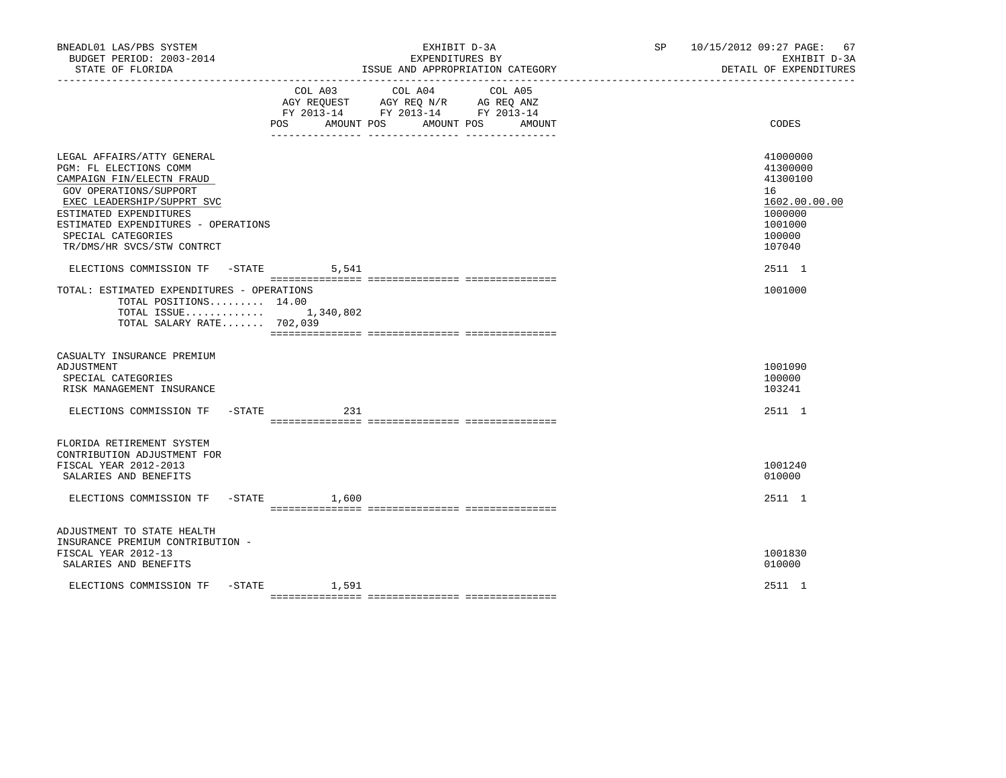| BNEADL01 LAS/PBS SYSTEM<br>BUDGET PERIOD: 2003-2014<br>STATE OF FLORIDA                                                                                                                                                                                        |                              | EXPENDITURES BY                                                                                                      | EXHIBIT D-3A<br>ISSUE AND APPROPRIATION CATEGORY | SP 10/15/2012 09:27 PAGE: 67<br>EXHIBIT D-3A<br>DETAIL OF EXPENDITURES                            |
|----------------------------------------------------------------------------------------------------------------------------------------------------------------------------------------------------------------------------------------------------------------|------------------------------|----------------------------------------------------------------------------------------------------------------------|--------------------------------------------------|---------------------------------------------------------------------------------------------------|
|                                                                                                                                                                                                                                                                | COL A03<br>POS<br>AMOUNT POS | COL A04<br>AGY REQUEST AGY REQ N/R AG REQ ANZ<br>FY 2013-14 FY 2013-14 FY 2013-14<br>AMOUNT POS<br>___ _____________ | COL A05<br>AMOUNT                                | CODES                                                                                             |
| LEGAL AFFAIRS/ATTY GENERAL<br>PGM: FL ELECTIONS COMM<br>CAMPAIGN FIN/ELECTN FRAUD<br>GOV OPERATIONS/SUPPORT<br>EXEC LEADERSHIP/SUPPRT SVC<br>ESTIMATED EXPENDITURES<br>ESTIMATED EXPENDITURES - OPERATIONS<br>SPECIAL CATEGORIES<br>TR/DMS/HR SVCS/STW CONTRCT |                              |                                                                                                                      |                                                  | 41000000<br>41300000<br>41300100<br>16<br>1602.00.00.00<br>1000000<br>1001000<br>100000<br>107040 |
| ELECTIONS COMMISSION TF -STATE 5,541<br>TOTAL: ESTIMATED EXPENDITURES - OPERATIONS<br>TOTAL POSITIONS 14.00<br>TOTAL ISSUE 1,340,802<br>TOTAL SALARY RATE 702,039                                                                                              |                              |                                                                                                                      |                                                  | 2511 1<br>1001000                                                                                 |
| CASUALTY INSURANCE PREMIUM<br>ADJUSTMENT<br>SPECIAL CATEGORIES<br>RISK MANAGEMENT INSURANCE                                                                                                                                                                    |                              |                                                                                                                      |                                                  | 1001090<br>100000<br>103241                                                                       |
| ELECTIONS COMMISSION TF -STATE                                                                                                                                                                                                                                 | 231                          |                                                                                                                      |                                                  | 2511 1                                                                                            |
| FLORIDA RETIREMENT SYSTEM<br>CONTRIBUTION ADJUSTMENT FOR<br>FISCAL YEAR 2012-2013<br>SALARIES AND BENEFITS<br>ELECTIONS COMMISSION TF -STATE 1,600                                                                                                             |                              |                                                                                                                      |                                                  | 1001240<br>010000<br>2511 1                                                                       |
| ADJUSTMENT TO STATE HEALTH<br>INSURANCE PREMIUM CONTRIBUTION -<br>FISCAL YEAR 2012-13<br>SALARIES AND BENEFITS                                                                                                                                                 |                              |                                                                                                                      |                                                  | 1001830<br>010000                                                                                 |
| ELECTIONS COMMISSION TF                                                                                                                                                                                                                                        | $-$ STATE $1,591$            |                                                                                                                      |                                                  | 2511 1                                                                                            |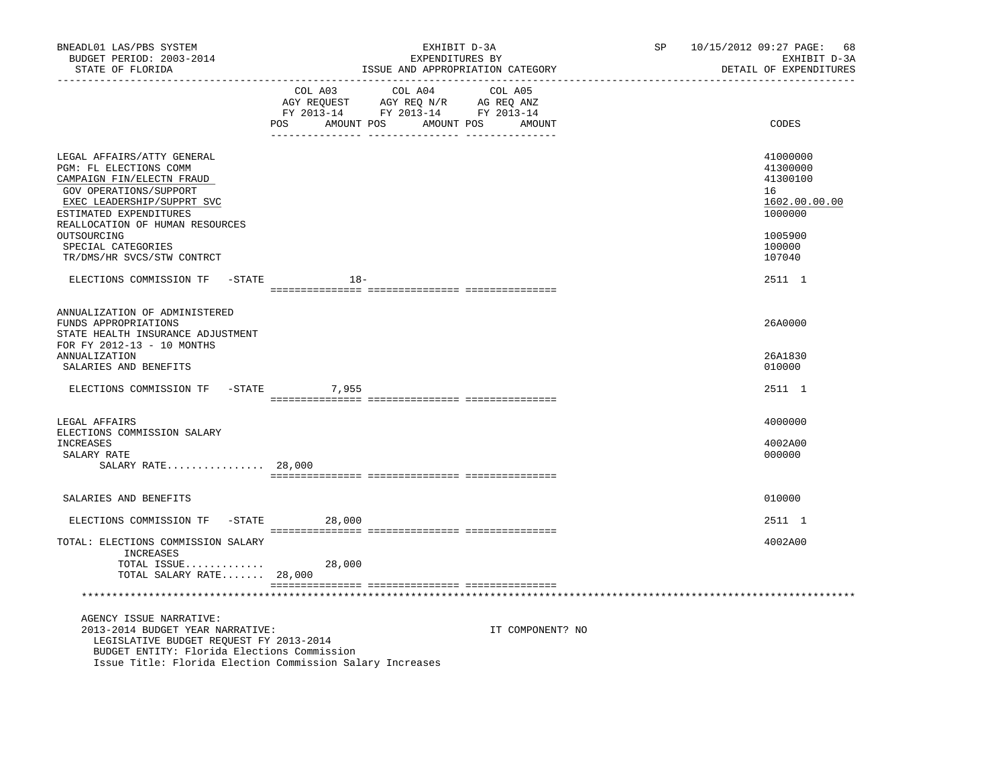| BNEADL01 LAS/PBS SYSTEM<br>BUDGET PERIOD: 2003-2014<br>STATE OF FLORIDA                                                                                                   | EXHIBIT D-3A<br>SP<br>EXPENDITURES BY<br>ISSUE AND APPROPRIATION CATEGORY                                                                      | 10/15/2012 09:27 PAGE: 68<br>EXHIBIT D-3A<br>DETAIL OF EXPENDITURES |
|---------------------------------------------------------------------------------------------------------------------------------------------------------------------------|------------------------------------------------------------------------------------------------------------------------------------------------|---------------------------------------------------------------------|
|                                                                                                                                                                           | COL A03<br>COL A04 COL A05<br>CO AGY REQUEST AGY REQ N/R AG REQ ANZ<br>FY 2013-14 FY 2013-14 FY 2013-14<br>POS<br>AMOUNT POS AMOUNT POS AMOUNT | CODES                                                               |
| LEGAL AFFAIRS/ATTY GENERAL<br>PGM: FL ELECTIONS COMM<br>CAMPAIGN FIN/ELECTN FRAUD<br>GOV OPERATIONS/SUPPORT<br>EXEC LEADERSHIP/SUPPRT SVC<br>ESTIMATED EXPENDITURES       |                                                                                                                                                | 41000000<br>41300000<br>41300100<br>16<br>1602.00.00.00<br>1000000  |
| REALLOCATION OF HUMAN RESOURCES<br>OUTSOURCING<br>SPECIAL CATEGORIES<br>TR/DMS/HR SVCS/STW CONTRCT                                                                        |                                                                                                                                                | 1005900<br>100000<br>107040                                         |
| ELECTIONS COMMISSION TF -STATE                                                                                                                                            | $18-$                                                                                                                                          | 2511 1                                                              |
| ANNUALIZATION OF ADMINISTERED<br>FUNDS APPROPRIATIONS<br>STATE HEALTH INSURANCE ADJUSTMENT<br>FOR FY 2012-13 - 10 MONTHS<br><b>ANNUALIZATION</b><br>SALARIES AND BENEFITS |                                                                                                                                                | 26A0000<br>26A1830<br>010000                                        |
| ELECTIONS COMMISSION TF - STATE 7,955                                                                                                                                     |                                                                                                                                                | 2511 1                                                              |
|                                                                                                                                                                           |                                                                                                                                                |                                                                     |
| LEGAL AFFAIRS<br>ELECTIONS COMMISSION SALARY<br>INCREASES<br>SALARY RATE                                                                                                  |                                                                                                                                                | 4000000<br>4002A00<br>000000                                        |
| SALARY RATE $28,000$                                                                                                                                                      |                                                                                                                                                |                                                                     |
|                                                                                                                                                                           |                                                                                                                                                | 010000                                                              |
| SALARIES AND BENEFITS                                                                                                                                                     |                                                                                                                                                |                                                                     |
| ELECTIONS COMMISSION TF - STATE                                                                                                                                           | 28,000                                                                                                                                         | 2511 1                                                              |
| TOTAL: ELECTIONS COMMISSION SALARY<br>INCREASES                                                                                                                           |                                                                                                                                                | 4002A00                                                             |
| TOTAL ISSUE<br>TOTAL SALARY RATE 28,000                                                                                                                                   | 28,000                                                                                                                                         |                                                                     |
|                                                                                                                                                                           |                                                                                                                                                |                                                                     |
| AGENCY ISSUE NARRATIVE:<br>2013-2014 BUDGET YEAR NARRATIVE:<br>LEGISLATIVE BUDGET REQUEST FY 2013-2014<br>BUDGET ENTITY: Florida Elections Commission                     | IT COMPONENT? NO<br>Issue Title: Florida Election Commission Salary Increases                                                                  |                                                                     |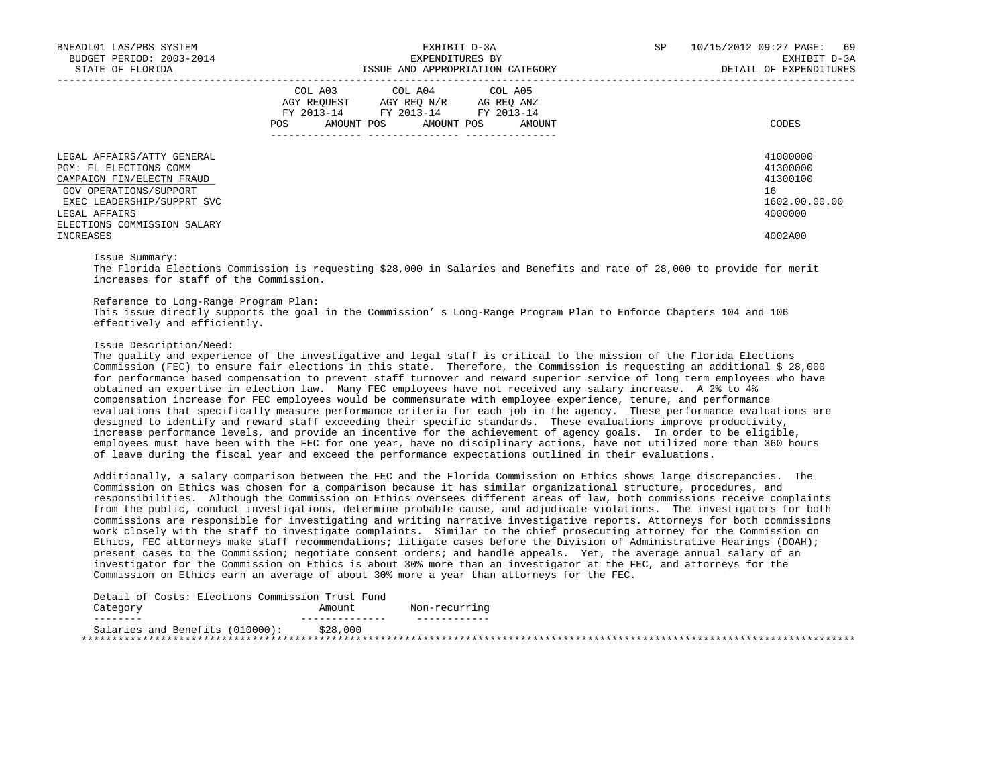| BNEADL01 LAS/PBS SYSTEM<br>BUDGET PERIOD: 2003-2014<br>STATE OF FLORIDA                                                                                    | EXHIBIT D-3A<br>EXPENDITURES BY<br>ISSUE AND APPROPRIATION CATEGORY                                                                                                                                                                                 | SP<br>10/15/2012 09:27 PAGE: 69<br>EXHIBIT D-3A<br>DETAIL OF EXPENDITURES |
|------------------------------------------------------------------------------------------------------------------------------------------------------------|-----------------------------------------------------------------------------------------------------------------------------------------------------------------------------------------------------------------------------------------------------|---------------------------------------------------------------------------|
|                                                                                                                                                            | COL A03 COL A04 COL A05<br>AGY REQUEST AGY REQ N/R AG REQ ANZ<br>FY 2013-14 FY 2013-14 FY 2013-14<br>POS FOR THE POST OF THE POST OF THE POST OF THE POST OF THE POST OF THE POST OF THE POST OF THE POST OF THE PO<br>AMOUNT POS AMOUNT POS AMOUNT | CODES                                                                     |
| LEGAL AFFAIRS/ATTY GENERAL<br>PGM: FL ELECTIONS COMM<br>CAMPAIGN FIN/ELECTN FRAUD<br>GOV OPERATIONS/SUPPORT<br>EXEC LEADERSHIP/SUPPRT SVC<br>LEGAL AFFAIRS |                                                                                                                                                                                                                                                     | 41000000<br>41300000<br>41300100<br>16<br>1602.00.00.00<br>4000000        |
| ELECTIONS COMMISSION SALARY<br>INCREASES                                                                                                                   |                                                                                                                                                                                                                                                     | 4002A00                                                                   |

Issue Summary:

 The Florida Elections Commission is requesting \$28,000 in Salaries and Benefits and rate of 28,000 to provide for merit increases for staff of the Commission.

Reference to Long-Range Program Plan:

 This issue directly supports the goal in the Commission' s Long-Range Program Plan to Enforce Chapters 104 and 106 effectively and efficiently.

Issue Description/Need:

 The quality and experience of the investigative and legal staff is critical to the mission of the Florida Elections Commission (FEC) to ensure fair elections in this state. Therefore, the Commission is requesting an additional \$ 28,000 for performance based compensation to prevent staff turnover and reward superior service of long term employees who have obtained an expertise in election law. Many FEC employees have not received any salary increase. A 2% to 4% compensation increase for FEC employees would be commensurate with employee experience, tenure, and performance evaluations that specifically measure performance criteria for each job in the agency. These performance evaluations are designed to identify and reward staff exceeding their specific standards. These evaluations improve productivity, increase performance levels, and provide an incentive for the achievement of agency goals. In order to be eligible, employees must have been with the FEC for one year, have no disciplinary actions, have not utilized more than 360 hours of leave during the fiscal year and exceed the performance expectations outlined in their evaluations.

 Additionally, a salary comparison between the FEC and the Florida Commission on Ethics shows large discrepancies. The Commission on Ethics was chosen for a comparison because it has similar organizational structure, procedures, and responsibilities. Although the Commission on Ethics oversees different areas of law, both commissions receive complaints from the public, conduct investigations, determine probable cause, and adjudicate violations. The investigators for both commissions are responsible for investigating and writing narrative investigative reports. Attorneys for both commissions work closely with the staff to investigate complaints. Similar to the chief prosecuting attorney for the Commission on Ethics, FEC attorneys make staff recommendations; litigate cases before the Division of Administrative Hearings (DOAH); present cases to the Commission; negotiate consent orders; and handle appeals. Yet, the average annual salary of an investigator for the Commission on Ethics is about 30% more than an investigator at the FEC, and attorneys for the Commission on Ethics earn an average of about 30% more a year than attorneys for the FEC.

| Detail of Costs: Elections Commission Trust Fund |          |               |
|--------------------------------------------------|----------|---------------|
| Category                                         | Amount   | Non-recurring |
| --------                                         |          |               |
| Salaries and Benefits (010000):                  | \$28,000 |               |
|                                                  |          |               |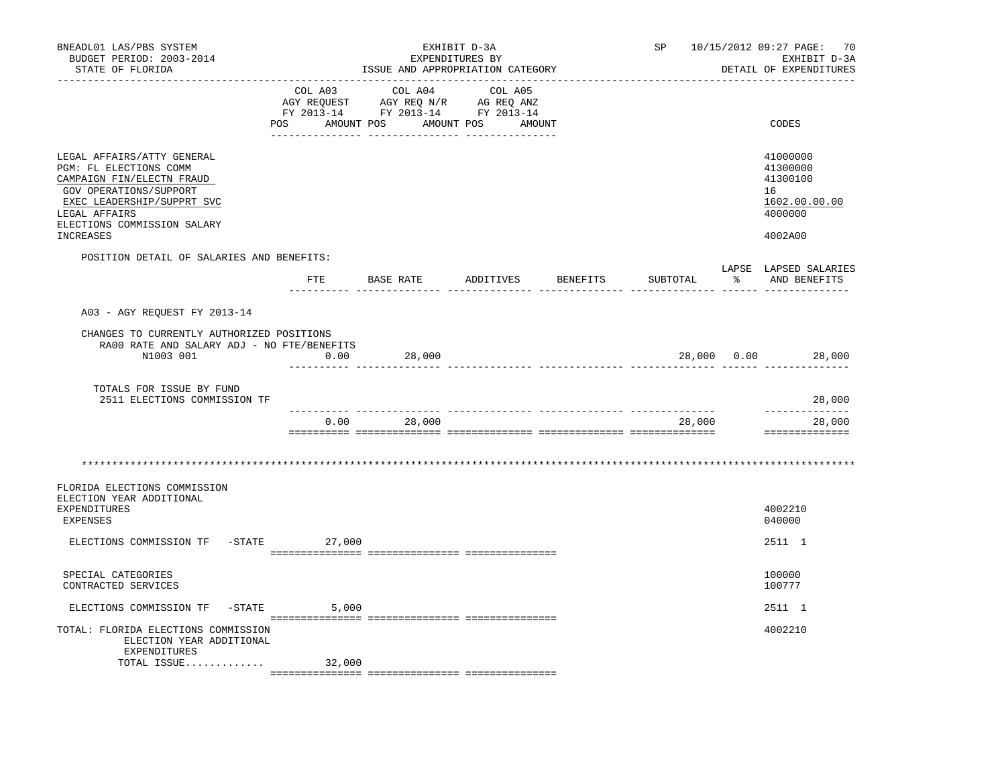| BNEADL01 LAS/PBS SYSTEM<br>BUDGET PERIOD: 2003-2014<br>STATE OF FLORIDA                                                                                                                                |              | EXHIBIT D-3A<br>EXPENDITURES BY                                                                                                                            | ISSUE AND APPROPRIATION CATEGORY | SP                   | 10/15/2012 09:27 PAGE: 70<br>EXHIBIT D-3A<br>DETAIL OF EXPENDITURES           |
|--------------------------------------------------------------------------------------------------------------------------------------------------------------------------------------------------------|--------------|------------------------------------------------------------------------------------------------------------------------------------------------------------|----------------------------------|----------------------|-------------------------------------------------------------------------------|
|                                                                                                                                                                                                        |              | $\begin{tabular}{lcccc} COL A03 & COL A04 & COL A05 \\ AGY REQUEST & AGY REQ N/R & AG REQ ANZ \\ FY & 2013-14 & FY & 2013-14 & FY & 2013-14 \end{tabular}$ | POS AMOUNT POS AMOUNT POS AMOUNT |                      | CODES                                                                         |
| LEGAL AFFAIRS/ATTY GENERAL<br>PGM: FL ELECTIONS COMM<br>CAMPAIGN FIN/ELECTN FRAUD<br>GOV OPERATIONS/SUPPORT<br>EXEC LEADERSHIP/SUPPRT SVC<br>LEGAL AFFAIRS<br>ELECTIONS COMMISSION SALARY<br>INCREASES |              |                                                                                                                                                            |                                  |                      | 41000000<br>41300000<br>41300100<br>16<br>1602.00.00.00<br>4000000<br>4002A00 |
| POSITION DETAIL OF SALARIES AND BENEFITS:                                                                                                                                                              |              |                                                                                                                                                            |                                  |                      | LAPSE LAPSED SALARIES                                                         |
|                                                                                                                                                                                                        | $_{\rm FTE}$ | BASE RATE ADDITIVES                                                                                                                                        |                                  | BENEFITS<br>SUBTOTAL | $\frac{1}{6}$<br>AND BENEFITS                                                 |
| A03 - AGY REQUEST FY 2013-14                                                                                                                                                                           |              |                                                                                                                                                            |                                  |                      |                                                                               |
| CHANGES TO CURRENTLY AUTHORIZED POSITIONS<br>RA00 RATE AND SALARY ADJ - NO FTE/BENEFITS<br>N1003 001                                                                                                   | 0.00         | 28,000                                                                                                                                                     |                                  |                      | 28,000 0.00 28,000                                                            |
| TOTALS FOR ISSUE BY FUND<br>2511 ELECTIONS COMMISSION TF                                                                                                                                               |              |                                                                                                                                                            |                                  |                      | 28,000                                                                        |
|                                                                                                                                                                                                        | 0.00         | 28,000                                                                                                                                                     |                                  | 28,000               | -----------<br>28,000<br>==============                                       |
| FLORIDA ELECTIONS COMMISSION<br>ELECTION YEAR ADDITIONAL<br><b>EXPENDITURES</b>                                                                                                                        |              |                                                                                                                                                            |                                  |                      | 4002210                                                                       |
| <b>EXPENSES</b><br>ELECTIONS COMMISSION TF -STATE 27,000                                                                                                                                               |              |                                                                                                                                                            |                                  |                      | 040000<br>2511 1                                                              |
| SPECIAL CATEGORIES<br>CONTRACTED SERVICES                                                                                                                                                              |              |                                                                                                                                                            |                                  |                      | 100000<br>100777                                                              |
| ELECTIONS COMMISSION TF - STATE                                                                                                                                                                        | 5,000        |                                                                                                                                                            |                                  |                      | 2511 1                                                                        |
| TOTAL: FLORIDA ELECTIONS COMMISSION<br>ELECTION YEAR ADDITIONAL<br>EXPENDITURES                                                                                                                        |              |                                                                                                                                                            |                                  |                      | 4002210                                                                       |
| TOTAL ISSUE                                                                                                                                                                                            | 32,000       |                                                                                                                                                            |                                  |                      |                                                                               |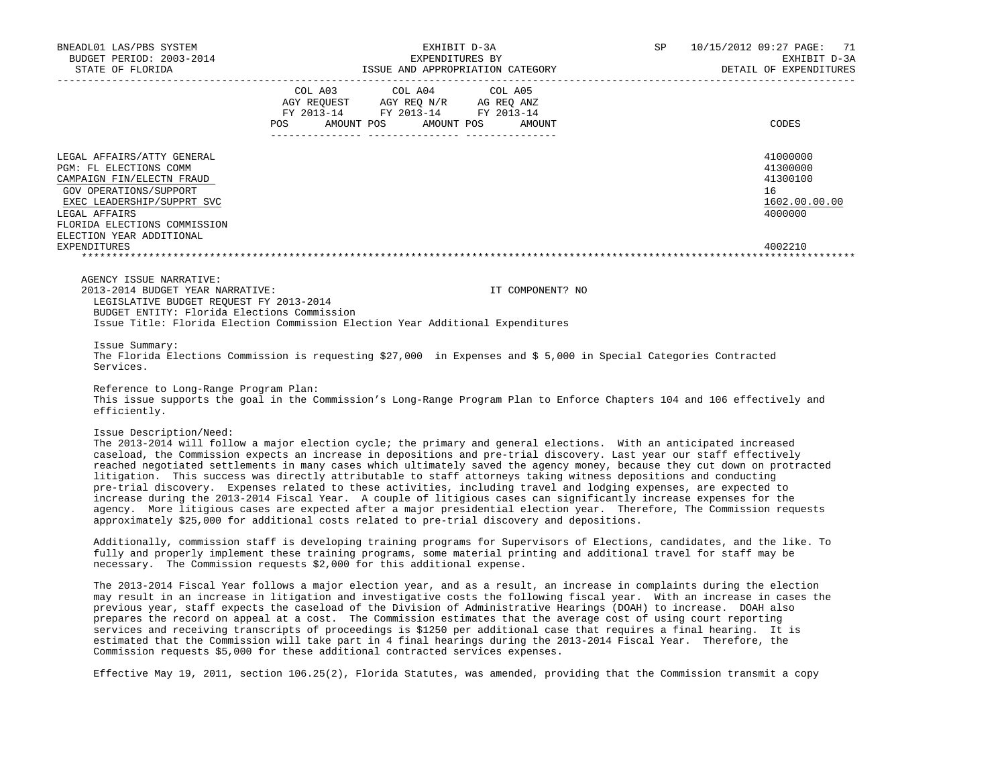| BNEADL01 LAS/PBS SYSTEM<br>BUDGET PERIOD: 2003-2014                                                                                                                                                                                    | EXHIBIT D-3A<br>EXPENDITURES BY                                                                                                                                                                                                                                                                                                                                                                                                                                                                                                                                                                                                                                                                                                                                                                                                                                                                                                                                | SP<br>10/15/2012 09:27 PAGE:<br>71<br>EXHIBIT D-3A<br>DETAIL OF EXPENDITURES  |
|----------------------------------------------------------------------------------------------------------------------------------------------------------------------------------------------------------------------------------------|----------------------------------------------------------------------------------------------------------------------------------------------------------------------------------------------------------------------------------------------------------------------------------------------------------------------------------------------------------------------------------------------------------------------------------------------------------------------------------------------------------------------------------------------------------------------------------------------------------------------------------------------------------------------------------------------------------------------------------------------------------------------------------------------------------------------------------------------------------------------------------------------------------------------------------------------------------------|-------------------------------------------------------------------------------|
|                                                                                                                                                                                                                                        | COL A03<br>COL A04<br>COL A05<br>$\begin{tabular}{lllllll} \bf AGY \,\, REQUEST \,\, & \bf AGY \,\, REQ \,\, N/R & \,\, AG \,\, REQ \,\, ANZ \\ \bf FY \,\, 2013-14 & \,\, FY \,\, 2013-14 & \,\, FY \,\, 2013-14 \\ \end{tabular}$<br>POS AMOUNT POS AMOUNT POS AMOUNT                                                                                                                                                                                                                                                                                                                                                                                                                                                                                                                                                                                                                                                                                        | CODES                                                                         |
| LEGAL AFFAIRS/ATTY GENERAL<br>PGM: FL ELECTIONS COMM<br>CAMPAIGN FIN/ELECTN FRAUD<br>GOV OPERATIONS/SUPPORT<br>EXEC LEADERSHIP/SUPPRT SVC<br>LEGAL AFFAIRS<br>FLORIDA ELECTIONS COMMISSION<br>ELECTION YEAR ADDITIONAL<br>EXPENDITURES |                                                                                                                                                                                                                                                                                                                                                                                                                                                                                                                                                                                                                                                                                                                                                                                                                                                                                                                                                                | 41000000<br>41300000<br>41300100<br>16<br>1602.00.00.00<br>4000000<br>4002210 |
|                                                                                                                                                                                                                                        |                                                                                                                                                                                                                                                                                                                                                                                                                                                                                                                                                                                                                                                                                                                                                                                                                                                                                                                                                                |                                                                               |
| AGENCY ISSUE NARRATIVE:<br>2013-2014 BUDGET YEAR NARRATIVE:<br>LEGISLATIVE BUDGET REQUEST FY 2013-2014<br>BUDGET ENTITY: Florida Elections Commission                                                                                  | IT COMPONENT? NO<br>Issue Title: Florida Election Commission Election Year Additional Expenditures                                                                                                                                                                                                                                                                                                                                                                                                                                                                                                                                                                                                                                                                                                                                                                                                                                                             |                                                                               |
| Issue Summary:<br>Services.                                                                                                                                                                                                            | The Florida Elections Commission is requesting \$27,000 in Expenses and \$5,000 in Special Categories Contracted                                                                                                                                                                                                                                                                                                                                                                                                                                                                                                                                                                                                                                                                                                                                                                                                                                               |                                                                               |
| Reference to Long-Range Program Plan:<br>efficiently.                                                                                                                                                                                  | This issue supports the goal in the Commission's Long-Range Program Plan to Enforce Chapters 104 and 106 effectively and                                                                                                                                                                                                                                                                                                                                                                                                                                                                                                                                                                                                                                                                                                                                                                                                                                       |                                                                               |
| Issue Description/Need:                                                                                                                                                                                                                | The 2013-2014 will follow a major election cycle; the primary and general elections. With an anticipated increased<br>caseload, the Commission expects an increase in depositions and pre-trial discovery. Last year our staff effectively<br>reached negotiated settlements in many cases which ultimately saved the agency money, because they cut down on protracted<br>litigation. This success was directly attributable to staff attorneys taking witness depositions and conducting<br>pre-trial discovery. Expenses related to these activities, including travel and lodging expenses, are expected to<br>increase during the 2013-2014 Fiscal Year. A couple of litigious cases can significantly increase expenses for the<br>agency. More litigious cases are expected after a major presidential election year. Therefore, The Commission requests<br>approximately \$25,000 for additional costs related to pre-trial discovery and depositions. |                                                                               |
|                                                                                                                                                                                                                                        | Additionally, commission staff is developing training programs for Supervisors of Elections, candidates, and the like. To<br>fully and properly implement these training programs, some material printing and additional travel for staff may be<br>necessary. The Commission requests \$2,000 for this additional expense.                                                                                                                                                                                                                                                                                                                                                                                                                                                                                                                                                                                                                                    |                                                                               |
|                                                                                                                                                                                                                                        | The 2013-2014 Fiscal Year follows a major election year, and as a result, an increase in complaints during the election<br>may result in an increase in litigation and investigative costs the following fiscal year. With an increase in cases the<br>previous year, staff expects the caseload of the Division of Administrative Hearings (DOAH) to increase. DOAH also<br>prepares the record on appeal at a cost. The Commission estimates that the average cost of using court reporting<br>services and receiving transcripts of proceedings is \$1250 per additional case that requires a final hearing. It is<br>estimated that the Commission will take part in 4 final hearings during the 2013-2014 Fiscal Year. Therefore, the<br>Commission requests \$5,000 for these additional contracted services expenses.                                                                                                                                   |                                                                               |

Effective May 19, 2011, section 106.25(2), Florida Statutes, was amended, providing that the Commission transmit a copy